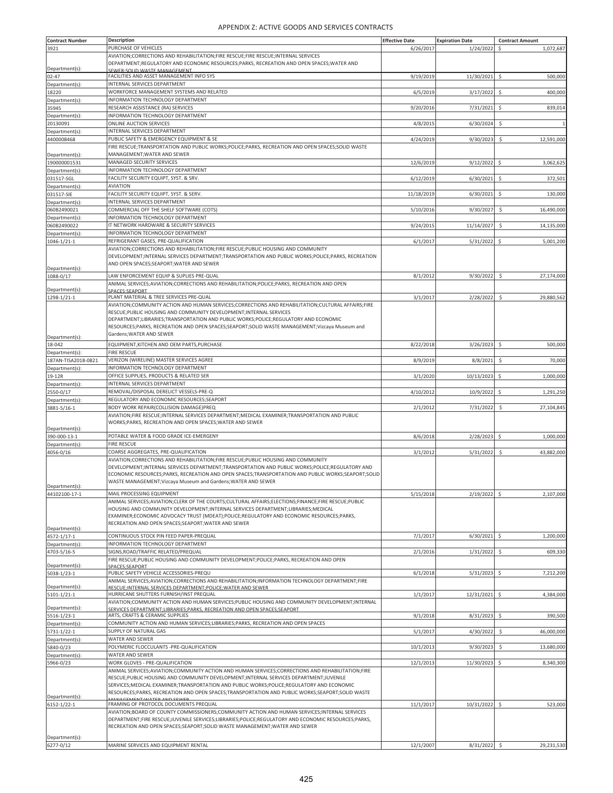| <b>Contract Number</b>        | <b>Description</b>                                                                                                                                                                 | <b>Effective Date</b> | <b>Expiration Date</b> | <b>Contract Amount</b>           |
|-------------------------------|------------------------------------------------------------------------------------------------------------------------------------------------------------------------------------|-----------------------|------------------------|----------------------------------|
| 3921                          | PURCHASE OF VEHICLES                                                                                                                                                               | 6/26/2017             | 1/24/2022              | \$<br>1,072,687                  |
|                               | AVIATION;CORRECTIONS AND REHABILITATION;FIRE RESCUE;FIRE RESCUE;INTERNAL SERVICES                                                                                                  |                       |                        |                                  |
|                               | DEPARTMENT;REGULATORY AND ECONOMIC RESOURCES;PARKS, RECREATION AND OPEN SPACES;WATER AND                                                                                           |                       |                        |                                  |
| Department(s):                | <b>SEWER: SOLID WASTE MANAGEMENT</b>                                                                                                                                               |                       |                        |                                  |
| 02-47                         | FACILITIES AND ASSET MANAGEMENT INFO SYS<br>INTERNAL SERVICES DEPARTMENT                                                                                                           | 9/19/2019             | 11/30/2021 \$          | 500,000                          |
| Department(s):<br>18220       | WORKFORCE MANAGEMENT SYSTEMS AND RELATED                                                                                                                                           |                       |                        | \$                               |
| Department(s):                | INFORMATION TECHNOLOGY DEPARTMENT                                                                                                                                                  | 6/5/2019              | 3/17/2022              | 400,000                          |
| 35945                         | RESEARCH ASSISTANCE (RA) SERVICES                                                                                                                                                  | 9/20/2016             | 7/31/2021              | \$<br>839,014                    |
| Department(s):                | INFORMATION TECHNOLOGY DEPARTMENT                                                                                                                                                  |                       |                        |                                  |
| 20130091                      | ONLINE AUCTION SERVICES                                                                                                                                                            | 4/8/201               | 6/30/2024              | \$                               |
| Department(s):                | INTERNAL SERVICES DEPARTMENT                                                                                                                                                       |                       |                        |                                  |
| 4400008468                    | PUBLIC SAFETY & EMERGENCY EQUIPMENT & SE                                                                                                                                           | 4/24/2019             | 9/30/2023              | \$<br>12,591,000                 |
|                               | FIRE RESCUE; TRANSPORTATION AND PUBLIC WORKS; POLICE; PARKS, RECREATION AND OPEN SPACES; SOLID WASTE                                                                               |                       |                        |                                  |
| Department(s):                | MANAGEMENT; WATER AND SEWER                                                                                                                                                        |                       |                        |                                  |
| 190000001531                  | MANAGED SECURITY SERVICES                                                                                                                                                          | 12/6/2019             | 9/12/2022              | \$<br>3,062,625                  |
| Department(s):                | INFORMATION TECHNOLOGY DEPARTMENT                                                                                                                                                  |                       |                        |                                  |
| 031517-SGL                    | FACILITY SECURITY EQUIPT, SYST. & SRV                                                                                                                                              | 6/12/2019             | 6/30/2021              | \$<br>372,501                    |
| Department(s):                | <b>AVIATION</b>                                                                                                                                                                    |                       |                        |                                  |
| 031517-SIE                    | FACILITY SECURITY EQUIPT, SYST. & SERV.                                                                                                                                            | 11/18/2019            | 6/30/2021              | \$<br>130,000                    |
| Department(s)                 | INTERNAL SERVICES DEPARTMENT<br>COMMERCIAL OFF THE SHELF SOFTWARE (COTS)                                                                                                           |                       |                        |                                  |
| 060B2490021                   | INFORMATION TECHNOLOGY DEPARTMENT                                                                                                                                                  | 5/10/2016             | 9/30/2027              | \$<br>16,490,000                 |
| Department(s):<br>060B2490022 | IT NETWORK HARDWARE & SECURITY SERVICES                                                                                                                                            | 9/24/2015             | 11/14/2027             | \$<br>14,135,000                 |
| Department(s):                | INFORMATION TECHNOLOGY DEPARTMENT                                                                                                                                                  |                       |                        |                                  |
| 1046-1/21-1                   | REFRIGERANT GASES, PRE-QUALIFICATION                                                                                                                                               | 6/1/201               | 5/31/2022              | \$<br>5,001,200                  |
|                               | AVIATION; CORRECTIONS AND REHABILITATION; FIRE RESCUE; PUBLIC HOUSING AND COMMUNITY                                                                                                |                       |                        |                                  |
|                               | DEVELOPMENT; INTERNAL SERVICES DEPARTMENT; TRANSPORTATION AND PUBLIC WORKS; POLICE; PARKS, RECREATION                                                                              |                       |                        |                                  |
|                               | AND OPEN SPACES; SEAPORT; WATER AND SEWER                                                                                                                                          |                       |                        |                                  |
| Department(s):<br>1088-0/17   | LAW ENFORCEMENT EQUIP & SUPLIES PRE-QUAL                                                                                                                                           | 8/1/2012              | 9/30/2022              | -\$<br>27.174.000                |
|                               | ANIMAL SERVICES;AVIATION;CORRECTIONS AND REHABILITATION;POLICE;PARKS, RECREATION AND OPEN                                                                                          |                       |                        |                                  |
| Department(s):                | SPACES:SEAPORT                                                                                                                                                                     |                       |                        |                                  |
| 1298-1/21-1                   | PLANT MATERIAL & TREE SERVICES PRE-QUAL                                                                                                                                            | 3/1/2017              | 2/28/2022              | \$<br>29,880,562                 |
|                               | AVIATION; COMMUNITY ACTION AND HUMAN SERVICES; CORRECTIONS AND REHABILITATION; CULTURAL AFFAIRS; FIRE                                                                              |                       |                        |                                  |
|                               | RESCUE;PUBLIC HOUSING AND COMMUNITY DEVELOPMENT;INTERNAL SERVICES                                                                                                                  |                       |                        |                                  |
|                               | DEPARTMENT;LIBRARIES;TRANSPORTATION AND PUBLIC WORKS;POLICE;REGULATORY AND ECONOMIC                                                                                                |                       |                        |                                  |
|                               | RESOURCES;PARKS, RECREATION AND OPEN SPACES;SEAPORT;SOLID WASTE MANAGEMENT;Vizcaya Museum and<br>Gardens; WATER AND SEWER                                                          |                       |                        |                                  |
| Department(s):                |                                                                                                                                                                                    |                       |                        |                                  |
| 18-042                        | EQUIPMENT, KITCHEN AND OEM PARTS, PURCHASE                                                                                                                                         | 8/22/2018             | 3/26/2023              | \$<br>500,000                    |
| Department(s):                | <b>FIRE RESCUE</b>                                                                                                                                                                 |                       |                        |                                  |
| 187AN-TISA2018-0821           | VERIZON (WIRELINE) MASTER SERVICES AGREE<br>INFORMATION TECHNOLOGY DEPARTMENT                                                                                                      | 8/9/2019              | 8/8/2021               | \$.<br>70,000                    |
| Department(s):<br>19-12R      | OFFICE SUPPLIES, PRODUCTS & RELATED SER                                                                                                                                            | 3/1/2020              | 10/13/2023             | Ś<br>1,000,000                   |
| Department(s):                | INTERNAL SERVICES DEPARTMENT                                                                                                                                                       |                       |                        |                                  |
| 2550-0/17                     | REMOVAL/DISPOSAL DERELICT VESSELS-PRE-Q                                                                                                                                            | 4/10/2012             | 10/9/2022              | $\ddot{\mathsf{S}}$<br>1,291,250 |
| Department(s):                | REGULATORY AND ECONOMIC RESOURCES; SEAPORT                                                                                                                                         |                       |                        |                                  |
| 3881-5/16-1                   | BODY WORK REPAIR(COLLISION DAMAGE)PREQ                                                                                                                                             | 2/1/2012              | 7/31/2022              | \$<br>27,104,845                 |
|                               | AVIATION;FIRE RESCUE;INTERNAL SERVICES DEPARTMENT;MEDICAL EXAMINER;TRANSPORTATION AND PUBLIC                                                                                       |                       |                        |                                  |
|                               | WORKS;PARKS, RECREATION AND OPEN SPACES; WATER AND SEWER                                                                                                                           |                       |                        |                                  |
| Department(s):                |                                                                                                                                                                                    |                       |                        |                                  |
| 390-000-13-1                  | POTABLE WATER & FOOD GRADE ICE-EMERGENY                                                                                                                                            | 8/6/2018              | 2/28/2023              | \$<br>1,000,000                  |
| Department(s):                | <b>FIRE RESCUE</b>                                                                                                                                                                 |                       |                        |                                  |
| 4056-0/16                     | COARSE AGGREGATES, PRE-QUALIFICATION                                                                                                                                               | 3/1/2012              | 5/31/2022              | \$<br>43,882,000                 |
|                               | AVIATION;CORRECTIONS AND REHABILITATION;FIRE RESCUE;PUBLIC HOUSING AND COMMUNITY<br>DEVELOPMENT;INTERNAL SERVICES DEPARTMENT;TRANSPORTATION AND PUBLIC WORKS;POLICE;REGULATORY AND |                       |                        |                                  |
|                               | ECONOMIC RESOURCES; PARKS, RECREATION AND OPEN SPACES; TRANSPORTATION AND PUBLIC WORKS; SEAPORT; SOLID                                                                             |                       |                        |                                  |
|                               | WASTE MANAGEMENT; Vizcaya Museum and Gardens; WATER AND SEWER                                                                                                                      |                       |                        |                                  |
| Department(s):                |                                                                                                                                                                                    |                       |                        |                                  |
| 44102100-17-1                 | MAIL PROCESSING EQUIPMENT<br>ANIMAL SERVICES; AVIATION; CLERK OF THE COURTS; CULTURAL AFFAIRS; ELECTIONS; FINANCE; FIRE RESCUE; PUBLIC                                             | 5/15/2018             | 2/19/2022              | 2,107,000<br>\$.                 |
|                               | HOUSING AND COMMUNITY DEVELOPMENT;INTERNAL SERVICES DEPARTMENT;LIBRARIES;MEDICAL                                                                                                   |                       |                        |                                  |
|                               | EXAMINER;ECONOMIC ADVOCACY TRUST (MDEAT);POLICE;REGULATORY AND ECONOMIC RESOURCES;PARKS,                                                                                           |                       |                        |                                  |
|                               | RECREATION AND OPEN SPACES; SEAPORT; WATER AND SEWER                                                                                                                               |                       |                        |                                  |
| Department(s):                |                                                                                                                                                                                    |                       |                        |                                  |
| 4572-1/17-1                   | CONTINUOUS STOCK PIN FEED PAPER-PREQUAL<br>INFORMATION TECHNOLOGY DEPARTMENT                                                                                                       | 7/1/2017              | $6/30/2021$ \$         | 1,200,000                        |
| Department(s)<br>4703-5/16-5  | SIGNS, ROAD/TRAFFIC RELATED/PREQUAL                                                                                                                                                | 2/1/2016              | 1/31/2022              | 609,330<br>Ś                     |
|                               | FIRE RESCUE;PUBLIC HOUSING AND COMMUNITY DEVELOPMENT;POLICE;PARKS, RECREATION AND OPEN                                                                                             |                       |                        |                                  |
| Department(s):                | SPACES:SEAPORT                                                                                                                                                                     |                       |                        |                                  |
| 5038-1/23-1                   | PUBLIC SAFETY VEHICLE ACCESSORIES-PREQU                                                                                                                                            | 6/1/2018              | 5/31/2023              | \$<br>7,212,200                  |
|                               | ANIMAL SERVICES;AVIATION;CORRECTIONS AND REHABILITATION;INFORMATION TECHNOLOGY DEPARTMENT;FIRE                                                                                     |                       |                        |                                  |
| Department(s):<br>5101-1/21-1 | RESCUE; INTERNAL SERVICES DEPARTMENT; POLICE; WATER AND SEWER<br>HURRICANE SHUTTERS FURNISH/INST PREQUAL                                                                           | 1/1/2017              | 12/31/2021             | 4,384,000<br>-\$                 |
|                               | AVIATION; COMMUNITY ACTION AND HUMAN SERVICES; PUBLIC HOUSING AND COMMUNITY DEVELOPMENT; INTERNAL                                                                                  |                       |                        |                                  |
| Department(s):                | SERVICES DEPARTMENT:LIBRARIES:PARKS. RECREATION AND OPEN SPACES:SEAPORT                                                                                                            |                       |                        |                                  |
| 5516-1/23-1                   | ARTS, CRAFTS & CERAMIC SUPPLIES                                                                                                                                                    | 9/1/2018              | 8/31/2023              | \$<br>390,500                    |
| Department(s):                | COMMUNITY ACTION AND HUMAN SERVICES;LIBRARIES;PARKS, RECREATION AND OPEN SPACES                                                                                                    |                       |                        |                                  |
| 5731-1/22-1                   | SUPPLY OF NATURAL GAS                                                                                                                                                              | 5/1/2017              | 4/30/2022              | \$<br>46,000,000                 |
| Department(s):                | WATER AND SEWER                                                                                                                                                                    |                       |                        |                                  |
| 5840-0/23                     | POLYMERIC FLOCCULANTS -PRE-QUALIFICATION<br>WATER AND SEWER                                                                                                                        | 10/1/2013             | 9/30/2023              | \$<br>13,680,000                 |
| Department(s):<br>5966-0/23   | WORK GLOVES - PRE-QUALIFICATION                                                                                                                                                    | 12/1/2013             | 11/30/2023             | \$<br>8,340,300                  |
|                               | ANIMAL SERVICES;AVIATION;COMMUNITY ACTION AND HUMAN SERVICES;CORRECTIONS AND REHABILITATION;FIRE                                                                                   |                       |                        |                                  |
|                               | RESCUE;PUBLIC HOUSING AND COMMUNITY DEVELOPMENT;INTERNAL SERVICES DEPARTMENT;JUVENILE                                                                                              |                       |                        |                                  |
|                               | SERVICES; MEDICAL EXAMINER; TRANSPORTATION AND PUBLIC WORKS; POLICE; REGULATORY AND ECONOMIC                                                                                       |                       |                        |                                  |
|                               | RESOURCES;PARKS, RECREATION AND OPEN SPACES;TRANSPORTATION AND PUBLIC WORKS;SEAPORT;SOLID WASTE                                                                                    |                       |                        |                                  |
| Department(s):<br>6152-1/22-1 | <b>AANACEMENT-WATER AND CEWER</b><br>FRAMING OF PROTOCOL DOCUMENTS PREQUAL                                                                                                         | 11/1/2017             | 10/31/2022 \$          | 523,000                          |
|                               | AVIATION; BOARD OF COUNTY COMMISSIONERS; COMMUNITY ACTION AND HUMAN SERVICES; INTERNAL SERVICES                                                                                    |                       |                        |                                  |
|                               | DEPARTMENT;FIRE RESCUE;JUVENILE SERVICES;LIBRARIES;POLICE;REGULATORY AND ECONOMIC RESOURCES;PARKS,                                                                                 |                       |                        |                                  |
|                               | RECREATION AND OPEN SPACES;SEAPORT;SOLID WASTE MANAGEMENT;WATER AND SEWER                                                                                                          |                       |                        |                                  |
| Department(s):                |                                                                                                                                                                                    |                       |                        |                                  |
| 6277-0/12                     | MARINE SERVICES AND EQUIPMENT RENTAL                                                                                                                                               | 12/1/2007             | 8/31/2022 \$           | 29,231,530                       |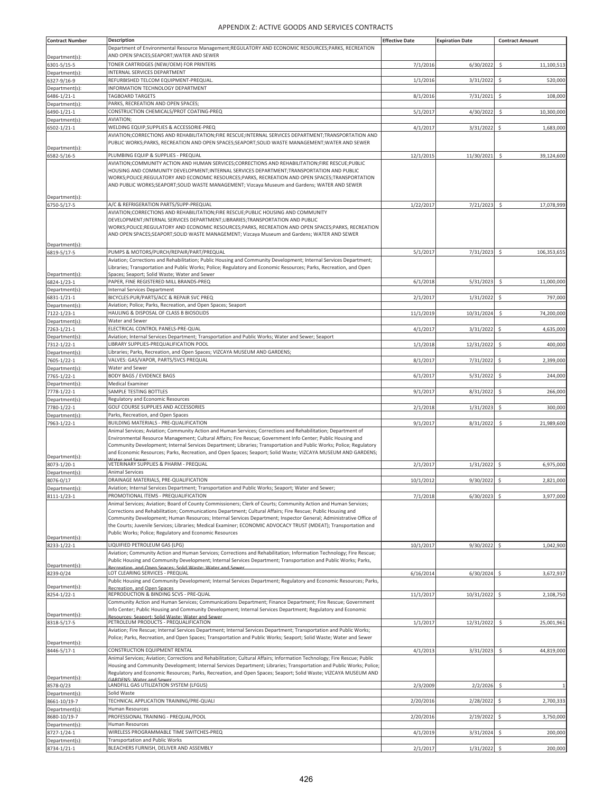| <b>Contract Number</b>        | <b>Description</b>                                                                                                                                                                                                                   | <b>Effective Date</b> | <b>Expiration Date</b> | <b>Contract Amount</b>            |
|-------------------------------|--------------------------------------------------------------------------------------------------------------------------------------------------------------------------------------------------------------------------------------|-----------------------|------------------------|-----------------------------------|
|                               | Department of Environmental Resource Management;REGULATORY AND ECONOMIC RESOURCES;PARKS, RECREATION                                                                                                                                  |                       |                        |                                   |
| Department(s):                | AND OPEN SPACES;SEAPORT;WATER AND SEWER                                                                                                                                                                                              |                       |                        |                                   |
| 6301-5/15-5                   | TONER CARTRIDGES (NEW/OEM) FOR PRINTERS                                                                                                                                                                                              | 7/1/2016              | 6/30/2022              | \$<br>11,100,513                  |
| Department(s):                | INTERNAL SERVICES DEPARTMENT                                                                                                                                                                                                         |                       |                        |                                   |
| 6327-9/16-9                   | REFURBISHED TELCOM EQUIPMENT-PREQUAL<br>INFORMATION TECHNOLOGY DEPARTMENT                                                                                                                                                            | 1/1/2016              | 3/31/2022              | \$<br>520,000                     |
| Department(s):<br>6486-1/21-1 | TAGBOARD TARGETS                                                                                                                                                                                                                     | 8/1/2016              | 7/31/2021              | \$<br>108,000                     |
| Department(s):                | PARKS, RECREATION AND OPEN SPACES;                                                                                                                                                                                                   |                       |                        |                                   |
| 6490-1/21-1                   | CONSTRUCTION CHEMICALS/PROT COATING-PREQ                                                                                                                                                                                             | 5/1/2017              | 4/30/2022              | $\ddot{\mathsf{S}}$<br>10,300,000 |
| Department(s):                | AVIATION;                                                                                                                                                                                                                            |                       |                        |                                   |
| 6502-1/21-1                   | WELDING EQUIP, SUPPLIES & ACCESSORIE-PREQ                                                                                                                                                                                            | 4/1/2017              | 3/31/2022              | Ś<br>1,683,000                    |
|                               | AVIATION;CORRECTIONS AND REHABILITATION;FIRE RESCUE;INTERNAL SERVICES DEPARTMENT;TRANSPORTATION AND                                                                                                                                  |                       |                        |                                   |
| Department(s):                | PUBLIC WORKS;PARKS, RECREATION AND OPEN SPACES;SEAPORT;SOLID WASTE MANAGEMENT;WATER AND SEWER                                                                                                                                        |                       |                        |                                   |
| 6582-5/16-5                   | PLUMBING EQUIP & SUPPLIES - PREQUAL                                                                                                                                                                                                  | 12/1/2015             | 11/30/2021             | $\ddot{\varsigma}$<br>39,124,600  |
|                               | AVIATION;COMMUNITY ACTION AND HUMAN SERVICES;CORRECTIONS AND REHABILITATION;FIRE RESCUE;PUBLIC                                                                                                                                       |                       |                        |                                   |
|                               | HOUSING AND COMMUNITY DEVELOPMENT; INTERNAL SERVICES DEPARTMENT; TRANSPORTATION AND PUBLIC                                                                                                                                           |                       |                        |                                   |
|                               | WORKS;POLICE;REGULATORY AND ECONOMIC RESOURCES;PARKS, RECREATION AND OPEN SPACES;TRANSPORTATION<br>AND PUBLIC WORKS;SEAPORT;SOLID WASTE MANAGEMENT; Vizcaya Museum and Gardens; WATER AND SEWER                                      |                       |                        |                                   |
|                               |                                                                                                                                                                                                                                      |                       |                        |                                   |
| Department(s):                |                                                                                                                                                                                                                                      |                       |                        |                                   |
| 6750-5/17-5                   | A/C & REFRIGERATION PARTS/SUPP-PREQUAL<br>AVIATION; CORRECTIONS AND REHABILITATION; FIRE RESCUE; PUBLIC HOUSING AND COMMUNITY                                                                                                        | 1/22/2017             | 7/21/2023              | -\$<br>17,078,999                 |
|                               | DEVELOPMENT; INTERNAL SERVICES DEPARTMENT; LIBRARIES; TRANSPORTATION AND PUBLIC                                                                                                                                                      |                       |                        |                                   |
|                               | WORKS;POLICE;REGULATORY AND ECONOMIC RESOURCES;PARKS, RECREATION AND OPEN SPACES;PARKS, RECREATION                                                                                                                                   |                       |                        |                                   |
|                               | AND OPEN SPACES;SEAPORT;SOLID WASTE MANAGEMENT; Vizcaya Museum and Gardens; WATER AND SEWER                                                                                                                                          |                       |                        |                                   |
| Department(s):                |                                                                                                                                                                                                                                      |                       |                        |                                   |
| 6819-5/17-5                   | PUMPS & MOTORS/PURCH/REPAIR/PART/PREQUAL                                                                                                                                                                                             | 5/1/2017              | 7/31/2023              | \$<br>106,353,655                 |
|                               | Aviation; Corrections and Rehabilitation; Public Housing and Community Development; Internal Services Department;                                                                                                                    |                       |                        |                                   |
| Department(s):                | Libraries; Transportation and Public Works; Police; Regulatory and Economic Resources; Parks, Recreation, and Open<br>Spaces; Seaport; Solid Waste; Water and Sewer                                                                  |                       |                        |                                   |
| 6824-1/23-1                   | PAPER, FINE REGISTERED MILL BRANDS-PREQ                                                                                                                                                                                              | 6/1/2018              | 5/31/2023              | \$<br>11,000,000                  |
| Department(s):                | <b>Internal Services Department</b>                                                                                                                                                                                                  |                       |                        |                                   |
| 6831-1/21-1                   | BICYCLES:PUR/PARTS/ACC & REPAIR SVC PREQ                                                                                                                                                                                             | 2/1/2017              | 1/31/2022              | \$<br>797,000                     |
| Department(s):                | Aviation; Police; Parks, Recreation, and Open Spaces; Seaport                                                                                                                                                                        |                       |                        |                                   |
| 7122-1/23-1                   | HAULING & DISPOSAL OF CLASS B BIOSOLIDS                                                                                                                                                                                              | 11/1/2019             | 10/31/2024             | \$<br>74,200,000                  |
| Department(s):<br>7263-1/21-1 | Water and Sewer<br>ELECTRICAL CONTROL PANELS-PRE-QUAL                                                                                                                                                                                | 4/1/2017              | 3/31/2022              | \$<br>4,635,000                   |
| Department(s):                | Aviation; Internal Services Department; Transportation and Public Works; Water and Sewer; Seaport                                                                                                                                    |                       |                        |                                   |
| 7312-1/22-1                   | LIBRARY SUPPLIES-PREQUALIFICATION POOL                                                                                                                                                                                               | 1/1/2018              | 12/31/2022             | \$<br>400,000                     |
| Department(s):                | Libraries; Parks, Recreation, and Open Spaces; VIZCAYA MUSEUM AND GARDENS;                                                                                                                                                           |                       |                        |                                   |
| 7605-1/22-1                   | VALVES: GAS/VAPOR, PARTS/SVCS PREQUAL                                                                                                                                                                                                | 8/1/2017              | 7/31/2022              | \$<br>2,399,000                   |
| Department(s):                | Water and Sewer                                                                                                                                                                                                                      |                       |                        |                                   |
| 7765-1/22-1                   | <b>BODY BAGS / EVIDENCE BAGS</b>                                                                                                                                                                                                     | 6/1/2017              | 5/31/2022              | \$<br>244,000                     |
| Department(s):<br>7778-1/22-1 | <b>Medical Examiner</b><br>SAMPLE TESTING BOTTLES                                                                                                                                                                                    | 9/1/2017              | 8/31/2022              | \$<br>266,000                     |
| Department(s):                | Regulatory and Economic Resources                                                                                                                                                                                                    |                       |                        |                                   |
| 7780-1/22-1                   | GOLF COURSE SUPPLIES AND ACCESSORIES                                                                                                                                                                                                 | 2/1/2018              | 1/31/2023              | \$<br>300,000                     |
| Department(s):                | Parks, Recreation, and Open Spaces                                                                                                                                                                                                   |                       |                        |                                   |
| 7963-1/22-1                   | BUILDING MATERIALS - PRE-QUALIFICATION                                                                                                                                                                                               | 9/1/2017              | 8/31/2022              | \$<br>21,989,600                  |
|                               | Animal Services; Aviation; Community Action and Human Services; Corrections and Rehabilitation; Department of                                                                                                                        |                       |                        |                                   |
|                               | Environmental Resource Management; Cultural Affairs; Fire Rescue; Government Info Center; Public Housing and<br>Community Development; Internal Services Department; Libraries; Transportation and Public Works; Police; Regulatory  |                       |                        |                                   |
|                               | and Economic Resources; Parks, Recreation, and Open Spaces; Seaport; Solid Waste; VIZCAYA MUSEUM AND GARDENS;                                                                                                                        |                       |                        |                                   |
| Department(s):                |                                                                                                                                                                                                                                      |                       |                        |                                   |
| 8073-1/20-1<br>Department(s): | VETERINARY SUPPLIES & PHARM - PREQUAL<br><b>Animal Services</b>                                                                                                                                                                      | 2/1/2017              | $1/31/2022$ \$         | 6,975,000                         |
| 8076-0/17                     | DRAINAGE MATERIALS, PRE-QUALIFICATION                                                                                                                                                                                                | 10/1/2012             | $9/30/2022$ \$         | 2,821,000                         |
| Department(s):                | Aviation; Internal Services Department; Transportation and Public Works; Seaport; Water and Sewer;                                                                                                                                   |                       |                        |                                   |
| 8111-1/23-1                   | PROMOTIONAL ITEMS - PREQUALIFICATION                                                                                                                                                                                                 | 7/1/2018              | 6/30/2023              | \$<br>3,977,000                   |
|                               | Animal Services; Aviation; Board of County Commissioners; Clerk of Courts; Community Action and Human Services;                                                                                                                      |                       |                        |                                   |
|                               | Corrections and Rehabilitation; Communications Department; Cultural Affairs; Fire Rescue; Public Housing and                                                                                                                         |                       |                        |                                   |
|                               | Community Development; Human Resources; Internal Services Department; Inspector General; Administrative Office of<br>the Courts; Juvenile Services; Libraries; Medical Examiner; ECONOMIC ADVOCACY TRUST (MDEAT); Transportation and |                       |                        |                                   |
|                               | Public Works; Police; Regulatory and Economic Resources                                                                                                                                                                              |                       |                        |                                   |
| Department(s):                |                                                                                                                                                                                                                                      |                       |                        |                                   |
| 8233-1/22-1                   | LIQUIFIED PETROLEUM GAS (LPG)<br>Aviation; Community Action and Human Services; Corrections and Rehabilitation; Information Technology; Fire Rescue;                                                                                 | 10/1/2017             | $9/30/2022$ \$         | 1,042,900                         |
|                               | Public Housing and Community Development; Internal Services Department; Transportation and Public Works; Parks,                                                                                                                      |                       |                        |                                   |
| Department(s):                | Recreation and Onen Spaces: Solid Waste: Water and Sewer                                                                                                                                                                             |                       |                        |                                   |
| 8239-0/24                     | LOT CLEARING SERVICES - PREQUAL<br>Public Housing and Community Development; Internal Services Department; Regulatory and Economic Resources; Parks,                                                                                 | 6/16/2014             | $6/30/2024$ \$         | 3,672,937                         |
| Department(s):                | Recreation, and Open Spaces                                                                                                                                                                                                          |                       |                        |                                   |
| 8254-1/22-1                   | REPRODUCTION & BINDING SCVS - PRE-QUAL                                                                                                                                                                                               | 11/1/2017             | 10/31/2022             | \$<br>2,108,750                   |
|                               | Community Action and Human Services; Communications Department; Finance Department; Fire Rescue; Government                                                                                                                          |                       |                        |                                   |
| Department(s):                | Info Center; Public Housing and Community Development; Internal Services Department; Regulatory and Economic<br>Resources: Seaport: Solid Waste: Water and Sewer                                                                     |                       |                        |                                   |
| 8318-5/17-5                   | PETROLEUM PRODUCTS - PREQUALIFICATION                                                                                                                                                                                                | 1/1/2017              | 12/31/2022             | 25,001,961<br>$\ddot{\mathsf{S}}$ |
|                               | Aviation; Fire Rescue; Internal Services Department; Internal Services Department; Transportation and Public Works;                                                                                                                  |                       |                        |                                   |
| Department(s):                | Police; Parks, Recreation, and Open Spaces; Transportation and Public Works; Seaport; Solid Waste; Water and Sewer                                                                                                                   |                       |                        |                                   |
| 8446-5/17-1                   | CONSTRUCTION EQUIPMENT RENTAL                                                                                                                                                                                                        | 4/1/2013              | 3/31/2023              | \$<br>44,819,000                  |
|                               | Animal Services; Aviation; Corrections and Rehabilitation; Cultural Affairs; Information Technology; Fire Rescue; Public                                                                                                             |                       |                        |                                   |
|                               | Housing and Community Development; Internal Services Department; Libraries; Transportation and Public Works; Police;                                                                                                                 |                       |                        |                                   |
| Department(s):                | Regulatory and Economic Resources; Parks, Recreation, and Open Spaces; Seaport; Solid Waste; VIZCAYA MUSEUM AND                                                                                                                      |                       |                        |                                   |
| 8578-0/23                     | <b>GARDENS: Water and Sewer</b><br>LANDFILL GAS UTILIZATION SYSTEM (LFGUS)                                                                                                                                                           | 2/3/2009              | 2/2/2026               | S.                                |
| Department(s):                | Solid Waste                                                                                                                                                                                                                          |                       |                        |                                   |
| 8661-10/19-7                  | TECHNICAL APPLICATION TRAINING/PRE-QUALI                                                                                                                                                                                             | 2/20/2016             | 2/28/2022              | \$<br>2,700,333                   |
| Department(s):                | Human Resources                                                                                                                                                                                                                      |                       |                        |                                   |
| 8680-10/19-7                  | PROFESSIONAL TRAINING - PREQUAL/POOL                                                                                                                                                                                                 | 2/20/2016             | 2/19/2022              | \$<br>3,750,000                   |
| Department(s):                | Human Resources<br>WIRELESS PROGRAMMABLE TIME SWITCHES-PREQ                                                                                                                                                                          | 4/1/2019              | 3/31/2024              | 200,000                           |
| 8727-1/24-1<br>Department(s): | <b>Transportation and Public Works</b>                                                                                                                                                                                               |                       |                        | \$                                |
| 8734-1/21-1                   | BLEACHERS FURNISH, DELIVER AND ASSEMBLY                                                                                                                                                                                              | 2/1/2017              | $1/31/2022$ \$         | 200,000                           |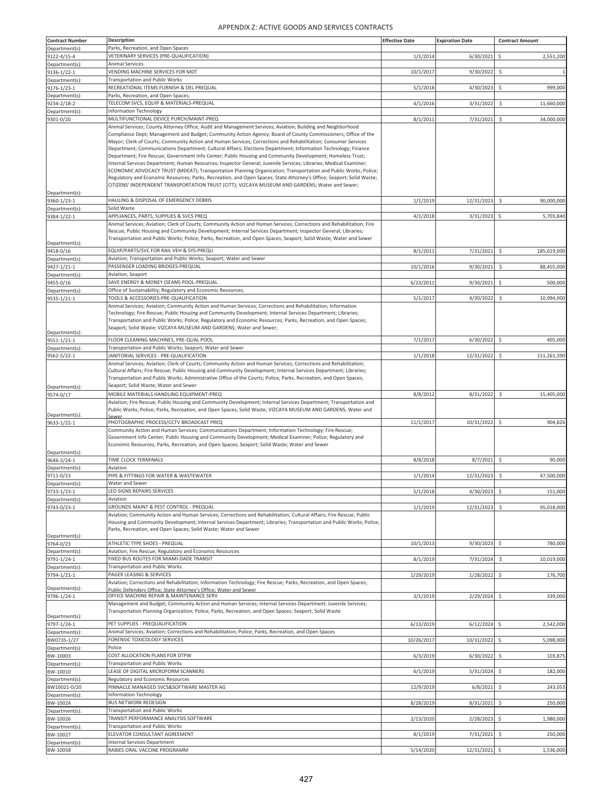| <b>Contract Number</b>         | <b>Description</b>                                                                                                                                                                                                                                                                                                                                                                                                                                                                                                                                                                                                                                                                                                                                                                                                                                                                                                                                                                                                                                 | <b>Effective Date</b> | <b>Expiration Date</b> | <b>Contract Amount</b>             |
|--------------------------------|----------------------------------------------------------------------------------------------------------------------------------------------------------------------------------------------------------------------------------------------------------------------------------------------------------------------------------------------------------------------------------------------------------------------------------------------------------------------------------------------------------------------------------------------------------------------------------------------------------------------------------------------------------------------------------------------------------------------------------------------------------------------------------------------------------------------------------------------------------------------------------------------------------------------------------------------------------------------------------------------------------------------------------------------------|-----------------------|------------------------|------------------------------------|
| Department(s):                 | Parks, Recreation, and Open Spaces                                                                                                                                                                                                                                                                                                                                                                                                                                                                                                                                                                                                                                                                                                                                                                                                                                                                                                                                                                                                                 |                       |                        |                                    |
| 9122-4/15-4                    | VETERINARY SERVICES (PRE-QUALIFICATION)                                                                                                                                                                                                                                                                                                                                                                                                                                                                                                                                                                                                                                                                                                                                                                                                                                                                                                                                                                                                            | 1/1/2014              | 6/30/2021              | \$<br>2,551,200                    |
| Department(s):<br>9136-1/22-1  | <b>Animal Services</b><br>VENDING MACHINE SERVICES FOR MDT                                                                                                                                                                                                                                                                                                                                                                                                                                                                                                                                                                                                                                                                                                                                                                                                                                                                                                                                                                                         | 10/1/2017             | 9/30/2022              | \$<br>$\mathbf{1}$                 |
| Department(s):                 | <b>Transportation and Public Works</b>                                                                                                                                                                                                                                                                                                                                                                                                                                                                                                                                                                                                                                                                                                                                                                                                                                                                                                                                                                                                             |                       |                        |                                    |
| 9176-1/23-1                    | RECREATIONAL ITEMS:FURNISH & DEL PREQUAL                                                                                                                                                                                                                                                                                                                                                                                                                                                                                                                                                                                                                                                                                                                                                                                                                                                                                                                                                                                                           | 5/1/2018              | 4/30/2023              | \$<br>999,000                      |
| Department(s):                 | Parks, Recreation, and Open Spaces;                                                                                                                                                                                                                                                                                                                                                                                                                                                                                                                                                                                                                                                                                                                                                                                                                                                                                                                                                                                                                |                       |                        |                                    |
| 9234-2/18-2<br>Department(s):  | TELECOM SVCS, EQUIP & MATERIALS-PREQUAL<br><b>Information Technology</b>                                                                                                                                                                                                                                                                                                                                                                                                                                                                                                                                                                                                                                                                                                                                                                                                                                                                                                                                                                           | 4/1/2016              | 3/31/2022              | \$<br>11,660,000                   |
| 9301-0/20                      | MULTIFUNCTIONAL DEVICE PURCH/MAINT-PREQ                                                                                                                                                                                                                                                                                                                                                                                                                                                                                                                                                                                                                                                                                                                                                                                                                                                                                                                                                                                                            | 8/1/2011              | 7/31/2021              | \$<br>34,000,000                   |
| Department(s):                 | Animal Services; County Attorney Office; Audit and Management Services; Aviation; Building and Neighborhood<br>Compliance Dept; Management and Budget; Community Action Agency; Board of County Commissioners; Office of the<br>Mayor; Clerk of Courts; Community Action and Human Services; Corrections and Rehabilitation; Consumer Services<br>Department; Communications Department; Cultural Affairs; Elections Department; Information Technology; Finance<br>Department; Fire Rescue; Government Info Center; Public Housing and Community Development; Homeless Trust;<br>Internal Services Department; Human Resources; Inspector General; Juvenile Services; Libraries; Medical Examiner;<br>ECONOMIC ADVOCACY TRUST (MDEAT); Transportation Planning Organization; Transportation and Public Works; Police;<br>Regulatory and Economic Resources; Parks, Recreation, and Open Spaces; State Attorney's Office; Seaport; Solid Waste;<br>CITIZENS' INDEPENDENT TRANSPORTATION TRUST (CITT); VIZCAYA MUSEUM AND GARDENS; Water and Sewer; |                       |                        |                                    |
| 9360-1/23-1                    | HAULING & DISPOSAL OF EMERGENCY DEBRIS                                                                                                                                                                                                                                                                                                                                                                                                                                                                                                                                                                                                                                                                                                                                                                                                                                                                                                                                                                                                             | 1/1/2019              | 12/31/2023             | $\mathsf{S}$<br>90,000,000         |
| Department(s):                 | Solid Waste                                                                                                                                                                                                                                                                                                                                                                                                                                                                                                                                                                                                                                                                                                                                                                                                                                                                                                                                                                                                                                        |                       |                        |                                    |
| 9384-1/22-1                    | APPLIANCES, PARTS, SUPPLIES & SVCS PREQ                                                                                                                                                                                                                                                                                                                                                                                                                                                                                                                                                                                                                                                                                                                                                                                                                                                                                                                                                                                                            | 4/1/2018              | 3/31/2023              | Ś<br>5,703,840                     |
| Department(s):                 | Animal Services; Aviation; Clerk of Courts; Community Action and Human Services; Corrections and Rehabilitation; Fire<br>Rescue; Public Housing and Community Development; Internal Services Department; Inspector General; Libraries;<br>Transportation and Public Works; Police; Parks, Recreation, and Open Spaces; Seaport; Solid Waste; Water and Sewer                                                                                                                                                                                                                                                                                                                                                                                                                                                                                                                                                                                                                                                                                       |                       |                        |                                    |
| 9418-0/16                      | EQUIP/PARTS/SVC FOR RAIL VEH & SYS-PREQU                                                                                                                                                                                                                                                                                                                                                                                                                                                                                                                                                                                                                                                                                                                                                                                                                                                                                                                                                                                                           | 8/1/2011              | 7/31/2021              | $\ddot{\mathsf{S}}$<br>185,019,000 |
| Department(s):<br>9427-1/21-1  | Aviation; Transportation and Public Works; Seaport; Water and Sewer<br>PASSENGER LOADING BRIDGES-PREQUAL                                                                                                                                                                                                                                                                                                                                                                                                                                                                                                                                                                                                                                                                                                                                                                                                                                                                                                                                           | 10/1/2016             | 9/30/2021              | \$<br>88,455,000                   |
| Department(s):                 | Aviation; Seaport                                                                                                                                                                                                                                                                                                                                                                                                                                                                                                                                                                                                                                                                                                                                                                                                                                                                                                                                                                                                                                  |                       |                        |                                    |
| 9455-0/16                      | SAVE ENERGY & MONEY (SEAM) POOL-PREQUAL                                                                                                                                                                                                                                                                                                                                                                                                                                                                                                                                                                                                                                                                                                                                                                                                                                                                                                                                                                                                            | 6/23/2011             | 9/30/2021              | Ś<br>500,000                       |
| Department(s):                 | Office of Sustainability; Regulatory and Economic Resources;                                                                                                                                                                                                                                                                                                                                                                                                                                                                                                                                                                                                                                                                                                                                                                                                                                                                                                                                                                                       |                       |                        |                                    |
| 9535-1/21-1<br>Department(s):  | TOOLS & ACCESSORIES-PRE-QUALIFICATION<br>Animal Services; Aviation; Community Action and Human Services; Corrections and Rehabilitation; Information<br>Technology; Fire Rescue; Public Housing and Community Development; Internal Services Department; Libraries;<br>Transportation and Public Works; Police; Regulatory and Economic Resources; Parks, Recreation, and Open Spaces;<br>Seaport; Solid Waste; VIZCAYA MUSEUM AND GARDENS; Water and Sewer;                                                                                                                                                                                                                                                                                                                                                                                                                                                                                                                                                                                       | 5/1/2017              | 4/30/2022              | \$<br>10,994,000                   |
| 9551-1/21-1                    | FLOOR CLEANING MACHINES, PRE-QUAL POOL                                                                                                                                                                                                                                                                                                                                                                                                                                                                                                                                                                                                                                                                                                                                                                                                                                                                                                                                                                                                             | 7/1/2017              | 6/30/2022              | \$<br>405,000                      |
| Department(s)                  | Transportation and Public Works; Seaport; Water and Sewer                                                                                                                                                                                                                                                                                                                                                                                                                                                                                                                                                                                                                                                                                                                                                                                                                                                                                                                                                                                          |                       |                        |                                    |
| 9562-5/22-1                    | JANITORIAL SERVICES - PRE-QUALIFICATION<br>Animal Services; Aviation; Clerk of Courts; Community Action and Human Services; Corrections and Rehabilitation;<br>Cultural Affairs; Fire Rescue; Public Housing and Community Development; Internal Services Department; Libraries;<br>Transportation and Public Works; Administrative Office of the Courts; Police; Parks, Recreation, and Open Spaces;                                                                                                                                                                                                                                                                                                                                                                                                                                                                                                                                                                                                                                              | 1/1/2018              | 12/31/2022             | \$<br>151,261,390                  |
| Department(s):<br>9574-0/17    | Seaport; Solid Waste; Water and Sewer<br>MOBILE MATERIALS HANDLING EQUIPMENT-PREQ                                                                                                                                                                                                                                                                                                                                                                                                                                                                                                                                                                                                                                                                                                                                                                                                                                                                                                                                                                  | 8/8/2012              | 8/31/2022              | $\ddot{\varsigma}$                 |
| Department(s):                 | Aviation; Fire Rescue; Public Housing and Community Development; Internal Services Department; Transportation and<br>Public Works; Police; Parks, Recreation, and Open Spaces; Solid Waste; VIZCAYA MUSEUM AND GARDENS; Water and<br>Sewer                                                                                                                                                                                                                                                                                                                                                                                                                                                                                                                                                                                                                                                                                                                                                                                                         |                       |                        | 15,405,000                         |
| 9633-1/22-1                    | PHOTOGRAPHIC PROCESS/CCTV BROADCAST PREQ                                                                                                                                                                                                                                                                                                                                                                                                                                                                                                                                                                                                                                                                                                                                                                                                                                                                                                                                                                                                           | 11/1/2017             | 10/31/2022             | \$<br>904,826                      |
| Department(s):                 | Community Action and Human Services; Communications Department; Information Technology; Fire Rescue;<br>Government Info Center; Public Housing and Community Development; Medical Examiner; Police; Regulatory and<br>Economic Resources; Parks, Recreation, and Open Spaces; Seaport; Solid Waste; Water and Sewer                                                                                                                                                                                                                                                                                                                                                                                                                                                                                                                                                                                                                                                                                                                                |                       |                        |                                    |
| 9646-2/24-1                    | TIME CLOCK TERMINALS                                                                                                                                                                                                                                                                                                                                                                                                                                                                                                                                                                                                                                                                                                                                                                                                                                                                                                                                                                                                                               | 8/8/2018              | 8/7/2021               | \$<br>90,000                       |
| Department(s):                 | Aviation                                                                                                                                                                                                                                                                                                                                                                                                                                                                                                                                                                                                                                                                                                                                                                                                                                                                                                                                                                                                                                           |                       |                        |                                    |
| 9711-0/23                      | PIPE & FITTINGS FOR WATER & WASTEWATER<br>Water and Sewer                                                                                                                                                                                                                                                                                                                                                                                                                                                                                                                                                                                                                                                                                                                                                                                                                                                                                                                                                                                          | 1/1/2014              | 12/31/2023             | \$<br>47,500,000                   |
| Department(s)<br>9733-1/23-1   | LED SIGNS REPAIRS SERVICES                                                                                                                                                                                                                                                                                                                                                                                                                                                                                                                                                                                                                                                                                                                                                                                                                                                                                                                                                                                                                         | 5/1/2018              | 4/30/2023              | \$<br>151,000                      |
| Department(s):                 | Aviation                                                                                                                                                                                                                                                                                                                                                                                                                                                                                                                                                                                                                                                                                                                                                                                                                                                                                                                                                                                                                                           |                       |                        |                                    |
| 9743-0/23-1                    | GROUNDS MAINT & PEST CONTROL - PREQUAL<br>Aviation; Community Action and Human Services; Corrections and Rehabilitation; Cultural Affairs; Fire Rescue; Public<br>Housing and Community Development; Internal Services Department; Libraries; Transportation and Public Works; Police;<br>Parks, Recreation, and Open Spaces; Solid Waste; Water and Sewer                                                                                                                                                                                                                                                                                                                                                                                                                                                                                                                                                                                                                                                                                         | 1/1/2019              | 12/31/2023             | \$<br>95,018,000                   |
| Department(s):<br>9764-0/23    | ATHLETIC TYPE SHOES - PREQUAL                                                                                                                                                                                                                                                                                                                                                                                                                                                                                                                                                                                                                                                                                                                                                                                                                                                                                                                                                                                                                      | 10/1/2013             | 9/30/2023              | \$<br>780,000                      |
| Department(s):                 | Aviation; Fire Rescue; Regulatory and Economic Resources                                                                                                                                                                                                                                                                                                                                                                                                                                                                                                                                                                                                                                                                                                                                                                                                                                                                                                                                                                                           |                       |                        |                                    |
| 9791-1/24-1                    | FIXED BUS ROUTES FOR MIAMI-DADE TRANSIT                                                                                                                                                                                                                                                                                                                                                                                                                                                                                                                                                                                                                                                                                                                                                                                                                                                                                                                                                                                                            | 8/1/2019              | 7/31/2024              | \$<br>10,019,000                   |
| Department(s):<br>9794-1/21-1  | Transportation and Public Works<br>PAGER LEASING & SERVICES                                                                                                                                                                                                                                                                                                                                                                                                                                                                                                                                                                                                                                                                                                                                                                                                                                                                                                                                                                                        | 1/29/2019             | 1/28/2022              | 176,700                            |
|                                | Aviation; Corrections and Rehabilitation; Information Technology; Fire Rescue; Parks, Recreation, and Open Spaces;                                                                                                                                                                                                                                                                                                                                                                                                                                                                                                                                                                                                                                                                                                                                                                                                                                                                                                                                 |                       |                        | \$                                 |
| Department(s):                 | Public Defenders Office: State Attorney's Office: Water and Sewer                                                                                                                                                                                                                                                                                                                                                                                                                                                                                                                                                                                                                                                                                                                                                                                                                                                                                                                                                                                  |                       |                        |                                    |
| 9796-1/24-1                    | OFFICE MACHINE REPAIR & MAINTENANCE SERV                                                                                                                                                                                                                                                                                                                                                                                                                                                                                                                                                                                                                                                                                                                                                                                                                                                                                                                                                                                                           | 3/1/2019              | 2/29/2024              | \$<br>339,000                      |
| Department(s):                 | Management and Budget; Community Action and Human Services; Internal Services Department; Juvenile Services;<br>Transportation Planning Organization; Police; Parks, Recreation, and Open Spaces; Seaport; Solid Waste                                                                                                                                                                                                                                                                                                                                                                                                                                                                                                                                                                                                                                                                                                                                                                                                                             |                       |                        |                                    |
| 9797-1/24-1                    | PET SUPPLIES - PREQUALIFICATION                                                                                                                                                                                                                                                                                                                                                                                                                                                                                                                                                                                                                                                                                                                                                                                                                                                                                                                                                                                                                    | 6/13/2019             | 6/12/2024              | \$<br>2,542,000                    |
| Department(s):                 | Animal Services; Aviation; Corrections and Rehabilitation; Police; Parks, Recreation, and Open Spaces                                                                                                                                                                                                                                                                                                                                                                                                                                                                                                                                                                                                                                                                                                                                                                                                                                                                                                                                              |                       |                        |                                    |
| BW0735-1/27<br>Department(s):  | FORENSIC TOXICOLOGY SERVICES<br>Police                                                                                                                                                                                                                                                                                                                                                                                                                                                                                                                                                                                                                                                                                                                                                                                                                                                                                                                                                                                                             | 10/26/2017            | 10/31/2022             | \$<br>5,098,000                    |
| BW-10003                       | COST ALLOCATION PLANS FOR DTPW                                                                                                                                                                                                                                                                                                                                                                                                                                                                                                                                                                                                                                                                                                                                                                                                                                                                                                                                                                                                                     | 6/3/2019              | 6/30/2022              | \$<br>103,875                      |
| Department(s):                 | Transportation and Public Works                                                                                                                                                                                                                                                                                                                                                                                                                                                                                                                                                                                                                                                                                                                                                                                                                                                                                                                                                                                                                    |                       |                        |                                    |
| BW-10010                       | LEASE OF DIGITAL MICROFORM SCANNERS                                                                                                                                                                                                                                                                                                                                                                                                                                                                                                                                                                                                                                                                                                                                                                                                                                                                                                                                                                                                                | 6/1/2019              | 5/31/2024              | 182,000<br>-S                      |
| Department(s):<br>BW10021-0/20 | Regulatory and Economic Resources<br>PINNACLE MANAGED SVCS&SOFTWARE MASTER AG                                                                                                                                                                                                                                                                                                                                                                                                                                                                                                                                                                                                                                                                                                                                                                                                                                                                                                                                                                      | 12/9/2019             | 6/8/2021               | \$<br>243,053                      |
| Department(s):                 | <b>Information Technology</b>                                                                                                                                                                                                                                                                                                                                                                                                                                                                                                                                                                                                                                                                                                                                                                                                                                                                                                                                                                                                                      |                       |                        |                                    |
| BW-10024                       | <b>BUS NETWORK REDESIGN</b>                                                                                                                                                                                                                                                                                                                                                                                                                                                                                                                                                                                                                                                                                                                                                                                                                                                                                                                                                                                                                        | 8/28/2019             | 8/31/2021              | \$<br>250,000                      |
| Department(s):                 | <b>Transportation and Public Works</b>                                                                                                                                                                                                                                                                                                                                                                                                                                                                                                                                                                                                                                                                                                                                                                                                                                                                                                                                                                                                             |                       |                        |                                    |
| BW-10026                       | TRANSIT PERFORMANCE ANALYSIS SOFTWARE<br><b>Transportation and Public Works</b>                                                                                                                                                                                                                                                                                                                                                                                                                                                                                                                                                                                                                                                                                                                                                                                                                                                                                                                                                                    | 2/13/2020             | 2/28/2023              | \$<br>1,980,000                    |
| Department(s):<br>BW-10027     | ELEVATOR CONSULTANT AGREEMENT                                                                                                                                                                                                                                                                                                                                                                                                                                                                                                                                                                                                                                                                                                                                                                                                                                                                                                                                                                                                                      | 8/1/2019              | 7/31/2021              | \$<br>250,000                      |
| Department(s):                 | <b>Internal Services Department</b>                                                                                                                                                                                                                                                                                                                                                                                                                                                                                                                                                                                                                                                                                                                                                                                                                                                                                                                                                                                                                |                       |                        |                                    |
| BW-10058                       | RABIES ORAL VACCINE PROGRAMM                                                                                                                                                                                                                                                                                                                                                                                                                                                                                                                                                                                                                                                                                                                                                                                                                                                                                                                                                                                                                       | 5/14/2020             | 12/31/2021             | 1,536,000<br>\$                    |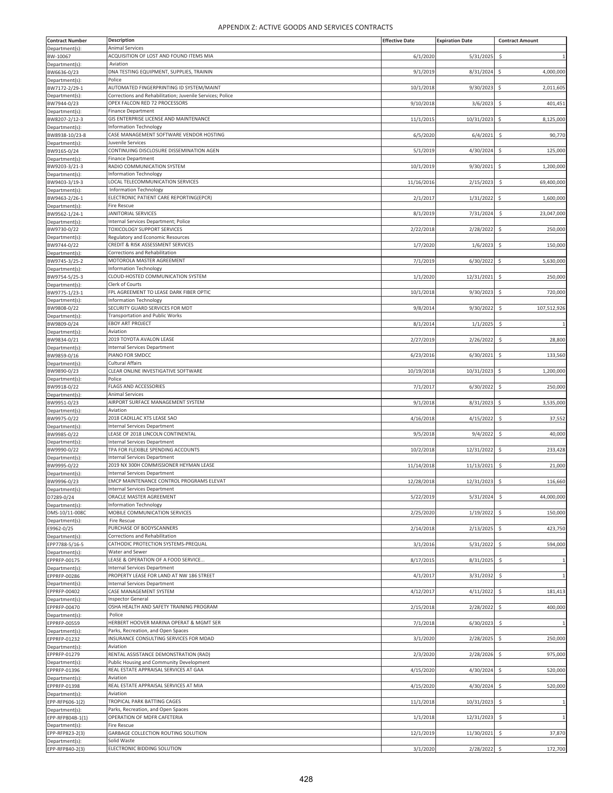| <b>Contract Number</b>            | Description                                                                       | <b>Effective Date</b> | <b>Expiration Date</b> | <b>Contract Amount</b>              |
|-----------------------------------|-----------------------------------------------------------------------------------|-----------------------|------------------------|-------------------------------------|
| Department(s)                     | Animal Services                                                                   |                       |                        |                                     |
| BW-10067                          | ACQUISITION OF LOST AND FOUND ITEMS MIA                                           | 6/1/2020              | 5/31/2025              | \$<br>$\mathbf{1}$                  |
| Department(s):                    | Aviation                                                                          |                       |                        |                                     |
| BW6636-0/23                       | DNA TESTING EQUIPMENT, SUPPLIES, TRAININ                                          | 9/1/2019              | 8/31/2024              | 4,000,000<br>\$                     |
| Department(s):<br>BW7172-2/29-1   | Police<br>AUTOMATED FINGERPRINTING ID SYSTEM/MAINT                                | 10/1/2018             | 9/30/2023              | \$<br>2,011,605                     |
| Department(s):                    | Corrections and Rehabilitation; Juvenile Services; Police                         |                       |                        |                                     |
| BW7944-0/23                       | OPEX FALCON RED 72 PROCESSORS                                                     | 9/10/2018             | 3/6/2023               | \$<br>401,451                       |
| Department(s)                     | <b>Finance Department</b>                                                         |                       |                        |                                     |
| BW8207-2/12-3                     | GIS ENTERPRISE LICENSE AND MAINTENANCE                                            | 11/1/2015             | 10/31/2023             | \$<br>8,125,000                     |
| Department(s):                    | <b>Information Technology</b>                                                     |                       |                        |                                     |
| BW8938-10/23-8<br>Department(s):  | CASE MANAGEMENT SOFTWARE VENDOR HOSTING<br>Juvenile Services                      | 6/5/2020              | 6/4/2021               | \$<br>90,770                        |
| BW9165-0/24                       | CONTINUING DISCLOSURE DISSEMINATION AGEN                                          | 5/1/2019              | 4/30/2024              | Ś<br>125,000                        |
| Department(s):                    | <b>Finance Department</b>                                                         |                       |                        |                                     |
| BW9203-3/21-3                     | RADIO COMMUNICATION SYSTEM                                                        | 10/1/2019             | 9/30/2021              | \$<br>1,200,000                     |
| Department(s):                    | <b>Information Technology</b>                                                     |                       |                        |                                     |
| BW9403-3/19-3                     | LOCAL TELECOMMUNICATION SERVICES                                                  | 11/16/2016            | 2/15/2023              | $\ddot{\varsigma}$<br>69,400,000    |
| Department(s):                    | Information Technology<br>ELECTRONIC PATIENT CARE REPORTING(EPCR)                 |                       |                        |                                     |
| BW9463-2/26-1<br>Department(s):   | Fire Rescue                                                                       | 2/1/2017              | 1/31/2022              | \$<br>1,600,000                     |
| BW9562-1/24-1                     | JANITORIAL SERVICES                                                               | 8/1/2019              | 7/31/2024              | \$<br>23,047,000                    |
| Department(s):                    | Internal Services Department; Police                                              |                       |                        |                                     |
| BW9730-0/22                       | TOXICOLOGY SUPPORT SERVICES                                                       | 2/22/2018             | 2/28/2022              | \$<br>250,000                       |
| Department(s)                     | Regulatory and Economic Resources                                                 |                       |                        |                                     |
| BW9744-0/22                       | CREDIT & RISK ASSESSMENT SERVICES                                                 | 1/7/2020              | 1/6/2023               | \$.<br>150,000                      |
| Department(s)<br>BW9745-3/25-2    | Corrections and Rehabilitation<br>MOTOROLA MASTER AGREEMENT                       | 7/1/2019              | 6/30/2022              | \$<br>5,630,000                     |
| Department(s):                    | <b>Information Technology</b>                                                     |                       |                        |                                     |
| BW9754-5/25-3                     | CLOUD-HOSTED COMMUNICATION SYSTEM                                                 | 1/1/2020              | 12/31/2021             | Ś<br>250,000                        |
| Department(s):                    | Clerk of Courts                                                                   |                       |                        |                                     |
| BW9775-1/23-1                     | FPL AGREEMENT TO LEASE DARK FIBER OPTIC                                           | 10/1/2018             | 9/30/2023              | \$<br>720,000                       |
| Department(s):<br>BW9808-0/22     | <b>Information Technology</b><br>SECURITY GUARD SERVICES FOR MDT                  | 9/8/2014              | 9/30/2022              | \$<br>107,512,926                   |
| Department(s)                     | <b>Transportation and Public Works</b>                                            |                       |                        |                                     |
| BW9809-0/24                       | <b>EBOY ART PROJECT</b>                                                           | 8/1/2014              | 1/1/2025               | $\ddot{\mathsf{S}}$<br>$\mathbf{1}$ |
| Department(s):                    | Aviation                                                                          |                       |                        |                                     |
| BW9834-0/21<br>Department(s):     | 2019 TOYOTA AVALON LEASE<br><b>Internal Services Department</b>                   | 2/27/2019             | 2/26/2022              | \$<br>28,800                        |
| BW9859-0/16                       | PIANO FOR SMDCC                                                                   | 6/23/2016             | 6/30/2021              | \$<br>133,560                       |
| Department(s)                     | <b>Cultural Affairs</b>                                                           |                       |                        |                                     |
| BW9890-0/23                       | CLEAR ONLINE INVESTIGATIVE SOFTWARE                                               | 10/19/2018            | 10/31/2023             | \$<br>1,200,000                     |
| Department(s)                     | Police                                                                            |                       |                        |                                     |
| BW9918-0/22<br>Department(s):     | <b>FLAGS AND ACCESSORIES</b><br><b>Animal Services</b>                            | 7/1/2017              | 6/30/2022              | \$<br>250,000                       |
| BW9951-0/23                       | AIRPORT SURFACE MANAGEMENT SYSTEM                                                 | 9/1/2018              | 8/31/2023              | \$<br>3,535,000                     |
| Department(s):                    | Aviation                                                                          |                       |                        |                                     |
| BW9975-0/22                       | 2018 CADILLAC XTS LEASE SAO                                                       | 4/16/2018             | 4/15/2022              | \$<br>37,552                        |
| Department(s)                     | <b>Internal Services Department</b><br>LEASE OF 2018 LINCOLN CONTINENTAL          | 9/5/2018              | 9/4/2022               | \$<br>40,000                        |
| BW9985-0/22<br>Department(s):     | <b>Internal Services Department</b>                                               |                       |                        |                                     |
| BW9990-0/22                       | TPA FOR FLEXIBLE SPENDING ACCOUNTS                                                | 10/2/2018             | 12/31/2022             | \$.<br>233,428                      |
| Department(s):                    | <b>Internal Services Department</b>                                               |                       |                        |                                     |
| BW9995-0/22                       | 2019 NX 300H COMMISSIONER HEYMAN LEASE                                            | 11/14/2018            | 11/13/2021             | 21,000<br>\$                        |
| Department(s)<br>BW9996-0/23      | <b>Internal Services Department</b><br>EMCP MAINTENANCE CONTROL PROGRAMS ELEVAT   | 12/28/2018            | 12/31/2023             | \$<br>116,660                       |
| Department(s):                    | <b>Internal Services Department</b>                                               |                       |                        |                                     |
| D7289-0/24                        | ORACLE MASTER AGREEMENT                                                           | 5/22/2019             | 5/31/2024              | 44,000,000<br>$\ddot{\varsigma}$    |
| Department(s):                    | <b>Information Technology</b>                                                     |                       |                        |                                     |
| DMS-10/11-008C                    | MOBILE COMMUNICATION SERVICES                                                     | 2/25/2020             | 1/19/2022              | \$<br>150,000                       |
| Department(s):                    | Fire Rescue<br>PURCHASE OF BODYSCANNERS                                           |                       |                        |                                     |
| E9962-0/25<br>Department(s):      | Corrections and Rehabilitation                                                    | 2/14/2018             | 2/13/2025              | \$<br>423,750                       |
| EPP7788-5/16-5                    | CATHODIC PROTECTION SYSTEMS-PREQUAL                                               | 3/1/2016              | 5/31/2022              | \$<br>594,000                       |
| Department(s):                    | Water and Sewer                                                                   |                       |                        |                                     |
| EPPRFP-00175                      | LEASE & OPERATION OF A FOOD SERVICE                                               | 8/17/2015             | 8/31/2025              | \$<br>$\mathbf{1}$                  |
| Department(s):<br>EPPRFP-00286    | <b>Internal Services Department</b><br>PROPERTY LEASE FOR LAND AT NW 186 STREET   | 4/1/2017              | 3/31/2032              | S.<br>1                             |
| Department(s):                    | <b>Internal Services Department</b>                                               |                       |                        |                                     |
| EPPRFP-00402                      | CASE MANAGEMENT SYSTEM                                                            | 4/12/2017             | 4/11/2022              | 181,413<br>\$                       |
| Department(s):                    | <b>Inspector General</b>                                                          |                       |                        |                                     |
| EPPRFP-00470                      | OSHA HEALTH AND SAFETY TRAINING PROGRAM                                           | 2/15/2018             | 2/28/2022              | \$<br>400,000                       |
| Department(s):<br>EPPRFP-00559    | Police<br>HERBERT HOOVER MARINA OPERAT & MGMT SER                                 | 7/1/2018              | 6/30/2023              | \$<br>$\mathbf{1}$                  |
| Department(s):                    | Parks, Recreation, and Open Spaces                                                |                       |                        |                                     |
| EPPRFP-01232                      | INSURANCE CONSULTING SERVICES FOR MDAD                                            | 3/1/2020              | 2/28/2025              | \$<br>250,000                       |
| Department(s):                    | Aviation                                                                          |                       |                        |                                     |
| EPPRFP-01279<br>Department(s):    | RENTAL ASSISTANCE DEMONSTRATION (RAD)<br>Public Housing and Community Development | 2/3/2020              | 2/28/2026              | \$<br>975,000                       |
| EPPRFP-01396                      | REAL ESTATE APPRAISAL SERVICES AT GAA                                             | 4/15/2020             | 4/30/2024              | \$<br>520,000                       |
| Department(s):                    | Aviation                                                                          |                       |                        |                                     |
| EPPRFP-01398                      | REAL ESTATE APPRAISAL SERVICES AT MIA                                             | 4/15/2020             | 4/30/2024              | \$<br>520,000                       |
| Department(s):<br>EPP-RFP606-1(2) | Aviation<br>TROPICAL PARK BATTING CAGES                                           | 11/1/2018             | 10/31/2023             | S.<br>1                             |
| Department(s):                    | Parks, Recreation, and Open Spaces                                                |                       |                        |                                     |
| EPP-RFP804B-1(1)                  | OPERATION OF MDFR CAFETERIA                                                       | 1/1/2018              | 12/31/2023             | \$<br>1                             |
| Department(s):                    | Fire Rescue                                                                       |                       |                        |                                     |
| EPP-RFP823-2(3)                   | GARBAGE COLLECTION ROUTING SOLUTION                                               | 12/1/2019             | 11/30/2021             | \$<br>37,870                        |
| Department(s):<br>EPP-RFP840-2(3) | Solid Waste<br>ELECTRONIC BIDDING SOLUTION                                        | 3/1/2020              | 2/28/2022 \$           | 172,700                             |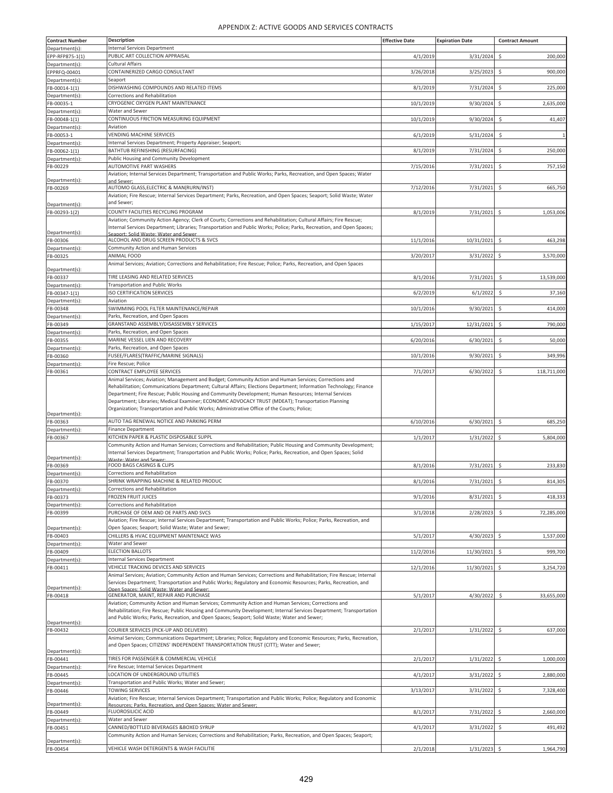| <b>Internal Services Department</b><br>PUBLIC ART COLLECTION APPRAISAL<br>4/1/2019<br>3/31/2024<br>\$<br>200,000<br>EPP-RFP875-1(1)<br>Cultural Affairs<br>Department(s):<br>CONTAINERIZED CARGO CONSULTANT<br>EPPRFQ-00401<br>3/26/2018<br>3/25/2023<br>Ś<br>900,000<br>Seaport<br>DISHWASHING COMPOUNDS AND RELATED ITEMS<br>8/1/2019<br>7/31/2024<br>225,000<br>\$<br>Corrections and Rehabilitation<br>Department(s):<br>CRYOGENIC OXYGEN PLANT MAINTENANCE<br>FB-00035-1<br>10/1/2019<br>9/30/2024<br>\$<br>2,635,000<br>Water and Sewer<br>CONTINUOUS FRICTION MEASURING EQUIPMENT<br>10/1/2019<br>9/30/2024<br>41,407<br>Ś<br>Aviation<br><b>VENDING MACHINE SERVICES</b><br>\$<br>FB-00053-1<br>6/1/2019<br>5/31/2024<br>Department(s):<br>Internal Services Department; Property Appraiser; Seaport;<br>BATHTUB REFINISHING (RESURFACING)<br>8/1/2019<br>7/31/2024<br>250,000<br>\$<br>Public Housing and Community Development<br>AUTOMOTIVE PART WASHERS<br>FB-00229<br>7/15/2016<br>7/31/2021<br>\$<br>757,150<br>Aviation; Internal Services Department; Transportation and Public Works; Parks, Recreation, and Open Spaces; Water<br>and Sewer<br>AUTOMO GLASS, ELECTRIC & MAN(RURN/INST)<br>7/12/2016<br>7/31/2021<br>\$<br>665,750<br>Aviation; Fire Rescue; Internal Services Department; Parks, Recreation, and Open Spaces; Seaport; Solid Waste; Water<br>and Sewer;<br>Department(s):<br>8/1/2019<br>7/31/2021<br>1,053,006<br>FB-00293-1(2)<br>COUNTY FACILITIES RECYCLING PROGRAM<br>l\$<br>Aviation; Community Action Agency; Clerk of Courts; Corrections and Rehabilitation; Cultural Affairs; Fire Rescue;<br>Internal Services Department; Libraries; Transportation and Public Works; Police; Parks, Recreation, and Open Spaces;<br>Department(s):<br>Seaport: Solid Waste: Water and Sewer<br>ALCOHOL AND DRUG SCREEN PRODUCTS & SVCS<br>11/1/2016<br>10/31/2021<br>\$<br>463,298<br><b>Community Action and Human Services</b><br>ANIMAL FOOD<br>3/20/2017<br>3/31/2022<br>\$<br>3,570,000<br>Animal Services; Aviation; Corrections and Rehabilitation; Fire Rescue; Police; Parks, Recreation, and Open Spaces<br>TIRE LEASING AND RELATED SERVICES<br>8/1/2016<br>7/31/2021<br>\$<br>13,539,000<br><b>Transportation and Public Works</b><br>Department(s):<br>FB-00347-1(1)<br><b>ISO CERTIFICATION SERVICES</b><br>6/2/2019<br>6/1/2022<br>37,160<br>Ś<br>Aviation<br>Department(s):<br>10/1/2016<br>9/30/2021<br>\$<br>414,000<br>SWIMMING POOL FILTER MAINTENANCE/REPAIR<br>Parks, Recreation, and Open Spaces<br>1/15/2017<br>GRANSTAND ASSEMBLY/DISASSEMBLY SERVICES<br>12/31/2021<br>Ś<br>790,000<br>Parks, Recreation, and Open Spaces<br>Department(s):<br>MARINE VESSEL LIEN AND RECOVERY<br>6/20/2016<br>6/30/2021<br>\$<br>50,000<br>FB-00355<br>Parks, Recreation, and Open Spaces<br>FUSEE/FLARES(TRAFFIC/MARINE SIGNALS)<br>10/1/2016<br>9/30/2021<br>\$<br>349,996<br>Fire Rescue; Police<br>Department(s):<br>FB-00361<br>CONTRACT EMPLOYEE SERVICES<br>7/1/2017<br>6/30/2022<br>Ś<br>118,711,000<br>Animal Services; Aviation; Management and Budget; Community Action and Human Services; Corrections and<br>Rehabilitation; Communications Department; Cultural Affairs; Elections Department; Information Technology; Finance<br>Department; Fire Rescue; Public Housing and Community Development; Human Resources; Internal Services<br>Department; Libraries; Medical Examiner; ECONOMIC ADVOCACY TRUST (MDEAT); Transportation Planning<br>Organization; Transportation and Public Works; Administrative Office of the Courts; Police;<br>AUTO TAG RENEWAL NOTICE AND PARKING PERM<br>FB-00363<br>6/10/2016<br>6/30/2021<br>\$<br>685,250<br>Department(s):<br><b>Finance Department</b><br>KITCHEN PAPER & PLASTIC DISPOSABLE SUPPL<br>1/1/2017<br>1/31/2022<br>5,804,000<br>Community Action and Human Services; Corrections and Rehabilitation; Public Housing and Community Development;<br>Internal Services Department; Transportation and Public Works; Police; Parks, Recreation, and Open Spaces; Solid<br>Department(s):<br><b>Naste: Water and Sewer</b><br>7/31/2021<br>FOOD BAGS CASINGS & CLIPS<br>8/1/2016<br>\$<br>233,830<br>Corrections and Rehabilitation<br>SHRINK WRAPPING MACHINE & RELATED PRODUC<br>8/1/2016<br>7/31/2021 \$<br>814,305<br>FB-00370<br>Corrections and Rehabilitation<br>Department(s):<br><b>FROZEN FRUIT JUICES</b><br>9/1/2016<br>FB-00373<br>8/31/2021<br>\$<br>418,333<br>Corrections and Rehabilitation<br>PURCHASE OF OEM AND OE PARTS AND SVCS<br>3/1/2018<br>2/28/2023<br>\$<br>72,285,000<br>Aviation; Fire Rescue; Internal Services Department; Transportation and Public Works; Police; Parks, Recreation, and<br>Open Spaces; Seaport; Solid Waste; Water and Sewer;<br>Department(s):<br>CHILLERS & HVAC EQUIPMENT MAINTENACE WAS<br>5/1/2017<br>\$<br>4/30/2023<br>1,537,000<br>Water and Sewer<br><b>ELECTION BALLOTS</b><br>11/2/2016<br>11/30/2021<br>999,700<br>Ś<br><b>Internal Services Department</b><br>Department(s):<br>VEHICLE TRACKING DEVICES AND SERVICES<br>FB-00411<br>12/1/2016<br>11/30/2021<br>\$<br>3,254,720<br>Animal Services; Aviation; Community Action and Human Services; Corrections and Rehabilitation; Fire Rescue; Internal<br>Services Department; Transportation and Public Works; Regulatory and Economic Resources; Parks, Recreation, and<br>Department(s):<br>Open Spaces: Solid Waste: Water and Sewer:<br>FB-00418<br>GENERATOR, MAINT, REPAIR AND PURCHASE<br>5/1/2017<br>4/30/2022<br>33,655,000<br>\$<br>Aviation; Community Action and Human Services; Community Action and Human Services; Corrections and<br>Rehabilitation; Fire Rescue; Public Housing and Community Development; Internal Services Department; Transportation<br>and Public Works; Parks, Recreation, and Open Spaces; Seaport; Solid Waste; Water and Sewer;<br>Department(s):<br>COURIER SERVICES (PICK-UP AND DELIVERY)<br>2/1/2017<br>FB-00432<br>1/31/2022<br>\$<br>637,000<br>Animal Services; Communications Department; Libraries; Police; Regulatory and Economic Resources; Parks, Recreation,<br>and Open Spaces; CITIZENS' INDEPENDENT TRANSPORTATION TRUST (CITT); Water and Sewer;<br>TIRES FOR PASSENGER & COMMERCIAL VEHICLE<br>2/1/2017<br>1/31/2022<br>\$<br>FB-00441<br>1,000,000<br>Fire Rescue; Internal Services Department<br>Department(s):<br>LOCATION OF UNDERGROUND UTILITIES<br>4/1/2017<br>3/31/2022<br>\$<br>2,880,000<br>Transportation and Public Works; Water and Sewer;<br><b>TOWING SERVICES</b><br>3/13/2017<br>3/31/2022<br>Ś<br>7,328,400<br>Aviation; Fire Rescue; Internal Services Department; Transportation and Public Works; Police; Regulatory and Economic<br>Resources: Parks. Recreation. and Open Spaces: Water and Sewer:<br><b>FLUOROSILICIC ACID</b><br>8/1/2017<br>7/31/2022<br>\$.<br>2,660,000<br>Department(s):<br>Water and Sewer<br>CANNED/BOTTLED BEVERAGES & BOXED SYRUP<br>4/1/2017<br>3/31/2022<br>491,492<br>FB-00451<br>\$<br>Community Action and Human Services; Corrections and Rehabilitation; Parks, Recreation, and Open Spaces; Seaport;<br>Department(s): | <b>Contract Number</b> | <b>Description</b>                       | <b>Effective Date</b> | <b>Expiration Date</b> | <b>Contract Amount</b> |
|------------------------------------------------------------------------------------------------------------------------------------------------------------------------------------------------------------------------------------------------------------------------------------------------------------------------------------------------------------------------------------------------------------------------------------------------------------------------------------------------------------------------------------------------------------------------------------------------------------------------------------------------------------------------------------------------------------------------------------------------------------------------------------------------------------------------------------------------------------------------------------------------------------------------------------------------------------------------------------------------------------------------------------------------------------------------------------------------------------------------------------------------------------------------------------------------------------------------------------------------------------------------------------------------------------------------------------------------------------------------------------------------------------------------------------------------------------------------------------------------------------------------------------------------------------------------------------------------------------------------------------------------------------------------------------------------------------------------------------------------------------------------------------------------------------------------------------------------------------------------------------------------------------------------------------------------------------------------------------------------------------------------------------------------------------------------------------------------------------------------------------------------------------------------------------------------------------------------------------------------------------------------------------------------------------------------------------------------------------------------------------------------------------------------------------------------------------------------------------------------------------------------------------------------------------------------------------------------------------------------------------------------------------------------------------------------------------------------------------------------------------------------------------------------------------------------------------------------------------------------------------------------------------------------------------------------------------------------------------------------------------------------------------------------------------------------------------------------------------------------------------------------------------------------------------------------------------------------------------------------------------------------------------------------------------------------------------------------------------------------------------------------------------------------------------------------------------------------------------------------------------------------------------------------------------------------------------------------------------------------------------------------------------------------------------------------------------------------------------------------------------------------------------------------------------------------------------------------------------------------------------------------------------------------------------------------------------------------------------------------------------------------------------------------------------------------------------------------------------------------------------------------------------------------------------------------------------------------------------------------------------------------------------------------------------------------------------------------------------------------------------------------------------------------------------------------------------------------------------------------------------------------------------------------------------------------------------------------------------------------------------------------------------------------------------------------------------------------------------------------------------------------------------------------------------------------------------------------------------------------------------------------------------------------------------------------------------------------------------------------------------------------------------------------------------------------------------------------------------------------------------------------------------------------------------------------------------------------------------------------------------------------------------------------------------------------------------------------------------------------------------------------------------------------------------------------------------------------------------------------------------------------------------------------------------------------------------------------------------------------------------------------------------------------------------------------------------------------------------------------------------------------------------------------------------------------------------------------------------------------------------------------------------------------------------------------------------------------------------------------------------------------------------------------------------------------------------------------------------------------------------------------------------------------------------------------------------------------------------------------------------------------------------------------------------------------------------------------------------------------------------------------------------------------------------------------------------------------------------------------------------------------------------------------------------------------------------------------------------------------------------------------------------------------------------------------------------------------------------------------------------------------------------------------------------------------------------------------------------------------------------------------------------------------------------------------------------------------------------------------------------------------------------------------------------------------------------------------------------------------------------------------------------------------|------------------------|------------------------------------------|-----------------------|------------------------|------------------------|
|                                                                                                                                                                                                                                                                                                                                                                                                                                                                                                                                                                                                                                                                                                                                                                                                                                                                                                                                                                                                                                                                                                                                                                                                                                                                                                                                                                                                                                                                                                                                                                                                                                                                                                                                                                                                                                                                                                                                                                                                                                                                                                                                                                                                                                                                                                                                                                                                                                                                                                                                                                                                                                                                                                                                                                                                                                                                                                                                                                                                                                                                                                                                                                                                                                                                                                                                                                                                                                                                                                                                                                                                                                                                                                                                                                                                                                                                                                                                                                                                                                                                                                                                                                                                                                                                                                                                                                                                                                                                                                                                                                                                                                                                                                                                                                                                                                                                                                                                                                                                                                                                                                                                                                                                                                                                                                                                                                                                                                                                                                                                                                                                                                                                                                                                                                                                                                                                                                                                                                                                                                                                                                                                                                                                                                                                                                                                                                                                                                                                                                                                                                                                                                                                                                                                                                                                                                                                                                                                                                                                                                                                                                                                                                        | Department(s):         |                                          |                       |                        |                        |
|                                                                                                                                                                                                                                                                                                                                                                                                                                                                                                                                                                                                                                                                                                                                                                                                                                                                                                                                                                                                                                                                                                                                                                                                                                                                                                                                                                                                                                                                                                                                                                                                                                                                                                                                                                                                                                                                                                                                                                                                                                                                                                                                                                                                                                                                                                                                                                                                                                                                                                                                                                                                                                                                                                                                                                                                                                                                                                                                                                                                                                                                                                                                                                                                                                                                                                                                                                                                                                                                                                                                                                                                                                                                                                                                                                                                                                                                                                                                                                                                                                                                                                                                                                                                                                                                                                                                                                                                                                                                                                                                                                                                                                                                                                                                                                                                                                                                                                                                                                                                                                                                                                                                                                                                                                                                                                                                                                                                                                                                                                                                                                                                                                                                                                                                                                                                                                                                                                                                                                                                                                                                                                                                                                                                                                                                                                                                                                                                                                                                                                                                                                                                                                                                                                                                                                                                                                                                                                                                                                                                                                                                                                                                                                        |                        |                                          |                       |                        |                        |
|                                                                                                                                                                                                                                                                                                                                                                                                                                                                                                                                                                                                                                                                                                                                                                                                                                                                                                                                                                                                                                                                                                                                                                                                                                                                                                                                                                                                                                                                                                                                                                                                                                                                                                                                                                                                                                                                                                                                                                                                                                                                                                                                                                                                                                                                                                                                                                                                                                                                                                                                                                                                                                                                                                                                                                                                                                                                                                                                                                                                                                                                                                                                                                                                                                                                                                                                                                                                                                                                                                                                                                                                                                                                                                                                                                                                                                                                                                                                                                                                                                                                                                                                                                                                                                                                                                                                                                                                                                                                                                                                                                                                                                                                                                                                                                                                                                                                                                                                                                                                                                                                                                                                                                                                                                                                                                                                                                                                                                                                                                                                                                                                                                                                                                                                                                                                                                                                                                                                                                                                                                                                                                                                                                                                                                                                                                                                                                                                                                                                                                                                                                                                                                                                                                                                                                                                                                                                                                                                                                                                                                                                                                                                                                        |                        |                                          |                       |                        |                        |
|                                                                                                                                                                                                                                                                                                                                                                                                                                                                                                                                                                                                                                                                                                                                                                                                                                                                                                                                                                                                                                                                                                                                                                                                                                                                                                                                                                                                                                                                                                                                                                                                                                                                                                                                                                                                                                                                                                                                                                                                                                                                                                                                                                                                                                                                                                                                                                                                                                                                                                                                                                                                                                                                                                                                                                                                                                                                                                                                                                                                                                                                                                                                                                                                                                                                                                                                                                                                                                                                                                                                                                                                                                                                                                                                                                                                                                                                                                                                                                                                                                                                                                                                                                                                                                                                                                                                                                                                                                                                                                                                                                                                                                                                                                                                                                                                                                                                                                                                                                                                                                                                                                                                                                                                                                                                                                                                                                                                                                                                                                                                                                                                                                                                                                                                                                                                                                                                                                                                                                                                                                                                                                                                                                                                                                                                                                                                                                                                                                                                                                                                                                                                                                                                                                                                                                                                                                                                                                                                                                                                                                                                                                                                                                        | Department(s):         |                                          |                       |                        |                        |
|                                                                                                                                                                                                                                                                                                                                                                                                                                                                                                                                                                                                                                                                                                                                                                                                                                                                                                                                                                                                                                                                                                                                                                                                                                                                                                                                                                                                                                                                                                                                                                                                                                                                                                                                                                                                                                                                                                                                                                                                                                                                                                                                                                                                                                                                                                                                                                                                                                                                                                                                                                                                                                                                                                                                                                                                                                                                                                                                                                                                                                                                                                                                                                                                                                                                                                                                                                                                                                                                                                                                                                                                                                                                                                                                                                                                                                                                                                                                                                                                                                                                                                                                                                                                                                                                                                                                                                                                                                                                                                                                                                                                                                                                                                                                                                                                                                                                                                                                                                                                                                                                                                                                                                                                                                                                                                                                                                                                                                                                                                                                                                                                                                                                                                                                                                                                                                                                                                                                                                                                                                                                                                                                                                                                                                                                                                                                                                                                                                                                                                                                                                                                                                                                                                                                                                                                                                                                                                                                                                                                                                                                                                                                                                        | FB-00014-1(1)          |                                          |                       |                        |                        |
|                                                                                                                                                                                                                                                                                                                                                                                                                                                                                                                                                                                                                                                                                                                                                                                                                                                                                                                                                                                                                                                                                                                                                                                                                                                                                                                                                                                                                                                                                                                                                                                                                                                                                                                                                                                                                                                                                                                                                                                                                                                                                                                                                                                                                                                                                                                                                                                                                                                                                                                                                                                                                                                                                                                                                                                                                                                                                                                                                                                                                                                                                                                                                                                                                                                                                                                                                                                                                                                                                                                                                                                                                                                                                                                                                                                                                                                                                                                                                                                                                                                                                                                                                                                                                                                                                                                                                                                                                                                                                                                                                                                                                                                                                                                                                                                                                                                                                                                                                                                                                                                                                                                                                                                                                                                                                                                                                                                                                                                                                                                                                                                                                                                                                                                                                                                                                                                                                                                                                                                                                                                                                                                                                                                                                                                                                                                                                                                                                                                                                                                                                                                                                                                                                                                                                                                                                                                                                                                                                                                                                                                                                                                                                                        |                        |                                          |                       |                        |                        |
|                                                                                                                                                                                                                                                                                                                                                                                                                                                                                                                                                                                                                                                                                                                                                                                                                                                                                                                                                                                                                                                                                                                                                                                                                                                                                                                                                                                                                                                                                                                                                                                                                                                                                                                                                                                                                                                                                                                                                                                                                                                                                                                                                                                                                                                                                                                                                                                                                                                                                                                                                                                                                                                                                                                                                                                                                                                                                                                                                                                                                                                                                                                                                                                                                                                                                                                                                                                                                                                                                                                                                                                                                                                                                                                                                                                                                                                                                                                                                                                                                                                                                                                                                                                                                                                                                                                                                                                                                                                                                                                                                                                                                                                                                                                                                                                                                                                                                                                                                                                                                                                                                                                                                                                                                                                                                                                                                                                                                                                                                                                                                                                                                                                                                                                                                                                                                                                                                                                                                                                                                                                                                                                                                                                                                                                                                                                                                                                                                                                                                                                                                                                                                                                                                                                                                                                                                                                                                                                                                                                                                                                                                                                                                                        | Department(s):         |                                          |                       |                        |                        |
|                                                                                                                                                                                                                                                                                                                                                                                                                                                                                                                                                                                                                                                                                                                                                                                                                                                                                                                                                                                                                                                                                                                                                                                                                                                                                                                                                                                                                                                                                                                                                                                                                                                                                                                                                                                                                                                                                                                                                                                                                                                                                                                                                                                                                                                                                                                                                                                                                                                                                                                                                                                                                                                                                                                                                                                                                                                                                                                                                                                                                                                                                                                                                                                                                                                                                                                                                                                                                                                                                                                                                                                                                                                                                                                                                                                                                                                                                                                                                                                                                                                                                                                                                                                                                                                                                                                                                                                                                                                                                                                                                                                                                                                                                                                                                                                                                                                                                                                                                                                                                                                                                                                                                                                                                                                                                                                                                                                                                                                                                                                                                                                                                                                                                                                                                                                                                                                                                                                                                                                                                                                                                                                                                                                                                                                                                                                                                                                                                                                                                                                                                                                                                                                                                                                                                                                                                                                                                                                                                                                                                                                                                                                                                                        | FB-00048-1(1)          |                                          |                       |                        |                        |
|                                                                                                                                                                                                                                                                                                                                                                                                                                                                                                                                                                                                                                                                                                                                                                                                                                                                                                                                                                                                                                                                                                                                                                                                                                                                                                                                                                                                                                                                                                                                                                                                                                                                                                                                                                                                                                                                                                                                                                                                                                                                                                                                                                                                                                                                                                                                                                                                                                                                                                                                                                                                                                                                                                                                                                                                                                                                                                                                                                                                                                                                                                                                                                                                                                                                                                                                                                                                                                                                                                                                                                                                                                                                                                                                                                                                                                                                                                                                                                                                                                                                                                                                                                                                                                                                                                                                                                                                                                                                                                                                                                                                                                                                                                                                                                                                                                                                                                                                                                                                                                                                                                                                                                                                                                                                                                                                                                                                                                                                                                                                                                                                                                                                                                                                                                                                                                                                                                                                                                                                                                                                                                                                                                                                                                                                                                                                                                                                                                                                                                                                                                                                                                                                                                                                                                                                                                                                                                                                                                                                                                                                                                                                                                        | Department(s):         |                                          |                       |                        |                        |
|                                                                                                                                                                                                                                                                                                                                                                                                                                                                                                                                                                                                                                                                                                                                                                                                                                                                                                                                                                                                                                                                                                                                                                                                                                                                                                                                                                                                                                                                                                                                                                                                                                                                                                                                                                                                                                                                                                                                                                                                                                                                                                                                                                                                                                                                                                                                                                                                                                                                                                                                                                                                                                                                                                                                                                                                                                                                                                                                                                                                                                                                                                                                                                                                                                                                                                                                                                                                                                                                                                                                                                                                                                                                                                                                                                                                                                                                                                                                                                                                                                                                                                                                                                                                                                                                                                                                                                                                                                                                                                                                                                                                                                                                                                                                                                                                                                                                                                                                                                                                                                                                                                                                                                                                                                                                                                                                                                                                                                                                                                                                                                                                                                                                                                                                                                                                                                                                                                                                                                                                                                                                                                                                                                                                                                                                                                                                                                                                                                                                                                                                                                                                                                                                                                                                                                                                                                                                                                                                                                                                                                                                                                                                                                        |                        |                                          |                       |                        |                        |
|                                                                                                                                                                                                                                                                                                                                                                                                                                                                                                                                                                                                                                                                                                                                                                                                                                                                                                                                                                                                                                                                                                                                                                                                                                                                                                                                                                                                                                                                                                                                                                                                                                                                                                                                                                                                                                                                                                                                                                                                                                                                                                                                                                                                                                                                                                                                                                                                                                                                                                                                                                                                                                                                                                                                                                                                                                                                                                                                                                                                                                                                                                                                                                                                                                                                                                                                                                                                                                                                                                                                                                                                                                                                                                                                                                                                                                                                                                                                                                                                                                                                                                                                                                                                                                                                                                                                                                                                                                                                                                                                                                                                                                                                                                                                                                                                                                                                                                                                                                                                                                                                                                                                                                                                                                                                                                                                                                                                                                                                                                                                                                                                                                                                                                                                                                                                                                                                                                                                                                                                                                                                                                                                                                                                                                                                                                                                                                                                                                                                                                                                                                                                                                                                                                                                                                                                                                                                                                                                                                                                                                                                                                                                                                        | FB-00062-1(1)          |                                          |                       |                        |                        |
|                                                                                                                                                                                                                                                                                                                                                                                                                                                                                                                                                                                                                                                                                                                                                                                                                                                                                                                                                                                                                                                                                                                                                                                                                                                                                                                                                                                                                                                                                                                                                                                                                                                                                                                                                                                                                                                                                                                                                                                                                                                                                                                                                                                                                                                                                                                                                                                                                                                                                                                                                                                                                                                                                                                                                                                                                                                                                                                                                                                                                                                                                                                                                                                                                                                                                                                                                                                                                                                                                                                                                                                                                                                                                                                                                                                                                                                                                                                                                                                                                                                                                                                                                                                                                                                                                                                                                                                                                                                                                                                                                                                                                                                                                                                                                                                                                                                                                                                                                                                                                                                                                                                                                                                                                                                                                                                                                                                                                                                                                                                                                                                                                                                                                                                                                                                                                                                                                                                                                                                                                                                                                                                                                                                                                                                                                                                                                                                                                                                                                                                                                                                                                                                                                                                                                                                                                                                                                                                                                                                                                                                                                                                                                                        | Department(s):         |                                          |                       |                        |                        |
|                                                                                                                                                                                                                                                                                                                                                                                                                                                                                                                                                                                                                                                                                                                                                                                                                                                                                                                                                                                                                                                                                                                                                                                                                                                                                                                                                                                                                                                                                                                                                                                                                                                                                                                                                                                                                                                                                                                                                                                                                                                                                                                                                                                                                                                                                                                                                                                                                                                                                                                                                                                                                                                                                                                                                                                                                                                                                                                                                                                                                                                                                                                                                                                                                                                                                                                                                                                                                                                                                                                                                                                                                                                                                                                                                                                                                                                                                                                                                                                                                                                                                                                                                                                                                                                                                                                                                                                                                                                                                                                                                                                                                                                                                                                                                                                                                                                                                                                                                                                                                                                                                                                                                                                                                                                                                                                                                                                                                                                                                                                                                                                                                                                                                                                                                                                                                                                                                                                                                                                                                                                                                                                                                                                                                                                                                                                                                                                                                                                                                                                                                                                                                                                                                                                                                                                                                                                                                                                                                                                                                                                                                                                                                                        |                        |                                          |                       |                        |                        |
|                                                                                                                                                                                                                                                                                                                                                                                                                                                                                                                                                                                                                                                                                                                                                                                                                                                                                                                                                                                                                                                                                                                                                                                                                                                                                                                                                                                                                                                                                                                                                                                                                                                                                                                                                                                                                                                                                                                                                                                                                                                                                                                                                                                                                                                                                                                                                                                                                                                                                                                                                                                                                                                                                                                                                                                                                                                                                                                                                                                                                                                                                                                                                                                                                                                                                                                                                                                                                                                                                                                                                                                                                                                                                                                                                                                                                                                                                                                                                                                                                                                                                                                                                                                                                                                                                                                                                                                                                                                                                                                                                                                                                                                                                                                                                                                                                                                                                                                                                                                                                                                                                                                                                                                                                                                                                                                                                                                                                                                                                                                                                                                                                                                                                                                                                                                                                                                                                                                                                                                                                                                                                                                                                                                                                                                                                                                                                                                                                                                                                                                                                                                                                                                                                                                                                                                                                                                                                                                                                                                                                                                                                                                                                                        | Department(s):         |                                          |                       |                        |                        |
|                                                                                                                                                                                                                                                                                                                                                                                                                                                                                                                                                                                                                                                                                                                                                                                                                                                                                                                                                                                                                                                                                                                                                                                                                                                                                                                                                                                                                                                                                                                                                                                                                                                                                                                                                                                                                                                                                                                                                                                                                                                                                                                                                                                                                                                                                                                                                                                                                                                                                                                                                                                                                                                                                                                                                                                                                                                                                                                                                                                                                                                                                                                                                                                                                                                                                                                                                                                                                                                                                                                                                                                                                                                                                                                                                                                                                                                                                                                                                                                                                                                                                                                                                                                                                                                                                                                                                                                                                                                                                                                                                                                                                                                                                                                                                                                                                                                                                                                                                                                                                                                                                                                                                                                                                                                                                                                                                                                                                                                                                                                                                                                                                                                                                                                                                                                                                                                                                                                                                                                                                                                                                                                                                                                                                                                                                                                                                                                                                                                                                                                                                                                                                                                                                                                                                                                                                                                                                                                                                                                                                                                                                                                                                                        | FB-00269               |                                          |                       |                        |                        |
|                                                                                                                                                                                                                                                                                                                                                                                                                                                                                                                                                                                                                                                                                                                                                                                                                                                                                                                                                                                                                                                                                                                                                                                                                                                                                                                                                                                                                                                                                                                                                                                                                                                                                                                                                                                                                                                                                                                                                                                                                                                                                                                                                                                                                                                                                                                                                                                                                                                                                                                                                                                                                                                                                                                                                                                                                                                                                                                                                                                                                                                                                                                                                                                                                                                                                                                                                                                                                                                                                                                                                                                                                                                                                                                                                                                                                                                                                                                                                                                                                                                                                                                                                                                                                                                                                                                                                                                                                                                                                                                                                                                                                                                                                                                                                                                                                                                                                                                                                                                                                                                                                                                                                                                                                                                                                                                                                                                                                                                                                                                                                                                                                                                                                                                                                                                                                                                                                                                                                                                                                                                                                                                                                                                                                                                                                                                                                                                                                                                                                                                                                                                                                                                                                                                                                                                                                                                                                                                                                                                                                                                                                                                                                                        |                        |                                          |                       |                        |                        |
|                                                                                                                                                                                                                                                                                                                                                                                                                                                                                                                                                                                                                                                                                                                                                                                                                                                                                                                                                                                                                                                                                                                                                                                                                                                                                                                                                                                                                                                                                                                                                                                                                                                                                                                                                                                                                                                                                                                                                                                                                                                                                                                                                                                                                                                                                                                                                                                                                                                                                                                                                                                                                                                                                                                                                                                                                                                                                                                                                                                                                                                                                                                                                                                                                                                                                                                                                                                                                                                                                                                                                                                                                                                                                                                                                                                                                                                                                                                                                                                                                                                                                                                                                                                                                                                                                                                                                                                                                                                                                                                                                                                                                                                                                                                                                                                                                                                                                                                                                                                                                                                                                                                                                                                                                                                                                                                                                                                                                                                                                                                                                                                                                                                                                                                                                                                                                                                                                                                                                                                                                                                                                                                                                                                                                                                                                                                                                                                                                                                                                                                                                                                                                                                                                                                                                                                                                                                                                                                                                                                                                                                                                                                                                                        |                        |                                          |                       |                        |                        |
|                                                                                                                                                                                                                                                                                                                                                                                                                                                                                                                                                                                                                                                                                                                                                                                                                                                                                                                                                                                                                                                                                                                                                                                                                                                                                                                                                                                                                                                                                                                                                                                                                                                                                                                                                                                                                                                                                                                                                                                                                                                                                                                                                                                                                                                                                                                                                                                                                                                                                                                                                                                                                                                                                                                                                                                                                                                                                                                                                                                                                                                                                                                                                                                                                                                                                                                                                                                                                                                                                                                                                                                                                                                                                                                                                                                                                                                                                                                                                                                                                                                                                                                                                                                                                                                                                                                                                                                                                                                                                                                                                                                                                                                                                                                                                                                                                                                                                                                                                                                                                                                                                                                                                                                                                                                                                                                                                                                                                                                                                                                                                                                                                                                                                                                                                                                                                                                                                                                                                                                                                                                                                                                                                                                                                                                                                                                                                                                                                                                                                                                                                                                                                                                                                                                                                                                                                                                                                                                                                                                                                                                                                                                                                                        |                        |                                          |                       |                        |                        |
|                                                                                                                                                                                                                                                                                                                                                                                                                                                                                                                                                                                                                                                                                                                                                                                                                                                                                                                                                                                                                                                                                                                                                                                                                                                                                                                                                                                                                                                                                                                                                                                                                                                                                                                                                                                                                                                                                                                                                                                                                                                                                                                                                                                                                                                                                                                                                                                                                                                                                                                                                                                                                                                                                                                                                                                                                                                                                                                                                                                                                                                                                                                                                                                                                                                                                                                                                                                                                                                                                                                                                                                                                                                                                                                                                                                                                                                                                                                                                                                                                                                                                                                                                                                                                                                                                                                                                                                                                                                                                                                                                                                                                                                                                                                                                                                                                                                                                                                                                                                                                                                                                                                                                                                                                                                                                                                                                                                                                                                                                                                                                                                                                                                                                                                                                                                                                                                                                                                                                                                                                                                                                                                                                                                                                                                                                                                                                                                                                                                                                                                                                                                                                                                                                                                                                                                                                                                                                                                                                                                                                                                                                                                                                                        |                        |                                          |                       |                        |                        |
|                                                                                                                                                                                                                                                                                                                                                                                                                                                                                                                                                                                                                                                                                                                                                                                                                                                                                                                                                                                                                                                                                                                                                                                                                                                                                                                                                                                                                                                                                                                                                                                                                                                                                                                                                                                                                                                                                                                                                                                                                                                                                                                                                                                                                                                                                                                                                                                                                                                                                                                                                                                                                                                                                                                                                                                                                                                                                                                                                                                                                                                                                                                                                                                                                                                                                                                                                                                                                                                                                                                                                                                                                                                                                                                                                                                                                                                                                                                                                                                                                                                                                                                                                                                                                                                                                                                                                                                                                                                                                                                                                                                                                                                                                                                                                                                                                                                                                                                                                                                                                                                                                                                                                                                                                                                                                                                                                                                                                                                                                                                                                                                                                                                                                                                                                                                                                                                                                                                                                                                                                                                                                                                                                                                                                                                                                                                                                                                                                                                                                                                                                                                                                                                                                                                                                                                                                                                                                                                                                                                                                                                                                                                                                                        | FB-00306               |                                          |                       |                        |                        |
|                                                                                                                                                                                                                                                                                                                                                                                                                                                                                                                                                                                                                                                                                                                                                                                                                                                                                                                                                                                                                                                                                                                                                                                                                                                                                                                                                                                                                                                                                                                                                                                                                                                                                                                                                                                                                                                                                                                                                                                                                                                                                                                                                                                                                                                                                                                                                                                                                                                                                                                                                                                                                                                                                                                                                                                                                                                                                                                                                                                                                                                                                                                                                                                                                                                                                                                                                                                                                                                                                                                                                                                                                                                                                                                                                                                                                                                                                                                                                                                                                                                                                                                                                                                                                                                                                                                                                                                                                                                                                                                                                                                                                                                                                                                                                                                                                                                                                                                                                                                                                                                                                                                                                                                                                                                                                                                                                                                                                                                                                                                                                                                                                                                                                                                                                                                                                                                                                                                                                                                                                                                                                                                                                                                                                                                                                                                                                                                                                                                                                                                                                                                                                                                                                                                                                                                                                                                                                                                                                                                                                                                                                                                                                                        | Department(s):         |                                          |                       |                        |                        |
|                                                                                                                                                                                                                                                                                                                                                                                                                                                                                                                                                                                                                                                                                                                                                                                                                                                                                                                                                                                                                                                                                                                                                                                                                                                                                                                                                                                                                                                                                                                                                                                                                                                                                                                                                                                                                                                                                                                                                                                                                                                                                                                                                                                                                                                                                                                                                                                                                                                                                                                                                                                                                                                                                                                                                                                                                                                                                                                                                                                                                                                                                                                                                                                                                                                                                                                                                                                                                                                                                                                                                                                                                                                                                                                                                                                                                                                                                                                                                                                                                                                                                                                                                                                                                                                                                                                                                                                                                                                                                                                                                                                                                                                                                                                                                                                                                                                                                                                                                                                                                                                                                                                                                                                                                                                                                                                                                                                                                                                                                                                                                                                                                                                                                                                                                                                                                                                                                                                                                                                                                                                                                                                                                                                                                                                                                                                                                                                                                                                                                                                                                                                                                                                                                                                                                                                                                                                                                                                                                                                                                                                                                                                                                                        | FB-00325               |                                          |                       |                        |                        |
|                                                                                                                                                                                                                                                                                                                                                                                                                                                                                                                                                                                                                                                                                                                                                                                                                                                                                                                                                                                                                                                                                                                                                                                                                                                                                                                                                                                                                                                                                                                                                                                                                                                                                                                                                                                                                                                                                                                                                                                                                                                                                                                                                                                                                                                                                                                                                                                                                                                                                                                                                                                                                                                                                                                                                                                                                                                                                                                                                                                                                                                                                                                                                                                                                                                                                                                                                                                                                                                                                                                                                                                                                                                                                                                                                                                                                                                                                                                                                                                                                                                                                                                                                                                                                                                                                                                                                                                                                                                                                                                                                                                                                                                                                                                                                                                                                                                                                                                                                                                                                                                                                                                                                                                                                                                                                                                                                                                                                                                                                                                                                                                                                                                                                                                                                                                                                                                                                                                                                                                                                                                                                                                                                                                                                                                                                                                                                                                                                                                                                                                                                                                                                                                                                                                                                                                                                                                                                                                                                                                                                                                                                                                                                                        | Department(s):         |                                          |                       |                        |                        |
|                                                                                                                                                                                                                                                                                                                                                                                                                                                                                                                                                                                                                                                                                                                                                                                                                                                                                                                                                                                                                                                                                                                                                                                                                                                                                                                                                                                                                                                                                                                                                                                                                                                                                                                                                                                                                                                                                                                                                                                                                                                                                                                                                                                                                                                                                                                                                                                                                                                                                                                                                                                                                                                                                                                                                                                                                                                                                                                                                                                                                                                                                                                                                                                                                                                                                                                                                                                                                                                                                                                                                                                                                                                                                                                                                                                                                                                                                                                                                                                                                                                                                                                                                                                                                                                                                                                                                                                                                                                                                                                                                                                                                                                                                                                                                                                                                                                                                                                                                                                                                                                                                                                                                                                                                                                                                                                                                                                                                                                                                                                                                                                                                                                                                                                                                                                                                                                                                                                                                                                                                                                                                                                                                                                                                                                                                                                                                                                                                                                                                                                                                                                                                                                                                                                                                                                                                                                                                                                                                                                                                                                                                                                                                                        | FB-00337               |                                          |                       |                        |                        |
|                                                                                                                                                                                                                                                                                                                                                                                                                                                                                                                                                                                                                                                                                                                                                                                                                                                                                                                                                                                                                                                                                                                                                                                                                                                                                                                                                                                                                                                                                                                                                                                                                                                                                                                                                                                                                                                                                                                                                                                                                                                                                                                                                                                                                                                                                                                                                                                                                                                                                                                                                                                                                                                                                                                                                                                                                                                                                                                                                                                                                                                                                                                                                                                                                                                                                                                                                                                                                                                                                                                                                                                                                                                                                                                                                                                                                                                                                                                                                                                                                                                                                                                                                                                                                                                                                                                                                                                                                                                                                                                                                                                                                                                                                                                                                                                                                                                                                                                                                                                                                                                                                                                                                                                                                                                                                                                                                                                                                                                                                                                                                                                                                                                                                                                                                                                                                                                                                                                                                                                                                                                                                                                                                                                                                                                                                                                                                                                                                                                                                                                                                                                                                                                                                                                                                                                                                                                                                                                                                                                                                                                                                                                                                                        |                        |                                          |                       |                        |                        |
|                                                                                                                                                                                                                                                                                                                                                                                                                                                                                                                                                                                                                                                                                                                                                                                                                                                                                                                                                                                                                                                                                                                                                                                                                                                                                                                                                                                                                                                                                                                                                                                                                                                                                                                                                                                                                                                                                                                                                                                                                                                                                                                                                                                                                                                                                                                                                                                                                                                                                                                                                                                                                                                                                                                                                                                                                                                                                                                                                                                                                                                                                                                                                                                                                                                                                                                                                                                                                                                                                                                                                                                                                                                                                                                                                                                                                                                                                                                                                                                                                                                                                                                                                                                                                                                                                                                                                                                                                                                                                                                                                                                                                                                                                                                                                                                                                                                                                                                                                                                                                                                                                                                                                                                                                                                                                                                                                                                                                                                                                                                                                                                                                                                                                                                                                                                                                                                                                                                                                                                                                                                                                                                                                                                                                                                                                                                                                                                                                                                                                                                                                                                                                                                                                                                                                                                                                                                                                                                                                                                                                                                                                                                                                                        |                        |                                          |                       |                        |                        |
|                                                                                                                                                                                                                                                                                                                                                                                                                                                                                                                                                                                                                                                                                                                                                                                                                                                                                                                                                                                                                                                                                                                                                                                                                                                                                                                                                                                                                                                                                                                                                                                                                                                                                                                                                                                                                                                                                                                                                                                                                                                                                                                                                                                                                                                                                                                                                                                                                                                                                                                                                                                                                                                                                                                                                                                                                                                                                                                                                                                                                                                                                                                                                                                                                                                                                                                                                                                                                                                                                                                                                                                                                                                                                                                                                                                                                                                                                                                                                                                                                                                                                                                                                                                                                                                                                                                                                                                                                                                                                                                                                                                                                                                                                                                                                                                                                                                                                                                                                                                                                                                                                                                                                                                                                                                                                                                                                                                                                                                                                                                                                                                                                                                                                                                                                                                                                                                                                                                                                                                                                                                                                                                                                                                                                                                                                                                                                                                                                                                                                                                                                                                                                                                                                                                                                                                                                                                                                                                                                                                                                                                                                                                                                                        | FB-00348               |                                          |                       |                        |                        |
|                                                                                                                                                                                                                                                                                                                                                                                                                                                                                                                                                                                                                                                                                                                                                                                                                                                                                                                                                                                                                                                                                                                                                                                                                                                                                                                                                                                                                                                                                                                                                                                                                                                                                                                                                                                                                                                                                                                                                                                                                                                                                                                                                                                                                                                                                                                                                                                                                                                                                                                                                                                                                                                                                                                                                                                                                                                                                                                                                                                                                                                                                                                                                                                                                                                                                                                                                                                                                                                                                                                                                                                                                                                                                                                                                                                                                                                                                                                                                                                                                                                                                                                                                                                                                                                                                                                                                                                                                                                                                                                                                                                                                                                                                                                                                                                                                                                                                                                                                                                                                                                                                                                                                                                                                                                                                                                                                                                                                                                                                                                                                                                                                                                                                                                                                                                                                                                                                                                                                                                                                                                                                                                                                                                                                                                                                                                                                                                                                                                                                                                                                                                                                                                                                                                                                                                                                                                                                                                                                                                                                                                                                                                                                                        | Department(s):         |                                          |                       |                        |                        |
|                                                                                                                                                                                                                                                                                                                                                                                                                                                                                                                                                                                                                                                                                                                                                                                                                                                                                                                                                                                                                                                                                                                                                                                                                                                                                                                                                                                                                                                                                                                                                                                                                                                                                                                                                                                                                                                                                                                                                                                                                                                                                                                                                                                                                                                                                                                                                                                                                                                                                                                                                                                                                                                                                                                                                                                                                                                                                                                                                                                                                                                                                                                                                                                                                                                                                                                                                                                                                                                                                                                                                                                                                                                                                                                                                                                                                                                                                                                                                                                                                                                                                                                                                                                                                                                                                                                                                                                                                                                                                                                                                                                                                                                                                                                                                                                                                                                                                                                                                                                                                                                                                                                                                                                                                                                                                                                                                                                                                                                                                                                                                                                                                                                                                                                                                                                                                                                                                                                                                                                                                                                                                                                                                                                                                                                                                                                                                                                                                                                                                                                                                                                                                                                                                                                                                                                                                                                                                                                                                                                                                                                                                                                                                                        | FB-00349               |                                          |                       |                        |                        |
|                                                                                                                                                                                                                                                                                                                                                                                                                                                                                                                                                                                                                                                                                                                                                                                                                                                                                                                                                                                                                                                                                                                                                                                                                                                                                                                                                                                                                                                                                                                                                                                                                                                                                                                                                                                                                                                                                                                                                                                                                                                                                                                                                                                                                                                                                                                                                                                                                                                                                                                                                                                                                                                                                                                                                                                                                                                                                                                                                                                                                                                                                                                                                                                                                                                                                                                                                                                                                                                                                                                                                                                                                                                                                                                                                                                                                                                                                                                                                                                                                                                                                                                                                                                                                                                                                                                                                                                                                                                                                                                                                                                                                                                                                                                                                                                                                                                                                                                                                                                                                                                                                                                                                                                                                                                                                                                                                                                                                                                                                                                                                                                                                                                                                                                                                                                                                                                                                                                                                                                                                                                                                                                                                                                                                                                                                                                                                                                                                                                                                                                                                                                                                                                                                                                                                                                                                                                                                                                                                                                                                                                                                                                                                                        |                        |                                          |                       |                        |                        |
|                                                                                                                                                                                                                                                                                                                                                                                                                                                                                                                                                                                                                                                                                                                                                                                                                                                                                                                                                                                                                                                                                                                                                                                                                                                                                                                                                                                                                                                                                                                                                                                                                                                                                                                                                                                                                                                                                                                                                                                                                                                                                                                                                                                                                                                                                                                                                                                                                                                                                                                                                                                                                                                                                                                                                                                                                                                                                                                                                                                                                                                                                                                                                                                                                                                                                                                                                                                                                                                                                                                                                                                                                                                                                                                                                                                                                                                                                                                                                                                                                                                                                                                                                                                                                                                                                                                                                                                                                                                                                                                                                                                                                                                                                                                                                                                                                                                                                                                                                                                                                                                                                                                                                                                                                                                                                                                                                                                                                                                                                                                                                                                                                                                                                                                                                                                                                                                                                                                                                                                                                                                                                                                                                                                                                                                                                                                                                                                                                                                                                                                                                                                                                                                                                                                                                                                                                                                                                                                                                                                                                                                                                                                                                                        | Department(s):         |                                          |                       |                        |                        |
|                                                                                                                                                                                                                                                                                                                                                                                                                                                                                                                                                                                                                                                                                                                                                                                                                                                                                                                                                                                                                                                                                                                                                                                                                                                                                                                                                                                                                                                                                                                                                                                                                                                                                                                                                                                                                                                                                                                                                                                                                                                                                                                                                                                                                                                                                                                                                                                                                                                                                                                                                                                                                                                                                                                                                                                                                                                                                                                                                                                                                                                                                                                                                                                                                                                                                                                                                                                                                                                                                                                                                                                                                                                                                                                                                                                                                                                                                                                                                                                                                                                                                                                                                                                                                                                                                                                                                                                                                                                                                                                                                                                                                                                                                                                                                                                                                                                                                                                                                                                                                                                                                                                                                                                                                                                                                                                                                                                                                                                                                                                                                                                                                                                                                                                                                                                                                                                                                                                                                                                                                                                                                                                                                                                                                                                                                                                                                                                                                                                                                                                                                                                                                                                                                                                                                                                                                                                                                                                                                                                                                                                                                                                                                                        | FB-00360               |                                          |                       |                        |                        |
|                                                                                                                                                                                                                                                                                                                                                                                                                                                                                                                                                                                                                                                                                                                                                                                                                                                                                                                                                                                                                                                                                                                                                                                                                                                                                                                                                                                                                                                                                                                                                                                                                                                                                                                                                                                                                                                                                                                                                                                                                                                                                                                                                                                                                                                                                                                                                                                                                                                                                                                                                                                                                                                                                                                                                                                                                                                                                                                                                                                                                                                                                                                                                                                                                                                                                                                                                                                                                                                                                                                                                                                                                                                                                                                                                                                                                                                                                                                                                                                                                                                                                                                                                                                                                                                                                                                                                                                                                                                                                                                                                                                                                                                                                                                                                                                                                                                                                                                                                                                                                                                                                                                                                                                                                                                                                                                                                                                                                                                                                                                                                                                                                                                                                                                                                                                                                                                                                                                                                                                                                                                                                                                                                                                                                                                                                                                                                                                                                                                                                                                                                                                                                                                                                                                                                                                                                                                                                                                                                                                                                                                                                                                                                                        |                        |                                          |                       |                        |                        |
|                                                                                                                                                                                                                                                                                                                                                                                                                                                                                                                                                                                                                                                                                                                                                                                                                                                                                                                                                                                                                                                                                                                                                                                                                                                                                                                                                                                                                                                                                                                                                                                                                                                                                                                                                                                                                                                                                                                                                                                                                                                                                                                                                                                                                                                                                                                                                                                                                                                                                                                                                                                                                                                                                                                                                                                                                                                                                                                                                                                                                                                                                                                                                                                                                                                                                                                                                                                                                                                                                                                                                                                                                                                                                                                                                                                                                                                                                                                                                                                                                                                                                                                                                                                                                                                                                                                                                                                                                                                                                                                                                                                                                                                                                                                                                                                                                                                                                                                                                                                                                                                                                                                                                                                                                                                                                                                                                                                                                                                                                                                                                                                                                                                                                                                                                                                                                                                                                                                                                                                                                                                                                                                                                                                                                                                                                                                                                                                                                                                                                                                                                                                                                                                                                                                                                                                                                                                                                                                                                                                                                                                                                                                                                                        |                        |                                          |                       |                        |                        |
|                                                                                                                                                                                                                                                                                                                                                                                                                                                                                                                                                                                                                                                                                                                                                                                                                                                                                                                                                                                                                                                                                                                                                                                                                                                                                                                                                                                                                                                                                                                                                                                                                                                                                                                                                                                                                                                                                                                                                                                                                                                                                                                                                                                                                                                                                                                                                                                                                                                                                                                                                                                                                                                                                                                                                                                                                                                                                                                                                                                                                                                                                                                                                                                                                                                                                                                                                                                                                                                                                                                                                                                                                                                                                                                                                                                                                                                                                                                                                                                                                                                                                                                                                                                                                                                                                                                                                                                                                                                                                                                                                                                                                                                                                                                                                                                                                                                                                                                                                                                                                                                                                                                                                                                                                                                                                                                                                                                                                                                                                                                                                                                                                                                                                                                                                                                                                                                                                                                                                                                                                                                                                                                                                                                                                                                                                                                                                                                                                                                                                                                                                                                                                                                                                                                                                                                                                                                                                                                                                                                                                                                                                                                                                                        |                        |                                          |                       |                        |                        |
|                                                                                                                                                                                                                                                                                                                                                                                                                                                                                                                                                                                                                                                                                                                                                                                                                                                                                                                                                                                                                                                                                                                                                                                                                                                                                                                                                                                                                                                                                                                                                                                                                                                                                                                                                                                                                                                                                                                                                                                                                                                                                                                                                                                                                                                                                                                                                                                                                                                                                                                                                                                                                                                                                                                                                                                                                                                                                                                                                                                                                                                                                                                                                                                                                                                                                                                                                                                                                                                                                                                                                                                                                                                                                                                                                                                                                                                                                                                                                                                                                                                                                                                                                                                                                                                                                                                                                                                                                                                                                                                                                                                                                                                                                                                                                                                                                                                                                                                                                                                                                                                                                                                                                                                                                                                                                                                                                                                                                                                                                                                                                                                                                                                                                                                                                                                                                                                                                                                                                                                                                                                                                                                                                                                                                                                                                                                                                                                                                                                                                                                                                                                                                                                                                                                                                                                                                                                                                                                                                                                                                                                                                                                                                                        | Department(s):         |                                          |                       |                        |                        |
|                                                                                                                                                                                                                                                                                                                                                                                                                                                                                                                                                                                                                                                                                                                                                                                                                                                                                                                                                                                                                                                                                                                                                                                                                                                                                                                                                                                                                                                                                                                                                                                                                                                                                                                                                                                                                                                                                                                                                                                                                                                                                                                                                                                                                                                                                                                                                                                                                                                                                                                                                                                                                                                                                                                                                                                                                                                                                                                                                                                                                                                                                                                                                                                                                                                                                                                                                                                                                                                                                                                                                                                                                                                                                                                                                                                                                                                                                                                                                                                                                                                                                                                                                                                                                                                                                                                                                                                                                                                                                                                                                                                                                                                                                                                                                                                                                                                                                                                                                                                                                                                                                                                                                                                                                                                                                                                                                                                                                                                                                                                                                                                                                                                                                                                                                                                                                                                                                                                                                                                                                                                                                                                                                                                                                                                                                                                                                                                                                                                                                                                                                                                                                                                                                                                                                                                                                                                                                                                                                                                                                                                                                                                                                                        |                        |                                          |                       |                        |                        |
|                                                                                                                                                                                                                                                                                                                                                                                                                                                                                                                                                                                                                                                                                                                                                                                                                                                                                                                                                                                                                                                                                                                                                                                                                                                                                                                                                                                                                                                                                                                                                                                                                                                                                                                                                                                                                                                                                                                                                                                                                                                                                                                                                                                                                                                                                                                                                                                                                                                                                                                                                                                                                                                                                                                                                                                                                                                                                                                                                                                                                                                                                                                                                                                                                                                                                                                                                                                                                                                                                                                                                                                                                                                                                                                                                                                                                                                                                                                                                                                                                                                                                                                                                                                                                                                                                                                                                                                                                                                                                                                                                                                                                                                                                                                                                                                                                                                                                                                                                                                                                                                                                                                                                                                                                                                                                                                                                                                                                                                                                                                                                                                                                                                                                                                                                                                                                                                                                                                                                                                                                                                                                                                                                                                                                                                                                                                                                                                                                                                                                                                                                                                                                                                                                                                                                                                                                                                                                                                                                                                                                                                                                                                                                                        | FB-00367               |                                          |                       |                        |                        |
|                                                                                                                                                                                                                                                                                                                                                                                                                                                                                                                                                                                                                                                                                                                                                                                                                                                                                                                                                                                                                                                                                                                                                                                                                                                                                                                                                                                                                                                                                                                                                                                                                                                                                                                                                                                                                                                                                                                                                                                                                                                                                                                                                                                                                                                                                                                                                                                                                                                                                                                                                                                                                                                                                                                                                                                                                                                                                                                                                                                                                                                                                                                                                                                                                                                                                                                                                                                                                                                                                                                                                                                                                                                                                                                                                                                                                                                                                                                                                                                                                                                                                                                                                                                                                                                                                                                                                                                                                                                                                                                                                                                                                                                                                                                                                                                                                                                                                                                                                                                                                                                                                                                                                                                                                                                                                                                                                                                                                                                                                                                                                                                                                                                                                                                                                                                                                                                                                                                                                                                                                                                                                                                                                                                                                                                                                                                                                                                                                                                                                                                                                                                                                                                                                                                                                                                                                                                                                                                                                                                                                                                                                                                                                                        |                        |                                          |                       |                        |                        |
|                                                                                                                                                                                                                                                                                                                                                                                                                                                                                                                                                                                                                                                                                                                                                                                                                                                                                                                                                                                                                                                                                                                                                                                                                                                                                                                                                                                                                                                                                                                                                                                                                                                                                                                                                                                                                                                                                                                                                                                                                                                                                                                                                                                                                                                                                                                                                                                                                                                                                                                                                                                                                                                                                                                                                                                                                                                                                                                                                                                                                                                                                                                                                                                                                                                                                                                                                                                                                                                                                                                                                                                                                                                                                                                                                                                                                                                                                                                                                                                                                                                                                                                                                                                                                                                                                                                                                                                                                                                                                                                                                                                                                                                                                                                                                                                                                                                                                                                                                                                                                                                                                                                                                                                                                                                                                                                                                                                                                                                                                                                                                                                                                                                                                                                                                                                                                                                                                                                                                                                                                                                                                                                                                                                                                                                                                                                                                                                                                                                                                                                                                                                                                                                                                                                                                                                                                                                                                                                                                                                                                                                                                                                                                                        | FB-00369               |                                          |                       |                        |                        |
|                                                                                                                                                                                                                                                                                                                                                                                                                                                                                                                                                                                                                                                                                                                                                                                                                                                                                                                                                                                                                                                                                                                                                                                                                                                                                                                                                                                                                                                                                                                                                                                                                                                                                                                                                                                                                                                                                                                                                                                                                                                                                                                                                                                                                                                                                                                                                                                                                                                                                                                                                                                                                                                                                                                                                                                                                                                                                                                                                                                                                                                                                                                                                                                                                                                                                                                                                                                                                                                                                                                                                                                                                                                                                                                                                                                                                                                                                                                                                                                                                                                                                                                                                                                                                                                                                                                                                                                                                                                                                                                                                                                                                                                                                                                                                                                                                                                                                                                                                                                                                                                                                                                                                                                                                                                                                                                                                                                                                                                                                                                                                                                                                                                                                                                                                                                                                                                                                                                                                                                                                                                                                                                                                                                                                                                                                                                                                                                                                                                                                                                                                                                                                                                                                                                                                                                                                                                                                                                                                                                                                                                                                                                                                                        | Department(s):         |                                          |                       |                        |                        |
|                                                                                                                                                                                                                                                                                                                                                                                                                                                                                                                                                                                                                                                                                                                                                                                                                                                                                                                                                                                                                                                                                                                                                                                                                                                                                                                                                                                                                                                                                                                                                                                                                                                                                                                                                                                                                                                                                                                                                                                                                                                                                                                                                                                                                                                                                                                                                                                                                                                                                                                                                                                                                                                                                                                                                                                                                                                                                                                                                                                                                                                                                                                                                                                                                                                                                                                                                                                                                                                                                                                                                                                                                                                                                                                                                                                                                                                                                                                                                                                                                                                                                                                                                                                                                                                                                                                                                                                                                                                                                                                                                                                                                                                                                                                                                                                                                                                                                                                                                                                                                                                                                                                                                                                                                                                                                                                                                                                                                                                                                                                                                                                                                                                                                                                                                                                                                                                                                                                                                                                                                                                                                                                                                                                                                                                                                                                                                                                                                                                                                                                                                                                                                                                                                                                                                                                                                                                                                                                                                                                                                                                                                                                                                                        |                        |                                          |                       |                        |                        |
|                                                                                                                                                                                                                                                                                                                                                                                                                                                                                                                                                                                                                                                                                                                                                                                                                                                                                                                                                                                                                                                                                                                                                                                                                                                                                                                                                                                                                                                                                                                                                                                                                                                                                                                                                                                                                                                                                                                                                                                                                                                                                                                                                                                                                                                                                                                                                                                                                                                                                                                                                                                                                                                                                                                                                                                                                                                                                                                                                                                                                                                                                                                                                                                                                                                                                                                                                                                                                                                                                                                                                                                                                                                                                                                                                                                                                                                                                                                                                                                                                                                                                                                                                                                                                                                                                                                                                                                                                                                                                                                                                                                                                                                                                                                                                                                                                                                                                                                                                                                                                                                                                                                                                                                                                                                                                                                                                                                                                                                                                                                                                                                                                                                                                                                                                                                                                                                                                                                                                                                                                                                                                                                                                                                                                                                                                                                                                                                                                                                                                                                                                                                                                                                                                                                                                                                                                                                                                                                                                                                                                                                                                                                                                                        |                        |                                          |                       |                        |                        |
|                                                                                                                                                                                                                                                                                                                                                                                                                                                                                                                                                                                                                                                                                                                                                                                                                                                                                                                                                                                                                                                                                                                                                                                                                                                                                                                                                                                                                                                                                                                                                                                                                                                                                                                                                                                                                                                                                                                                                                                                                                                                                                                                                                                                                                                                                                                                                                                                                                                                                                                                                                                                                                                                                                                                                                                                                                                                                                                                                                                                                                                                                                                                                                                                                                                                                                                                                                                                                                                                                                                                                                                                                                                                                                                                                                                                                                                                                                                                                                                                                                                                                                                                                                                                                                                                                                                                                                                                                                                                                                                                                                                                                                                                                                                                                                                                                                                                                                                                                                                                                                                                                                                                                                                                                                                                                                                                                                                                                                                                                                                                                                                                                                                                                                                                                                                                                                                                                                                                                                                                                                                                                                                                                                                                                                                                                                                                                                                                                                                                                                                                                                                                                                                                                                                                                                                                                                                                                                                                                                                                                                                                                                                                                                        | Department(s):         |                                          |                       |                        |                        |
|                                                                                                                                                                                                                                                                                                                                                                                                                                                                                                                                                                                                                                                                                                                                                                                                                                                                                                                                                                                                                                                                                                                                                                                                                                                                                                                                                                                                                                                                                                                                                                                                                                                                                                                                                                                                                                                                                                                                                                                                                                                                                                                                                                                                                                                                                                                                                                                                                                                                                                                                                                                                                                                                                                                                                                                                                                                                                                                                                                                                                                                                                                                                                                                                                                                                                                                                                                                                                                                                                                                                                                                                                                                                                                                                                                                                                                                                                                                                                                                                                                                                                                                                                                                                                                                                                                                                                                                                                                                                                                                                                                                                                                                                                                                                                                                                                                                                                                                                                                                                                                                                                                                                                                                                                                                                                                                                                                                                                                                                                                                                                                                                                                                                                                                                                                                                                                                                                                                                                                                                                                                                                                                                                                                                                                                                                                                                                                                                                                                                                                                                                                                                                                                                                                                                                                                                                                                                                                                                                                                                                                                                                                                                                                        | FB-00399               |                                          |                       |                        |                        |
|                                                                                                                                                                                                                                                                                                                                                                                                                                                                                                                                                                                                                                                                                                                                                                                                                                                                                                                                                                                                                                                                                                                                                                                                                                                                                                                                                                                                                                                                                                                                                                                                                                                                                                                                                                                                                                                                                                                                                                                                                                                                                                                                                                                                                                                                                                                                                                                                                                                                                                                                                                                                                                                                                                                                                                                                                                                                                                                                                                                                                                                                                                                                                                                                                                                                                                                                                                                                                                                                                                                                                                                                                                                                                                                                                                                                                                                                                                                                                                                                                                                                                                                                                                                                                                                                                                                                                                                                                                                                                                                                                                                                                                                                                                                                                                                                                                                                                                                                                                                                                                                                                                                                                                                                                                                                                                                                                                                                                                                                                                                                                                                                                                                                                                                                                                                                                                                                                                                                                                                                                                                                                                                                                                                                                                                                                                                                                                                                                                                                                                                                                                                                                                                                                                                                                                                                                                                                                                                                                                                                                                                                                                                                                                        |                        |                                          |                       |                        |                        |
|                                                                                                                                                                                                                                                                                                                                                                                                                                                                                                                                                                                                                                                                                                                                                                                                                                                                                                                                                                                                                                                                                                                                                                                                                                                                                                                                                                                                                                                                                                                                                                                                                                                                                                                                                                                                                                                                                                                                                                                                                                                                                                                                                                                                                                                                                                                                                                                                                                                                                                                                                                                                                                                                                                                                                                                                                                                                                                                                                                                                                                                                                                                                                                                                                                                                                                                                                                                                                                                                                                                                                                                                                                                                                                                                                                                                                                                                                                                                                                                                                                                                                                                                                                                                                                                                                                                                                                                                                                                                                                                                                                                                                                                                                                                                                                                                                                                                                                                                                                                                                                                                                                                                                                                                                                                                                                                                                                                                                                                                                                                                                                                                                                                                                                                                                                                                                                                                                                                                                                                                                                                                                                                                                                                                                                                                                                                                                                                                                                                                                                                                                                                                                                                                                                                                                                                                                                                                                                                                                                                                                                                                                                                                                                        | FB-00403               |                                          |                       |                        |                        |
|                                                                                                                                                                                                                                                                                                                                                                                                                                                                                                                                                                                                                                                                                                                                                                                                                                                                                                                                                                                                                                                                                                                                                                                                                                                                                                                                                                                                                                                                                                                                                                                                                                                                                                                                                                                                                                                                                                                                                                                                                                                                                                                                                                                                                                                                                                                                                                                                                                                                                                                                                                                                                                                                                                                                                                                                                                                                                                                                                                                                                                                                                                                                                                                                                                                                                                                                                                                                                                                                                                                                                                                                                                                                                                                                                                                                                                                                                                                                                                                                                                                                                                                                                                                                                                                                                                                                                                                                                                                                                                                                                                                                                                                                                                                                                                                                                                                                                                                                                                                                                                                                                                                                                                                                                                                                                                                                                                                                                                                                                                                                                                                                                                                                                                                                                                                                                                                                                                                                                                                                                                                                                                                                                                                                                                                                                                                                                                                                                                                                                                                                                                                                                                                                                                                                                                                                                                                                                                                                                                                                                                                                                                                                                                        | Department(s):         |                                          |                       |                        |                        |
|                                                                                                                                                                                                                                                                                                                                                                                                                                                                                                                                                                                                                                                                                                                                                                                                                                                                                                                                                                                                                                                                                                                                                                                                                                                                                                                                                                                                                                                                                                                                                                                                                                                                                                                                                                                                                                                                                                                                                                                                                                                                                                                                                                                                                                                                                                                                                                                                                                                                                                                                                                                                                                                                                                                                                                                                                                                                                                                                                                                                                                                                                                                                                                                                                                                                                                                                                                                                                                                                                                                                                                                                                                                                                                                                                                                                                                                                                                                                                                                                                                                                                                                                                                                                                                                                                                                                                                                                                                                                                                                                                                                                                                                                                                                                                                                                                                                                                                                                                                                                                                                                                                                                                                                                                                                                                                                                                                                                                                                                                                                                                                                                                                                                                                                                                                                                                                                                                                                                                                                                                                                                                                                                                                                                                                                                                                                                                                                                                                                                                                                                                                                                                                                                                                                                                                                                                                                                                                                                                                                                                                                                                                                                                                        | FB-00409               |                                          |                       |                        |                        |
|                                                                                                                                                                                                                                                                                                                                                                                                                                                                                                                                                                                                                                                                                                                                                                                                                                                                                                                                                                                                                                                                                                                                                                                                                                                                                                                                                                                                                                                                                                                                                                                                                                                                                                                                                                                                                                                                                                                                                                                                                                                                                                                                                                                                                                                                                                                                                                                                                                                                                                                                                                                                                                                                                                                                                                                                                                                                                                                                                                                                                                                                                                                                                                                                                                                                                                                                                                                                                                                                                                                                                                                                                                                                                                                                                                                                                                                                                                                                                                                                                                                                                                                                                                                                                                                                                                                                                                                                                                                                                                                                                                                                                                                                                                                                                                                                                                                                                                                                                                                                                                                                                                                                                                                                                                                                                                                                                                                                                                                                                                                                                                                                                                                                                                                                                                                                                                                                                                                                                                                                                                                                                                                                                                                                                                                                                                                                                                                                                                                                                                                                                                                                                                                                                                                                                                                                                                                                                                                                                                                                                                                                                                                                                                        |                        |                                          |                       |                        |                        |
|                                                                                                                                                                                                                                                                                                                                                                                                                                                                                                                                                                                                                                                                                                                                                                                                                                                                                                                                                                                                                                                                                                                                                                                                                                                                                                                                                                                                                                                                                                                                                                                                                                                                                                                                                                                                                                                                                                                                                                                                                                                                                                                                                                                                                                                                                                                                                                                                                                                                                                                                                                                                                                                                                                                                                                                                                                                                                                                                                                                                                                                                                                                                                                                                                                                                                                                                                                                                                                                                                                                                                                                                                                                                                                                                                                                                                                                                                                                                                                                                                                                                                                                                                                                                                                                                                                                                                                                                                                                                                                                                                                                                                                                                                                                                                                                                                                                                                                                                                                                                                                                                                                                                                                                                                                                                                                                                                                                                                                                                                                                                                                                                                                                                                                                                                                                                                                                                                                                                                                                                                                                                                                                                                                                                                                                                                                                                                                                                                                                                                                                                                                                                                                                                                                                                                                                                                                                                                                                                                                                                                                                                                                                                                                        |                        |                                          |                       |                        |                        |
|                                                                                                                                                                                                                                                                                                                                                                                                                                                                                                                                                                                                                                                                                                                                                                                                                                                                                                                                                                                                                                                                                                                                                                                                                                                                                                                                                                                                                                                                                                                                                                                                                                                                                                                                                                                                                                                                                                                                                                                                                                                                                                                                                                                                                                                                                                                                                                                                                                                                                                                                                                                                                                                                                                                                                                                                                                                                                                                                                                                                                                                                                                                                                                                                                                                                                                                                                                                                                                                                                                                                                                                                                                                                                                                                                                                                                                                                                                                                                                                                                                                                                                                                                                                                                                                                                                                                                                                                                                                                                                                                                                                                                                                                                                                                                                                                                                                                                                                                                                                                                                                                                                                                                                                                                                                                                                                                                                                                                                                                                                                                                                                                                                                                                                                                                                                                                                                                                                                                                                                                                                                                                                                                                                                                                                                                                                                                                                                                                                                                                                                                                                                                                                                                                                                                                                                                                                                                                                                                                                                                                                                                                                                                                                        |                        |                                          |                       |                        |                        |
|                                                                                                                                                                                                                                                                                                                                                                                                                                                                                                                                                                                                                                                                                                                                                                                                                                                                                                                                                                                                                                                                                                                                                                                                                                                                                                                                                                                                                                                                                                                                                                                                                                                                                                                                                                                                                                                                                                                                                                                                                                                                                                                                                                                                                                                                                                                                                                                                                                                                                                                                                                                                                                                                                                                                                                                                                                                                                                                                                                                                                                                                                                                                                                                                                                                                                                                                                                                                                                                                                                                                                                                                                                                                                                                                                                                                                                                                                                                                                                                                                                                                                                                                                                                                                                                                                                                                                                                                                                                                                                                                                                                                                                                                                                                                                                                                                                                                                                                                                                                                                                                                                                                                                                                                                                                                                                                                                                                                                                                                                                                                                                                                                                                                                                                                                                                                                                                                                                                                                                                                                                                                                                                                                                                                                                                                                                                                                                                                                                                                                                                                                                                                                                                                                                                                                                                                                                                                                                                                                                                                                                                                                                                                                                        |                        |                                          |                       |                        |                        |
|                                                                                                                                                                                                                                                                                                                                                                                                                                                                                                                                                                                                                                                                                                                                                                                                                                                                                                                                                                                                                                                                                                                                                                                                                                                                                                                                                                                                                                                                                                                                                                                                                                                                                                                                                                                                                                                                                                                                                                                                                                                                                                                                                                                                                                                                                                                                                                                                                                                                                                                                                                                                                                                                                                                                                                                                                                                                                                                                                                                                                                                                                                                                                                                                                                                                                                                                                                                                                                                                                                                                                                                                                                                                                                                                                                                                                                                                                                                                                                                                                                                                                                                                                                                                                                                                                                                                                                                                                                                                                                                                                                                                                                                                                                                                                                                                                                                                                                                                                                                                                                                                                                                                                                                                                                                                                                                                                                                                                                                                                                                                                                                                                                                                                                                                                                                                                                                                                                                                                                                                                                                                                                                                                                                                                                                                                                                                                                                                                                                                                                                                                                                                                                                                                                                                                                                                                                                                                                                                                                                                                                                                                                                                                                        |                        |                                          |                       |                        |                        |
|                                                                                                                                                                                                                                                                                                                                                                                                                                                                                                                                                                                                                                                                                                                                                                                                                                                                                                                                                                                                                                                                                                                                                                                                                                                                                                                                                                                                                                                                                                                                                                                                                                                                                                                                                                                                                                                                                                                                                                                                                                                                                                                                                                                                                                                                                                                                                                                                                                                                                                                                                                                                                                                                                                                                                                                                                                                                                                                                                                                                                                                                                                                                                                                                                                                                                                                                                                                                                                                                                                                                                                                                                                                                                                                                                                                                                                                                                                                                                                                                                                                                                                                                                                                                                                                                                                                                                                                                                                                                                                                                                                                                                                                                                                                                                                                                                                                                                                                                                                                                                                                                                                                                                                                                                                                                                                                                                                                                                                                                                                                                                                                                                                                                                                                                                                                                                                                                                                                                                                                                                                                                                                                                                                                                                                                                                                                                                                                                                                                                                                                                                                                                                                                                                                                                                                                                                                                                                                                                                                                                                                                                                                                                                                        |                        |                                          |                       |                        |                        |
|                                                                                                                                                                                                                                                                                                                                                                                                                                                                                                                                                                                                                                                                                                                                                                                                                                                                                                                                                                                                                                                                                                                                                                                                                                                                                                                                                                                                                                                                                                                                                                                                                                                                                                                                                                                                                                                                                                                                                                                                                                                                                                                                                                                                                                                                                                                                                                                                                                                                                                                                                                                                                                                                                                                                                                                                                                                                                                                                                                                                                                                                                                                                                                                                                                                                                                                                                                                                                                                                                                                                                                                                                                                                                                                                                                                                                                                                                                                                                                                                                                                                                                                                                                                                                                                                                                                                                                                                                                                                                                                                                                                                                                                                                                                                                                                                                                                                                                                                                                                                                                                                                                                                                                                                                                                                                                                                                                                                                                                                                                                                                                                                                                                                                                                                                                                                                                                                                                                                                                                                                                                                                                                                                                                                                                                                                                                                                                                                                                                                                                                                                                                                                                                                                                                                                                                                                                                                                                                                                                                                                                                                                                                                                                        |                        |                                          |                       |                        |                        |
|                                                                                                                                                                                                                                                                                                                                                                                                                                                                                                                                                                                                                                                                                                                                                                                                                                                                                                                                                                                                                                                                                                                                                                                                                                                                                                                                                                                                                                                                                                                                                                                                                                                                                                                                                                                                                                                                                                                                                                                                                                                                                                                                                                                                                                                                                                                                                                                                                                                                                                                                                                                                                                                                                                                                                                                                                                                                                                                                                                                                                                                                                                                                                                                                                                                                                                                                                                                                                                                                                                                                                                                                                                                                                                                                                                                                                                                                                                                                                                                                                                                                                                                                                                                                                                                                                                                                                                                                                                                                                                                                                                                                                                                                                                                                                                                                                                                                                                                                                                                                                                                                                                                                                                                                                                                                                                                                                                                                                                                                                                                                                                                                                                                                                                                                                                                                                                                                                                                                                                                                                                                                                                                                                                                                                                                                                                                                                                                                                                                                                                                                                                                                                                                                                                                                                                                                                                                                                                                                                                                                                                                                                                                                                                        | Department(s):         |                                          |                       |                        |                        |
|                                                                                                                                                                                                                                                                                                                                                                                                                                                                                                                                                                                                                                                                                                                                                                                                                                                                                                                                                                                                                                                                                                                                                                                                                                                                                                                                                                                                                                                                                                                                                                                                                                                                                                                                                                                                                                                                                                                                                                                                                                                                                                                                                                                                                                                                                                                                                                                                                                                                                                                                                                                                                                                                                                                                                                                                                                                                                                                                                                                                                                                                                                                                                                                                                                                                                                                                                                                                                                                                                                                                                                                                                                                                                                                                                                                                                                                                                                                                                                                                                                                                                                                                                                                                                                                                                                                                                                                                                                                                                                                                                                                                                                                                                                                                                                                                                                                                                                                                                                                                                                                                                                                                                                                                                                                                                                                                                                                                                                                                                                                                                                                                                                                                                                                                                                                                                                                                                                                                                                                                                                                                                                                                                                                                                                                                                                                                                                                                                                                                                                                                                                                                                                                                                                                                                                                                                                                                                                                                                                                                                                                                                                                                                                        |                        |                                          |                       |                        |                        |
|                                                                                                                                                                                                                                                                                                                                                                                                                                                                                                                                                                                                                                                                                                                                                                                                                                                                                                                                                                                                                                                                                                                                                                                                                                                                                                                                                                                                                                                                                                                                                                                                                                                                                                                                                                                                                                                                                                                                                                                                                                                                                                                                                                                                                                                                                                                                                                                                                                                                                                                                                                                                                                                                                                                                                                                                                                                                                                                                                                                                                                                                                                                                                                                                                                                                                                                                                                                                                                                                                                                                                                                                                                                                                                                                                                                                                                                                                                                                                                                                                                                                                                                                                                                                                                                                                                                                                                                                                                                                                                                                                                                                                                                                                                                                                                                                                                                                                                                                                                                                                                                                                                                                                                                                                                                                                                                                                                                                                                                                                                                                                                                                                                                                                                                                                                                                                                                                                                                                                                                                                                                                                                                                                                                                                                                                                                                                                                                                                                                                                                                                                                                                                                                                                                                                                                                                                                                                                                                                                                                                                                                                                                                                                                        | FB-00445               |                                          |                       |                        |                        |
|                                                                                                                                                                                                                                                                                                                                                                                                                                                                                                                                                                                                                                                                                                                                                                                                                                                                                                                                                                                                                                                                                                                                                                                                                                                                                                                                                                                                                                                                                                                                                                                                                                                                                                                                                                                                                                                                                                                                                                                                                                                                                                                                                                                                                                                                                                                                                                                                                                                                                                                                                                                                                                                                                                                                                                                                                                                                                                                                                                                                                                                                                                                                                                                                                                                                                                                                                                                                                                                                                                                                                                                                                                                                                                                                                                                                                                                                                                                                                                                                                                                                                                                                                                                                                                                                                                                                                                                                                                                                                                                                                                                                                                                                                                                                                                                                                                                                                                                                                                                                                                                                                                                                                                                                                                                                                                                                                                                                                                                                                                                                                                                                                                                                                                                                                                                                                                                                                                                                                                                                                                                                                                                                                                                                                                                                                                                                                                                                                                                                                                                                                                                                                                                                                                                                                                                                                                                                                                                                                                                                                                                                                                                                                                        | Department(s):         |                                          |                       |                        |                        |
|                                                                                                                                                                                                                                                                                                                                                                                                                                                                                                                                                                                                                                                                                                                                                                                                                                                                                                                                                                                                                                                                                                                                                                                                                                                                                                                                                                                                                                                                                                                                                                                                                                                                                                                                                                                                                                                                                                                                                                                                                                                                                                                                                                                                                                                                                                                                                                                                                                                                                                                                                                                                                                                                                                                                                                                                                                                                                                                                                                                                                                                                                                                                                                                                                                                                                                                                                                                                                                                                                                                                                                                                                                                                                                                                                                                                                                                                                                                                                                                                                                                                                                                                                                                                                                                                                                                                                                                                                                                                                                                                                                                                                                                                                                                                                                                                                                                                                                                                                                                                                                                                                                                                                                                                                                                                                                                                                                                                                                                                                                                                                                                                                                                                                                                                                                                                                                                                                                                                                                                                                                                                                                                                                                                                                                                                                                                                                                                                                                                                                                                                                                                                                                                                                                                                                                                                                                                                                                                                                                                                                                                                                                                                                                        | FB-00446               |                                          |                       |                        |                        |
|                                                                                                                                                                                                                                                                                                                                                                                                                                                                                                                                                                                                                                                                                                                                                                                                                                                                                                                                                                                                                                                                                                                                                                                                                                                                                                                                                                                                                                                                                                                                                                                                                                                                                                                                                                                                                                                                                                                                                                                                                                                                                                                                                                                                                                                                                                                                                                                                                                                                                                                                                                                                                                                                                                                                                                                                                                                                                                                                                                                                                                                                                                                                                                                                                                                                                                                                                                                                                                                                                                                                                                                                                                                                                                                                                                                                                                                                                                                                                                                                                                                                                                                                                                                                                                                                                                                                                                                                                                                                                                                                                                                                                                                                                                                                                                                                                                                                                                                                                                                                                                                                                                                                                                                                                                                                                                                                                                                                                                                                                                                                                                                                                                                                                                                                                                                                                                                                                                                                                                                                                                                                                                                                                                                                                                                                                                                                                                                                                                                                                                                                                                                                                                                                                                                                                                                                                                                                                                                                                                                                                                                                                                                                                                        | Department(s):         |                                          |                       |                        |                        |
|                                                                                                                                                                                                                                                                                                                                                                                                                                                                                                                                                                                                                                                                                                                                                                                                                                                                                                                                                                                                                                                                                                                                                                                                                                                                                                                                                                                                                                                                                                                                                                                                                                                                                                                                                                                                                                                                                                                                                                                                                                                                                                                                                                                                                                                                                                                                                                                                                                                                                                                                                                                                                                                                                                                                                                                                                                                                                                                                                                                                                                                                                                                                                                                                                                                                                                                                                                                                                                                                                                                                                                                                                                                                                                                                                                                                                                                                                                                                                                                                                                                                                                                                                                                                                                                                                                                                                                                                                                                                                                                                                                                                                                                                                                                                                                                                                                                                                                                                                                                                                                                                                                                                                                                                                                                                                                                                                                                                                                                                                                                                                                                                                                                                                                                                                                                                                                                                                                                                                                                                                                                                                                                                                                                                                                                                                                                                                                                                                                                                                                                                                                                                                                                                                                                                                                                                                                                                                                                                                                                                                                                                                                                                                                        | FB-00449               |                                          |                       |                        |                        |
|                                                                                                                                                                                                                                                                                                                                                                                                                                                                                                                                                                                                                                                                                                                                                                                                                                                                                                                                                                                                                                                                                                                                                                                                                                                                                                                                                                                                                                                                                                                                                                                                                                                                                                                                                                                                                                                                                                                                                                                                                                                                                                                                                                                                                                                                                                                                                                                                                                                                                                                                                                                                                                                                                                                                                                                                                                                                                                                                                                                                                                                                                                                                                                                                                                                                                                                                                                                                                                                                                                                                                                                                                                                                                                                                                                                                                                                                                                                                                                                                                                                                                                                                                                                                                                                                                                                                                                                                                                                                                                                                                                                                                                                                                                                                                                                                                                                                                                                                                                                                                                                                                                                                                                                                                                                                                                                                                                                                                                                                                                                                                                                                                                                                                                                                                                                                                                                                                                                                                                                                                                                                                                                                                                                                                                                                                                                                                                                                                                                                                                                                                                                                                                                                                                                                                                                                                                                                                                                                                                                                                                                                                                                                                                        |                        |                                          |                       |                        |                        |
|                                                                                                                                                                                                                                                                                                                                                                                                                                                                                                                                                                                                                                                                                                                                                                                                                                                                                                                                                                                                                                                                                                                                                                                                                                                                                                                                                                                                                                                                                                                                                                                                                                                                                                                                                                                                                                                                                                                                                                                                                                                                                                                                                                                                                                                                                                                                                                                                                                                                                                                                                                                                                                                                                                                                                                                                                                                                                                                                                                                                                                                                                                                                                                                                                                                                                                                                                                                                                                                                                                                                                                                                                                                                                                                                                                                                                                                                                                                                                                                                                                                                                                                                                                                                                                                                                                                                                                                                                                                                                                                                                                                                                                                                                                                                                                                                                                                                                                                                                                                                                                                                                                                                                                                                                                                                                                                                                                                                                                                                                                                                                                                                                                                                                                                                                                                                                                                                                                                                                                                                                                                                                                                                                                                                                                                                                                                                                                                                                                                                                                                                                                                                                                                                                                                                                                                                                                                                                                                                                                                                                                                                                                                                                                        |                        |                                          |                       |                        |                        |
|                                                                                                                                                                                                                                                                                                                                                                                                                                                                                                                                                                                                                                                                                                                                                                                                                                                                                                                                                                                                                                                                                                                                                                                                                                                                                                                                                                                                                                                                                                                                                                                                                                                                                                                                                                                                                                                                                                                                                                                                                                                                                                                                                                                                                                                                                                                                                                                                                                                                                                                                                                                                                                                                                                                                                                                                                                                                                                                                                                                                                                                                                                                                                                                                                                                                                                                                                                                                                                                                                                                                                                                                                                                                                                                                                                                                                                                                                                                                                                                                                                                                                                                                                                                                                                                                                                                                                                                                                                                                                                                                                                                                                                                                                                                                                                                                                                                                                                                                                                                                                                                                                                                                                                                                                                                                                                                                                                                                                                                                                                                                                                                                                                                                                                                                                                                                                                                                                                                                                                                                                                                                                                                                                                                                                                                                                                                                                                                                                                                                                                                                                                                                                                                                                                                                                                                                                                                                                                                                                                                                                                                                                                                                                                        | FB-00454               | VEHICLE WASH DETERGENTS & WASH FACILITIE | 2/1/2018              | 1/31/2023              | 1,964,790<br>\$        |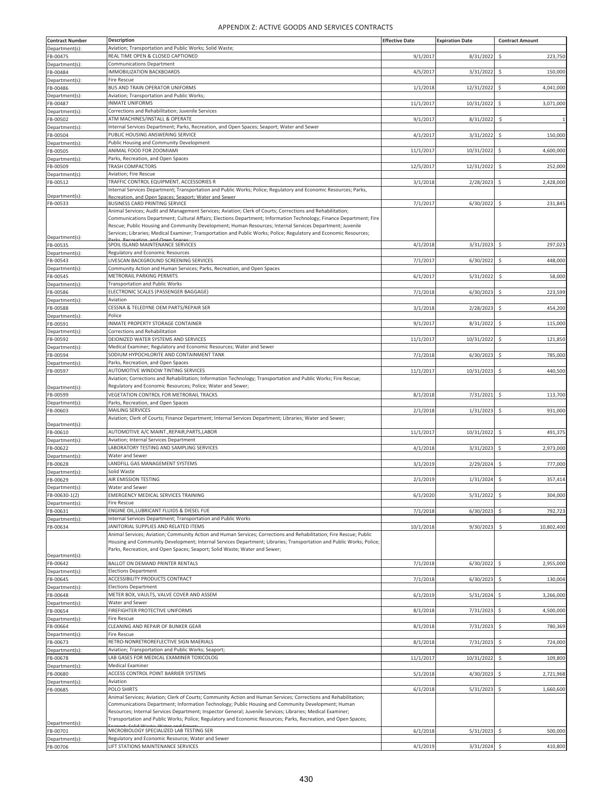| <b>Contract Number</b>     | <b>Description</b>                                                                                                                                                                                                               | <b>Effective Date</b> | <b>Expiration Date</b> | <b>Contract Amount</b> |
|----------------------------|----------------------------------------------------------------------------------------------------------------------------------------------------------------------------------------------------------------------------------|-----------------------|------------------------|------------------------|
| Department(s):             | Aviation; Transportation and Public Works; Solid Waste;                                                                                                                                                                          |                       |                        |                        |
| FB-00475                   | REAL TIME OPEN & CLOSED CAPTIONED<br>Communications Department                                                                                                                                                                   | 9/1/2017              | 8/31/2022              | \$<br>223,750          |
| Department(s):<br>FB-00484 | IMMOBILIZATION BACKBOARDS                                                                                                                                                                                                        | 4/5/201               | 3/31/2022              | Ś<br>150,000           |
| Department(s):             | <b>Fire Rescue</b>                                                                                                                                                                                                               |                       |                        |                        |
| FB-00486                   | BUS AND TRAIN OPERATOR UNIFORMS                                                                                                                                                                                                  | 1/1/2018              | 12/31/2022             | \$<br>4,041,000        |
| Department(s):             | Aviation; Transportation and Public Works;<br><b>INMATE UNIFORMS</b>                                                                                                                                                             |                       |                        |                        |
| FB-00487<br>Department(s): | Corrections and Rehabilitation; Juvenile Services                                                                                                                                                                                | 11/1/2017             | 10/31/2022             | \$<br>3,071,000        |
| FB-00502                   | ATM MACHINES/INSTALL & OPERATE                                                                                                                                                                                                   | 9/1/2017              | 8/31/2022              | -\$<br>$\mathbf{1}$    |
| Department(s):             | Internal Services Department; Parks, Recreation, and Open Spaces; Seaport; Water and Sewer                                                                                                                                       |                       |                        |                        |
| FB-00504                   | PUBLIC HOUSING ANSWERING SERVICE                                                                                                                                                                                                 | 4/1/201               | 3/31/2022              | Ś<br>150,000           |
| Department(s):<br>FB-00505 | Public Housing and Community Development<br>ANIMAL FOOD FOR ZOOMIAMI                                                                                                                                                             |                       |                        |                        |
| Department(s):             | Parks, Recreation, and Open Spaces                                                                                                                                                                                               | 11/1/2017             | 10/31/2022             | \$<br>4,600,000        |
| FB-00509                   | TRASH COMPACTORS                                                                                                                                                                                                                 | 12/5/2017             | 12/31/2022             | Ŝ<br>252,000           |
| Department(s):             | Aviation; Fire Rescue                                                                                                                                                                                                            |                       |                        |                        |
| FB-00512                   | TRAFFIC CONTROL EQUIPMENT, ACCESSORIES R                                                                                                                                                                                         | 3/1/2018              | 2/28/2023              | \$<br>2,428,000        |
| Department(s):             | Internal Services Department; Transportation and Public Works; Police; Regulatory and Economic Resources; Parks,<br>Recreation, and Open Spaces: Seaport: Water and Sewer                                                        |                       |                        |                        |
| FB-00533                   | <b>BUSINESS CARD PRINTING SERVICE</b>                                                                                                                                                                                            | 7/1/2017              | 6/30/2022              | Ś<br>231,845           |
|                            | Animal Services; Audit and Management Services; Aviation; Clerk of Courts; Corrections and Rehabilitation;                                                                                                                       |                       |                        |                        |
|                            | Communications Department; Cultural Affairs; Elections Department; Information Technology; Finance Department; Fire<br>Rescue; Public Housing and Community Development; Human Resources; Internal Services Department; Juvenile |                       |                        |                        |
|                            | Services; Libraries; Medical Examiner; Transportation and Public Works; Police; Regulatory and Economic Resources;                                                                                                               |                       |                        |                        |
| Department(s):<br>FB-00535 | SPOIL ISLAND MAINTENANCE SERVICES                                                                                                                                                                                                | 4/1/2018              | 3/31/2023              | 297,023<br>-\$         |
| Department(s):             | Regulatory and Economic Resources                                                                                                                                                                                                |                       |                        |                        |
| FB-00543                   | LIVESCAN BACKGROUND SCREENING SERVICES                                                                                                                                                                                           | 7/1/2017              | 6/30/2022              | \$.<br>448,000         |
| Department(s):             | Community Action and Human Services; Parks, Recreation, and Open Spaces                                                                                                                                                          |                       |                        |                        |
| FB-00545                   | METRORAIL PARKING PERMITS                                                                                                                                                                                                        | 6/1/201               | 5/31/2022              | \$<br>58,000           |
| Department(s):             | <b>Transportation and Public Works</b><br>ELECTRONIC SCALES (PASSENGER BAGGAGE)                                                                                                                                                  | 7/1/2018              | 6/30/2023              | \$<br>223,599          |
| FB-00586<br>Department(s): | Aviation                                                                                                                                                                                                                         |                       |                        |                        |
| FB-00588                   | CESSNA & TELEDYNE OEM PARTS/REPAIR SER                                                                                                                                                                                           | 3/1/2018              | 2/28/2023              | \$<br>454,200          |
| Department(s):             | Police                                                                                                                                                                                                                           |                       |                        |                        |
| FB-00591                   | INMATE PROPERTY STORAGE CONTAINER                                                                                                                                                                                                | 9/1/2017              | 8/31/2022              | \$.<br>115,000         |
| Department(s):<br>FB-00592 | Corrections and Rehabilitation<br>DEIONIZED WATER SYSTEMS AND SERVICES                                                                                                                                                           | 11/1/2017             | 10/31/2022             | Ś<br>121,850           |
| Department(s):             | Medical Examiner; Regulatory and Economic Resources; Water and Sewer                                                                                                                                                             |                       |                        |                        |
| FB-00594                   | SODIUM HYPOCHLORITE AND CONTAINMENT TANK                                                                                                                                                                                         | 7/1/2018              | 6/30/2023              | \$<br>785,000          |
| Department(s):             | Parks, Recreation, and Open Spaces                                                                                                                                                                                               |                       |                        |                        |
| FB-00597                   | AUTOMOTIVE WINDOW TINTING SERVICES                                                                                                                                                                                               | 11/1/2017             | 10/31/2023             | 440,500<br>Ŝ           |
|                            | Aviation; Corrections and Rehabilitation; Information Technology; Transportation and Public Works; Fire Rescue;<br>Regulatory and Economic Resources; Police; Water and Sewer;                                                   |                       |                        |                        |
| Department(s):<br>FB-00599 | VEGETATION CONTROL FOR METRORAIL TRACKS                                                                                                                                                                                          | 8/1/2018              | 7/31/2021              | \$.<br>113,700         |
| Department(s):             | Parks, Recreation, and Open Spaces                                                                                                                                                                                               |                       |                        |                        |
| FB-00603                   | MAILING SERVICES                                                                                                                                                                                                                 | 2/1/2018              | 1/31/2023              | \$<br>931,000          |
|                            | Aviation; Clerk of Courts; Finance Department; Internal Services Department; Libraries; Water and Sewer;                                                                                                                         |                       |                        |                        |
| Department(s):<br>FB-00610 | AUTOMOTIVE A/C MAINT., REPAIR, PARTS, LABOR                                                                                                                                                                                      | 11/1/201              | 10/31/2022             | Ś<br>491,375           |
| Department(s):             | Aviation; Internal Services Department                                                                                                                                                                                           |                       |                        |                        |
| FB-00622                   | LABORATORY TESTING AND SAMPLING SERVICES                                                                                                                                                                                         | 4/1/2018              | 3/31/2023              | \$<br>2,973,000        |
| Department(s):             | Water and Sewer                                                                                                                                                                                                                  |                       |                        |                        |
| FB-00628<br>Department(s): | LANDFILL GAS MANAGEMENT SYSTEMS<br>Solid Waste                                                                                                                                                                                   | 3/1/2019              | 2/29/2024              | -S<br>777,000          |
| FB-00629                   | AIR EMISSION TESTING                                                                                                                                                                                                             | 2/1/2019              | $1/31/2024$ \$         | 357,414                |
| Department(s):             | Water and Sewer                                                                                                                                                                                                                  |                       |                        |                        |
| FB-00630-1(2)              | <b>EMERGENCY MEDICAL SERVICES TRAINING</b>                                                                                                                                                                                       | 6/1/2020              | 5/31/2022              | 304,000                |
| Department(s):             | <b>Fire Rescue</b>                                                                                                                                                                                                               |                       |                        |                        |
| FB-00631<br>Department(s): | ENGINE OIL, LUBRICANT FLUIDS & DIESEL FUE<br>Internal Services Department; Transportation and Public Works                                                                                                                       | 7/1/2018              | 6/30/2023              | Ś<br>792,723           |
| FB-00634                   | JANITORIAL SUPPLIES AND RELATED ITEMS                                                                                                                                                                                            | 10/1/2018             | 9/30/2023              | \$<br>10,802,400       |
|                            | Animal Services; Aviation; Community Action and Human Services; Corrections and Rehabilitation; Fire Rescue; Public                                                                                                              |                       |                        |                        |
|                            | Housing and Community Development; Internal Services Department; Libraries; Transportation and Public Works; Police;                                                                                                             |                       |                        |                        |
| Department(s):             | Parks, Recreation, and Open Spaces; Seaport; Solid Waste; Water and Sewer;                                                                                                                                                       |                       |                        |                        |
| FB-00642                   | BALLOT ON DEMAND PRINTER RENTALS                                                                                                                                                                                                 | 7/1/2018              | 6/30/2022              | \$<br>2,955,000        |
| Department(s):             | <b>Elections Department</b>                                                                                                                                                                                                      |                       |                        |                        |
| FB-00645                   | ACCESSIBILITY PRODUCTS CONTRACT                                                                                                                                                                                                  | 7/1/2018              | 6/30/2023              | \$<br>130,004          |
| Department(s):             | <b>Elections Department</b><br>METER BOX, VAULTS, VALVE COVER AND ASSEM                                                                                                                                                          |                       |                        |                        |
| FB-00648<br>Department(s): | Water and Sewer                                                                                                                                                                                                                  | 6/1/2019              | 5/31/2024              | \$<br>3,266,000        |
| FB-00654                   | FIREFIGHTER PROTECTIVE UNIFORMS                                                                                                                                                                                                  | 8/1/2018              | 7/31/2023              | \$<br>4,500,000        |
| Department(s):             | <b>Fire Rescue</b>                                                                                                                                                                                                               |                       |                        |                        |
| FB-00664                   | CLEANING AND REPAIR OF BUNKER GEAR                                                                                                                                                                                               | 8/1/2018              | 7/31/2023              | \$<br>780,369          |
| Department(s):             | <b>Fire Rescue</b><br>RETRO-NONRETROREFLECTIVE SIGN MAERIALS                                                                                                                                                                     |                       |                        |                        |
| FB-00673<br>Department(s): | Aviation; Transportation and Public Works; Seaport;                                                                                                                                                                              | 8/1/2018              | 7/31/2023              | 724,000<br>\$          |
| FB-00678                   | LAB GASES FOR MEDICAL EXAMINER TOXICOLOG                                                                                                                                                                                         | 11/1/2017             | 10/31/2022             | \$<br>109,800          |
| Department(s):             | <b>Medical Examiner</b>                                                                                                                                                                                                          |                       |                        |                        |
| FB-00680                   | ACCESS CONTROL POINT BARRIER SYSTEMS                                                                                                                                                                                             | 5/1/2018              | 4/30/2023              | 2,721,968<br>\$        |
| Department(s):             | Aviation<br>POLO SHIRTS                                                                                                                                                                                                          | 6/1/2018              | 5/31/2023              | 1,660,600<br>\$.       |
| FB-00685                   | Animal Services; Aviation; Clerk of Courts; Community Action and Human Services; Corrections and Rehabilitation;                                                                                                                 |                       |                        |                        |
|                            | Communications Department; Information Technology; Public Housing and Community Development; Human                                                                                                                               |                       |                        |                        |
|                            | Resources; Internal Services Department; Inspector General; Juvenile Services; Libraries; Medical Examiner;                                                                                                                      |                       |                        |                        |
| Department(s):             | Transportation and Public Works; Police; Regulatory and Economic Resources; Parks, Recreation, and Open Spaces;                                                                                                                  |                       |                        |                        |
| FB-00701                   | MICROBIOLOGY SPECIALIZED LAB TESTING SER                                                                                                                                                                                         | 6/1/2018              | 5/31/2023              | \$<br>500,000          |
| Department(s):<br>FB-00706 | Regulatory and Economic Resource; Water and Sewer<br>LIFT STATIONS MAINTENANCE SERVICES                                                                                                                                          | 4/1/2019              | 3/31/2024              | 410,800<br>-\$         |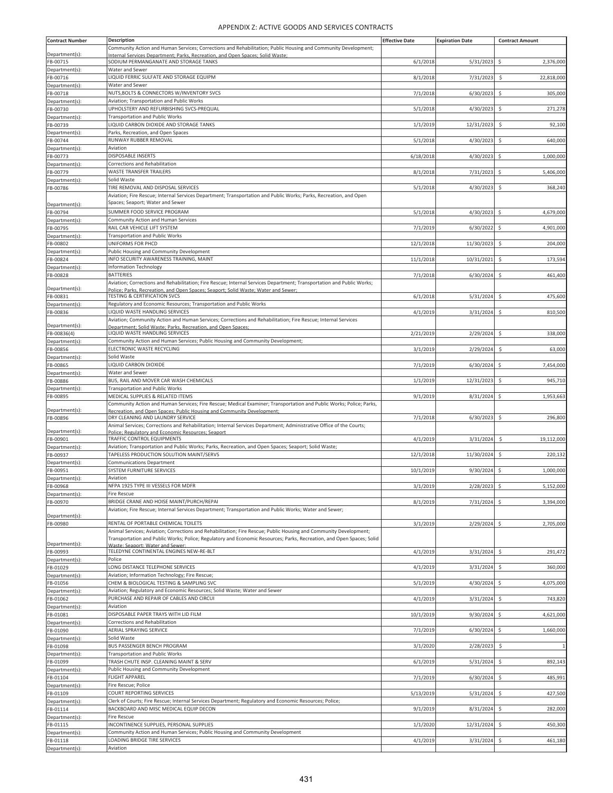| <b>Contract Number</b>     | Description                                                                                                                   | <b>Effective Date</b> | <b>Expiration Date</b> | <b>Contract Amount</b> |
|----------------------------|-------------------------------------------------------------------------------------------------------------------------------|-----------------------|------------------------|------------------------|
|                            | Community Action and Human Services; Corrections and Rehabilitation; Public Housing and Community Development;                |                       |                        |                        |
| Department(s):             | Internal Services Department: Parks. Recreation. and Open Spaces: Solid Waste:                                                |                       |                        |                        |
| FB-00715                   | SODIUM PERMANGANATE AND STORAGE TANKS                                                                                         | 6/1/2018              | 5/31/2023              | \$<br>2,376,000        |
| Department(s):             | Water and Sewer                                                                                                               |                       |                        |                        |
| FB-00716                   | LIQUID FERRIC SULFATE AND STORAGE EQUIPM                                                                                      | 8/1/2018              | 7/31/2023              | \$<br>22,818,000       |
| Department(s):             | Water and Sewer                                                                                                               |                       |                        |                        |
| FB-00718                   | NUTS, BOLTS & CONNECTORS W/INVENTORY SVCS                                                                                     | 7/1/2018              | 6/30/2023              | \$<br>305,000          |
| Department(s):             | Aviation; Transportation and Public Works<br>UPHOLSTERY AND REFURBISHING SVCS-PREQUAL                                         |                       |                        |                        |
| FB-00730                   | <b>Transportation and Public Works</b>                                                                                        | 5/1/2018              | 4/30/2023              | 271,278<br>\$          |
| Department(s):             | LIQUID CARBON DIOXIDE AND STORAGE TANKS                                                                                       | 1/1/2019              | 12/31/2023             | \$.<br>92,100          |
| FB-00739<br>Department(s): | Parks, Recreation, and Open Spaces                                                                                            |                       |                        |                        |
| FB-00744                   | RUNWAY RUBBER REMOVAL                                                                                                         | 5/1/2018              | 4/30/2023              | 640,000<br>\$          |
| Department(s):             | Aviation                                                                                                                      |                       |                        |                        |
| FB-00773                   | <b>DISPOSABLE INSERTS</b>                                                                                                     | 6/18/2018             | 4/30/2023              | \$<br>1,000,000        |
| Department(s):             | Corrections and Rehabilitation                                                                                                |                       |                        |                        |
| FB-00779                   | WASTE TRANSFER TRAILERS                                                                                                       | 8/1/2018              | 7/31/2023              | \$<br>5,406,000        |
| Department(s):             | Solid Waste                                                                                                                   |                       |                        |                        |
| FB-00786                   | TIRE REMOVAL AND DISPOSAL SERVICES                                                                                            | 5/1/2018              | 4/30/2023              | 368,240<br>\$          |
|                            | Aviation; Fire Rescue; Internal Services Department; Transportation and Public Works; Parks, Recreation, and Open             |                       |                        |                        |
| Department(s):             | Spaces; Seaport; Water and Sewer                                                                                              |                       |                        |                        |
| FB-00794                   | SUMMER FOOD SERVICE PROGRAM                                                                                                   | 5/1/2018              | $4/30/2023$ \$         | 4,679,000              |
| Department(s):             | Community Action and Human Services                                                                                           |                       |                        |                        |
| FB-00795                   | RAIL CAR VEHICLE LIFT SYSTEM                                                                                                  | 7/1/2019              | 6/30/2022              | \$<br>4,901,000        |
| Department(s):             | <b>Transportation and Public Works</b>                                                                                        |                       |                        |                        |
| FB-00802                   | UNIFORMS FOR PHCD                                                                                                             | 12/1/2018             | 11/30/2023             | Ś<br>204,000           |
| Department(s):             | Public Housing and Community Development                                                                                      |                       |                        |                        |
| FB-00824                   | INFO SECURITY AWARENESS TRAINING, MAINT                                                                                       | 11/1/2018             | 10/31/2021             | 173,594<br>\$          |
| Department(s):             | <b>Information Technology</b>                                                                                                 |                       |                        |                        |
| FB-00828                   | <b>BATTERIES</b>                                                                                                              | 7/1/2018              | 6/30/2024              | \$<br>461,400          |
|                            | Aviation; Corrections and Rehabilitation; Fire Rescue; Internal Services Department; Transportation and Public Works;         |                       |                        |                        |
| Department(s):<br>FB-00831 | Police: Parks, Recreation, and Open Spaces: Seaport: Solid Waste: Water and Sewer;<br><b>TESTING &amp; CERTIFICATION SVCS</b> | 6/1/2018              | 5/31/2024              | \$<br>475,600          |
| Department(s):             | Regulatory and Economic Resources; Transportation and Public Works                                                            |                       |                        |                        |
| FB-00836                   | LIQUID WASTE HANDLING SERVICES                                                                                                | 4/1/2019              | 3/31/2024              | Ś<br>810,500           |
|                            | Aviation; Community Action and Human Services; Corrections and Rehabilitation; Fire Rescue; Internal Services                 |                       |                        |                        |
| Department(s):             | Department: Solid Waste: Parks. Recreation. and Open Spaces:                                                                  |                       |                        |                        |
| FB-00836(4)                | LIQUID WASTE HANDLING SERVICES                                                                                                | 2/21/2019             | 2/29/2024              | Ś<br>338,000           |
| Department(s):             | Community Action and Human Services; Public Housing and Community Development;                                                |                       |                        |                        |
| FB-00856                   | ELECTRONIC WASTE RECYCLING                                                                                                    | 3/1/2019              | 2/29/2024              | \$<br>63,000           |
| Department(s):             | Solid Waste                                                                                                                   |                       |                        |                        |
| FB-00865                   | LIQUID CARBON DIOXIDE                                                                                                         | 7/1/2019              | 6/30/2024              | \$<br>7,454,000        |
| Department(s):             | Water and Sewer                                                                                                               |                       |                        |                        |
| FB-00886                   | BUS, RAIL AND MOVER CAR WASH CHEMICALS                                                                                        | 1/1/2019              | 12/31/2023             | \$<br>945,710          |
| Department(s):             | <b>Transportation and Public Works</b>                                                                                        |                       |                        |                        |
| FB-00895                   | MEDICAL SUPPLIES & RELATED ITEMS                                                                                              | 9/1/2019              | 8/31/2024              | Ś<br>1,953,663         |
| Department(s):             | Community Action and Human Services; Fire Rescue; Medical Examiner; Transportation and Public Works; Police; Parks,           |                       |                        |                        |
| FB-00896                   | Recreation, and Open Spaces: Public Housing and Community Development:<br>DRY CLEANING AND LAUNDRY SERVICE                    | 7/1/2018              | 6/30/2023              | \$<br>296,800          |
|                            | Animal Services; Corrections and Rehabilitation; Internal Services Department; Administrative Office of the Courts;           |                       |                        |                        |
| Department(s):             | Police: Regulatory and Economic Resources: Seaport                                                                            |                       |                        |                        |
| FB-00901                   | <b>TRAFFIC CONTROL EQUIPMENTS</b>                                                                                             | 4/1/2019              | 3/31/2024              | \$<br>19,112,000       |
| Department(s):             | Aviation; Transportation and Public Works; Parks, Recreation, and Open Spaces; Seaport; Solid Waste;                          |                       |                        |                        |
| FB-00937                   | TAPELESS PRODUCTION SOLUTION MAINT/SERVS                                                                                      | 12/1/2018             | 11/30/2024             | 220,132<br>\$          |
| Department(s):             | <b>Communications Department</b>                                                                                              |                       |                        |                        |
| FB-00951                   | SYSTEM FURNITURE SERVICES                                                                                                     | 10/1/2019             | 9/30/2024              | \$<br>1,000,000        |
| Department(s):             | Aviation                                                                                                                      |                       |                        |                        |
| FB-00968                   | NFPA 1925 TYPE III VESSELS FOR MDFR                                                                                           | 3/1/2019              | $2/28/2023$ \$         | 5,152,000              |
| Department(s):             | Fire Rescue<br>BRIDGE CRANE AND HOISE MAINT/PURCH/REPAI                                                                       |                       |                        |                        |
| FB-00970                   | Aviation; Fire Rescue; Internal Services Department; Transportation and Public Works; Water and Sewer;                        | 8/1/2019              | 7/31/2024              | \$<br>3.394.000        |
| Department(s):             |                                                                                                                               |                       |                        |                        |
| FB-00980                   | RENTAL OF PORTABLE CHEMICAL TOILETS                                                                                           | 3/1/2019              | 2/29/2024 \$           | 2,705,000              |
|                            | Animal Services; Aviation; Corrections and Rehabilitation; Fire Rescue; Public Housing and Community Development;             |                       |                        |                        |
|                            | Transportation and Public Works; Police; Regulatory and Economic Resources; Parks, Recreation, and Open Spaces; Solid         |                       |                        |                        |
| Department(s):             | Maste: Seanort: Water and Sewer                                                                                               |                       |                        |                        |
| FB-00993                   | TELEDYNE CONTINENTAL ENGINES NEW-RE-BLT                                                                                       | 4/1/2019              | $3/31/2024$ \$         | 291,472                |
| Department(s):             | Police<br>LONG DISTANCE TELEPHONE SERVICES                                                                                    | 4/1/2019              | 3/31/2024              |                        |
| FB-01029                   | Aviation; Information Technology; Fire Rescue;                                                                                |                       |                        | \$<br>360,000          |
| Department(s):<br>FB-01056 | CHEM & BIOLOGICAL TESTING & SAMPLING SVC                                                                                      | 5/1/2019              | 4/30/2024              | \$<br>4,075,000        |
| Department(s):             | Aviation; Regulatory and Economic Resources; Solid Waste; Water and Sewer                                                     |                       |                        |                        |
| FB-01062                   | PURCHASE AND REPAIR OF CABLES AND CIRCUI                                                                                      | 4/1/2019              | 3/31/2024              | 743,820<br>\$          |
| Department(s):             | Aviation                                                                                                                      |                       |                        |                        |
| FB-01081                   | DISPOSABLE PAPER TRAYS WITH LID FILM                                                                                          | 10/1/2019             | 9/30/2024              | \$<br>4,621,000        |
| Department(s):             | Corrections and Rehabilitation                                                                                                |                       |                        |                        |
| FB-01090                   | AERIAL SPRAYING SERVICE                                                                                                       | 7/1/2019              | 6/30/2024              | \$<br>1,660,000        |
| Department(s):             | Solid Waste                                                                                                                   |                       |                        |                        |
| FB-01098                   | BUS PASSENGER BENCH PROGRAM                                                                                                   | 3/1/2020              | 2/28/2023              | \$                     |
| Department(s):             | <b>Transportation and Public Works</b>                                                                                        |                       |                        |                        |
| FB-01099                   | TRASH CHUTE INSP. CLEANING MAINT & SERV                                                                                       | 6/1/2019              | 5/31/2024              | 892,143<br>\$          |
| Department(s):             | Public Housing and Community Development                                                                                      |                       |                        |                        |
| FB-01104                   | <b>FLIGHT APPAREL</b>                                                                                                         | 7/1/2019              | 6/30/2024              | \$<br>485,991          |
| Department(s):             | Fire Rescue; Police                                                                                                           |                       |                        |                        |
| FB-01109                   | COURT REPORTING SERVICES                                                                                                      | 5/13/2019             | 5/31/2024              | 427,500<br>\$          |
| Department(s):             | Clerk of Courts; Fire Rescue; Internal Services Department; Regulatory and Economic Resources; Police;                        |                       |                        |                        |
| FB-01114                   | BACKBOARD AND MISC MEDICAL EQUIP DECON                                                                                        | 9/1/2019              | 8/31/2024              | Ś<br>282,000           |
| Department(s):             | <b>Fire Rescue</b>                                                                                                            |                       |                        |                        |
| FB-01115                   | INCONTINENCE SUPPLIES, PERSONAL SUPPLIES                                                                                      | 1/1/2020              | 12/31/2024             | 450,300<br>\$          |
| Department(s):             | Community Action and Human Services; Public Housing and Community Development                                                 |                       |                        |                        |
| FB-01118                   | LOADING BRIDGE TIRE SERVICES                                                                                                  | 4/1/2019              | $3/31/2024$ \$         | 461,180                |
| Department(s):             | Aviation                                                                                                                      |                       |                        |                        |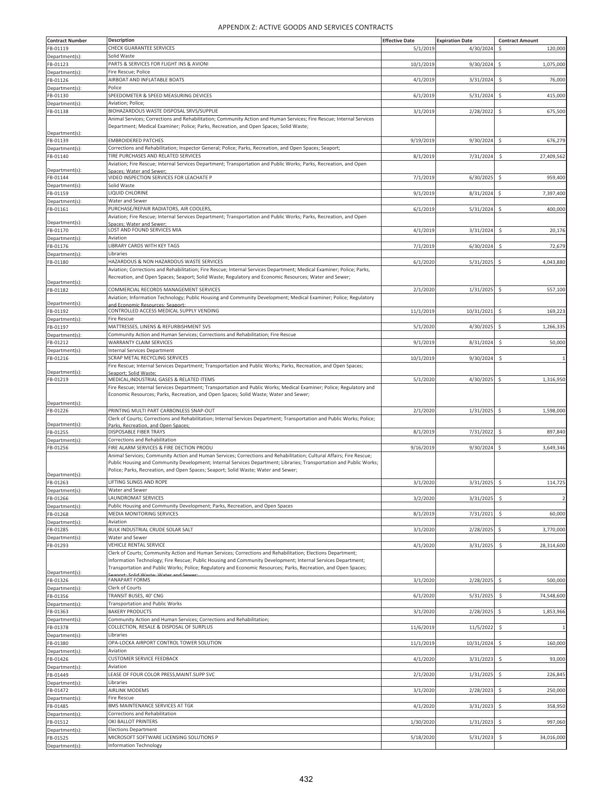| <b>Contract Number</b>     | <b>Description</b>                                                                                                      | <b>Effective Date</b> | <b>Expiration Date</b> | <b>Contract Amount</b>         |
|----------------------------|-------------------------------------------------------------------------------------------------------------------------|-----------------------|------------------------|--------------------------------|
| FB-01119                   | CHECK GUARANTEE SERVICES                                                                                                | 5/1/2019              | 4/30/2024              | Ś<br>120,000                   |
| Department(s):             | Solid Waste                                                                                                             |                       |                        |                                |
| FB-01123                   | PARTS & SERVICES FOR FLIGHT INS & AVIONI                                                                                | 10/1/2019             | 9/30/2024              | \$<br>1,075,000                |
| Department(s):             | Fire Rescue; Police                                                                                                     |                       |                        |                                |
| FB-01126                   | AIRBOAT AND INFLATABLE BOATS                                                                                            | 4/1/2019              | 3/31/2024              | \$<br>76,000                   |
| Department(s):             | Police                                                                                                                  |                       |                        |                                |
| FB-01130                   | SPEEDOMETER & SPEED MEASURING DEVICES                                                                                   | 6/1/2019              | 5/31/2024              | \$<br>415,000                  |
| Department(s):             | Aviation; Police;                                                                                                       |                       |                        |                                |
| FB-01138                   | BIOHAZARDOUS WASTE DISPOSAL SRVS/SUPPLIE                                                                                | 3/1/2019              | 2/28/2022              | \$<br>675,500                  |
|                            | Animal Services; Corrections and Rehabilitation; Community Action and Human Services; Fire Rescue; Internal Services    |                       |                        |                                |
|                            | Department; Medical Examiner; Police; Parks, Recreation, and Open Spaces; Solid Waste;                                  |                       |                        |                                |
| Department(s):<br>FB-01139 | <b>EMBROIDERED PATCHES</b>                                                                                              |                       |                        | S.                             |
| Department(s):             | Corrections and Rehabilitation; Inspector General; Police; Parks, Recreation, and Open Spaces; Seaport;                 | 9/19/2019             | 9/30/2024              | 676,279                        |
| FB-01140                   | TIRE PURCHASES AND RELATED SERVICES                                                                                     | 8/1/2019              | 7/31/2024              | Ś<br>27,409,562                |
|                            | Aviation; Fire Rescue; Internal Services Department; Transportation and Public Works; Parks, Recreation, and Open       |                       |                        |                                |
| Department(s):             | Spaces: Water and Sewer                                                                                                 |                       |                        |                                |
| FB-01144                   | VIDEO INSPECTION SERVICES FOR LEACHATE P                                                                                | 7/1/2019              | 6/30/2025              | \$<br>959,400                  |
| Department(s):             | Solid Waste                                                                                                             |                       |                        |                                |
| FB-01159                   | LIQUID CHLORINE                                                                                                         | 9/1/2019              | 8/31/2024              | \$<br>7,397,400                |
| Department(s):             | Water and Sewer                                                                                                         |                       |                        |                                |
| FB-01161                   | PURCHASE/REPAIR RADIATORS, AIR COOLERS,                                                                                 | 6/1/2019              | 5/31/2024              | \$.<br>400,000                 |
|                            | Aviation; Fire Rescue; Internal Services Department; Transportation and Public Works; Parks, Recreation, and Open       |                       |                        |                                |
| Department(s):<br>FB-01170 | Spaces: Water and Sewer:<br>LOST AND FOUND SERVICES MIA                                                                 |                       |                        |                                |
|                            | Aviation                                                                                                                | 4/1/2019              | 3/31/2024              | \$<br>20,176                   |
| Department(s):             | LIBRARY CARDS WITH KEY TAGS                                                                                             | 7/1/2019              |                        | Ś                              |
| FB-01176<br>Department(s): | Libraries                                                                                                               |                       | 6/30/2024              | 72,679                         |
| FB-01180                   | HAZARDOUS & NON HAZARDOUS WASTE SERVICES                                                                                | 6/1/2020              | 5/31/2025              | \$<br>4,043,880                |
|                            | Aviation; Corrections and Rehabilitation; Fire Rescue; Internal Services Department; Medical Examiner; Police; Parks,   |                       |                        |                                |
|                            | Recreation, and Open Spaces; Seaport; Solid Waste; Regulatory and Economic Resources; Water and Sewer;                  |                       |                        |                                |
| Department(s):             |                                                                                                                         |                       |                        |                                |
| FB-01182                   | COMMERCIAL RECORDS MANAGEMENT SERVICES                                                                                  | 2/1/2020              | 1/31/2025              | \$<br>557,100                  |
| Department(s):             | Aviation; Information Technology; Public Housing and Community Development; Medical Examiner; Police; Regulatory        |                       |                        |                                |
| FB-01192                   | and Economic Resources: Seaport:<br>CONTROLLED ACCESS MEDICAL SUPPLY VENDING                                            | 11/1/2019             | 10/31/2021             | \$.<br>169,223                 |
| Department(s):             | <b>Fire Rescue</b>                                                                                                      |                       |                        |                                |
| FB-01197                   | MATTRESSES, LINENS & REFURBISHMENT SVS                                                                                  | 5/1/2020              | 4/30/2025              | \$<br>1,266,335                |
| Department(s):             | Community Action and Human Services; Corrections and Rehabilitation; Fire Rescue                                        |                       |                        |                                |
| FB-01212                   | WARRANTY CLAIM SERVICES                                                                                                 | 9/1/2019              | 8/31/2024              | Ś<br>50,000                    |
| Department(s):             | <b>Internal Services Department</b>                                                                                     |                       |                        |                                |
| FB-01216                   | SCRAP METAL RECYCLING SERVICES                                                                                          | 10/1/2019             | 9/30/2024              | \$.                            |
|                            | Fire Rescue; Internal Services Department; Transportation and Public Works; Parks, Recreation, and Open Spaces;         |                       |                        |                                |
| Department(s):             | ieanort: Solid Waste                                                                                                    |                       |                        |                                |
| FB-01219                   | MEDICAL, INDUSTRIAL GASES & RELATED ITEMS                                                                               | 5/1/2020              | 4/30/2025              | \$<br>1,316,950                |
|                            | Fire Rescue; Internal Services Department; Transportation and Public Works; Medical Examiner; Police; Regulatory and    |                       |                        |                                |
|                            | Economic Resources; Parks, Recreation, and Open Spaces; Solid Waste; Water and Sewer;                                   |                       |                        |                                |
| Department(s):             |                                                                                                                         |                       |                        |                                |
| FB-01226                   | PRINTING MULTI PART CARBONLESS SNAP-OUT                                                                                 | 2/1/2020              | 1/31/2025              | \$<br>1,598,000                |
| Department(s):             | Clerk of Courts; Corrections and Rehabilitation; Internal Services Department; Transportation and Public Works; Police; |                       |                        |                                |
| FB-01255                   | Parks, Recreation, and Open Spaces:<br><b>DISPOSABLE FIBER TRAYS</b>                                                    | 8/1/2019              | 7/31/2022              | \$<br>897,840                  |
| Department(s):             | Corrections and Rehabilitation                                                                                          |                       |                        |                                |
| FB-01256                   | FIRE ALARM SERVICES & FIRE DECTION PRODU                                                                                | 9/16/2019             | 9/30/2024              | \$<br>3,649,346                |
|                            | Animal Services; Community Action and Human Services; Corrections and Rehabilitation; Cultural Affairs; Fire Rescue;    |                       |                        |                                |
|                            | Public Housing and Community Development; Internal Services Department; Libraries; Transportation and Public Works;     |                       |                        |                                |
|                            | Police; Parks, Recreation, and Open Spaces; Seaport; Solid Waste; Water and Sewer;                                      |                       |                        |                                |
| Department(s):<br>FB-01263 | LIFTING SLINGS AND ROPE                                                                                                 | 3/1/2020              | $3/31/2025$ \$         | 114,725                        |
|                            | Water and Sewer                                                                                                         |                       |                        |                                |
| Department(s):<br>FB-01266 | LAUNDROMAT SERVICES                                                                                                     | 3/2/2020              | 3/31/2025              | \$<br>$\overline{\phantom{a}}$ |
| Department(s):             | Public Housing and Community Development; Parks, Recreation, and Open Spaces                                            |                       |                        |                                |
| FB-01268                   | MEDIA MONITORING SERVICES                                                                                               | 8/1/2019              | 7/31/2021              | Ś<br>60,000                    |
| Department(s):             | Aviation                                                                                                                |                       |                        |                                |
| FB-01285                   | BULK INDUSTRIAL CRUDE SOLAR SALT                                                                                        | 3/1/2020              | 2/28/2025              | \$<br>3,770,000                |
| Department(s):             | Water and Sewer                                                                                                         |                       |                        |                                |
| FB-01293                   | VEHICLE RENTAL SERVICE                                                                                                  | 4/1/2020              | 3/31/2025              | \$<br>28,314,600               |
|                            | Clerk of Courts; Community Action and Human Services; Corrections and Rehabilitation; Elections Department;             |                       |                        |                                |
|                            | Information Technology; Fire Rescue; Public Housing and Community Development; Internal Services Department;            |                       |                        |                                |
|                            | Transportation and Public Works; Police; Regulatory and Economic Resources; Parks, Recreation, and Open Spaces;         |                       |                        |                                |
| Department(s):<br>FB-01326 | eanort: Solid Waste: Water and Sewer:<br><b>FANAPART FORMS</b>                                                          | 3/1/2020              | 2/28/2025              | \$<br>500,000                  |
| Department(s):             | Clerk of Courts                                                                                                         |                       |                        |                                |
| FB-01356                   | TRANSIT BUSES, 40' CNG                                                                                                  | 6/1/2020              | 5/31/2025              | 74,548,600<br>\$               |
| Department(s):             | <b>Transportation and Public Works</b>                                                                                  |                       |                        |                                |
| FB-01363                   | <b>BAKERY PRODUCTS</b>                                                                                                  | 3/1/2020              | 2/28/2025              | \$<br>1,853,966                |
| Department(s):             | Community Action and Human Services; Corrections and Rehabilitation;                                                    |                       |                        |                                |
| FB-01378                   | COLLECTION, RESALE & DISPOSAL OF SURPLUS                                                                                | 11/6/2019             | 11/5/2022              | \$.<br>$\overline{1}$          |
| Department(s):             | Libraries                                                                                                               |                       |                        |                                |
| FB-01380                   | OPA-LOCKA AIRPORT CONTROL TOWER SOLUTION                                                                                | 11/1/2019             | 10/31/2024             | Ś<br>160,000                   |
| Department(s):             | Aviation                                                                                                                |                       |                        |                                |
| FB-01426                   | <b>CUSTOMER SERVICE FEEDBACK</b>                                                                                        | 4/1/2020              | 3/31/2023              | \$<br>93,000                   |
| Department(s):             | Aviation                                                                                                                |                       |                        |                                |
| FB-01449                   | LEASE OF FOUR COLOR PRESS, MAINT. SUPP SVC                                                                              | 2/1/2020              | 1/31/2025              | \$<br>226,845                  |
| Department(s):             | Libraries                                                                                                               |                       |                        |                                |
| FB-01472                   | AIRLINK MODEMS                                                                                                          | 3/1/2020              | 2/28/2023              | \$<br>250,000                  |
| Department(s):             | Fire Rescue                                                                                                             |                       |                        |                                |
| FB-01485                   | BMS MAINTENANCE SERVICES AT TGK                                                                                         | 4/1/2020              | 3/31/2023              | \$<br>358,950                  |
| Department(s):             | Corrections and Rehabilitation                                                                                          |                       |                        |                                |
| FB-01512                   | OKI BALLOT PRINTERS                                                                                                     | 1/30/2020             | 1/31/2023              | \$<br>997,060                  |
| Department(s):             | <b>Elections Department</b>                                                                                             |                       |                        |                                |
| FB-01525                   | MICROSOFT SOFTWARE LICENSING SOLUTIONS P                                                                                | 5/18/2020             | 5/31/2023              | \$<br>34,016,000               |
| Department(s):             | <b>Information Technology</b>                                                                                           |                       |                        |                                |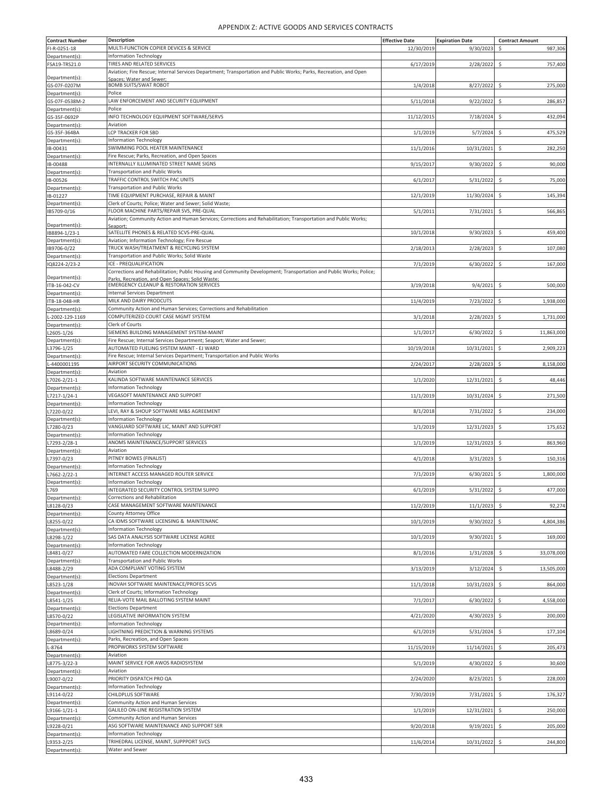| <b>Contract Number</b>         | Description                                                                                                        | <b>Effective Date</b> | <b>Expiration Date</b> | <b>Contract Amount</b> |
|--------------------------------|--------------------------------------------------------------------------------------------------------------------|-----------------------|------------------------|------------------------|
|                                | MULTI-FUNCTION COPIER DEVICES & SERVICE                                                                            | 12/30/2019            |                        |                        |
| FI-R-0251-18                   |                                                                                                                    |                       | 9/30/2023              | Ŝ<br>987,306           |
| Department(s):                 | <b>Information Technology</b>                                                                                      |                       |                        |                        |
| FSA19-TRS21.0                  | TIRES AND RELATED SERVICES                                                                                         | 6/17/2019             | 2/28/2022              | \$<br>757,400          |
|                                | Aviation; Fire Rescue; Internal Services Department; Transportation and Public Works; Parks, Recreation, and Open  |                       |                        |                        |
| Department(s):                 | Spaces: Water and Sewer:                                                                                           |                       |                        |                        |
| GS-07F-0207M                   | <b>BOMB SUITS/SWAT ROBOT</b>                                                                                       | 1/4/2018              | 8/27/2022              | 275,000<br>\$          |
| Department(s):                 | Police                                                                                                             |                       |                        |                        |
| GS-07F-0538M-2                 | LAW ENFORCEMENT AND SECURITY EQUIPMENT                                                                             | 5/11/2018             | 9/22/2022              | \$.<br>286,857         |
| Department(s):                 | Police                                                                                                             |                       |                        |                        |
| GS-35F-0692P                   | INFO TECHNOLOGY EQUIPMENT SOFTWARE/SERVS                                                                           | 11/12/2015            | 7/18/2024              | 432,094<br>\$          |
| Department(s):                 | Aviation                                                                                                           |                       |                        |                        |
|                                | LCP TRACKER FOR SBD                                                                                                |                       |                        |                        |
| GS-35F-364BA                   |                                                                                                                    | 1/1/2019              | 5/7/2024               | Ś<br>475,529           |
| Department(s)                  | <b>Information Technology</b>                                                                                      |                       |                        |                        |
| IB-00431                       | SWIMMING POOL HEATER MAINTENANCE                                                                                   | 11/1/2016             | 10/31/2021             | 282,250<br>\$          |
| Department(s):                 | Fire Rescue; Parks, Recreation, and Open Spaces                                                                    |                       |                        |                        |
| IB-00488                       | INTERNALLY ILLUMINATED STREET NAME SIGNS                                                                           | 9/15/2017             | 9/30/2022              | \$<br>90,000           |
| Department(s)                  | <b>Transportation and Public Works</b>                                                                             |                       |                        |                        |
| IB-00526                       | TRAFFIC CONTROL SWITCH PAC UNITS                                                                                   | 6/1/2017              | 5/31/2022              | \$<br>75,000           |
| Department(s):                 | <b>Transportation and Public Works</b>                                                                             |                       |                        |                        |
|                                | TIME EQUIPMENT PURCHASE, REPAIR & MAINT                                                                            | 12/1/2019             |                        | \$<br>145,394          |
| IB-01227                       |                                                                                                                    |                       | 11/30/2024             |                        |
| Department(s)                  | Clerk of Courts; Police; Water and Sewer; Solid Waste;                                                             |                       |                        |                        |
| IB5709-0/16                    | FLOOR MACHINE PARTS/REPAIR SVS, PRE-QUAL                                                                           | 5/1/2011              | 7/31/2021              | \$<br>566,865          |
|                                | Aviation; Community Action and Human Services; Corrections and Rehabilitation; Transportation and Public Works;    |                       |                        |                        |
| Department(s):                 | Seanort:                                                                                                           |                       |                        |                        |
| IB8894-1/23-1                  | SATELLITE PHONES & RELATED SCVS-PRE-QUAL                                                                           | 10/1/2018             | 9/30/2023              | \$<br>459,400          |
| Department(s):                 | Aviation; Information Technology; Fire Rescue                                                                      |                       |                        |                        |
| IB9706-0/22                    | TRUCK WASH/TREATMENT & RECYCLING SYSTEM                                                                            | 2/18/2013             | 2/28/2023              | \$<br>107,080          |
| Department(s):                 | Transportation and Public Works; Solid Waste                                                                       |                       |                        |                        |
| IQ8224-2/23-2                  | ICE - PREQUALIFICATION                                                                                             | 7/1/2019              | 6/30/2022              | \$<br>167,000          |
|                                | Corrections and Rehabilitation; Public Housing and Community Development; Transportation and Public Works; Police; |                       |                        |                        |
| Department(s):                 | Parks, Recreation, and Open Spaces: Solid Waste                                                                    |                       |                        |                        |
| ITB-16-042-CV                  | <b>EMERGENCY CLEANUP &amp; RESTORATION SERVICES</b>                                                                | 3/19/2018             | 9/4/2021               | \$<br>500,000          |
|                                | <b>Internal Services Department</b>                                                                                |                       |                        |                        |
| Department(s):<br>TB-18-048-HR | MILK AND DAIRY PRODCUTS                                                                                            | 11/4/2019             | 7/23/2022              | Ś<br>1,938,000         |
|                                |                                                                                                                    |                       |                        |                        |
| Department(s):                 | Community Action and Human Services; Corrections and Rehabilitation                                                |                       |                        |                        |
| -2002-129-1169                 | COMPUTERIZED COURT CASE MGMT SYSTEM                                                                                | 3/1/2018              | 2/28/2023              | \$<br>1,731,000        |
| Department(s):                 | Clerk of Courts                                                                                                    |                       |                        |                        |
| L2605-1/26                     | SIEMENS BUILDING MANAGEMENT SYSTEM-MAINT                                                                           | 1/1/2017              | 6/30/2022              | \$<br>11,863,000       |
| Department(s):                 | Fire Rescue; Internal Services Department; Seaport; Water and Sewer;                                               |                       |                        |                        |
| L3796-1/25                     | AUTOMATED FUELING SYSTEM MAINT - EJ WARD                                                                           | 10/19/2018            | 10/31/2021             | \$<br>2,909,223        |
| Department(s):                 | Fire Rescue; Internal Services Department; Transportation and Public Works                                         |                       |                        |                        |
| -4400001195                    | AIRPORT SECURITY COMMUNICATIONS                                                                                    |                       |                        |                        |
|                                |                                                                                                                    | 2/24/2017             | 2/28/2023              | \$<br>8,158,000        |
| Department(s)                  | Aviation                                                                                                           |                       |                        |                        |
| L7026-2/21-1                   | KALINDA SOFTWARE MAINTENANCE SERVICES                                                                              | 1/1/2020              | 12/31/2021             | \$<br>48,446           |
| Department(s)                  | <b>Information Technology</b>                                                                                      |                       |                        |                        |
| L7217-1/24-1                   | VEGASOFT MAINTENANCE AND SUPPORT                                                                                   | 11/1/2019             | 10/31/2024             | \$<br>271,500          |
| Department(s):                 | <b>Information Technology</b>                                                                                      |                       |                        |                        |
| L7220-0/22                     | LEVI, RAY & SHOUP SOFTWARE M&S AGREEMENT                                                                           | 8/1/2018              | 7/31/2022              | 234,000<br>\$          |
| Department(s):                 | <b>Information Technology</b>                                                                                      |                       |                        |                        |
| L7280-0/23                     | VANGUARD SOFTWARE LIC, MAINT AND SUPPORT                                                                           | 1/1/2019              | 12/31/2023             | \$<br>175,652          |
|                                |                                                                                                                    |                       |                        |                        |
| Department(s):                 | <b>Information Technology</b>                                                                                      |                       |                        |                        |
| L7293-2/28-1                   | ANOMS MAINTENANCE/SUPPORT SERVICES                                                                                 | 1/1/2019              | 12/31/2023             | \$<br>863,960          |
| Department(s):                 | Aviation                                                                                                           |                       |                        |                        |
| L7397-0/23                     | PITNEY BOWES (FINALIST)                                                                                            | 4/1/2018              | 3/31/2023              | \$<br>150,316          |
| Department(s):                 | <b>Information Technology</b>                                                                                      |                       |                        |                        |
| L7662-2/22-1                   | INTERNET ACCESS MANAGED ROUTER SERVICE                                                                             | 7/1/2019              | 6/30/2021              | \$<br>1,800,000        |
| Department(s):                 | Information Technology                                                                                             |                       |                        |                        |
| L769                           | INTEGRATED SECURITY CONTROL SYSTEM SUPPO                                                                           | 6/1/2019              | 5/31/2022              | \$<br>477,000          |
| Department(s):                 | Corrections and Rehabilitation                                                                                     |                       |                        |                        |
|                                | CASE MANAGEMENT SOFTWARE MAINTENANCE                                                                               |                       |                        |                        |
| L8128-0/23                     |                                                                                                                    | 11/2/2019             | 11/1/2023              | 92,274<br>\$           |
| Department(s):                 | County Attorney Office                                                                                             |                       |                        |                        |
| L8255-0/22                     | CA IDMS SOFTWARE LICENSING & MAINTENANC                                                                            | 10/1/2019             | 9/30/2022              | \$<br>4,804,386        |
| Department(s):                 | <b>Information Technology</b>                                                                                      |                       |                        |                        |
| L8298-1/22                     | SAS DATA ANALYSIS SOFTWARE LICENSE AGREE                                                                           | 10/1/2019             | 9/30/2021              | \$<br>169,000          |
| Department(s):                 | <b>Information Technology</b>                                                                                      |                       |                        |                        |
| L8481-0/27                     | AUTOMATED FARE COLLECTION MODERNIZATION                                                                            | 8/1/2016              | 1/31/2028              | \$<br>33,078,000       |
| Department(s):                 | Transportation and Public Works                                                                                    |                       |                        |                        |
| L8488-2/29                     | ADA COMPLIANT VOTING SYSTEM                                                                                        | 3/13/2019             | 3/12/2024              | 13,505,000             |
|                                |                                                                                                                    |                       |                        | $\ddot{\varsigma}$     |
| Department(s):                 | <b>Elections Department</b>                                                                                        |                       |                        |                        |
| L8523-1/28                     | INOVAH SOFTWARE MAINTENACE/PROFES SCVS                                                                             | 11/1/2018             | 10/31/2023             | \$<br>864,000          |
| Department(s):                 | Clerk of Courts; Information Technology                                                                            |                       |                        |                        |
| L8541-1/25                     | RELIA-VOTE MAIL BALLOTING SYSTEM MAINT                                                                             | 7/1/2017              | 6/30/2022              | \$<br>4,558,000        |
| Department(s):                 | <b>Elections Department</b>                                                                                        |                       |                        |                        |
| L8570-0/22                     | LEGISLATIVE INFORMATION SYSTEM                                                                                     | 4/21/2020             | 4/30/2023              | \$.<br>200,000         |
| Department(s):                 | <b>Information Technology</b>                                                                                      |                       |                        |                        |
| L8689-0/24                     | LIGHTNING PREDICTION & WARNING SYSTEMS                                                                             | 6/1/2019              | 5/31/2024              | \$<br>177,104          |
|                                |                                                                                                                    |                       |                        |                        |
| Department(s):                 | Parks, Recreation, and Open Spaces                                                                                 |                       |                        |                        |
| $-8764$                        | PROPWORKS SYSTEM SOFTWARE                                                                                          | 11/15/2019            | 11/14/2021             | 205,473<br>\$.         |
| Department(s):                 | Aviation                                                                                                           |                       |                        |                        |
| L8775-3/22-3                   | MAINT SERVICE FOR AWOS RADIOSYSTEM                                                                                 | 5/1/2019              | 4/30/2022              | 30,600<br>\$           |
| Department(s):                 | Aviation                                                                                                           |                       |                        |                        |
| L9007-0/22                     | PRIORITY DISPATCH PRO QA                                                                                           | 2/24/2020             | 8/23/2021              | 228,000<br>\$          |
| Department(s):                 | <b>Information Technology</b>                                                                                      |                       |                        |                        |
|                                |                                                                                                                    | 7/30/2019             |                        |                        |
| L9114-0/22                     | CHILDPLUS SOFTWARE                                                                                                 |                       | 7/31/2021              | \$<br>176,327          |
| Department(s):                 | Community Action and Human Services                                                                                |                       |                        |                        |
| L9166-1/21-1                   | GALILEO ON-LINE REGISTRATION SYSTEM                                                                                | 1/1/2019              | 12/31/2021             | 250,000<br>\$          |
| Department(s):                 | Community Action and Human Services                                                                                |                       |                        |                        |
| L9228-0/21                     | ASG SOFTWARE MAINTENANCE AND SUPPORT SER                                                                           | 9/20/2018             | 9/19/2021              | \$<br>205,000          |
| Department(s):                 | <b>Information Technology</b>                                                                                      |                       |                        |                        |
| L9353-2/25                     | TRIHEDRAL LICENSE, MAINT, SUPPPORT SVCS                                                                            | 11/6/2014             | 10/31/2022             | \$<br>244,800          |
| Department(s):                 | Water and Sewer                                                                                                    |                       |                        |                        |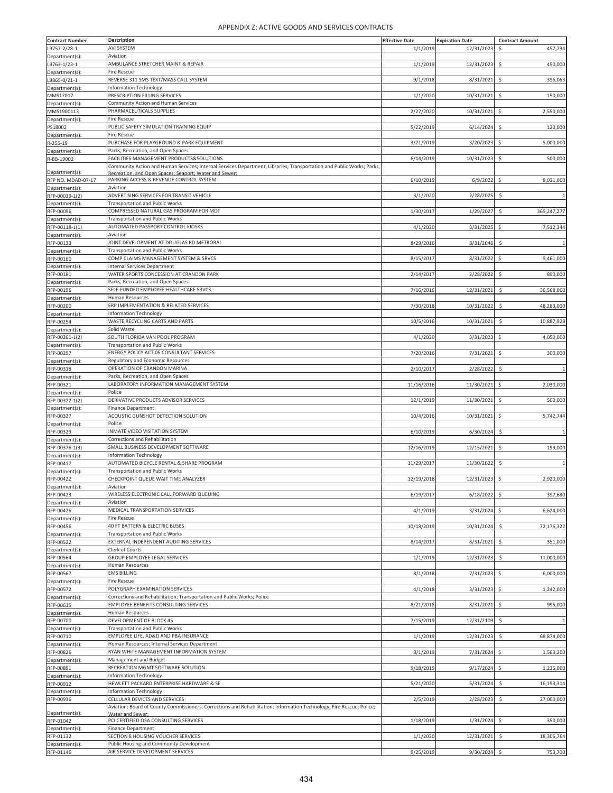| <b>Contract Number</b> | Description                                                                                                           | <b>Effective Date</b> | <b>Expiration Date</b> | <b>Contract Amount</b>              |
|------------------------|-----------------------------------------------------------------------------------------------------------------------|-----------------------|------------------------|-------------------------------------|
| L9757-2/28-1           | AVI SYSTEM                                                                                                            | 1/1/2019              | 12/31/2023             | \$<br>457,794                       |
| Department(s):         | Aviation                                                                                                              |                       |                        |                                     |
| L9763-1/23-1           | AMBULANCE STRETCHER MAINT & REPAIR                                                                                    | 1/1/2019              | 12/31/2023             | 450,000<br>\$                       |
| Department(s):         | Fire Rescue                                                                                                           |                       |                        |                                     |
| L9865-0/21-1           | REVERSE 311 SMS TEXT/MASS CALL SYSTEM                                                                                 | 9/1/2018              | 8/31/2021              | \$<br>396,063                       |
| Department(s):         | Information Technology                                                                                                |                       |                        |                                     |
| MMS17017               | PRESCRIPTION FILLING SERVICES                                                                                         | 1/1/2020              | 10/31/2021             | $\zeta$<br>150,000                  |
| Department(s):         | Community Action and Human Services                                                                                   |                       |                        |                                     |
| MMS1900113             | PHARMACEUTICALS SUPPLIES                                                                                              | 2/27/2020             | 10/31/2021             | \$<br>2,550,000                     |
| Department(s):         | Fire Rescue                                                                                                           |                       |                        |                                     |
| PS18002                | PUBLIC SAFETY SIMULATION TRAINING EQUIP                                                                               | 5/22/2019             | 6/14/2024              | \$<br>120,000                       |
| Department(s):         | Fire Rescue                                                                                                           |                       |                        |                                     |
| R-255-19               | PURCHASE FOR PLAYGROUND & PARK EQUIPMENT                                                                              | 3/21/2019             | 3/20/2023              | \$<br>5,000,000                     |
| Department(s):         | Parks, Recreation, and Open Spaces                                                                                    |                       |                        |                                     |
| R-BB-19002             | FACILITIES MANAGEMENT PRODUCTS&SOLUTIONS                                                                              | 6/14/2019             | 10/31/2023             | \$<br>500,000                       |
|                        | Community Action and Human Services; Internal Services Department; Libraries; Transportation and Public Works; Parks, |                       |                        |                                     |
| Department(s):         | Recreation, and Open Spaces: Seaport: Water and Sewer:                                                                |                       |                        |                                     |
| RFP NO. MDAD-07-17     | PARKING ACCESS & REVENUE CONTROL SYSTEM                                                                               | 6/10/2019             | 6/9/2022               | \$<br>8,031,000                     |
| Department(s):         | Aviation                                                                                                              |                       |                        |                                     |
| RFP-00039-1(2)         | ADVERTISING SERVICES FOR TRANSIT VEHICLE                                                                              | 3/1/2020              | 2/28/2025              | \$                                  |
| Department(s):         | <b>Transportation and Public Works</b>                                                                                |                       |                        |                                     |
| RFP-00096              | COMPRESSED NATURAL GAS PROGRAM FOR MDT                                                                                | 1/30/2017             | 1/29/2027              | 369,247,277<br>$\ddot{\mathsf{S}}$  |
| Department(s):         | <b>Transportation and Public Works</b>                                                                                |                       |                        |                                     |
| RFP-00118-1(1)         | AUTOMATED PASSPORT CONTROL KIOSKS                                                                                     | 4/1/2020              | 3/31/2025              | \$<br>7,512,344                     |
| Department(s):         | Aviation                                                                                                              |                       |                        |                                     |
| RFP-00133              | JOINT DEVELOPMENT AT DOUGLAS RD METRORAI                                                                              | 8/29/2016             | 8/31/2046              | \$                                  |
| Department(s):         | <b>Transportation and Public Works</b>                                                                                |                       |                        |                                     |
| RFP-00160              | COMP CLAIMS MANAGEMENT SYSTEM & SRVCS                                                                                 | 8/15/2017             | 8/31/2022              | \$<br>9,461,000                     |
|                        | <b>Internal Services Department</b>                                                                                   |                       |                        |                                     |
| Department(s):         | WATER SPORTS CONCESSION AT CRANDON PARK                                                                               | 2/14/2017             | 2/28/2022              |                                     |
| RFP-00181              |                                                                                                                       |                       |                        | \$<br>890,000                       |
| Department(s):         | Parks, Recreation, and Open Spaces                                                                                    |                       |                        |                                     |
| RFP-00196              | SELF-FUNDED EMPLOYEE HEALTHCARE SRVCS.                                                                                | 7/16/2016             | 12/31/2021             | $\ddot{\mathsf{S}}$<br>36,568,000   |
| Department(s):         | Human Resources                                                                                                       |                       |                        |                                     |
| RFP-00200              | ERP IMPLEMENTATION & RELATED SERVICES                                                                                 | 7/30/2018             | 10/31/2022             | \$<br>48,283,000                    |
| Department(s):         | Information Technology                                                                                                |                       |                        |                                     |
| RFP-00254              | WASTE, RECYCLING CARTS AND PARTS                                                                                      | 10/5/2016             | 10/31/2021             | $\ddot{\mathsf{S}}$<br>10,887,928   |
| Department(s):         | Solid Waste                                                                                                           |                       |                        |                                     |
| RFP-00261-1(2)         | SOUTH FLORIDA VAN POOL PROGRAM                                                                                        | 4/1/2020              | 3/31/2023              | \$<br>4,050,000                     |
| Department(s):         | <b>Transportation and Public Works</b>                                                                                |                       |                        |                                     |
| RFP-00297              | ENERGY POLICY ACT 05 CONSULTANT SERVICES                                                                              | 7/20/2016             | 7/31/2021              | \$<br>300,000                       |
| Department(s):         | Regulatory and Economic Resources                                                                                     |                       |                        |                                     |
| RFP-00318              | OPERATION OF CRANDON MARINA                                                                                           | 2/10/2017             | 2/28/2022              | \$<br>$\overline{1}$                |
| Department(s):         | Parks, Recreation, and Open Spaces                                                                                    |                       |                        |                                     |
| RFP-00321              | LABORATORY INFORMATION MANAGEMENT SYSTEM                                                                              | 11/16/2016            | 11/30/2021             | Ś<br>2,030,000                      |
| Department(s):         | Police                                                                                                                |                       |                        |                                     |
| RFP-00322-1(2)         | DERIVATIVE PRODUCTS ADVISOR SERVICES                                                                                  | 12/1/2019             | 11/30/2021             | \$<br>500,000                       |
|                        | <b>Finance Department</b>                                                                                             |                       |                        |                                     |
| Department(s):         | ACOUSTIC GUNSHOT DETECTION SOLUTION                                                                                   |                       | 10/31/2021             | \$<br>5,742,744                     |
| RFP-00327              | Police                                                                                                                | 10/4/2016             |                        |                                     |
| Department(s):         |                                                                                                                       |                       |                        |                                     |
| RFP-00329              | INMATE VIDEO VISITATION SYSTEM                                                                                        | 6/10/2019             | 6/30/2024              | $\ddot{\mathsf{S}}$<br>$\mathbf{1}$ |
| Department(s):         | Corrections and Rehabilitation                                                                                        |                       |                        |                                     |
| RFP-00376-1(3)         | SMALL BUSINESS DEVELOPMENT SOFTWARE                                                                                   | 12/16/2019            | 12/15/2021             | $\zeta$<br>199,000                  |
| Department(s):         | Information Technology                                                                                                |                       |                        |                                     |
| RFP-00417              | AUTOMATED BICYCLE RENTAL & SHARE PROGRAM                                                                              | 11/29/2017            | 11/30/2022             | \$<br>1                             |
| Department(s):         | Transportation and Public Works                                                                                       |                       |                        |                                     |
| RFP-00422              | CHECKPOINT QUEUE WAIT TIME ANALYZER                                                                                   | 12/19/2018            | 12/31/2023             | \$<br>2,920,000                     |
| Department(s):         | Aviation                                                                                                              |                       |                        |                                     |
| RFP-00423              | WIRELESS ELECTRONIC CALL FORWARD QUEUING                                                                              | 6/19/2017             | 6/18/2022              | \$<br>397,680                       |
| Department(s):         | Aviation                                                                                                              |                       |                        |                                     |
| RFP-00426              | MEDICAL TRANSPORTATION SERVICES                                                                                       | 4/1/2019              | 3/31/2024              | Ś<br>6,624,000                      |
| Department(s):         | Fire Rescue                                                                                                           |                       |                        |                                     |
| RFP-00456              | 40 FT BATTERY & ELECTRIC BUSES                                                                                        | 10/18/2019            | 10/31/2024             | \$<br>72,176,322                    |
| Department(s):         | <b>Transportation and Public Works</b>                                                                                |                       |                        |                                     |
| RFP-00522              | EXTERNAL INDEPENDENT AUDITING SERVICES                                                                                | 8/14/2017             | 8/31/2021              | \$<br>351,000                       |
| Department(s):         | Clerk of Courts                                                                                                       |                       |                        |                                     |
| RFP-00564              | GROUP EMPLOYEE LEGAL SERVICES                                                                                         | 1/1/2019              | 12/31/2023             | \$<br>11,000,000                    |
| Department(s):         | Human Resources                                                                                                       |                       |                        |                                     |
| RFP-00567              | <b>EMS BILLING</b>                                                                                                    | 8/1/2018              | 7/31/2023              | 6,000,000<br>\$                     |
| Department(s):         | Fire Rescue                                                                                                           |                       |                        |                                     |
| RFP-00572              | POLYGRAPH EXAMINATION SERVICES                                                                                        | 4/1/2018              | 3/31/2023              | \$<br>1,242,000                     |
|                        |                                                                                                                       |                       |                        |                                     |
| Department(s):         | Corrections and Rehabilitation; Transportation and Public Works; Police<br>EMPLOYEE BENEFITS CONSULTING SERVICES      | 8/21/2018             | 8/31/2021              | 995,000<br>\$                       |
| RFP-00615              |                                                                                                                       |                       |                        |                                     |
| Department(s):         | Human Resources                                                                                                       |                       |                        |                                     |
| RFP-00700              | DEVELOPMENT OF BLOCK 45                                                                                               | 7/15/2019             | 12/31/2109             | \$<br>$\mathbf{1}$                  |
| Department(s):         | <b>Transportation and Public Works</b>                                                                                |                       |                        |                                     |
| RFP-00710              | EMPLOYEE LIFE, AD&D AND PBA INSURANCE                                                                                 | 1/1/2019              | 12/31/2023             | 68,874,000<br>\$                    |
| Department(s):         | Human Resources; Internal Services Department                                                                         |                       |                        |                                     |
| RFP-00826              | RYAN WHITE MANAGEMENT INFORMATION SYSTEM                                                                              | 8/1/2019              | 7/31/2024              | \$<br>1,563,200                     |
| Department(s):         | Management and Budget                                                                                                 |                       |                        |                                     |
| RFP-00891              | RECREATION MGMT SOFTWARE SOLUTION                                                                                     | 9/18/2019             | 9/17/2024              | 1,235,000<br>\$                     |
| Department(s):         | <b>Information Technology</b>                                                                                         |                       |                        |                                     |
| RFP-00912              | HEWLETT PACKARD ENTERPRISE HARDWARE & SE                                                                              | 5/21/2020             | 5/31/2024              | \$<br>16,193,314                    |
| Department(s):         | Information Technology                                                                                                |                       |                        |                                     |
| RFP-00936              | CELLULAR DEVICES AND SERVICES                                                                                         | 2/5/2019              | 2/28/2023              | $\ddot{\varsigma}$<br>27,000,000    |
|                        | Aviation; Board of County Commissioners; Corrections and Rehabilitation; Information Technology; Fire Rescue; Police; |                       |                        |                                     |
| Department(s):         | Water and Sewer:                                                                                                      |                       |                        |                                     |
| RFP-01042              | PCI CERTIFIED QSA CONSULTING SERVICES                                                                                 | 1/18/2019             | 1/31/2024              | \$<br>350,000                       |
| Department(s):         | Finance Department                                                                                                    |                       |                        |                                     |
| RFP-01132              | SECTION 8 HOUSING VOUCHER SERVICES                                                                                    | 1/1/2020              | 12/31/2021             | \$<br>18,305,764                    |
| Department(s):         | Public Housing and Community Development                                                                              |                       |                        |                                     |
| RFP-01146              | AIR SERVICE DEVELOPMENT SERVICES                                                                                      | 9/25/2019             | 9/30/2024              | \$<br>753,700                       |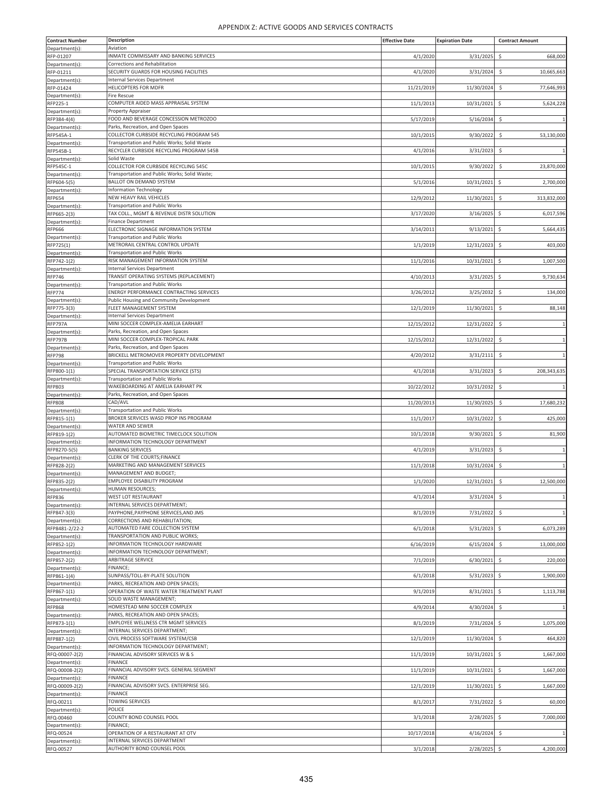| <b>Contract Number</b>           | <b>Description</b>                                                                | <b>Effective Date</b> | <b>Expiration Date</b> | <b>Contract Amount</b> |
|----------------------------------|-----------------------------------------------------------------------------------|-----------------------|------------------------|------------------------|
| Department(s):                   | Aviation                                                                          |                       |                        |                        |
| RFP-01207                        | INMATE COMMISSARY AND BANKING SERVICES                                            | 4/1/2020              | 3/31/2025              | \$<br>668,000          |
| Department(s):<br>RFP-01211      | Corrections and Rehabilitation<br>SECURITY GUARDS FOR HOUSING FACILITIES          | 4/1/2020              | 3/31/2024              | \$<br>10,665,663       |
| Department(s):                   | <b>Internal Services Department</b>                                               |                       |                        |                        |
| RFP-01424                        | HELICOPTERS FOR MDFR                                                              | 11/21/2019            | 11/30/2024             | \$<br>77,646,993       |
| Department(s):                   | <b>Fire Rescue</b>                                                                |                       |                        |                        |
| RFP225-1                         | COMPUTER AIDED MASS APPRAISAL SYSTEM<br>Property Appraiser                        | 11/1/2013             | 10/31/2021             | 5,624,228<br>\$        |
| Department(s):<br>RFP384-4(4)    | FOOD AND BEVERAGE CONCESSION METROZOO                                             | 5/17/2019             | 5/16/2034              | \$.<br>$\overline{1}$  |
| Department(s):                   | Parks, Recreation, and Open Spaces                                                |                       |                        |                        |
| RFP545A-1                        | COLLECTOR CURBSIDE RECYCLING PROGRAM 545                                          | 10/1/2015             | 9/30/2022              | \$<br>53,130,000       |
| Department(s):                   | Transportation and Public Works; Solid Waste                                      |                       |                        |                        |
| RFP545B-1<br>Department(s):      | RECYCLER CURBSIDE RECYCLING PROGRAM 545B<br>Solid Waste                           | 4/1/2016              | 3/31/2023              | \$                     |
| RFP545C-1                        | COLLECTOR FOR CURBSIDE RECYCLING 545C                                             | 10/1/2015             | 9/30/2022              | 23,870,000<br>\$       |
| Department(s):                   | Transportation and Public Works; Solid Waste;                                     |                       |                        |                        |
| RFP604-5(5)                      | BALLOT ON DEMAND SYSTEM                                                           | 5/1/2016              | 10/31/2021             | \$<br>2,700,000        |
| Department(s):                   | <b>Information Technology</b><br>NEW HEAVY RAIL VEHICLES                          | 12/9/2012             | 11/30/2021             | \$                     |
| <b>RFP654</b><br>Department(s):  | <b>Transportation and Public Works</b>                                            |                       |                        | 313,832,000            |
| RFP665-2(3)                      | TAX COLL., MGMT & REVENUE DISTR SOLUTION                                          | 3/17/2020             | 3/16/2025              | \$<br>6,017,596        |
| Department(s):                   | <b>Finance Department</b>                                                         |                       |                        |                        |
| RFP666                           | ELECTRONIC SIGNAGE INFORMATION SYSTEM                                             | 3/14/2011             | 9/13/2021              | \$<br>5,664,435        |
| Department(s):                   | <b>Transportation and Public Works</b><br>METRORAIL CENTRAL CONTROL UPDATE        | 1/1/2019              | 12/31/2023             | \$<br>403,000          |
| RFP725(1)<br>Department(s):      | <b>Transportation and Public Works</b>                                            |                       |                        |                        |
| RFP742-1(2)                      | RISK MANAGEMENT INFORMATION SYSTEM                                                | 11/1/2016             | 10/31/2021             | \$<br>1,007,500        |
| Department(s):                   | <b>Internal Services Department</b>                                               |                       |                        |                        |
| <b>RFP746</b>                    | TRANSIT OPERATING SYSTEMS (REPLACEMENT)                                           | 4/10/2013             | 3/31/2025              | \$<br>9,730,634        |
| Department(s):<br><b>RFP774</b>  | <b>Transportation and Public Works</b><br>ENERGY PERFORMANCE CONTRACTING SERVICES | 3/26/2012             | 3/25/2032              | \$<br>134,000          |
| Department(s):                   | Public Housing and Community Development                                          |                       |                        |                        |
| RFP775-3(3)                      | FLEET MANAGEMENT SYSTEM                                                           | 12/1/2019             | 11/30/2021             | \$<br>88,148           |
| Department(s):                   | Internal Services Department                                                      |                       |                        |                        |
| RFP797A                          | MINI SOCCER COMPLEX-AMELIA EARHART                                                | 12/15/2012            | 12/31/2022             | \$.<br>$\overline{1}$  |
| Department(s):<br>RFP797B        | Parks, Recreation, and Open Spaces<br>MINI SOCCER COMPLEX-TROPICAL PARK           | 12/15/2012            | 12/31/2022             | \$                     |
| Department(s):                   | Parks, Recreation, and Open Spaces                                                |                       |                        |                        |
| <b>RFP798</b>                    | BRICKELL METROMOVER PROPERTY DEVELOPMENT                                          | 4/20/2012             | 3/31/2111              | \$<br>$\overline{1}$   |
| Department(s):                   | <b>Transportation and Public Works</b>                                            |                       |                        |                        |
| RFP800-1(1)                      | SPECIAL TRANSPORTATION SERVICE (STS)<br><b>Transportation and Public Works</b>    | 4/1/2018              | 3/31/2023              | \$<br>208,343,635      |
| Department(s):<br>RFP803         | WAKEBOARDING AT AMELIA EARHART PK                                                 | 10/22/2012            | 10/31/2032             | \$                     |
| Department(s):                   | Parks, Recreation, and Open Spaces                                                |                       |                        |                        |
| <b>RFP808</b>                    | CAD/AVL                                                                           | 11/20/2013            | 11/30/2025             | \$<br>17,680,232       |
| Department(s):                   | <b>Transportation and Public Works</b>                                            |                       |                        |                        |
| RFP815-1(1)<br>Department(s):    | BROKER SERVICES WASD PROP INS PROGRAM<br><b>WATER AND SEWER</b>                   | 11/1/2017             | 10/31/2022             | \$<br>425,000          |
| RFP819-1(2)                      | AUTOMATED BIOMETRIC TIMECLOCK SOLUTION                                            | 10/1/2018             | 9/30/2021              | 81,900<br>\$           |
| Department(s):                   | INFORMATION TECHNOLOGY DEPARTMENT                                                 |                       |                        |                        |
| RFP8270-5(5)                     | <b>BANKING SERVICES</b>                                                           | 4/1/2019              | 3/31/2023              | \$.<br>$\overline{1}$  |
| Department(s):                   | CLERK OF THE COURTS;FINANCE<br>MARKETING AND MANAGEMENT SERVICES                  | 11/1/2018             |                        | $\overline{1}$         |
| RFP828-2(2)<br>Department(s):    | MANAGEMENT AND BUDGET;                                                            |                       | 10/31/2024             | \$                     |
| RFP835-2(2)                      | EMPLOYEE DISABILITY PROGRAM                                                       | 1/1/2020              | 12/31/2021             | \$<br>12,500,000       |
| Department(s):                   | HUMAN RESOURCES;                                                                  |                       |                        |                        |
| RFP836                           | <b>WEST LOT RESTAURANT</b>                                                        | 4/1/2014              | 3/31/2024              | \$<br>$\overline{1}$   |
| Department(s):<br>RFP847-3(3)    | INTERNAL SERVICES DEPARTMENT;<br>PAYPHONE, PAYPHONE SERVICES, AND JMS             | 8/1/2019              | 7/31/2022              | \$<br>$\mathbf{1}$     |
| Department(s):                   | CORRECTIONS AND REHABILITATION;                                                   |                       |                        |                        |
| RFP8481-2/22-2                   | AUTOMATED FARE COLLECTION SYSTEM                                                  | 6/1/2018              | 5/31/2023              | 6,073,289<br>\$        |
| Department(s):                   | TRANSPORTATION AND PUBLIC WORKS;                                                  |                       |                        |                        |
| RFP852-1(2)                      | INFORMATION TECHNOLOGY HARDWARE<br>INFORMATION TECHNOLOGY DEPARTMENT;             | 6/16/2019             | 6/15/2024              | \$<br>13,000,000       |
| Department(s):<br>RFP857-2(2)    | ARBITRAGE SERVICE                                                                 | 7/1/2019              | 6/30/2021              | 220,000<br>\$          |
| Department(s):                   | FINANCE;                                                                          |                       |                        |                        |
| RFP861-1(4)                      | SUNPASS/TOLL-BY-PLATE SOLUTION                                                    | 6/1/2018              | 5/31/2023              | \$<br>1,900,000        |
| Department(s):                   | PARKS. RECREATION AND OPEN SPACES:                                                |                       |                        |                        |
| RFP867-1(1)<br>Department(s):    | OPERATION OF WASTE WATER TREATMENT PLANT<br>SOLID WASTE MANAGEMENT;               | 9/1/2019              | 8/31/2021              | \$<br>1,113,788        |
| <b>RFP868</b>                    | HOMESTEAD MINI SOCCER COMPLEX                                                     | 4/9/2014              | 4/30/2024              | \$<br>$\overline{1}$   |
| Department(s):                   | PARKS, RECREATION AND OPEN SPACES;                                                |                       |                        |                        |
| RFP873-1(1)                      | EMPLOYEE WELLNESS CTR MGMT SERVICES                                               | 8/1/2019              | 7/31/2024              | 1,075,000<br>\$        |
| Department(s):<br>RFP887-1(2)    | INTERNAL SERVICES DEPARTMENT;<br>CIVIL PROCESS SOFTWARE SYSTEM/CSB                | 12/1/2019             | 11/30/2024             | \$<br>464,820          |
| Department(s):                   | INFORMATION TECHNOLOGY DEPARTMENT;                                                |                       |                        |                        |
| RFQ-00007-2(2)                   | FINANCIAL ADVISORY SERVICES W & S                                                 | 11/1/2019             | 10/31/2021             | \$.<br>1,667,000       |
| Department(s):                   | <b>FINANCE</b>                                                                    |                       |                        |                        |
| RFQ-00008-2(2)                   | FINANCIAL ADVISORY SVCS. GENERAL SEGMENT<br><b>FINANCE</b>                        | 11/1/2019             | 10/31/2021             | \$<br>1,667,000        |
| Department(s):<br>RFQ-00009-2(2) | FINANCIAL ADVISORY SVCS. ENTERPRISE SEG.                                          | 12/1/2019             | 11/30/2021             | \$<br>1,667,000        |
| Department(s):                   | <b>FINANCE</b>                                                                    |                       |                        |                        |
| RFQ-00211                        | TOWING SERVICES                                                                   | 8/1/2017              | 7/31/2022              | \$<br>60,000           |
| Department(s):<br>RFQ-00460      | POLICE<br>COUNTY BOND COUNSEL POOL                                                | 3/1/2018              |                        | \$                     |
| Department(s):                   | FINANCE;                                                                          |                       | 2/28/2025              | 7,000,000              |
| RFQ-00524                        | OPERATION OF A RESTAURANT AT OTV                                                  | 10/17/2018            | 4/16/2024              | Ś                      |
| Department(s):                   | INTERNAL SERVICES DEPARTMENT                                                      |                       |                        |                        |
| RFQ-00527                        | AUTHORITY BOND COUNSEL POOL                                                       | 3/1/2018              | $2/28/2025$ \$         | 4,200,000              |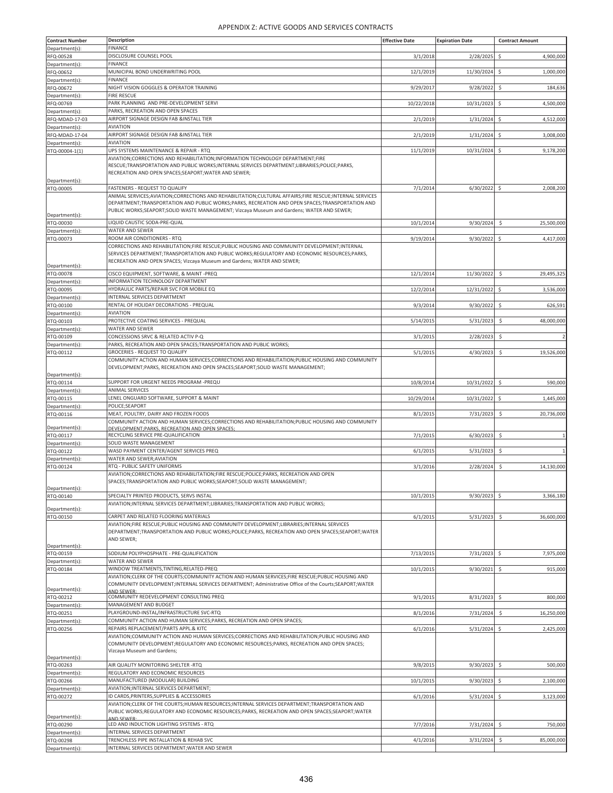| <b>Contract Number</b>           | <b>Description</b>                                                                                                                                                                                                                                                                                          | <b>Effective Date</b> | <b>Expiration Date</b> | <b>Contract Amount</b>           |
|----------------------------------|-------------------------------------------------------------------------------------------------------------------------------------------------------------------------------------------------------------------------------------------------------------------------------------------------------------|-----------------------|------------------------|----------------------------------|
| Department(s):                   | <b>FINANCE</b>                                                                                                                                                                                                                                                                                              |                       |                        |                                  |
| RFQ-00528<br>Department(s):      | DISCLOSURE COUNSEL POOL<br><b>FINANCE</b>                                                                                                                                                                                                                                                                   | 3/1/2018              | 2/28/2025              | 4,900,000<br>\$                  |
| RFQ-00652                        | MUNICIPAL BOND UNDERWRITING POOL                                                                                                                                                                                                                                                                            | 12/1/2019             | 11/30/2024             | Ś<br>1,000,000                   |
| Department(s):<br>RFQ-00672      | <b>FINANCE</b><br>NIGHT VISION GOGGLES & OPERATOR TRAINING                                                                                                                                                                                                                                                  | 9/29/2017             | 9/28/2022              | \$<br>184,636                    |
| Department(s):                   | <b>FIRE RESCUE</b>                                                                                                                                                                                                                                                                                          |                       |                        |                                  |
| RFQ-00769                        | PARK PLANNING AND PRE-DEVELOPMENT SERVI                                                                                                                                                                                                                                                                     | 10/22/2018            | 10/31/2023             | \$<br>4,500,000                  |
| Department(s):<br>RFQ-MDAD-17-03 | PARKS, RECREATION AND OPEN SPACES<br>AIRPORT SIGNAGE DESIGN FAB &INSTALL TIER                                                                                                                                                                                                                               | 2/1/2019              | 1/31/2024              | Ś<br>4,512,000                   |
| Department(s):                   | <b>AVIATION</b>                                                                                                                                                                                                                                                                                             |                       |                        |                                  |
| RFQ-MDAD-17-04                   | AIRPORT SIGNAGE DESIGN FAB &INSTALL TIER<br><b>AVIATION</b>                                                                                                                                                                                                                                                 | 2/1/2019              | 1/31/2024              | \$<br>3,008,000                  |
| Department(s):<br>RTQ-00004-1(1) | UPS SYSTEMS MAINTENANCE & REPAIR - RTQ                                                                                                                                                                                                                                                                      | 11/1/2019             | 10/31/2024             | 9,178,200<br>\$                  |
|                                  | AVIATION; CORRECTIONS AND REHABILITATION; INFORMATION TECHNOLOGY DEPARTMENT; FIRE<br>RESCUE;TRANSPORTATION AND PUBLIC WORKS;INTERNAL SERVICES DEPARTMENT;LIBRARIES;POLICE;PARKS,<br>RECREATION AND OPEN SPACES;SEAPORT;WATER AND SEWER;                                                                     |                       |                        |                                  |
| Department(s):<br>RTQ-00005      | FASTENERS - REQUEST TO QUALIFY                                                                                                                                                                                                                                                                              | 7/1/2014              | 6/30/2022              | $\ddot{\mathsf{S}}$<br>2,008,200 |
| Department(s):                   | ANIMAL SERVICES; AVIATION; CORRECTIONS AND REHABILITATION; CULTURAL AFFAIRS; FIRE RESCUE; INTERNAL SERVICES<br>DEPARTMENT;TRANSPORTATION AND PUBLIC WORKS;PARKS, RECREATION AND OPEN SPACES;TRANSPORTATION AND<br>PUBLIC WORKS;SEAPORT;SOLID WASTE MANAGEMENT; Vizcaya Museum and Gardens; WATER AND SEWER; |                       |                        |                                  |
| RTQ-00030                        | LIQUID CAUSTIC SODA-PRE-QUAL                                                                                                                                                                                                                                                                                | 10/1/2014             | 9/30/2024              | 25,500,000<br>\$                 |
| Department(s):<br>RTQ-00073      | WATER AND SEWER<br>ROOM AIR CONDITIONERS - RTQ                                                                                                                                                                                                                                                              | 9/19/2014             | 9/30/2022              | \$<br>4,417,000                  |
| Department(s):                   | CORRECTIONS AND REHABILITATION;FIRE RESCUE;PUBLIC HOUSING AND COMMUNITY DEVELOPMENT;INTERNAL<br>SERVICES DEPARTMENT;TRANSPORTATION AND PUBLIC WORKS;REGULATORY AND ECONOMIC RESOURCES;PARKS,<br>RECREATION AND OPEN SPACES; Vizcaya Museum and Gardens; WATER AND SEWER;                                    |                       |                        |                                  |
| RTQ-00078                        | CISCO EQUIPMENT, SOFTWARE, & MAINT-PREQ                                                                                                                                                                                                                                                                     | 12/1/2014             | 11/30/2022             | 29,495,325<br>\$                 |
| Department(s):<br>RTQ-00095      | INFORMATION TECHNOLOGY DEPARTMENT<br>HYDRAULIC PARTS/REPAIR SVC FOR MOBILE EQ                                                                                                                                                                                                                               | 12/2/2014             | 12/31/2022             | \$<br>3,536,000                  |
| Department(s):                   | INTERNAL SERVICES DEPARTMENT                                                                                                                                                                                                                                                                                |                       |                        |                                  |
| RTQ-00100                        | RENTAL OF HOLIDAY DECORATIONS - PREQUAL                                                                                                                                                                                                                                                                     | 9/3/2014              | 9/30/2022              | \$<br>626,591                    |
| Department(s):<br>RTQ-00103      | <b>AVIATION</b><br>PROTECTIVE COATING SERVICES - PREQUAL                                                                                                                                                                                                                                                    | 5/14/2015             | 5/31/2023              | \$<br>48,000,000                 |
| Department(s):                   | WATER AND SEWER                                                                                                                                                                                                                                                                                             |                       |                        |                                  |
| RTQ-00109                        | CONCESSIONS SRVC & RELATED ACTIV P-Q                                                                                                                                                                                                                                                                        | 3/1/2015              | 2/28/2023              | \$<br>$\overline{2}$             |
| Department(s):<br>RTQ-00112      | PARKS, RECREATION AND OPEN SPACES; TRANSPORTATION AND PUBLIC WORKS;<br><b>GROCERIES - REQUEST TO QUALIFY</b>                                                                                                                                                                                                | 5/1/2015              | 4/30/2023              | 19,526,000<br>\$                 |
| Department(s):                   | COMMUNITY ACTION AND HUMAN SERVICES;CORRECTIONS AND REHABILITATION;PUBLIC HOUSING AND COMMUNITY<br>DEVELOPMENT;PARKS, RECREATION AND OPEN SPACES;SEAPORT;SOLID WASTE MANAGEMENT;                                                                                                                            |                       |                        |                                  |
| RTQ-00114                        | SUPPORT FOR URGENT NEEDS PROGRAM -PREQU                                                                                                                                                                                                                                                                     | 10/8/2014             | 10/31/2022             | S.<br>590,000                    |
| Department(s):                   | ANIMAL SERVICES<br>LENEL ONGUARD SOFTWARE, SUPPORT & MAINT                                                                                                                                                                                                                                                  |                       |                        |                                  |
| RTQ-00115<br>Department(s):      | POLICE;SEAPORT                                                                                                                                                                                                                                                                                              | 10/29/2014            | 10/31/2022             | \$<br>1,445,000                  |
| RTQ-00116                        | MEAT, POULTRY, DAIRY AND FROZEN FOODS                                                                                                                                                                                                                                                                       | 8/1/201               | 7/31/2023              | Ś<br>20,736,000                  |
| Department(s):                   | COMMUNITY ACTION AND HUMAN SERVICES;CORRECTIONS AND REHABILITATION;PUBLIC HOUSING AND COMMUNITY<br>DEVELOPMENT; PARKS, RECREATION AND OPEN SPACES;                                                                                                                                                          |                       |                        |                                  |
| RTQ-00117                        | RECYCLING SERVICE PRE-QUALIFICATION                                                                                                                                                                                                                                                                         | 7/1/201               | 6/30/2023              | \$<br>$\mathbf{1}$               |
| Department(s):<br>RTQ-00122      | SOLID WASTE MANAGEMENT<br>WASD PAYMENT CENTER/AGENT SERVICES PREQ                                                                                                                                                                                                                                           | 6/1/2015              | 5/31/2023              | \$<br>$\overline{1}$             |
| Department(s):                   | WATER AND SEWER; AVIATION                                                                                                                                                                                                                                                                                   |                       |                        |                                  |
| RTQ-00124                        | RTQ - PUBLIC SAFETY UNIFORMS<br>AVIATION; CORRECTIONS AND REHABILITATION; FIRE RESCUE; POLICE; PARKS, RECREATION AND OPEN<br>SPACES:TRANSPORTATION AND PUBLIC WORKS:SEAPORT:SOLID WASTE MANAGEMENT:                                                                                                         | 3/1/2016              | 2/28/2024              | \$<br>14,130,000                 |
| Department(s):<br>RTQ-00140      | SPECIALTY PRINTED PRODUCTS, SERVS INSTAL                                                                                                                                                                                                                                                                    | 10/1/2015             | 9/30/2023              | 3,366,180<br>\$                  |
|                                  | AVIATION; INTERNAL SERVICES DEPARTMENT; LIBRARIES; TRANSPORTATION AND PUBLIC WORKS;                                                                                                                                                                                                                         |                       |                        |                                  |
| Department(s):<br>RTQ-00150      | CARPET AND RELATED FLOORING MATERIALS                                                                                                                                                                                                                                                                       | 6/1/2015              | 5/31/2023              | \$<br>36,600,000                 |
| Department(s):                   | AVIATION;FIRE RESCUE;PUBLIC HOUSING AND COMMUNITY DEVELOPMENT;LIBRARIES;INTERNAL SERVICES<br>DEPARTMENT;TRANSPORTATION AND PUBLIC WORKS;POLICE;PARKS, RECREATION AND OPEN SPACES;SEAPORT;WATER<br>AND SEWER;                                                                                                |                       |                        |                                  |
| RTQ-00159                        | SODIUM POLYPHOSPHATE - PRE-QUALIFICATION                                                                                                                                                                                                                                                                    | 7/13/2015             | 7/31/2023              | \$<br>7,975,000                  |
| Department(s):<br>RTQ-00184      | WATER AND SEWER<br>WINDOW TREATMENTS, TINTING, RELATED-PREQ                                                                                                                                                                                                                                                 | 10/1/2015             | 9/30/2021              | \$<br>915,000                    |
| Department(s):                   | AVIATION; CLERK OF THE COURTS; COMMUNITY ACTION AND HUMAN SERVICES; FIRE RESCUE; PUBLIC HOUSING AND<br>COMMUNITY DEVELOPMENT;INTERNAL SERVICES DEPARTMENT; Administrative Office of the Courts; SEAPORT; WATER<br>AND SEWER                                                                                 |                       |                        |                                  |
| RTQ-00212                        | COMMUNITY REDEVELOPMENT CONSULTING PREQ                                                                                                                                                                                                                                                                     | 9/1/201               | 8/31/2023              | \$<br>800,000                    |
| Department(s):<br>RTQ-00251      | MANAGEMENT AND BUDGET<br>PLAYGROUND-INSTAL/INFRASTRUCTURE SVC-RTQ                                                                                                                                                                                                                                           | 8/1/2016              | 7/31/2024              | \$<br>16,250,000                 |
| Department(s):                   | COMMUNITY ACTION AND HUMAN SERVICES; PARKS, RECREATION AND OPEN SPACES;                                                                                                                                                                                                                                     |                       |                        |                                  |
| RTQ-00256                        | REPAIRS REPLACEMENT/PARTS APPL.& KITC<br>AVIATION; COMMUNITY ACTION AND HUMAN SERVICES; CORRECTIONS AND REHABILITATION; PUBLIC HOUSING AND<br>COMMUNITY DEVELOPMENT;REGULATORY AND ECONOMIC RESOURCES;PARKS, RECREATION AND OPEN SPACES;<br>Vizcaya Museum and Gardens;                                     | 6/1/2016              | 5/31/2024              | \$<br>2,425,000                  |
| Department(s):<br>RTQ-00263      | AIR QUALITY MONITORING SHELTER -RTQ                                                                                                                                                                                                                                                                         | 9/8/2015              | 9/30/2023              | $\ddot{\mathsf{S}}$<br>500,000   |
| Department(s):                   | REGULATORY AND ECONOMIC RESOURCES                                                                                                                                                                                                                                                                           |                       |                        |                                  |
| RTQ-00266                        | MANUFACTURED (MODULAR) BUILDING                                                                                                                                                                                                                                                                             | 10/1/2015             | 9/30/2023              | \$<br>2,100,000                  |
| Department(s):<br>RTQ-00272      | AVIATION; INTERNAL SERVICES DEPARTMENT;<br>ID CARDS, PRINTERS, SUPPLIES & ACCESSORIES                                                                                                                                                                                                                       | 6/1/2016              | 5/31/2024              | Ś<br>3,123,000                   |
| Department(s):                   | AVIATION; CLERK OF THE COURTS; HUMAN RESOURCES; INTERNAL SERVICES DEPARTMENT; TRANSPORTATION AND<br>PUBLIC WORKS;REGULATORY AND ECONOMIC RESOURCES;PARKS, RECREATION AND OPEN SPACES;SEAPORT;WATER<br><b>IND SEWER:</b>                                                                                     |                       |                        |                                  |
| RTQ-00290                        | LED AND INDUCTION LIGHTING SYSTEMS - RTQ                                                                                                                                                                                                                                                                    | 7/7/2016              | 7/31/2024              | $\ddot{\mathsf{S}}$<br>750,000   |
| Department(s):<br>RTQ-00298      | INTERNAL SERVICES DEPARTMENT<br>TRENCHLESS PIPE INSTALLATION & REHAB SVC                                                                                                                                                                                                                                    | 4/1/2016              | 3/31/2024              | \$<br>85,000,000                 |
| Department(s):                   | INTERNAL SERVICES DEPARTMENT; WATER AND SEWER                                                                                                                                                                                                                                                               |                       |                        |                                  |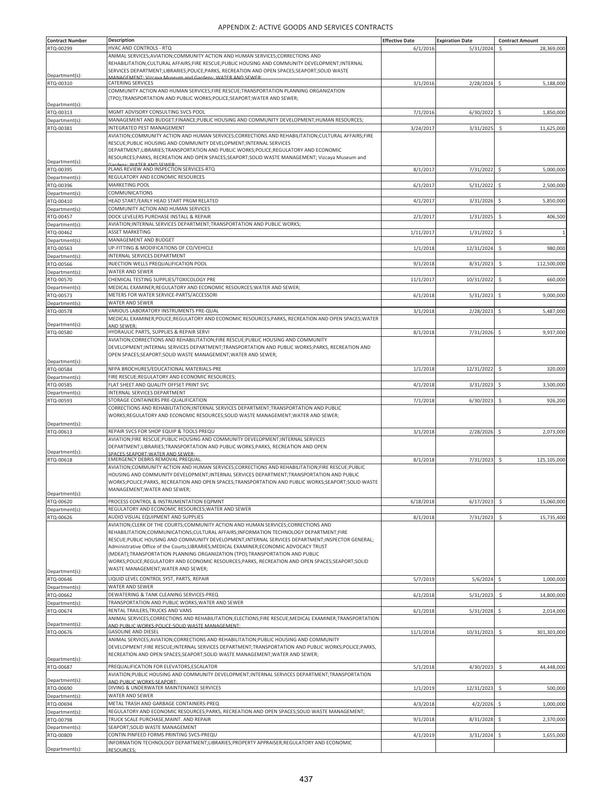| <b>Contract Number</b>      | Description                                                                                                                                                                                   | <b>Effective Date</b> | <b>Expiration Date</b> | <b>Contract Amount</b>           |
|-----------------------------|-----------------------------------------------------------------------------------------------------------------------------------------------------------------------------------------------|-----------------------|------------------------|----------------------------------|
| RTQ-00299                   | HVAC AND CONTROLS - RTQ                                                                                                                                                                       | 6/1/2016              | 5/31/2024              | 28,369,000<br>\$                 |
|                             | ANIMAL SERVICES; AVIATION; COMMUNITY ACTION AND HUMAN SERVICES; CORRECTIONS AND                                                                                                               |                       |                        |                                  |
|                             | REHABILITATION; CULTURAL AFFAIRS; FIRE RESCUE; PUBLIC HOUSING AND COMMUNITY DEVELOPMENT; INTERNAL                                                                                             |                       |                        |                                  |
|                             | SERVICES DEPARTMENT;LIBRARIES;POLICE;PARKS, RECREATION AND OPEN SPACES;SEAPORT;SOLID WASTE                                                                                                    |                       |                        |                                  |
| Department(s):              | MANAGEMENT: Vizcava Museum and Gardens: WATER AND SEWER:                                                                                                                                      |                       |                        |                                  |
| RTQ-00310                   | CATERING SERVICES                                                                                                                                                                             | 3/1/2016              | 2/28/2024              | $\ddot{\mathsf{S}}$<br>5,188,000 |
|                             | COMMUNITY ACTION AND HUMAN SERVICES; FIRE RESCUE; TRANSPORTATION PLANNING ORGANIZATION<br>(TPO);TRANSPORTATION AND PUBLIC WORKS;POLICE;SEAPORT;WATER AND SEWER;                               |                       |                        |                                  |
| Department(s):              |                                                                                                                                                                                               |                       |                        |                                  |
| RTQ-00313                   | MGMT ADVISORY CONSULTING SVCS POOL                                                                                                                                                            | 7/1/2016              | 6/30/2022              | \$<br>1,850,000                  |
| Department(s):              | MANAGEMENT AND BUDGET;FINANCE;PUBLIC HOUSING AND COMMUNITY DEVELOPMENT;HUMAN RESOURCES;                                                                                                       |                       |                        |                                  |
| RTQ-00381                   | INTEGRATED PEST MANAGEMENT                                                                                                                                                                    | 3/24/2017             | 3/31/2025              | Ś<br>11,625,000                  |
|                             | AVIATION;COMMUNITY ACTION AND HUMAN SERVICES;CORRECTIONS AND REHABILITATION;CULTURAL AFFAIRS;FIRE                                                                                             |                       |                        |                                  |
|                             | RESCUE;PUBLIC HOUSING AND COMMUNITY DEVELOPMENT;INTERNAL SERVICES                                                                                                                             |                       |                        |                                  |
|                             | DEPARTMENT;LIBRARIES;TRANSPORTATION AND PUBLIC WORKS;POLICE;REGULATORY AND ECONOMIC                                                                                                           |                       |                        |                                  |
|                             | RESOURCES;PARKS, RECREATION AND OPEN SPACES;SEAPORT;SOLID WASTE MANAGEMENT; Vizcaya Museum and                                                                                                |                       |                        |                                  |
| Department(s):              |                                                                                                                                                                                               |                       |                        |                                  |
| RTQ-00395                   | PLANS REVIEW AND INSPECTION SERVICES-RTQ                                                                                                                                                      | 8/1/2017              | 7/31/2022              | 5,000,000<br>-\$                 |
| Department(s):              | REGULATORY AND ECONOMIC RESOURCES                                                                                                                                                             |                       |                        |                                  |
| RTQ-00396                   | MARKETING POOL                                                                                                                                                                                | 6/1/2017              | 5/31/2022              | \$<br>2,500,000                  |
| Department(s):              | COMMUNICATIONS                                                                                                                                                                                |                       |                        |                                  |
| RTQ-00410                   | HEAD START/EARLY HEAD START PRGM RELATED                                                                                                                                                      | 4/1/201               | 3/31/2026              | 5,850,000                        |
| Department(s):              | COMMUNITY ACTION AND HUMAN SERVICES                                                                                                                                                           |                       |                        |                                  |
| RTQ-00457                   | DOCK LEVELERS PURCHASE INSTALL & REPAIR                                                                                                                                                       | 2/1/2017              | 1/31/2025              | \$<br>406,500                    |
| Department(s):              | AVIATION; INTERNAL SERVICES DEPARTMENT; TRANSPORTATION AND PUBLIC WORKS;                                                                                                                      |                       |                        |                                  |
| RTQ-00462                   | <b>ASSET MARKETING</b>                                                                                                                                                                        | 1/11/2017             | 1/31/2022              | \$                               |
| Department(s):              | MANAGEMENT AND BUDGET                                                                                                                                                                         |                       |                        |                                  |
| RTQ-00563                   | UP-FITTING & MODIFICATIONS OF CO/VEHICLE                                                                                                                                                      | 1/1/2018              | 12/31/2024             | \$<br>980,000                    |
| Department(s):              | INTERNAL SERVICES DEPARTMENT                                                                                                                                                                  |                       |                        |                                  |
| RTQ-00566                   | INJECTION WELLS PREQUALIFICATION POOL                                                                                                                                                         | 9/1/2018              | 8/31/2023              | \$<br>112,500,000                |
| Department(s):              | WATER AND SEWER                                                                                                                                                                               |                       |                        |                                  |
| RTQ-00570                   | CHEMICAL TESTING SUPPLIES/TOXICOLOGY PRE                                                                                                                                                      | 11/1/2017             | 10/31/2022             | Ś<br>660,000                     |
| Department(s):              | MEDICAL EXAMINER; REGULATORY AND ECONOMIC RESOURCES; WATER AND SEWER;                                                                                                                         |                       |                        |                                  |
| RTQ-00573                   | METERS FOR WATER SERVICE-PARTS/ACCESSORI                                                                                                                                                      | 6/1/2018              | 5/31/2023              | \$<br>9,000,000                  |
| Department(s):              | WATER AND SEWER                                                                                                                                                                               |                       |                        |                                  |
| RTQ-00578                   | VARIOUS LABORATORY INSTRUMENTS PRE-QUAL                                                                                                                                                       | 3/1/2018              | 2/28/2023              | \$<br>5,487,000                  |
|                             | MEDICAL EXAMINER;POLICE;REGULATORY AND ECONOMIC RESOURCES;PARKS, RECREATION AND OPEN SPACES;WATER                                                                                             |                       |                        |                                  |
| Department(s):              | AND SEWER;                                                                                                                                                                                    |                       |                        |                                  |
| RTQ-00580                   | HYDRAULIC PARTS, SUPPLIES & REPAIR SERVI                                                                                                                                                      | 8/1/2018              | 7/31/2026              | 9,937,000<br>\$                  |
|                             | AVIATION; CORRECTIONS AND REHABILITATION; FIRE RESCUE; PUBLIC HOUSING AND COMMUNITY                                                                                                           |                       |                        |                                  |
|                             | DEVELOPMENT; INTERNAL SERVICES DEPARTMENT; TRANSPORTATION AND PUBLIC WORKS; PARKS, RECREATION AND                                                                                             |                       |                        |                                  |
|                             | OPEN SPACES;SEAPORT;SOLID WASTE MANAGEMENT;WATER AND SEWER;                                                                                                                                   |                       |                        |                                  |
| Department(s):              |                                                                                                                                                                                               |                       |                        |                                  |
| RTQ-00584                   | NFPA BROCHURES/EDUCATIONAL MATERIALS-PRE                                                                                                                                                      | 1/1/2018              | 12/31/2022             | 320,000<br>\$                    |
| Department(s):              | FIRE RESCUE; REGULATORY AND ECONOMIC RESOURCES;                                                                                                                                               |                       |                        |                                  |
| RTQ-00585                   | FLAT SHEET AND QUALITY OFFSET PRINT SVC                                                                                                                                                       | 4/1/2018              | 3/31/2023              | \$<br>3,500,000                  |
| Department(s)               | INTERNAL SERVICES DEPARTMENT                                                                                                                                                                  |                       |                        |                                  |
| RTQ-00593                   | STORAGE CONTAINERS PRE-QUALIFICATION                                                                                                                                                          | 7/1/2018              | 6/30/2023              | \$<br>926,200                    |
|                             | CORRECTIONS AND REHABILITATION; INTERNAL SERVICES DEPARTMENT; TRANSPORTATION AND PUBLIC                                                                                                       |                       |                        |                                  |
|                             | WORKS;REGULATORY AND ECONOMIC RESOURCES;SOLID WASTE MANAGEMENT;WATER AND SEWER;                                                                                                               |                       |                        |                                  |
| Department(s):              |                                                                                                                                                                                               |                       |                        |                                  |
| RTQ-00613                   | REPAIR SVCS FOR SHOP EQUIP & TOOLS PREQU                                                                                                                                                      | 3/1/2018              | 2/28/2026              | \$<br>2,073,000                  |
|                             | AVIATION;FIRE RESCUE;PUBLIC HOUSING AND COMMUNITY DEVELOPMENT;INTERNAL SERVICES                                                                                                               |                       |                        |                                  |
|                             | DEPARTMENT;LIBRARIES;TRANSPORTATION AND PUBLIC WORKS;PARKS, RECREATION AND OPEN                                                                                                               |                       |                        |                                  |
| Department(s):<br>RTQ-00618 | SPACES:SEAPORT:WATER AND SEWER:<br>EMERGENCY DEBRIS REMOVAL PREQUAL                                                                                                                           |                       |                        | \$<br>125,105,000                |
|                             | AVIATION;COMMUNITY ACTION AND HUMAN SERVICES;CORRECTIONS AND REHABILITATION;FIRE RESCUE;PUBLIC                                                                                                | 8/1/2018              | 7/31/2023              |                                  |
|                             | HOUSING AND COMMUNITY DEVELOPMENT; INTERNAL SERVICES DEPARTMENT; TRANSPORTATION AND PUBLIC                                                                                                    |                       |                        |                                  |
|                             | WORKS;POLICE;PARKS, RECREATION AND OPEN SPACES;TRANSPORTATION AND PUBLIC WORKS;SEAPORT;SOLID WASTE                                                                                            |                       |                        |                                  |
|                             | MANAGEMENT; WATER AND SEWER;                                                                                                                                                                  |                       |                        |                                  |
| Department(s):              |                                                                                                                                                                                               |                       |                        |                                  |
| RTQ-00620                   | PROCESS CONTROL & INSTRUMENTATION EQPMNT                                                                                                                                                      | 6/18/2018             | 6/17/2023              | Ś<br>15,060,000                  |
| Department(s):              | REGULATORY AND ECONOMIC RESOURCES; WATER AND SEWER                                                                                                                                            |                       |                        |                                  |
| RTQ-00626                   | AUDIO VISUAL EQUIPMENT AND SUPPLIES                                                                                                                                                           | 8/1/2018              | 7/31/2023              | \$<br>15,735,400                 |
|                             | AVIATION; CLERK OF THE COURTS; COMMUNITY ACTION AND HUMAN SERVICES; CORRECTIONS AND                                                                                                           |                       |                        |                                  |
|                             | REHABILITATION;COMMUNICATIONS;CULTURAL AFFAIRS;INFORMATION TECHNOLOGY DEPARTMENT;FIRE                                                                                                         |                       |                        |                                  |
|                             | RESCUE; PUBLIC HOUSING AND COMMUNITY DEVELOPMENT; INTERNAL SERVICES DEPARTMENT; INSPECTOR GENERAL;                                                                                            |                       |                        |                                  |
|                             | Administrative Office of the Courts;LIBRARIES;MEDICAL EXAMINER;ECONOMIC ADVOCACY TRUST<br>(MDEAT);TRANSPORTATION PLANNING ORGANIZATION (TPO);TRANSPORTATION AND PUBLIC                        |                       |                        |                                  |
|                             |                                                                                                                                                                                               |                       |                        |                                  |
|                             | WORKS;POLICE;REGULATORY AND ECONOMIC RESOURCES;PARKS, RECREATION AND OPEN SPACES;SEAPORT;SOLID<br>WASTE MANAGEMENT; WATER AND SEWER;                                                          |                       |                        |                                  |
| Department(s):              |                                                                                                                                                                                               |                       |                        |                                  |
| RTQ-00646                   | LIQUID LEVEL CONTROL SYST, PARTS, REPAIR                                                                                                                                                      | 5/7/2019              | 5/6/2024               | \$<br>1,000,000                  |
| Department(s):              | WATER AND SEWER                                                                                                                                                                               |                       |                        |                                  |
| RTQ-00662                   | DEWATERING & TANK CLEANING SERVICES-PREQ                                                                                                                                                      | 6/1/2018              | 5/31/2023              | \$<br>14,800,000                 |
| Department(s):              | TRANSPORTATION AND PUBLIC WORKS: WATER AND SEWER                                                                                                                                              |                       |                        |                                  |
| RTQ-00674                   | RENTAL TRAILERS, TRUCKS AND VANS                                                                                                                                                              | 6/1/2018              | 5/31/2028              | 2,014,000<br>Ś                   |
|                             | ANIMAL SERVICES;CORRECTIONS AND REHABILITATION;ELECTIONS;FIRE RESCUE;MEDICAL EXAMINER;TRANSPORTATION                                                                                          |                       |                        |                                  |
| Department(s):              | AND PUBLIC WORKS; POLICE; SOLID WASTE MANAGEMENT;                                                                                                                                             |                       |                        |                                  |
| RTQ-00676                   | <b>GASOLINE AND DIESEL</b>                                                                                                                                                                    | 11/1/2018             | 10/31/2023             | Ś<br>301,303,000                 |
|                             | ANIMAL SERVICES; AVIATION; CORRECTIONS AND REHABILITATION; PUBLIC HOUSING AND COMMUNITY<br>DEVELOPMENT;FIRE RESCUE;INTERNAL SERVICES DEPARTMENT;TRANSPORTATION AND PUBLIC WORKS;POLICE;PARKS, |                       |                        |                                  |
|                             |                                                                                                                                                                                               |                       |                        |                                  |
| Department(s):              | RECREATION AND OPEN SPACES;SEAPORT;SOLID WASTE MANAGEMENT;WATER AND SEWER;                                                                                                                    |                       |                        |                                  |
| RTQ-00687                   | PREQUALIFICATION FOR ELEVATORS, ESCALATOR                                                                                                                                                     | 5/1/2018              | 4/30/2023              | \$<br>44,448,000                 |
|                             | AVIATION;PUBLIC HOUSING AND COMMUNITY DEVELOPMENT;INTERNAL SERVICES DEPARTMENT;TRANSPORTATION                                                                                                 |                       |                        |                                  |
| Department(s):              | AND PUBLIC WORKS:SEAPORT:                                                                                                                                                                     |                       |                        |                                  |
| RTQ-00690                   | DIVING & UNDERWATER MAINTENANCE SERVICES                                                                                                                                                      | 1/1/2019              | 12/31/2023             | \$<br>500,000                    |
| Department(s):              | WATER AND SEWER                                                                                                                                                                               |                       |                        |                                  |
| RTQ-00694                   | METAL TRASH AND GARBAGE CONTAINERS-PREQ                                                                                                                                                       | 4/3/2018              | 4/2/2026               | \$<br>1,000,000                  |
| Department(s):              | REGULATORY AND ECONOMIC RESOURCES; PARKS, RECREATION AND OPEN SPACES; SOLID WASTE MANAGEMENT;                                                                                                 |                       |                        |                                  |
| RTQ-00798                   | TRUCK SCALE PURCHASE, MAINT. AND REPAIR                                                                                                                                                       | 9/1/2018              | 8/31/2028              | \$<br>2,370,000                  |
| Department(s):              | SEAPORT; SOLID WASTE MANAGEMENT                                                                                                                                                               |                       |                        |                                  |
| RTQ-00809                   | CONTIN PINFEED FORMS PRINTING SVCS-PREQU                                                                                                                                                      | 4/1/2019              | 3/31/2024              | 1,655,000                        |
|                             | INFORMATION TECHNOLOGY DEPARTMENT;LIBRARIES;PROPERTY APPRAISER;REGULATORY AND ECONOMIC                                                                                                        |                       |                        |                                  |
| Department(s):              | <b>RESOURCES:</b>                                                                                                                                                                             |                       |                        |                                  |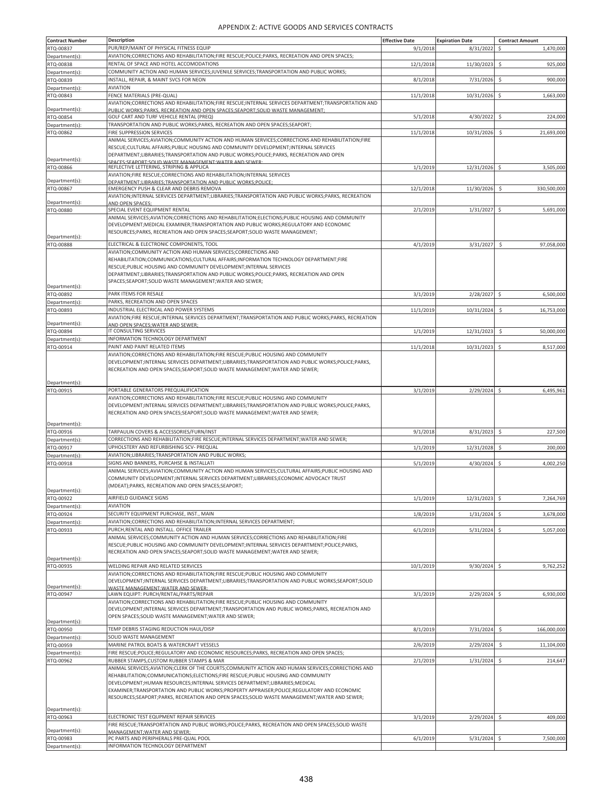| <b>Contract Number</b>      | <b>Description</b>                                                                                                                                                                        | <b>Effective Date</b> | <b>Expiration Date</b> | <b>Contract Amount</b>          |
|-----------------------------|-------------------------------------------------------------------------------------------------------------------------------------------------------------------------------------------|-----------------------|------------------------|---------------------------------|
| RTQ-00837                   | PUR/REP/MAINT OF PHYSICAL FITNESS EQUIP                                                                                                                                                   | 9/1/2018              | 8/31/2022              | \$<br>1,470,000                 |
| Department(s):              | AVIATION; CORRECTIONS AND REHABILITATION; FIRE RESCUE; POLICE; PARKS, RECREATION AND OPEN SPACES;                                                                                         |                       |                        |                                 |
| RTQ-00838                   | RENTAL OF SPACE AND HOTEL ACCOMODATIONS                                                                                                                                                   | 12/1/2018             | 11/30/2023             | \$<br>925,000                   |
| Department(s):              | COMMUNITY ACTION AND HUMAN SERVICES;JUVENILE SERVICES;TRANSPORTATION AND PUBLIC WORKS;                                                                                                    |                       |                        |                                 |
| RTQ-00839                   | INSTALL, REPAIR, & MAINT SVCS FOR NEON                                                                                                                                                    | 8/1/2018              | 7/31/2026              | \$<br>900,000                   |
| Department(s):              | <b>AVIATION</b>                                                                                                                                                                           |                       |                        |                                 |
| RTQ-00843                   | FENCE MATERIALS (PRE-QUAL)                                                                                                                                                                | 11/1/2018             | 10/31/2026             | \$.<br>1,663,000                |
|                             | AVIATION;CORRECTIONS AND REHABILITATION;FIRE RESCUE;INTERNAL SERVICES DEPARTMENT;TRANSPORTATION AND                                                                                       |                       |                        |                                 |
| Department(s):<br>RTQ-00854 | PUBLIC WORKS:PARKS. RECREATION AND OPEN SPACES:SEAPORT:SOLID WASTE MANAGEMENT:<br>GOLF CART AND TURF VEHICLE RENTAL (PREQ)                                                                | 5/1/2018              | 4/30/2022              | \$<br>224,000                   |
| Department(s):              | TRANSPORTATION AND PUBLIC WORKS;PARKS, RECREATION AND OPEN SPACES;SEAPORT;                                                                                                                |                       |                        |                                 |
| RTQ-00862                   | FIRE SUPPRESSION SERVICES                                                                                                                                                                 | 11/1/2018             | 10/31/2026             | \$<br>21,693,000                |
|                             | ANIMAL SERVICES; AVIATION; COMMUNITY ACTION AND HUMAN SERVICES; CORRECTIONS AND REHABILITATION; FIRE                                                                                      |                       |                        |                                 |
|                             | RESCUE;CULTURAL AFFAIRS;PUBLIC HOUSING AND COMMUNITY DEVELOPMENT;INTERNAL SERVICES                                                                                                        |                       |                        |                                 |
|                             | DEPARTMENT;LIBRARIES;TRANSPORTATION AND PUBLIC WORKS;POLICE;PARKS, RECREATION AND OPEN                                                                                                    |                       |                        |                                 |
| Department(s):              | <u> DACES SEADORT SOLID WASTE MANAGEMENT WATER AND SEWER</u>                                                                                                                              |                       |                        |                                 |
| RTQ-00866                   | REFLECTIVE LETTERING, STRIPING & APPLICA                                                                                                                                                  | 1/1/2019              | 12/31/2026             | $\ddot{\varsigma}$<br>3,505,000 |
| Department(s):              | AVIATION;FIRE RESCUE;CORRECTIONS AND REHABILITATION;INTERNAL SERVICES<br>DEPARTMENT:LIBRARIES:TRANSPORTATION AND PUBLIC WORKS:POLICE:                                                     |                       |                        |                                 |
| RTQ-00867                   | EMERGENCY PUSH & CLEAR AND DEBRIS REMOVA                                                                                                                                                  | 12/1/2018             | 11/30/2026             | \$<br>330,500,000               |
|                             | AVIATION;INTERNAL SERVICES DEPARTMENT;LIBRARIES;TRANSPORTATION AND PUBLIC WORKS;PARKS, RECREATION                                                                                         |                       |                        |                                 |
| Department(s):              | AND OPEN SPACES:                                                                                                                                                                          |                       |                        |                                 |
| RTQ-00880                   | SPECIAL EVENT EQUIPMENT RENTAL                                                                                                                                                            | 2/1/2019              | 1/31/2027              | \$<br>5,691,000                 |
|                             | ANIMAL SERVICES;AVIATION;CORRECTIONS AND REHABILITATION;ELECTIONS;PUBLIC HOUSING AND COMMUNITY                                                                                            |                       |                        |                                 |
|                             | DEVELOPMENT; MEDICAL EXAMINER; TRANSPORTATION AND PUBLIC WORKS; REGULATORY AND ECONOMIC<br>RESOURCES; PARKS, RECREATION AND OPEN SPACES; SEAPORT; SOLID WASTE MANAGEMENT;                 |                       |                        |                                 |
| Department(s):              |                                                                                                                                                                                           |                       |                        |                                 |
| RTQ-00888                   | ELECTRICAL & ELECTRONIC COMPONENTS, TOOL                                                                                                                                                  | 4/1/2019              | 3/31/2027              | \$<br>97,058,000                |
|                             | AVIATION;COMMUNITY ACTION AND HUMAN SERVICES;CORRECTIONS AND                                                                                                                              |                       |                        |                                 |
|                             | REHABILITATION;COMMUNICATIONS;CULTURAL AFFAIRS;INFORMATION TECHNOLOGY DEPARTMENT;FIRE                                                                                                     |                       |                        |                                 |
|                             | RESCUE;PUBLIC HOUSING AND COMMUNITY DEVELOPMENT;INTERNAL SERVICES                                                                                                                         |                       |                        |                                 |
|                             | DEPARTMENT;LIBRARIES;TRANSPORTATION AND PUBLIC WORKS;POLICE;PARKS, RECREATION AND OPEN<br>SPACES;SEAPORT;SOLID WASTE MANAGEMENT;WATER AND SEWER;                                          |                       |                        |                                 |
| Department(s):              |                                                                                                                                                                                           |                       |                        |                                 |
| RTQ-00892                   | PARK ITEMS FOR RESALE                                                                                                                                                                     | 3/1/2019              | 2/28/2027              | \$<br>6,500,000                 |
| Department(s):              | PARKS, RECREATION AND OPEN SPACES                                                                                                                                                         |                       |                        |                                 |
| RTQ-00893                   | INDUSTRIAL ELECTRICAL AND POWER SYSTEMS                                                                                                                                                   | 11/1/2019             | 10/31/2024             | \$<br>16,753,000                |
|                             | AVIATION;FIRE RESCUE;INTERNAL SERVICES DEPARTMENT;TRANSPORTATION AND PUBLIC WORKS;PARKS, RECREATION                                                                                       |                       |                        |                                 |
| Department(s):<br>RTQ-00894 | AND OPEN SPACES: WATER AND SEWER:<br>IT CONSULTING SERVICES                                                                                                                               | 1/1/2019              | 12/31/2023             | Ś<br>50,000,000                 |
|                             | INFORMATION TECHNOLOGY DEPARTMENT                                                                                                                                                         |                       |                        |                                 |
| Department(s):<br>RTQ-00914 | PAINT AND PAINT RELATED ITEMS                                                                                                                                                             | 11/1/2018             | 10/31/2023             | \$<br>8,517,000                 |
|                             | AVIATION; CORRECTIONS AND REHABILITATION; FIRE RESCUE; PUBLIC HOUSING AND COMMUNITY                                                                                                       |                       |                        |                                 |
|                             | DEVELOPMENT; INTERNAL SERVICES DEPARTMENT; LIBRARIES; TRANSPORTATION AND PUBLIC WORKS; POLICE; PARKS,                                                                                     |                       |                        |                                 |
|                             | RECREATION AND OPEN SPACES;SEAPORT;SOLID WASTE MANAGEMENT;WATER AND SEWER;                                                                                                                |                       |                        |                                 |
|                             |                                                                                                                                                                                           |                       |                        |                                 |
| Department(s):              |                                                                                                                                                                                           |                       |                        |                                 |
| RTQ-00915                   | PORTABLE GENERATORS PREQUALIFICATION                                                                                                                                                      | 3/1/2019              | 2/29/2024              | -\$<br>6,495,961                |
|                             | AVIATION;CORRECTIONS AND REHABILITATION;FIRE RESCUE;PUBLIC HOUSING AND COMMUNITY<br>DEVELOPMENT; INTERNAL SERVICES DEPARTMENT; LIBRARIES; TRANSPORTATION AND PUBLIC WORKS; POLICE; PARKS, |                       |                        |                                 |
|                             | RECREATION AND OPEN SPACES;SEAPORT;SOLID WASTE MANAGEMENT;WATER AND SEWER;                                                                                                                |                       |                        |                                 |
|                             |                                                                                                                                                                                           |                       |                        |                                 |
| Department(s):              |                                                                                                                                                                                           |                       |                        |                                 |
| RTQ-00916                   | TARPAULIN COVERS & ACCESSORIES/FURN/INST                                                                                                                                                  | 9/1/2018              | 8/31/2023              | \$<br>227,500                   |
| Department(s):<br>RTQ-00917 | CORRECTIONS AND REHABILITATION;FIRE RESCUE;INTERNAL SERVICES DEPARTMENT;WATER AND SEWER;<br>UPHOLSTERY AND REFURBISHING SCV- PREQUAL                                                      | 1/1/2019              | 12/31/2028             | \$<br>200,000                   |
|                             | AVIATION;LIBRARIES;TRANSPORTATION AND PUBLIC WORKS;                                                                                                                                       |                       |                        |                                 |
| Department(s):<br>RTQ-00918 | SIGNS AND BANNERS, PURCAHSE & INSTALLATI                                                                                                                                                  | 5/1/2019              | 4/30/2024              | \$<br>4,002,250                 |
|                             | ANIMAL SERVICES;AVIATION;COMMUNITY ACTION AND HUMAN SERVICES;CULTURAL AFFAIRS;PUBLIC HOUSING AND                                                                                          |                       |                        |                                 |
|                             | COMMUNITY DEVELOPMENT; INTERNAL SERVICES DEPARTMENT; LIBRARIES; ECONOMIC ADVOCACY TRUST                                                                                                   |                       |                        |                                 |
|                             | (MDEAT);PARKS, RECREATION AND OPEN SPACES;SEAPORI;                                                                                                                                        |                       |                        |                                 |
| Department(s):              |                                                                                                                                                                                           |                       |                        |                                 |
| RTQ-00922                   | AIRFIELD GUIDANCE SIGNS                                                                                                                                                                   | 1/1/2019              | 12/31/2023             | \$<br>7,264,769                 |
| Department(s):              | <b>AVIATION</b>                                                                                                                                                                           |                       |                        |                                 |
| RTQ-00924                   | SECURITY EQUIPMENT PURCHASE, INST., MAIN<br>AVIATION; CORRECTIONS AND REHABILITATION; INTERNAL SERVICES DEPARTMENT;                                                                       | 1/8/2019              | 1/31/2024              | \$<br>3,678,000                 |
| Department(s):<br>RTQ-00933 | PURCH, RENTAL AND INSTALL. OFFICE TRAILER                                                                                                                                                 | 6/1/2019              | 5/31/2024              | \$<br>5,057,000                 |
|                             | ANIMAL SERVICES;COMMUNITY ACTION AND HUMAN SERVICES;CORRECTIONS AND REHABILITATION;FIRE                                                                                                   |                       |                        |                                 |
|                             | RESCUE;PUBLIC HOUSING AND COMMUNITY DEVELOPMENT;INTERNAL SERVICES DEPARTMENT;POLICE;PARKS,                                                                                                |                       |                        |                                 |
|                             | RECREATION AND OPEN SPACES;SEAPORT;SOLID WASTE MANAGEMENT;WATER AND SEWER;                                                                                                                |                       |                        |                                 |
| Department(s):              |                                                                                                                                                                                           |                       |                        |                                 |
| RTQ-00935                   | WELDING REPAIR AND RELATED SERVICES                                                                                                                                                       | 10/1/2019             | 9/30/2024              | \$<br>9,762,252                 |
|                             | AVIATION; CORRECTIONS AND REHABILITATION; FIRE RESCUE; PUBLIC HOUSING AND COMMUNITY                                                                                                       |                       |                        |                                 |
| Department(s):              | DEVELOPMENT;INTERNAL SERVICES DEPARTMENT;LIBRARIES;TRANSPORTATION AND PUBLIC WORKS;SEAPORT;SOLID<br>WASTE MANAGEMENT: WATER AND SEWER:                                                    |                       |                        |                                 |
| RTQ-00947                   | LAWN EQUIPT: PURCH/RENTAL/PARTS/REPAIR                                                                                                                                                    | 3/1/2019              | 2/29/2024              | \$<br>6,930,000                 |
|                             | AVIATION;CORRECTIONS AND REHABILITATION;FIRE RESCUE;PUBLIC HOUSING AND COMMUNITY                                                                                                          |                       |                        |                                 |
|                             | DEVELOPMENT; INTERNAL SERVICES DEPARTMENT; TRANSPORTATION AND PUBLIC WORKS; PARKS, RECREATION AND                                                                                         |                       |                        |                                 |
| Department(s):              | OPEN SPACES; SOLID WASTE MANAGEMENT; WATER AND SEWER;                                                                                                                                     |                       |                        |                                 |
| RTQ-00950                   | TEMP DEBRIS STAGING REDUCTION HAUL/DISP                                                                                                                                                   | 8/1/2019              | 7/31/2024              | \$<br>166,000,000               |
| Department(s):              | SOLID WASTE MANAGEMENT                                                                                                                                                                    |                       |                        |                                 |
| RTQ-00959                   | MARINE PATROL BOATS & WATERCRAFT VESSELS                                                                                                                                                  | 2/6/2019              | 2/29/2024              | \$<br>11,104,000                |
| Department(s):              | FIRE RESCUE;POLICE;REGULATORY AND ECONOMIC RESOURCES;PARKS, RECREATION AND OPEN SPACES;                                                                                                   |                       |                        |                                 |
| RTQ-00962                   | RUBBER STAMPS, CUSTOM RUBBER STAMPS & MAR                                                                                                                                                 | 2/1/2019              | 1/31/2024              | \$<br>214,647                   |
|                             | ANIMAL SERVICES;AVIATION;CLERK OF THE COURTS;COMMUNITY ACTION AND HUMAN SERVICES;CORRECTIONS AND                                                                                          |                       |                        |                                 |
|                             | REHABILITATION;COMMUNICATIONS;ELECTIONS;FIRE RESCUE;PUBLIC HOUSING AND COMMUNITY                                                                                                          |                       |                        |                                 |
|                             | DEVELOPMENT;HUMAN RESOURCES;INTERNAL SERVICES DEPARTMENT;LIBRARIES;MEDICAL                                                                                                                |                       |                        |                                 |
|                             | EXAMINER;TRANSPORTATION AND PUBLIC WORKS;PROPERTY APPRAISER;POLICE;REGULATORY AND ECONOMIC                                                                                                |                       |                        |                                 |
|                             | RESOURCES;SEAPORT;PARKS, RECREATION AND OPEN SPACES;SOLID WASTE MANAGEMENT;WATER AND SEWER;                                                                                               |                       |                        |                                 |
| Department(s):              |                                                                                                                                                                                           |                       |                        |                                 |
| RTQ-00963                   | ELECTRONIC TEST EQUPMENT REPAIR SERVICES                                                                                                                                                  | 3/1/2019              | 2/29/2024              | \$<br>409,000                   |
|                             | FIRE RESCUE;TRANSPORTATION AND PUBLIC WORKS;POLICE;PARKS, RECREATION AND OPEN SPACES;SOLID WASTE                                                                                          |                       |                        |                                 |
| Department(s):<br>RTQ-00983 | <b>MANAGEMENT:WATER AND SEWER:</b><br>PC PARTS AND PERIPHERALS PRE-QUAL POOL                                                                                                              | 6/1/2019              | 5/31/2024              | $\ddot{\varsigma}$<br>7,500,000 |
| Department(s):              | INFORMATION TECHNOLOGY DEPARTMENT                                                                                                                                                         |                       |                        |                                 |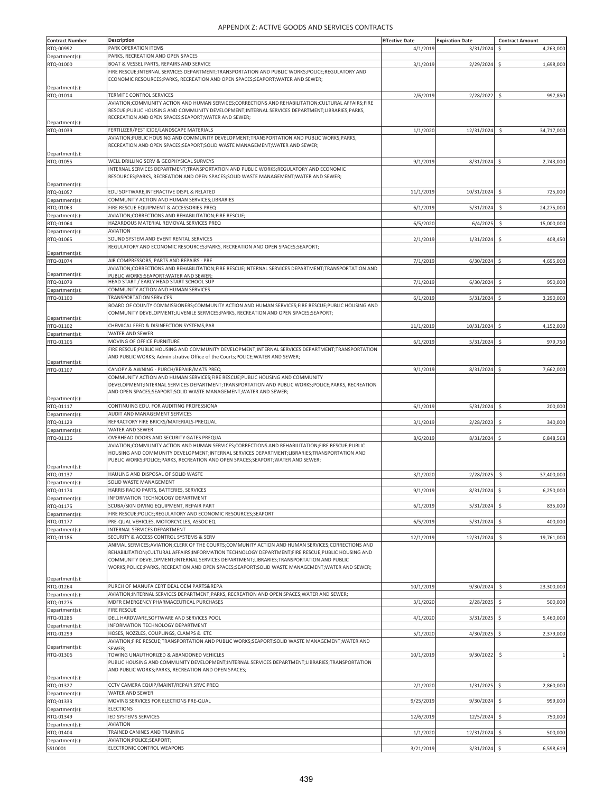| <b>Contract Number</b> | Description                                                                                             | <b>Effective Date</b> | <b>Expiration Date</b> | <b>Contract Amount</b>           |
|------------------------|---------------------------------------------------------------------------------------------------------|-----------------------|------------------------|----------------------------------|
| RTQ-00992              | PARK OPERATION ITEMS                                                                                    | 4/1/2019              | 3/31/2024              | 4,263,000<br>\$                  |
| Department(s):         | PARKS, RECREATION AND OPEN SPACES                                                                       |                       |                        |                                  |
| RTQ-01000              | BOAT & VESSEL PARTS, REPAIRS AND SERVICE                                                                | 3/1/2019              | 2/29/2024              | $\ddot{\mathsf{S}}$<br>1,698,000 |
|                        | FIRE RESCUE; INTERNAL SERVICES DEPARTMENT; TRANSPORTATION AND PUBLIC WORKS; POLICE; REGULATORY AND      |                       |                        |                                  |
|                        | ECONOMIC RESOURCES; PARKS, RECREATION AND OPEN SPACES; SEAPORT; WATER AND SEWER;                        |                       |                        |                                  |
|                        |                                                                                                         |                       |                        |                                  |
| Department(s):         |                                                                                                         |                       |                        |                                  |
| RTQ-01014              | TERMITE CONTROL SERVICES                                                                                | 2/6/2019              | 2/28/2022 \$           | 997,850                          |
|                        | AVIATION; COMMUNITY ACTION AND HUMAN SERVICES; CORRECTIONS AND REHABILITATION; CULTURAL AFFAIRS; FIRE   |                       |                        |                                  |
|                        | RESCUE;PUBLIC HOUSING AND COMMUNITY DEVELOPMENT;INTERNAL SERVICES DEPARTMENT;LIBRARIES;PARKS,           |                       |                        |                                  |
| Department(s):         | RECREATION AND OPEN SPACES;SEAPORT;WATER AND SEWER;                                                     |                       |                        |                                  |
| RTQ-01039              | FERTILIZER/PESTICIDE/LANDSCAPE MATERIALS                                                                | 1/1/2020              | 12/31/2024             | \$<br>34,717,000                 |
|                        | AVIATION; PUBLIC HOUSING AND COMMUNITY DEVELOPMENT; TRANSPORTATION AND PUBLIC WORKS; PARKS,             |                       |                        |                                  |
|                        | RECREATION AND OPEN SPACES;SEAPORT;SOLID WASTE MANAGEMENT;WATER AND SEWER;                              |                       |                        |                                  |
|                        |                                                                                                         |                       |                        |                                  |
| Department(s):         |                                                                                                         |                       |                        |                                  |
| RTQ-01055              | WELL DRILLING SERV & GEOPHYSICAL SURVEYS                                                                | 9/1/2019              | 8/31/2024 \$           | 2,743,000                        |
|                        | INTERNAL SERVICES DEPARTMENT;TRANSPORTATION AND PUBLIC WORKS;REGULATORY AND ECONOMIC                    |                       |                        |                                  |
|                        | RESOURCES;PARKS, RECREATION AND OPEN SPACES;SOLID WASTE MANAGEMENT;WATER AND SEWER;                     |                       |                        |                                  |
| Department(s):         |                                                                                                         |                       |                        |                                  |
| RTQ-01057              | EDU SOFTWARE, INTERACTIVE DISPL & RELATED                                                               | 11/1/2019             | 10/31/2024 \$          | 725,000                          |
| Department(s):         | COMMUNITY ACTION AND HUMAN SERVICES;LIBRARIES                                                           |                       |                        |                                  |
| RTQ-01063              | FIRE RESCUE EQUIPMENT & ACCESSORIES-PREQ                                                                | 6/1/2019              | 5/31/2024              | \$<br>24,275,000                 |
| Department(s):         | AVIATION; CORRECTIONS AND REHABILITATION; FIRE RESCUE;                                                  |                       |                        |                                  |
| RTQ-01064              | HAZARDOUS MATERIAL REMOVAL SERVICES PREQ                                                                | 6/5/2020              | 6/4/2025               | 15,000,000<br>Ŝ                  |
| Department(s):         | <b>AVIATION</b>                                                                                         |                       |                        |                                  |
| RTQ-01065              | SOUND SYSTEM AND EVENT RENTAL SERVICES                                                                  | 2/1/2019              | 1/31/2024              | 408,450<br>\$                    |
|                        | REGULATORY AND ECONOMIC RESOURCES; PARKS, RECREATION AND OPEN SPACES; SEAPORT;                          |                       |                        |                                  |
| Department(s):         |                                                                                                         |                       |                        |                                  |
| RTQ-01074              | AIR COMPRESSORS, PARTS AND REPAIRS - PRE                                                                | 7/1/2019              | $6/30/2024$ \$         | 4,695,000                        |
|                        | AVIATION; CORRECTIONS AND REHABILITATION; FIRE RESCUE; INTERNAL SERVICES DEPARTMENT; TRANSPORTATION AND |                       |                        |                                  |
| Department(s):         | PUBLIC WORKS:SEAPORT:WATER AND SEWER:                                                                   |                       |                        |                                  |
| RTQ-01079              | HEAD START / EARLY HEAD START SCHOOL SUP                                                                | 7/1/2019              | 6/30/2024              | \$<br>950,000                    |
| Department(s):         | COMMUNITY ACTION AND HUMAN SERVICES                                                                     |                       |                        |                                  |
| RTQ-01100              | <b>TRANSPORTATION SERVICES</b>                                                                          | 6/1/2019              | 5/31/2024              | $\ddot{\varsigma}$<br>3,290,000  |
|                        | BOARD OF COUNTY COMMISSIONERS;COMMUNITY ACTION AND HUMAN SERVICES;FIRE RESCUE;PUBLIC HOUSING AND        |                       |                        |                                  |
|                        | COMMUNITY DEVELOPMENT;JUVENILE SERVICES;PARKS, RECREATION AND OPEN SPACES;SEAPORT;                      |                       |                        |                                  |
| Department(s):         |                                                                                                         |                       |                        |                                  |
| RTQ-01102              | CHEMICAL FEED & DISINFECTION SYSTEMS, PAR                                                               | 11/1/2019             | 10/31/2024             | $\ddot{\varsigma}$<br>4,152,000  |
| Department(s):         | <b>WATER AND SEWER</b>                                                                                  |                       |                        |                                  |
| RTQ-01106              | MOVING OF OFFICE FURNITURE                                                                              | 6/1/2019              | $5/31/2024$ \$         | 979,750                          |
|                        | FIRE RESCUE; PUBLIC HOUSING AND COMMUNITY DEVELOPMENT; INTERNAL SERVICES DEPARTMENT; TRANSPORTATION     |                       |                        |                                  |
|                        | AND PUBLIC WORKS; Administrative Office of the Courts; POLICE; WATER AND SEWER;                         |                       |                        |                                  |
| Department(s):         |                                                                                                         |                       |                        |                                  |
| RTQ-01107              | CANOPY & AWNING - PURCH/REPAIR/MATS PREQ                                                                | 9/1/2019              | 8/31/2024 \$           | 7,662,000                        |
|                        | COMMUNITY ACTION AND HUMAN SERVICES;FIRE RESCUE;PUBLIC HOUSING AND COMMUNITY                            |                       |                        |                                  |
|                        | DEVELOPMENT; INTERNAL SERVICES DEPARTMENT; TRANSPORTATION AND PUBLIC WORKS; POLICE; PARKS, RECREATION   |                       |                        |                                  |
|                        | AND OPEN SPACES;SEAPORT;SOLID WASTE MANAGEMENT;WATER AND SEWER;                                         |                       |                        |                                  |
| Department(s):         |                                                                                                         |                       |                        |                                  |
| RTQ-01117              | CONTINUING EDU. FOR AUDITING PROFESSIONA                                                                | 6/1/2019              | 5/31/2024              | $\ddot{\varsigma}$<br>200,000    |
| Department(s):         | AUDIT AND MANAGEMENT SERVICES                                                                           |                       |                        |                                  |
| RTQ-01129              | REFRACTORY FIRE BRICKS/MATERIALS-PREQUAL                                                                | 3/1/2019              | 2/28/2023              | \$<br>340,000                    |
| Department(s):         | <b>WATER AND SEWER</b>                                                                                  |                       |                        |                                  |
| RTQ-01136              | OVERHEAD DOORS AND SECURITY GATES PREQUA                                                                | 8/6/2019              | 8/31/2024              | $\ddot{\mathsf{S}}$<br>6,848,568 |
|                        | AVIATION; COMMUNITY ACTION AND HUMAN SERVICES; CORRECTIONS AND REHABILITATION; FIRE RESCUE; PUBLIC      |                       |                        |                                  |
|                        | HOUSING AND COMMUNITY DEVELOPMENT; INTERNAL SERVICES DEPARTMENT; LIBRARIES; TRANSPORTATION AND          |                       |                        |                                  |
|                        | PUBLIC WORKS;POLICE;PARKS, RECREATION AND OPEN SPACES;SEAPORT;WATER AND SEWER;                          |                       |                        |                                  |
| Department(s):         |                                                                                                         |                       |                        |                                  |
| RTQ-01137              | HAULING AND DISPOSAL OF SOLID WASTE                                                                     | 3/1/2020              | 2/28/2025              | \$<br>37,400,000                 |
|                        | SOLID WASTE MANAGEMENT                                                                                  |                       |                        |                                  |
| Department(s):         | HARRIS RADIO PARTS, BATTERIES, SERVICES                                                                 |                       |                        |                                  |
| RTQ-01174              |                                                                                                         | 9/1/2019              | 8/31/2024 \$           | 6,250,000                        |
| Department(s):         | INFORMATION TECHNOLOGY DEPARTMENT                                                                       |                       |                        |                                  |
| RTQ-01175              | SCUBA/SKIN DIVING EQUIPMENT, REPAIR PART                                                                | 6/1/2019              | 5/31/2024              | 835,000<br>Ś                     |
| Department(s):         | FIRE RESCUE;POLICE;REGULATORY AND ECONOMIC RESOURCES;SEAPORT                                            |                       |                        |                                  |
| RTQ-01177              | PRE-QUAL VEHICLES, MOTORCYCLES, ASSOC EQ                                                                | 6/5/2019              | 5/31/2024              | \$<br>400,000                    |
| Department(s):         | INTERNAL SERVICES DEPARTMENT                                                                            |                       |                        |                                  |
| RTQ-01186              | SECURITY & ACCESS CONTROL SYSTEMS & SERV                                                                | 12/1/2019             | 12/31/2024             | \$<br>19,761,000                 |
|                        | ANIMAL SERVICES;AVIATION;CLERK OF THE COURTS;COMMUNITY ACTION AND HUMAN SERVICES;CORRECTIONS AND        |                       |                        |                                  |
|                        | REHABILITATION; CULTURAL AFFAIRS; INFORMATION TECHNOLOGY DEPARTMENT; FIRE RESCUE; PUBLIC HOUSING AND    |                       |                        |                                  |
|                        | COMMUNITY DEVELOPMENT; INTERNAL SERVICES DEPARTMENT; LIBRARIES; TRANSPORTATION AND PUBLIC               |                       |                        |                                  |
|                        | WORKS;POLICE;PARKS, RECREATION AND OPEN SPACES;SEAPORT;SOLID WASTE MANAGEMENT;WATER AND SEWER;          |                       |                        |                                  |
|                        |                                                                                                         |                       |                        |                                  |
| Department(s):         |                                                                                                         |                       |                        |                                  |
| RTQ-01264              | PURCH OF MANUFA CERT DEAL OEM PARTS&REPA                                                                | 10/1/2019             | 9/30/2024              | \$<br>23,300,000                 |
| Department(s):         | AVIATION; INTERNAL SERVICES DEPARTMENT; PARKS, RECREATION AND OPEN SPACES; WATER AND SEWER;             |                       |                        |                                  |
| RTQ-01276              | MDFR EMERGENCY PHARMACEUTICAL PURCHASES                                                                 | 3/1/2020              | 2/28/2025              | 500,000                          |
| Department(s):         | <b>FIRE RESCUE</b>                                                                                      |                       |                        |                                  |
| RTQ-01286              | DELL HARDWARE, SOFTWARE AND SERVICES POOL                                                               | 4/1/2020              | 3/31/2025              | $\ddot{\mathsf{S}}$<br>5,460,000 |
| Department(s):         | <b>INFORMATION TECHNOLOGY DEPARTMENT</b>                                                                |                       |                        |                                  |
| RTQ-01299              | HOSES, NOZZLES, COUPLINGS, CLAMPS & ETC                                                                 | 5/1/2020              | 4/30/2025              | \$<br>2,379,000                  |
|                        | AVIATION;FIRE RESCUE;TRANSPORTATION AND PUBLIC WORKS;SEAPORT;SOLID WASTE MANAGEMENT;WATER AND           |                       |                        |                                  |
| Department(s):         | SEWER:                                                                                                  |                       |                        |                                  |
| RTQ-01306              | TOWING UNAUTHORIZED & ABANDONED VEHICLES                                                                | 10/1/2019             | 9/30/2022              | \$                               |
|                        | PUBLIC HOUSING AND COMMUNITY DEVELOPMENT; INTERNAL SERVICES DEPARTMENT; LIBRARIES; TRANSPORTATION       |                       |                        |                                  |
|                        | AND PUBLIC WORKS; PARKS, RECREATION AND OPEN SPACES;                                                    |                       |                        |                                  |
| Department(s):         |                                                                                                         |                       |                        |                                  |
| RTQ-01327              | CCTV CAMERA EQUIP/MAINT/REPAIR SRVC PREQ                                                                | 2/1/2020              | 1/31/2025              | $\ddot{\varsigma}$<br>2,860,000  |
| Department(s):         | <b>WATER AND SEWER</b>                                                                                  |                       |                        |                                  |
| RTQ-01333              | MOVING SERVICES FOR ELECTIONS PRE-QUAL                                                                  | 9/25/2019             | 9/30/2024              | \$<br>999,000                    |
|                        | <b>ELECTIONS</b>                                                                                        |                       |                        |                                  |
| Department(s):         |                                                                                                         |                       |                        |                                  |
| RTQ-01349              | IED SYSTEMS SERVICES                                                                                    | 12/6/2019             | 12/5/2024              | \$<br>750,000                    |
| Department(s):         | <b>AVIATION</b>                                                                                         |                       |                        |                                  |
| RTQ-01404              | TRAINED CANINES AND TRAINING                                                                            | 1/1/2020              | 12/31/2024             | $\ddot{\varsigma}$<br>500,000    |
| Department(s):         | AVIATION; POLICE; SEAPORT;                                                                              |                       |                        |                                  |
| SS10001                | ELECTRONIC CONTROL WEAPONS                                                                              | 3/21/2019             | 3/31/2024 \$           | 6,598,619                        |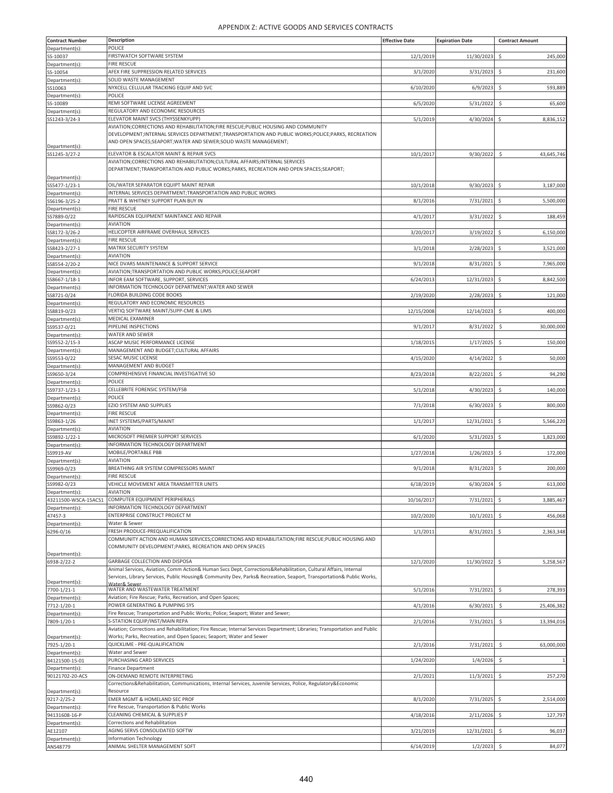| <b>Contract Number</b>          | <b>Description</b>                                                                                                                                | <b>Effective Date</b> | <b>Expiration Date</b> | <b>Contract Amount</b>           |
|---------------------------------|---------------------------------------------------------------------------------------------------------------------------------------------------|-----------------------|------------------------|----------------------------------|
| Department(s):                  | POLICE                                                                                                                                            |                       |                        |                                  |
| SS-10037                        | FIRSTWATCH SOFTWARE SYSTEM                                                                                                                        | 12/1/2019             | 11/30/2023             | \$<br>245,000                    |
| Department(s):                  | <b>FIRE RESCUE</b>                                                                                                                                |                       |                        |                                  |
| SS-10054                        | AFEX FIRE SUPPRESSION RELATED SERVICES                                                                                                            | 3/1/2020              | 3/31/2023              | Ś<br>231,600                     |
| Department(s):                  | SOLID WASTE MANAGEMENT                                                                                                                            |                       |                        |                                  |
| SS10063                         | NYXCELL CELLULAR TRACKING EQUIP AND SVC<br>POLICE                                                                                                 | 6/10/2020             | 6/9/2023               | \$<br>593,889                    |
| Department(s):<br>SS-10089      | REMI SOFTWARE LICENSE AGREEMENT                                                                                                                   | 6/5/2020              | 5/31/2022              | \$<br>65,600                     |
| Department(s):                  | REGULATORY AND ECONOMIC RESOURCES                                                                                                                 |                       |                        |                                  |
| SS1243-3/24-3                   | ELEVATOR MAINT SVCS (THYSSENKYUPP)                                                                                                                | 5/1/2019              | 4/30/2024              | 8,836,152<br>\$.                 |
|                                 | AVIATION; CORRECTIONS AND REHABILITATION; FIRE RESCUE; PUBLIC HOUSING AND COMMUNITY                                                               |                       |                        |                                  |
|                                 | DEVELOPMENT; INTERNAL SERVICES DEPARTMENT; TRANSPORTATION AND PUBLIC WORKS; POLICE; PARKS, RECREATION                                             |                       |                        |                                  |
| Department(s):                  | AND OPEN SPACES;SEAPORT;WATER AND SEWER;SOLID WASTE MANAGEMENT;                                                                                   |                       |                        |                                  |
| SS1245-3/27-2                   | ELEVATOR & ESCALATOR MAINT & REPAIR SVCS                                                                                                          | 10/1/2017             | 9/30/2022              | $\ddot{\varsigma}$<br>43,645,746 |
|                                 | AVIATION; CORRECTIONS AND REHABILITATION; CULTURAL AFFAIRS; INTERNAL SERVICES                                                                     |                       |                        |                                  |
|                                 | DEPARTMENT;TRANSPORTATION AND PUBLIC WORKS;PARKS, RECREATION AND OPEN SPACES;SEAPORT;                                                             |                       |                        |                                  |
| Department(s):                  |                                                                                                                                                   |                       |                        |                                  |
| SS5477-1/23-1                   | OIL/WATER SEPARATOR EQUIPT MAINT REPAIR                                                                                                           | 10/1/2018             | $9/30/2023$ \$         | 3,187,000                        |
| Department(s):                  | INTERNAL SERVICES DEPARTMENT; TRANSPORTATION AND PUBLIC WORKS<br>PRATT & WHITNEY SUPPORT PLAN BUY IN                                              | 8/1/2016              | 7/31/2021              | 5,500,000<br>$\ddot{\mathsf{S}}$ |
| SS6196-3/25-2<br>Department(s): | <b>FIRE RESCUE</b>                                                                                                                                |                       |                        |                                  |
| SS7889-0/22                     | RAPIDSCAN EQUIPMENT MAINTANCE AND REPAIR                                                                                                          | 4/1/2017              | 3/31/2022              | \$<br>188,459                    |
| Department(s):                  | <b>AVIATION</b>                                                                                                                                   |                       |                        |                                  |
| SS8172-3/26-2                   | HELICOPTER AIRFRAME OVERHAUL SERVICES                                                                                                             | 3/20/2017             | 3/19/2022              | \$<br>6,150,000                  |
| Department(s):                  | <b>FIRE RESCUE</b>                                                                                                                                |                       |                        |                                  |
| SS8423-2/27-1                   | MATRIX SECURITY SYSTEM                                                                                                                            | 3/1/2018              | $2/28/2023$ \$         | 3,521,000                        |
| Department(s):                  | <b>AVIATION</b>                                                                                                                                   |                       |                        |                                  |
| SS8554-2/20-2                   | NICE DVARS MAINTENANCE & SUPPORT SERVICE                                                                                                          | 9/1/2018              | 8/31/2021              | \$<br>7,965,000                  |
| Department(s):                  | AVIATION; TRANSPORTATION AND PUBLIC WORKS; POLICE; SEAPORT<br>INFOR EAM SOFTWARE, SUPPORT, SERVICES                                               | 6/24/2013             | 12/31/2023             | \$<br>8,842,500                  |
| SS8667-1/18-1<br>Department(s): | INFORMATION TECHNOLOGY DEPARTMENT; WATER AND SEWER                                                                                                |                       |                        |                                  |
| SS8721-0/24                     | FLORIDA BUILDING CODE BOOKS                                                                                                                       | 2/19/2020             | 2/28/2023              | \$<br>121,000                    |
| Department(s)                   | REGULATORY AND ECONOMIC RESOURCES                                                                                                                 |                       |                        |                                  |
| SS8819-0/23                     | VERTIQ SOFTWARE MAINT/SUPP-CME & LIMS                                                                                                             | 12/15/2008            | 12/14/2023             | \$.<br>400,000                   |
| Department(s):                  | MEDICAL EXAMINER                                                                                                                                  |                       |                        |                                  |
| SS9537-0/21                     | PIPELINE INSPECTIONS                                                                                                                              | 9/1/2017              | 8/31/2022              | \$<br>30,000,000                 |
| Department(s):                  | WATER AND SEWER                                                                                                                                   |                       |                        |                                  |
| SS9552-2/15-3                   | ASCAP MUSIC PERFORMANCE LICENSE                                                                                                                   | 1/18/2015             | 1/17/2025              | \$<br>150,000                    |
| Department(s):                  | MANAGEMENT AND BUDGET; CULTURAL AFFAIRS<br>SESAC MUSIC LICENSE                                                                                    |                       |                        |                                  |
| SS9553-0/22<br>Department(s):   | MANAGEMENT AND BUDGET                                                                                                                             | 4/15/2020             | 4/14/2022              | 50,000<br>\$                     |
| SS9650-3/24                     | COMPREHENSIVE FINANCIAL INVESTIGATIVE SO                                                                                                          | 8/23/2018             | 8/22/2021              | 94,290<br>\$                     |
| Department(s):                  | POLICE                                                                                                                                            |                       |                        |                                  |
| SS9737-1/23-1                   | CELLEBRITE FORENSIC SYSTEM/FSB                                                                                                                    | 5/1/2018              | 4/30/2023              | \$.<br>140,000                   |
| Department(s):                  | POLICE                                                                                                                                            |                       |                        |                                  |
| SS9862-0/23                     | EZIO SYSTEM AND SUPPLIES                                                                                                                          | 7/1/2018              | 6/30/2023              | \$<br>800,000                    |
| Department(s):                  | <b>FIRE RESCUE</b>                                                                                                                                |                       |                        |                                  |
| SS9863-1/26                     | INET SYSTEMS/PARTS/MAINT<br><b>AVIATION</b>                                                                                                       | 1/1/2017              | 12/31/2021             | \$<br>5,566,220                  |
| Department(s):<br>SS9892-1/22-1 | MICROSOFT PREMIER SUPPORT SERVICES                                                                                                                | 6/1/2020              | 5/31/2023              | -\$<br>1,823,000                 |
| Department(s):                  | INFORMATION TECHNOLOGY DEPARTMENT                                                                                                                 |                       |                        |                                  |
| SS9919-AV                       | MOBILE/PORTABLE PBB                                                                                                                               | 1/27/2018             | 1/26/2023              | \$<br>172,000                    |
| Department(s):                  | <b>AVIATION</b>                                                                                                                                   |                       |                        |                                  |
| SS9969-0/23                     | BREATHING AIR SYSTEM COMPRESSORS MAINT                                                                                                            | 9/1/2018              | 8/31/2023              | 200,000                          |
| Department(s):                  | <b>FIRE RESCUE</b>                                                                                                                                |                       |                        |                                  |
| 559982-0/23                     | VEHICLE MOVEMENT AREA TRANSMITTER UNITS                                                                                                           | 6/18/2019             | 6/30/2024 \$           | 613,000                          |
| Department(s):                  | <b>AVIATION</b>                                                                                                                                   |                       |                        |                                  |
| 43211500-WSCA-15ACS1            | COMPUTER EQUIPMENT PERIPHERALS<br>INFORMATION TECHNOLOGY DEPARTMENT                                                                               | 10/16/2017            | 7/31/2021              | \$<br>3,885,467                  |
| Department(s):<br>47457-3       | ENTERPRISE CONSTRUCT PROJECT M                                                                                                                    | 10/2/2020             | 10/1/2021              | \$<br>456,068                    |
| Department(s):                  | Water & Sewer                                                                                                                                     |                       |                        |                                  |
| 6296-0/16                       | FRESH PRODUCE-PREQUALIFICATION                                                                                                                    | 1/1/2011              | 8/31/2021              | \$<br>2,363,348                  |
|                                 | COMMUNITY ACTION AND HUMAN SERVICES;CORRECTIONS AND REHABILITATION;FIRE RESCUE;PUBLIC HOUSING AND                                                 |                       |                        |                                  |
|                                 | COMMUNITY DEVELOPMENT; PARKS, RECREATION AND OPEN SPACES                                                                                          |                       |                        |                                  |
| Department(s):                  |                                                                                                                                                   |                       |                        |                                  |
| 6938-2/22-2                     | GARBAGE COLLECTION AND DISPOSA<br>Animal Services, Aviation, Comm Action& Human Svcs Dept, Corrections&Rehabilitation, Cultural Affairs, Internal | 12/1/2020             | 11/30/2022             | $\ddot{\mathsf{S}}$<br>5,258,567 |
|                                 | Services, Library Services, Public Housing& Community Dev, Parks& Recreation, Seaport, Transportation& Public Works,                              |                       |                        |                                  |
| Department(s):                  | Water& Sewer                                                                                                                                      |                       |                        |                                  |
| 7700-1/21-1                     | WATER AND WASTEWATER TREATMENT                                                                                                                    | 5/1/2016              | 7/31/2021              | 278,393<br>$\ddot{\mathsf{S}}$   |
| Department(s):                  | Aviation; Fire Rescue; Parks, Recreation, and Open Spaces;<br>POWER GENERATING & PUMPING SYS                                                      | 4/1/2016              | 6/30/2021              |                                  |
| 7712-1/20-1<br>Department(s):   | Fire Rescue; Transportation and Public Works; Police; Seaport; Water and Sewer;                                                                   |                       |                        | \$<br>25,406,382                 |
| 7809-1/20-1                     | S-STATION EQUIP/INST/MAIN REPA                                                                                                                    | 2/1/2016              | 7/31/2021              | $\zeta$<br>13,394,016            |
|                                 | Aviation; Corrections and Rehabilitation; Fire Rescue; Internal Services Department; Libraries; Transportation and Public                         |                       |                        |                                  |
| Department(s):                  | Works; Parks, Recreation, and Open Spaces; Seaport; Water and Sewer                                                                               |                       |                        |                                  |
| 7925-1/20-1                     | QUICKLIME - PRE-QUALIFICATION                                                                                                                     | 2/1/2016              | 7/31/2021              | $\zeta$<br>63,000,000            |
| Department(s):                  | Water and Sewer                                                                                                                                   |                       |                        |                                  |
| 84121500-15-01                  | PURCHASING CARD SERVICES                                                                                                                          | 1/24/2020             | 1/4/2026               | \$                               |
| Department(s):                  | <b>Finance Department</b>                                                                                                                         |                       |                        |                                  |
| 90121702-20-ACS                 | ON-DEMAND REMOTE INTERPRETING<br>Corrections&Rehabilitation, Communications, Internal Services, Juvenile Services, Police, Regulatory&Economic    | 2/1/2021              | 11/3/2021              | \$<br>257,270                    |
| Department(s):                  | Resource                                                                                                                                          |                       |                        |                                  |
| 9217-2/25-2                     | EMER MGMT & HOMELAND SEC PROF                                                                                                                     | 8/1/2020              | 7/31/2025              | 2,514,000<br>$\ddot{\mathsf{S}}$ |
| Department(s):                  | Fire Rescue, Transportation & Public Works                                                                                                        |                       |                        |                                  |
| 94131608-16-P                   | CLEANING CHEMICAL & SUPPLIES P                                                                                                                    | 4/18/2016             | 2/11/2026              | \$<br>127,797                    |
| Department(s):                  | Corrections and Rehabilitation                                                                                                                    |                       |                        |                                  |
| AE12107                         | AGING SERVS CONSOLIDATED SOFTW                                                                                                                    | 3/21/2019             | 12/31/2021             | $\ddot{\mathsf{S}}$<br>96,037    |
| Department(s):                  | <b>Information Technology</b><br>ANIMAL SHELTER MANAGEMENT SOFT                                                                                   | 6/14/2019             |                        |                                  |
| ANS48779                        |                                                                                                                                                   |                       | 1/2/2023               | $\ddot{\mathsf{S}}$<br>84,077    |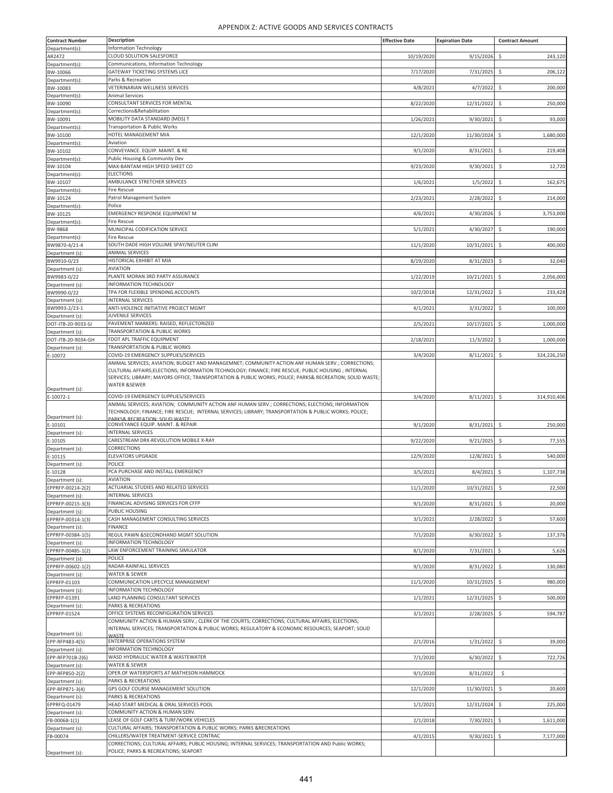| <b>Contract Number</b>                | <b>Description</b>                                                                                                                                                                                       | <b>Effective Date</b> | <b>Expiration Date</b> | <b>Contract Amount</b> |
|---------------------------------------|----------------------------------------------------------------------------------------------------------------------------------------------------------------------------------------------------------|-----------------------|------------------------|------------------------|
| Department(s):                        | Information Technology                                                                                                                                                                                   |                       |                        |                        |
| AR2472                                | CLOUD SOLUTION SALESFORCE<br>Communications, Information Technology                                                                                                                                      | 10/19/2020            | 9/15/2026              | \$<br>243,120          |
| Department(s):<br>BW-10066            | GATEWAY TICKETING SYSTEMS LICE                                                                                                                                                                           | 7/17/2020             | 7/31/2025              | Ś<br>206,122           |
| Department(s):                        | Parks & Recreation                                                                                                                                                                                       |                       |                        |                        |
| BW-10083                              | VETERINARIAN WELLNESS SERVICES                                                                                                                                                                           | 4/8/2021              | 4/7/2022               | \$<br>200,000          |
| Department(s):<br>BW-10090            | <b>Animal Services</b><br>CONSULTANT SERVICES FOR MENTAL                                                                                                                                                 | 8/22/2020             | 12/31/2022             | \$<br>250,000          |
| Department(s):                        | Corrections&Rehabilitation                                                                                                                                                                               |                       |                        |                        |
| BW-10091                              | MOBILITY DATA STANDARD (MDS) T                                                                                                                                                                           | 1/26/2021             | 9/30/2021              | \$<br>93,000           |
| Department(s):<br>BW-10100            | Transportation & Public Works<br>HOTEL MANAGEMENT MIA                                                                                                                                                    | 12/1/2020             | 11/30/2024             | \$<br>1,680,000        |
| Department(s):                        | Aviation                                                                                                                                                                                                 |                       |                        |                        |
| BW-10102                              | CONVEYANCE. EQUIP. MAINT. & RE                                                                                                                                                                           | 9/1/2020              | 8/31/2021              | \$<br>219,408          |
| Department(s):<br>BW-10104            | Public Housing & Community Dev<br>MAX-BANTAM HIGH SPEED SHEET CO                                                                                                                                         | 9/23/2020             | 9/30/2021              | \$.<br>12,720          |
| Department(s):                        | <b>ELECTIONS</b>                                                                                                                                                                                         |                       |                        |                        |
| BW-10107                              | AMBULANCE STRETCHER SERVICES                                                                                                                                                                             | 1/6/2021              | 1/5/2022               | \$<br>162,675          |
| Department(s):                        | Fire Rescue                                                                                                                                                                                              |                       |                        |                        |
| BW-10124<br>Department(s):            | Patrol Management System<br>Police                                                                                                                                                                       | 2/23/2021             | 2/28/2022              | 214,000<br>Ŝ           |
| BW-10125                              | EMERGENCY RESPONSE EQUIPMENT M                                                                                                                                                                           | 4/6/2021              | 4/30/2026              | \$<br>3,753,000        |
| Department(s)                         | <b>Fire Rescue</b>                                                                                                                                                                                       |                       |                        |                        |
| BW-9868<br>Department(s):             | MUNICIPAL CODIFICATION SERVICE<br>Fire Rescue                                                                                                                                                            | 5/1/2021              | 4/30/2027              | \$<br>190,000          |
| BW9870-4/21-4                         | SOUTH DADE HIGH VOLUME SPAY/NEUTER CLINI                                                                                                                                                                 | 11/1/2020             | 10/31/2021             | \$.<br>400,000         |
| Department (s):                       | <b>ANIMAL SERVICES</b>                                                                                                                                                                                   |                       |                        |                        |
| BW9910-0/23                           | HISTORICAL EXHIBIT AT MIA<br><b>AVIATION</b>                                                                                                                                                             | 8/19/2020             | 8/31/2023              | \$<br>32,040           |
| Department (s):<br>BW9983-0/22        | PLANTE MORAN 3RD PARTY ASSURANCE                                                                                                                                                                         | 1/22/2019             | 10/21/2021             | \$<br>2,056,000        |
| Department (s):                       | INFORMATION TECHNOLOGY                                                                                                                                                                                   |                       |                        |                        |
| BW9990-0/22                           | TPA FOR FLEXIBLE SPENDING ACCOUNTS                                                                                                                                                                       | 10/2/2018             | 12/31/2022             | \$<br>233,428          |
| Department (s):<br>BW9993-2/23-1      | <b>INTERNAL SERVICES</b><br>ANTI-VIOLENCE INITIATIVE PROJECT MGMT                                                                                                                                        | 4/1/2021              | 3/31/2022              | \$<br>100,000          |
| Department (s):                       | <b>JUVENILE SERVICES</b>                                                                                                                                                                                 |                       |                        |                        |
| DOT-ITB-20-9033-SJ                    | PAVEMENT MARKERS: RAISED, REFLECTORIZED                                                                                                                                                                  | 2/5/2021              | 10/17/2021             | \$<br>1,000,000        |
| Department (s):<br>DOT-ITB-20-9034-GH | TRANSPORTATION & PUBLIC WORKS<br>FDOT APL TRAFFIC EQUIPMENT                                                                                                                                              | 2/18/2021             | 11/3/2022              | \$<br>1,000,000        |
| Department (s):                       | TRANSPORTATION & PUBLIC WORKS                                                                                                                                                                            |                       |                        |                        |
| E-10072                               | COVID-19 EMERGENCY SUPPLIES/SERVICES                                                                                                                                                                     | 3/4/2020              | 8/11/2021              | \$<br>324,226,250      |
|                                       | ANIMAL SERVICES; AVIATION; BUDGET AND MANAGEMNET; COMMUNITY ACTION ANF HUMAN SERV.; CORRECTIONS;<br>CULTURAL AFFAIRS;ELECTIONS; INFORMATION TECHNOLOGY; FINANCE; FIRE RESCUE; PUBLIC HOUSING ; INTERNAL  |                       |                        |                        |
|                                       | SERVICES; LIBRARY; MAYORS OFFICE; TRANSPORTATION & PUBLIC WORKS; POLICE; PARKS& RECREATION; SOLID WASTE;                                                                                                 |                       |                        |                        |
| Department (s):                       | WATER &SEWER                                                                                                                                                                                             |                       |                        |                        |
| E-10072-1                             | COVID-19 EMERGENCY SUPPLIES/SERVICES                                                                                                                                                                     | 3/4/2020              | 8/11/2021              | \$<br>314,910,406      |
|                                       | ANIMAL SERVICES; AVIATION; COMMUNITY ACTION ANF HUMAN SERV.; CORRECTIONS; ELECTIONS; INFORMATION<br>TECHNOLOGY; FINANCE; FIRE RESCUE; INTERNAL SERVICES; LIBRARY; TRANSPORTATION & PUBLIC WORKS; POLICE; |                       |                        |                        |
| Department (s):                       | PARKS& RECREATION: SOLID WASTE:                                                                                                                                                                          |                       |                        |                        |
| E-10101                               | CONVEYANCE EQUIP. MAINT. & REPAIR                                                                                                                                                                        | 9/1/2020              | 8/31/2021              | -S<br>250,000          |
| Department (s):<br>E-10105            | <b>INTERNAL SERVICES</b><br>CARESTREAM DRX-REVOLUTION MOBILE X-RAY                                                                                                                                       | 9/22/2020             | 9/21/2025              | \$<br>77,555           |
| Department (s):                       | CORRECTIONS                                                                                                                                                                                              |                       |                        |                        |
| E-10115                               | ELEVATORS UPGRADE                                                                                                                                                                                        | 12/9/2020             | 12/8/2021              | \$<br>540,000          |
| Department (s):<br>E-10128            | <b>POLICE</b><br>PCA PURCHASE AND INSTALL EMERGENCY                                                                                                                                                      | 3/5/2021              | 8/4/2021               | \$<br>1,107,738        |
| Department (s):                       | AVIATION                                                                                                                                                                                                 |                       |                        |                        |
| EPPRFP-00214-2(2)                     | ACTUARIAL STUDIES AND RELATED SERVICES                                                                                                                                                                   | 11/1/2020             | 10/31/2021             | \$<br>22,500           |
| Department (s):<br>EPPRFP-00215-3(3)  | <b>INTERNAL SERVICES</b><br>FINANCIAL ADVISING SERVICES FOR CFFP                                                                                                                                         | 9/1/2020              | 8/31/2021              | \$<br>20,000           |
| Department (s):                       | PUBLIC HOUSING                                                                                                                                                                                           |                       |                        |                        |
| EPPRFP-00314-1(3)                     | CASH MANAGEMENT CONSULTING SERVICES                                                                                                                                                                      | 3/1/2021              | 2/28/2022              | \$<br>57,600           |
| Department (s):<br>EPPRFP-00384-1(5)  | <b>FINANCE</b><br>REGUL PAWN &SECONDHAND MGMT SOLUTION                                                                                                                                                   | 7/1/2020              | 6/30/2022              | \$                     |
| Department (s):                       | INFORMATION TECHNOLOGY                                                                                                                                                                                   |                       |                        | 137,376                |
| EPPRFP-00485-1(2)                     | LAW ENFORCEMENT TRAINING SIMULATOR                                                                                                                                                                       | 8/1/2020              | 7/31/2021              | \$<br>5,626            |
| Department (s):                       | POLICE                                                                                                                                                                                                   |                       |                        |                        |
| EPPRFP-00602-1(2)<br>Department (s):  | RADAR-RAINFALL SERVICES<br><b>WATER &amp; SEWER</b>                                                                                                                                                      | 9/1/2020              | 8/31/2022              | \$<br>130,080          |
| EPPRFP-01103                          | COMMUNICATION LIFECYCLE MANAGEMENT                                                                                                                                                                       | 11/1/2020             | 10/31/2025             | \$<br>980,000          |
| Department (s):                       | INFORMATION TECHNOLOGY                                                                                                                                                                                   |                       |                        |                        |
| EPPRFP-01391<br>Department (s):       | LAND PLANNING CONSULTANT SERVICES<br>PARKS & RECREATIONS                                                                                                                                                 | 1/1/2021              | 12/31/2025             | \$<br>500,000          |
| EPPRFP-01524                          | OFFICE SYSTEMS RECONFIGURATION SERVICES                                                                                                                                                                  | 3/1/2021              | 2/28/2025              | 594,787<br>\$          |
|                                       | COMMUNITY ACTION & HUMAN SERV.; CLERK OF THE COURTS; CORRECTIONS; CULTURAL AFFAIRS; ELECTIONS;                                                                                                           |                       |                        |                        |
| Department (s):                       | INTERNAL SERVICES; TRANSPORTATION & PUBLIC WORKS; REGULATORY & ECONOMIC RESOURCES; SEAPORT; SOLID                                                                                                        |                       |                        |                        |
| EPP-RFP483-4(5)                       | <b>ENTERPRISE OPERATIONS SYSTEM</b>                                                                                                                                                                      | 2/1/2016              | 1/31/2022              | \$<br>39,000           |
| Department (s):<br>EPP-RFP701B-2(6)   | INFORMATION TECHNOLOGY<br>WASD HYDRAULIC WATER & WASTEWATER                                                                                                                                              | 7/1/2020              | 6/30/2022              | \$<br>722,726          |
| Department (s):                       | WATER & SEWER                                                                                                                                                                                            |                       |                        |                        |
| EPP-RFP850-2(2)                       | OPER.OF WATERSPORTS AT MATHESON HAMMOCK                                                                                                                                                                  | 9/1/2020              | 8/31/2022              | \$                     |
| Department (s):                       | <b>PARKS &amp; RECREATIONS</b><br>GPS GOLF COURSE MANAGEMENT SOLUTION                                                                                                                                    |                       |                        |                        |
| EPP-RFP871-3(4)<br>Department (s):    | PARKS & RECREATIONS                                                                                                                                                                                      | 12/1/2020             | 11/30/2021             | 20,600<br>\$           |
| EPPRFQ-01479                          | HEAD START MEDICAL & ORAL SERVICES POOL                                                                                                                                                                  | 1/1/2021              | 12/31/2024             | \$<br>225,000          |
| Department (s):                       | COMMUNITY ACTION & HUMAN SERV.                                                                                                                                                                           |                       |                        |                        |
| FB-00068-1(1)<br>Department (s):      | LEASE OF GOLF CARTS & TURF/WORK VEHICLES<br>CULTURAL AFFAIRS; TRANSPORTATION & PUBLIC WORKS; PARKS &RECREATIONS                                                                                          | 2/1/2018              | 7/30/2021              | \$<br>1,611,000        |
| FB-00074                              | CHILLERS/WATER TREATMENT-SERVICE CONTRAC                                                                                                                                                                 | 4/1/2015              | 9/30/2021              | \$<br>7,177,000        |
|                                       | CORRECTIONS; CULTURAL AFFAIRS; PUBLIC HOUSING; INTERNAL SERVICES; TRANSPORTATION AND Public WORKS;                                                                                                       |                       |                        |                        |
| Department (s):                       | POLICE; PARKS & RECREATIONS; SEAPORT                                                                                                                                                                     |                       |                        |                        |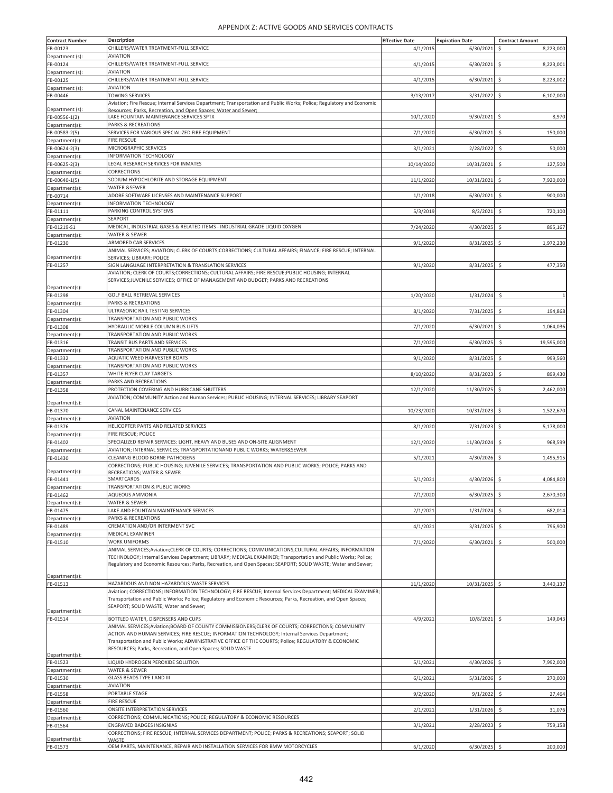| <b>Contract Number</b> | <b>Description</b>                                                                                                    | <b>Effective Date</b> | <b>Expiration Date</b> | <b>Contract Amount</b>           |
|------------------------|-----------------------------------------------------------------------------------------------------------------------|-----------------------|------------------------|----------------------------------|
|                        |                                                                                                                       |                       |                        |                                  |
| FB-00123               | CHILLERS/WATER TREATMENT-FULL SERVICE                                                                                 | 4/1/2015              | 6/30/2021              | Ś<br>8,223,000                   |
| Department (s):        | <b>AVIATION</b>                                                                                                       |                       |                        |                                  |
| FB-00124               | CHILLERS/WATER TREATMENT-FULL SERVICE                                                                                 | 4/1/2015              | 6/30/2021              | \$<br>8,223,001                  |
| Department (s):        | <b>AVIATION</b>                                                                                                       |                       |                        |                                  |
|                        |                                                                                                                       |                       |                        |                                  |
| FB-00125               | CHILLERS/WATER TREATMENT-FULL SERVICE                                                                                 | 4/1/2015              | 6/30/2021              | \$<br>8,223,002                  |
| Department (s):        | AVIATION                                                                                                              |                       |                        |                                  |
| FB-00446               | <b>TOWING SERVICES</b>                                                                                                | 3/13/2017             | 3/31/2022              | \$<br>6,107,000                  |
|                        | Aviation; Fire Rescue; Internal Services Department; Transportation and Public Works; Police; Regulatory and Economic |                       |                        |                                  |
| Department (s):        |                                                                                                                       |                       |                        |                                  |
|                        | Resources: Parks, Recreation, and Open Spaces: Water and Sewer:                                                       |                       |                        |                                  |
| FB-00556-1(2)          | LAKE FOUNTAIN MAINTENANCE SERVICES SPTX                                                                               | 10/1/2020             | 9/30/2021              | \$<br>8,970                      |
| Department(s):         | <b>PARKS &amp; RECREATIONS</b>                                                                                        |                       |                        |                                  |
| FB-00583-2(5)          | SERVICES FOR VARIOUS SPECIALIZED FIRE EQUIPMENT                                                                       | 7/1/2020              | 6/30/2021              | Ś<br>150,000                     |
|                        | <b>FIRE RESCUE</b>                                                                                                    |                       |                        |                                  |
| Department(s):         |                                                                                                                       |                       |                        |                                  |
| FB-00624-2(3)          | MICROGRAPHIC SERVICES                                                                                                 | 3/1/2021              | 2/28/2022              | \$<br>50,000                     |
| Department(s):         | INFORMATION TECHNOLOGY                                                                                                |                       |                        |                                  |
| FB-00625-2(3)          | LEGAL RESEARCH SERVICES FOR INMATES                                                                                   | 10/14/2020            | 10/31/2021             | 127,500<br>\$                    |
|                        |                                                                                                                       |                       |                        |                                  |
| Department(s):         | CORRECTIONS                                                                                                           |                       |                        |                                  |
| FB-00640-1(5)          | SODIUM HYPOCHLORITE AND STORAGE EQUIPMENT                                                                             | 11/1/2020             | 10/31/2021             | \$<br>7,920,000                  |
| Department(s):         | WATER &SEWER                                                                                                          |                       |                        |                                  |
| FB-00714               | ADOBE SOFTWARE LICENSES AND MAINTENANCE SUPPORT                                                                       | 1/1/2018              | 6/30/2021              | \$<br>900,000                    |
|                        |                                                                                                                       |                       |                        |                                  |
| Department(s):         | INFORMATION TECHNOLOGY                                                                                                |                       |                        |                                  |
| FB-01111               | PARKING CONTROL SYSTEMS                                                                                               | 5/3/2019              | 8/2/2021               | Ś<br>720,100                     |
| Department(s):         | <b>SEAPORT</b>                                                                                                        |                       |                        |                                  |
| FB-01219-S1            | MEDICAL, INDUSTRIAL GASES & RELATED ITEMS - INDUSTRIAL GRADE LIQUID OXYGEN                                            | 7/24/2020             | 4/30/2025              | \$<br>895,167                    |
|                        |                                                                                                                       |                       |                        |                                  |
| Department(s):         | WATER & SEWER                                                                                                         |                       |                        |                                  |
| FB-01230               | ARMORED CAR SERVICES                                                                                                  | 9/1/2020              | 8/31/2025              | \$<br>1,972,230                  |
|                        | ANIMAL SERVICES; AVIATION; CLERK OF COURTS;CORRECTIONS; CULTURAL AFFAIRS; FINANCE; FIRE RESCUE; INTERNAL              |                       |                        |                                  |
| Department(s):         | SERVICES: LIBRARY: POLICE                                                                                             |                       |                        |                                  |
|                        |                                                                                                                       |                       |                        |                                  |
| FB-01257               | SIGN LANGUAGE INTERPRETATION & TRANSLATION SERVICES                                                                   | 9/1/2020              | 8/31/2025              | \$<br>477,350                    |
|                        | AVIATION; CLERK OF COURTS;CORRECTIONS; CULTURAL AFFAIRS; FIRE RESCUE;PUBLIC HOUSING; INTERNAL                         |                       |                        |                                  |
|                        | SERVICES;JUVENILE SERVICES; OFFICE OF MANAGEMENT AND BUDGET; PARKS AND RECREATIONS                                    |                       |                        |                                  |
| Department(s):         |                                                                                                                       |                       |                        |                                  |
|                        |                                                                                                                       |                       |                        | $\overline{1}$                   |
| FB-01298               | GOLF BALL RETRIEVAL SERVICES                                                                                          | 1/20/2020             | 1/31/2024              | \$                               |
| Department(s):         | PARKS & RECREATIONS                                                                                                   |                       |                        |                                  |
| FB-01304               | ULTRASONIC RAIL TESTING SERVICES                                                                                      | 8/1/2020              | 7/31/2025              | \$<br>194,868                    |
| Department(s):         | TRANSPORTATION AND PUBLIC WORKS                                                                                       |                       |                        |                                  |
|                        |                                                                                                                       |                       |                        |                                  |
| FB-01308               | HYDRAULIC MOBILE COLUMN BUS LIFTS                                                                                     | 7/1/2020              | 6/30/2021              | \$<br>1,064,036                  |
| Department(s):         | TRANSPORTATION AND PUBLIC WORKS                                                                                       |                       |                        |                                  |
| FB-01316               | TRANSIT BUS PARTS AND SERVICES                                                                                        | 7/1/2020              | 6/30/2025              | \$<br>19,595,000                 |
|                        |                                                                                                                       |                       |                        |                                  |
| Department(s):         | TRANSPORTATION AND PUBLIC WORKS                                                                                       |                       |                        |                                  |
| FB-01332               | AQUATIC WEED HARVESTER BOATS                                                                                          | 9/1/2020              | 8/31/2025              | \$<br>999,560                    |
| Department(s):         | TRANSPORTATION AND PUBLIC WORKS                                                                                       |                       |                        |                                  |
| FB-01357               | WHITE FLYER CLAY TARGETS                                                                                              | 8/10/2020             | 8/31/2023              | \$<br>899,430                    |
|                        |                                                                                                                       |                       |                        |                                  |
| Department(s):         | PARKS AND RECREATIONS                                                                                                 |                       |                        |                                  |
| FB-01358               | PROTECTION COVERING AND HURRICANE SHUTTERS                                                                            | 12/1/2020             | 11/30/2025             | \$.<br>2,462,000                 |
|                        | AVIATION; COMMUNITY Action and Human Services; PUBLIC HOUSING; INTERNAL SERVICES; LIBRARY SEAPORT                     |                       |                        |                                  |
| Department(s):         |                                                                                                                       |                       |                        |                                  |
| FB-01370               | CANAL MAINTENANCE SERVICES                                                                                            | 10/23/2020            | 10/31/2023             | \$<br>1,522,670                  |
|                        |                                                                                                                       |                       |                        |                                  |
| Department(s):         | <b>AVIATION</b>                                                                                                       |                       |                        |                                  |
| FB-01376               | HELICOPTER PARTS AND RELATED SERVICES                                                                                 | 8/1/2020              | 7/31/2023              | S.<br>5,178,000                  |
| Department(s):         | FIRE RESCUE; POLICE                                                                                                   |                       |                        |                                  |
|                        | SPECIALIZED REPAIR SERVICES: LIGHT, HEAVY AND BUSES AND ON-SITE ALIGNMENT                                             |                       | 11/30/2024             |                                  |
| FB-01402               |                                                                                                                       | 12/1/2020             |                        | \$<br>968,599                    |
| Department(s):         | AVIATION; INTERNAL SERVICES; TRANSPORTATIONAND PUBLIC WORKS; WATER&SEWER                                              |                       |                        |                                  |
| FB-01430               | CLEANING BLOOD BORNE PATHOGENS                                                                                        | 5/1/2021              | 4/30/2026              | 1,495,915<br>-\$                 |
|                        | CORRECTIONS; PUBLIC HOUSING; JUVENILE SERVICES; TRANSPORTATION AND PUBLIC WORKS; POLICE; PARKS AND                    |                       |                        |                                  |
| Department(s):         | RECREATIONS: WATER & SEWER                                                                                            |                       |                        |                                  |
|                        | SMARTCARDS                                                                                                            | 5/1/2021              | 4/30/2026              | $\ddot{\mathsf{S}}$<br>4,084,800 |
| FB-01441               |                                                                                                                       |                       |                        |                                  |
| Department(s):         | TRANSPORTATION & PUBLIC WORKS                                                                                         |                       |                        |                                  |
| FB-01462               | AQUEOUS AMMONIA                                                                                                       | 7/1/2020              | 6/30/2025              | \$<br>2,670,300                  |
| Department(s):         | WATER & SEWER                                                                                                         |                       |                        |                                  |
|                        | LAKE AND FOUNTAIN MAINTENANCE SERVICES                                                                                |                       | 1/31/2024              |                                  |
| FB-01475               |                                                                                                                       | 2/1/2021              |                        | \$.<br>682,014                   |
| Department(s):         | <b>PARKS &amp; RECREATIONS</b>                                                                                        |                       |                        |                                  |
| FB-01489               | CREMATION AND/OR INTERMENT SVC                                                                                        | 4/1/202               | 3/31/2025              | \$<br>796,900                    |
| Department(s):         | MEDICAL EXAMINER                                                                                                      |                       |                        |                                  |
|                        | <b>WORK UNIFORMS</b>                                                                                                  |                       |                        |                                  |
| FB-01510               |                                                                                                                       | 7/1/2020              | 6/30/2021              | \$<br>500,000                    |
|                        | ANIMAL SERVICES; Aviation; CLERK OF COURTS; CORRECTIONS; COMMUNICATIONS; CULTURAL AFFAIRS; INFORMATION                |                       |                        |                                  |
|                        | TECHNOLOGY; Internal Services Department; LIBRARY; MEDICAL EXAMINER; Transportation and Public Works; Police;         |                       |                        |                                  |
|                        | Regulatory and Economic Resources; Parks, Recreation, and Open Spaces; SEAPORT; SOLID WASTE; Water and Sewer;         |                       |                        |                                  |
|                        |                                                                                                                       |                       |                        |                                  |
| Department(s):         |                                                                                                                       |                       |                        |                                  |
| FB-01513               | HAZARDOUS AND NON HAZARDOUS WASTE SERVICES                                                                            | 11/1/2020             | 10/31/2025             | \$.<br>3,440,137                 |
|                        |                                                                                                                       |                       |                        |                                  |
|                        | Aviation; CORRECTIONS; INFORMATION TECHNOLOGY; FIRE RESCUE; Internal Services Department; MEDICAL EXAMINER;           |                       |                        |                                  |
|                        | Transportation and Public Works; Police; Regulatory and Economic Resources; Parks, Recreation, and Open Spaces;       |                       |                        |                                  |
|                        | SEAPORT; SOLID WASTE; Water and Sewer;                                                                                |                       |                        |                                  |
| Department(s):         |                                                                                                                       |                       |                        |                                  |
| FB-01514               | BOTTLED WATER, DISPENSERS AND CUPS                                                                                    | 4/9/2021              | 10/8/2021              | \$.<br>149,043                   |
|                        | ANIMAL SERVICES;Aviation;BOARD OF COUNTY COMMISSIONERS;CLERK OF COURTS; CORRECTIONS; COMMUNITY                        |                       |                        |                                  |
|                        | ACTION AND HUMAN SERVICES; FIRE RESCUE; INFORMATION TECHNOLOGY; Internal Services Department;                         |                       |                        |                                  |
|                        |                                                                                                                       |                       |                        |                                  |
|                        | Transportation and Public Works; ADMINISTRATIVE OFFICE OF THE COURTS; Police; REGULATORY & ECONOMIC                   |                       |                        |                                  |
|                        | RESOURCES; Parks, Recreation, and Open Spaces; SOLID WASTE                                                            |                       |                        |                                  |
| Department(s):         |                                                                                                                       |                       |                        |                                  |
| FB-01523               | LIQUID HYDROGEN PEROXIDE SOLUTION                                                                                     | 5/1/2021              | 4/30/2026              | 7,992,000<br>$\ddot{\mathsf{S}}$ |
| Department(s):         | WATER & SEWER                                                                                                         |                       |                        |                                  |
|                        |                                                                                                                       |                       |                        |                                  |
| FB-01530               | <b>GLASS BEADS TYPE I AND III</b>                                                                                     | 6/1/202               | 5/31/2026              | \$<br>270,000                    |
| Department(s):         | AVIATION                                                                                                              |                       |                        |                                  |
| FB-01558               | PORTABLE STAGE                                                                                                        | 9/2/2020              | 9/1/2022               | \$<br>27,464                     |
|                        | <b>FIRE RESCUE</b>                                                                                                    |                       |                        |                                  |
| Department(s):         |                                                                                                                       |                       |                        |                                  |
| FB-01560               | <b>ONSITE INTERPRETATION SERVICES</b>                                                                                 | 2/1/2021              | 1/31/2026              | \$<br>31,076                     |
| Department(s):         | CORRECTIONS; COMMUNICATIONS; POLICE; REGULATORY & ECONOMIC RESOURCES                                                  |                       |                        |                                  |
| FB-01564               | ENGRAVED BADGES INSIGNIAS                                                                                             | 3/1/2021              | 2/28/2023              | \$<br>759,158                    |
|                        | CORRECTIONS; FIRE RESCUE; INTERNAL SERVICES DEPARTMENT; POLICE; PARKS & RECREATIONS; SEAPORT; SOLID                   |                       |                        |                                  |
| Department(s):         |                                                                                                                       |                       |                        |                                  |
|                        | WASTE                                                                                                                 |                       |                        |                                  |
| FB-01573               | OEM PARTS, MAINTENANCE, REPAIR AND INSTALLATION SERVICES FOR BMW MOTORCYCLES                                          | 6/1/2020              | $6/30/2025$ \$         | 200,000                          |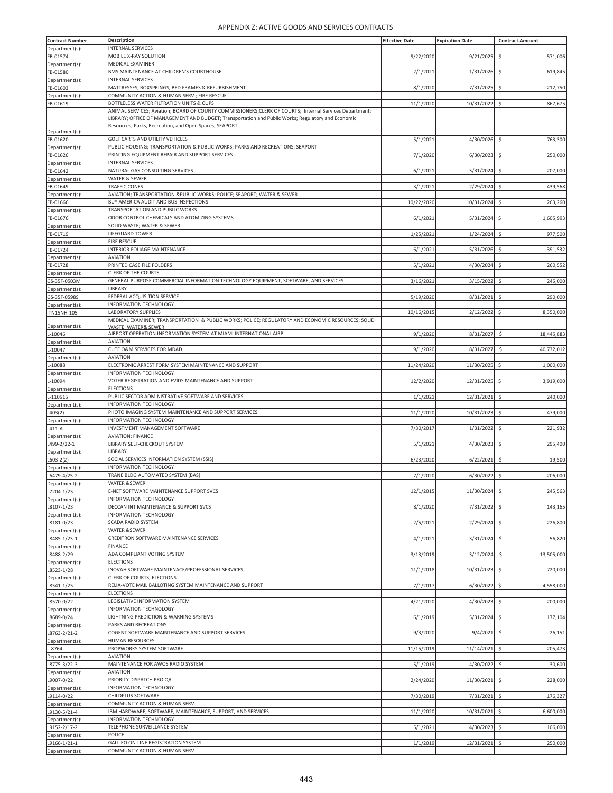| <b>Contract Number</b>         | <b>Description</b>                                                                                                                                                                                                                                                       | <b>Effective Date</b> | <b>Expiration Date</b> | <b>Contract Amount</b>           |
|--------------------------------|--------------------------------------------------------------------------------------------------------------------------------------------------------------------------------------------------------------------------------------------------------------------------|-----------------------|------------------------|----------------------------------|
| Department(s):                 | <b>INTERNAL SERVICES</b><br>MOBILE X-RAY SOLUTION                                                                                                                                                                                                                        |                       |                        | Ś                                |
| FB-01574<br>Department(s):     | MEDICAL EXAMINER                                                                                                                                                                                                                                                         | 9/22/2020             | 9/21/2025              | 571,006                          |
| FB-01580                       | BMS MAINTENANCE AT CHILDREN'S COURTHOUSE                                                                                                                                                                                                                                 | 2/1/2021              | 1/31/2026              | \$<br>619,845                    |
| Department(s):                 | <b>INTERNAL SERVICES</b>                                                                                                                                                                                                                                                 |                       |                        |                                  |
| FB-01603<br>Department(s):     | MATTRESSES, BOXSPRINGS, BED FRAMES & REFURBISHMENT<br>COMMUNITY ACTION & HUMAN SERV.; FIRE RESCUE                                                                                                                                                                        | 8/1/2020              | 7/31/2025              | \$<br>212,750                    |
| FB-01619                       | BOTTLELESS WATER FILTRATION UNITS & CUPS                                                                                                                                                                                                                                 | 11/1/2020             | 10/31/2022             | \$.<br>867,675                   |
|                                | ANIMAL SERVICES; Aviation; BOARD OF COUNTY COMMISSIONERS; CLERK OF COURTS; Internal Services Department;<br>LIBRARY; OFFICE OF MANAGEMENT AND BUDGET; Transportation and Public Works; Regulatory and Economic<br>Resources; Parks, Recreation, and Open Spaces; SEAPORT |                       |                        |                                  |
| Department(s):                 | GOLF CARTS AND UTILITY VEHICLES                                                                                                                                                                                                                                          | 5/1/2021              | 4/30/2026              | -\$<br>763,300                   |
| FB-01620<br>Department(s):     | PUBLIC HOUSING; TRANSPORTATION & PUBLIC WORKS; PARKS AND RECREATIONS; SEAPORT                                                                                                                                                                                            |                       |                        |                                  |
| FB-01626                       | PRINTING EQUIPMENT REPAIR AND SUPPORT SERVICES                                                                                                                                                                                                                           | 7/1/2020              | 6/30/2023              | 250,000<br>\$                    |
| Department(s):                 | <b>INTERNAL SERVICES</b><br>NATURAL GAS CONSULTING SERVICES                                                                                                                                                                                                              |                       |                        |                                  |
| FB-01642<br>Department(s):     | WATER & SEWER                                                                                                                                                                                                                                                            | 6/1/2021              | 5/31/2024              | \$<br>207,000                    |
| FB-01649                       | <b>TRAFFIC CONES</b>                                                                                                                                                                                                                                                     | 3/1/2021              | 2/29/2024              | 439,568<br>\$                    |
| Department(s):                 | AVIATION; TRANSPORTATION &PUBLIC WORKS; POLICE; SEAPORT; WATER & SEWER<br>BUY AMERICA AUDIT AND BUS INSPECTIONS                                                                                                                                                          | 10/22/2020            | 10/31/2024             | \$<br>263,260                    |
| FB-01666<br>Department(s):     | TRANSPORTATION AND PUBLIC WORKS                                                                                                                                                                                                                                          |                       |                        |                                  |
| FB-01676                       | ODOR CONTROL CHEMICALS AND ATOMIZING SYSTEMS                                                                                                                                                                                                                             | 6/1/2021              | 5/31/2024              | \$<br>1,605,993                  |
| Department(s):<br>FB-01719     | SOLID WASTE; WATER & SEWER<br>LIFEGUARD TOWER                                                                                                                                                                                                                            | 1/25/2021             | 1/24/2024              | \$<br>977,500                    |
| Department(s):                 | <b>FIRE RESCUE</b>                                                                                                                                                                                                                                                       |                       |                        |                                  |
| FB-01724                       | INTERIOR FOLIAGE MAINTENANCE                                                                                                                                                                                                                                             | 6/1/2021              | 5/31/2026              | 391,532<br>\$                    |
| Department(s):                 | <b>AVIATION</b><br>PRINTED CASE FILE FOLDERS                                                                                                                                                                                                                             |                       |                        |                                  |
| FB-01728<br>Department(s):     | <b>CLERK OF THE COURTS</b>                                                                                                                                                                                                                                               | 5/1/2021              | 4/30/2024              | \$.<br>260,552                   |
| GS-35F-0503M                   | GENERAL PURPOSE COMMERCIAL INFORMATION TECHNOLOGY EQUIPMENT, SOFTWARE, AND SERVICES                                                                                                                                                                                      | 3/16/2021             | 3/15/2022              | \$<br>245,000                    |
| Department(s):                 | LIBRARY                                                                                                                                                                                                                                                                  |                       |                        |                                  |
| GS-35F-0598S<br>Department(s): | FEDERAL ACQUISITION SERVICE<br>INFORMATION TECHNOLOGY                                                                                                                                                                                                                    | 5/19/2020             | 8/31/2021              | \$<br>290,000                    |
| ITN15NH-105                    | <b>LABORATORY SUPPLIES</b>                                                                                                                                                                                                                                               | 10/16/2015            | 2/12/2022              | 8,350,000<br>\$                  |
| Department(s):                 | MEDICAL EXAMINER; TRANSPORTATION & PUBLIC WORKS; POLICE; REGULATORY AND ECONOMIC RESOURCES; SOLID<br>NASTF: WATFR& SFWFR                                                                                                                                                 |                       |                        |                                  |
| $-10046$                       | AIRPORT OPERATION INFORMATION SYSTEM AT MIAMI INTERNATIONAL AIRP                                                                                                                                                                                                         | 9/1/2020              | 8/31/2027              | \$<br>18,445,883                 |
| Department(s):                 | <b>AVIATION</b>                                                                                                                                                                                                                                                          |                       |                        |                                  |
| L-10047<br>Department(s):      | CUTE O&M SERVICES FOR MDAD<br><b>AVIATION</b>                                                                                                                                                                                                                            | 9/1/2020              | 8/31/2027              | \$<br>40,732,012                 |
| $-10088$                       | ELECTRONIC ARREST FORM SYSTEM MAINTENANCE AND SUPPORT                                                                                                                                                                                                                    | 11/24/2020            | 11/30/2025             | 1,000,000<br>\$                  |
| Department(s):<br>$-10094$     | INFORMATION TECHNOLOGY<br>VOTER REGISTRATION AND EVIDS MAINTENANCE AND SUPPORT                                                                                                                                                                                           |                       |                        | \$<br>3,919,000                  |
| Department(s):                 | <b>ELECTIONS</b>                                                                                                                                                                                                                                                         | 12/2/2020             | 12/31/2025             |                                  |
| L-110515                       | PUBLIC SECTOR ADMINISTRATIVE SOFTWARE AND SERVICES                                                                                                                                                                                                                       | 1/1/2021              | 12/31/2021             | \$<br>240,000                    |
| Department(s):                 | INFORMATION TECHNOLOGY                                                                                                                                                                                                                                                   |                       |                        |                                  |
| L403(2)<br>Department(s):      | PHOTO IMAGING SYSTEM MAINTENANCE AND SUPPORT SERVICES<br>INFORMATION TECHNOLOGY                                                                                                                                                                                          | 11/1/2020             | 10/31/2023             | \$<br>479,000                    |
| L411-A                         | INVESTMENT MANAGEMENT SOFTWARE                                                                                                                                                                                                                                           | 7/30/2017             | 1/31/2022              | \$<br>221,932                    |
| Department(s):                 | <b>AVIATION; FINANCE</b><br>LIBRARY SELF-CHECKOUT SYSTEM                                                                                                                                                                                                                 |                       | 4/30/2023              |                                  |
| L499-2/22-1<br>Department(s):  | LIBRARY                                                                                                                                                                                                                                                                  | 5/1/2021              |                        | \$<br>295,400                    |
| $L603 - 2(2)$                  | SOCIAL SERVICES INFORMATION SYSTEM (SSIS)                                                                                                                                                                                                                                | 6/23/2020             | 6/22/2021              | \$<br>19,500                     |
| Department(s):                 | <b>INFORMATION TECHNOLOGY</b><br>TRANE BLDG AUTOMATED SYSTEM (BAS)                                                                                                                                                                                                       |                       | 6/30/2022              |                                  |
| L6479-4/25-2<br>Department(s): | WATER &SEWER                                                                                                                                                                                                                                                             | 7/1/2020              |                        | \$<br>206,000                    |
| L7204-1/25                     | E-NET SOFTWARE MAINTENANCE SUPPORT SVCS                                                                                                                                                                                                                                  | 12/1/2015             | 11/30/2024             | \$<br>245,563                    |
| Department(s):                 | INFORMATION TECHNOLOGY<br>DECCAN INT MAINTENANCE & SUPPORT SVCS                                                                                                                                                                                                          | 8/1/2020              | 7/31/2022              | 143,165<br>\$.                   |
| L8107-1/23<br>Department(s):   | INFORMATION TECHNOLOGY                                                                                                                                                                                                                                                   |                       |                        |                                  |
| L8181-0/23                     | SCADA RADIO SYSTEM                                                                                                                                                                                                                                                       | 2/5/2021              | 2/29/2024              | \$<br>226,800                    |
| Department(s):                 | WATER &SEWER<br>CREDITRON SOFTWARE MAINTENANCE SERVICES                                                                                                                                                                                                                  | 4/1/2021              |                        | \$<br>56,820                     |
| L8485-1/23-1<br>Department(s): | FINANCE                                                                                                                                                                                                                                                                  |                       | 3/31/2024              |                                  |
| L8488-2/29                     | ADA COMPLIANT VOTING SYSTEM                                                                                                                                                                                                                                              | 3/13/2019             | 3/12/2024              | $\ddot{\varsigma}$<br>13,505,000 |
| Department(s):<br>L8523-1/28   | <b>ELECTIONS</b><br>INOVAH SOFTWARE MAINTENACE/PROFESSIONAL SERVICES                                                                                                                                                                                                     | 11/1/2018             | 10/31/2023             | \$<br>720,000                    |
| Department(s):                 | CLERK OF COURTS; ELECTIONS                                                                                                                                                                                                                                               |                       |                        |                                  |
| L8541-1/25                     | RELIA-VOTE MAIL BALLOTING SYSTEM MAINTENANCE AND SUPPORT                                                                                                                                                                                                                 | 7/1/2017              | 6/30/2022              | \$<br>4,558,000                  |
| Department(s):<br>L8570-0/22   | <b>ELECTIONS</b><br>LEGISLATIVE INFORMATION SYSTEM                                                                                                                                                                                                                       | 4/21/2020             |                        | 200,000                          |
| Department(s):                 | INFORMATION TECHNOLOGY                                                                                                                                                                                                                                                   |                       | 4/30/2023              | -\$                              |
| L8689-0/24                     | LIGHTNING PREDICTION & WARNING SYSTEMS                                                                                                                                                                                                                                   | 6/1/2019              | 5/31/2024              | \$<br>177,104                    |
| Department(s):<br>L8763-2/21-2 | PARKS AND RECREATIONS<br>COGENT SOFTWARE MAINTENANCE AND SUPPORT SERVICES                                                                                                                                                                                                | 9/3/2020              | 9/4/2021               | \$<br>26,151                     |
| Department(s):                 | HUMAN RESOURCES                                                                                                                                                                                                                                                          |                       |                        |                                  |
| $-8764$                        | PROPWORKS SYSTEM SOFTWARE                                                                                                                                                                                                                                                | 11/15/2019            | 11/14/2021             | \$<br>205,473                    |
| Department(s):                 | <b>AVIATION</b><br>MAINTENANCE FOR AWOS RADIO SYSTEM                                                                                                                                                                                                                     |                       |                        |                                  |
| L8775-3/22-3<br>Department(s): | AVIATION                                                                                                                                                                                                                                                                 | 5/1/2019              | 4/30/2022              | \$<br>30,600                     |
| L9007-0/22                     | PRIORITY DISPATCH PRO QA                                                                                                                                                                                                                                                 | 2/24/2020             | 11/30/2021             | \$.<br>228,000                   |
| Department(s):<br>L9114-0/22   | INFORMATION TECHNOLOGY<br>CHILDPLUS SOFTWARE                                                                                                                                                                                                                             | 7/30/2019             | 7/31/2021              | \$<br>176,327                    |
| Department(s):                 | COMMUNITY ACTION & HUMAN SERV.                                                                                                                                                                                                                                           |                       |                        |                                  |
| L9130-5/21-4                   | IBM HARDWARE, SOFTWARE, MAINTENANCE, SUPPORT, AND SERVICES                                                                                                                                                                                                               | 11/1/2020             | 10/31/2021             | \$<br>6,600,000                  |
| Department(s)<br>L9152-2/17-2  | INFORMATION TECHNOLOGY<br>TELEPHONE SURVEILLANCE SYSTEM                                                                                                                                                                                                                  | 5/1/2021              | 4/30/2023              | \$<br>106,000                    |
| Department(s):                 | POLICE                                                                                                                                                                                                                                                                   |                       |                        |                                  |
| L9166-1/21-1                   | GALILEO ON-LINE REGISTRATION SYSTEM                                                                                                                                                                                                                                      | 1/1/2019              | 12/31/2021             | \$<br>250,000                    |
| Department(s):                 | COMMUNITY ACTION & HUMAN SERV.                                                                                                                                                                                                                                           |                       |                        |                                  |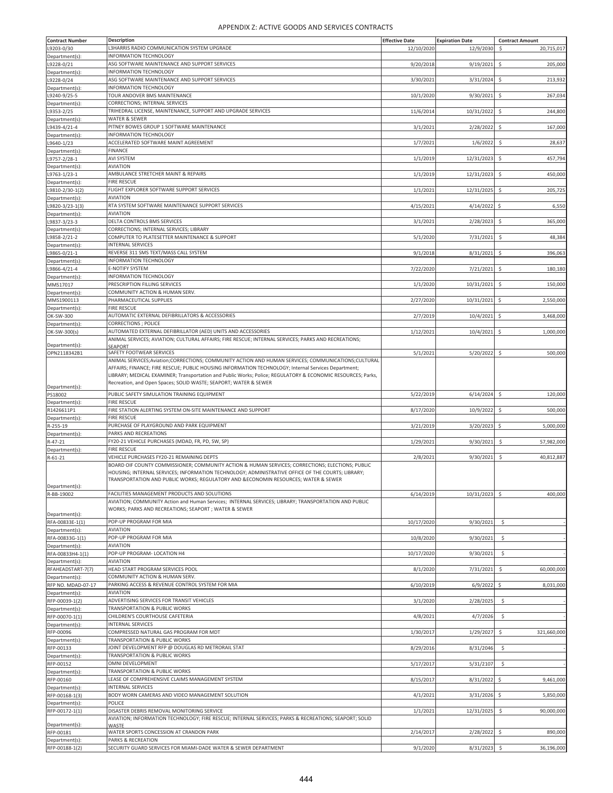| <b>Contract Number</b> | <b>Description</b>                                                                                          | <b>Effective Date</b> | <b>Expiration Date</b> | <b>Contract Amount</b>           |
|------------------------|-------------------------------------------------------------------------------------------------------------|-----------------------|------------------------|----------------------------------|
|                        |                                                                                                             |                       |                        |                                  |
| L9203-0/30             | L3HARRIS RADIO COMMUNICATION SYSTEM UPGRADE                                                                 | 12/10/2020            | 12/9/2030              | \$<br>20,715,017                 |
| Department(s):         | INFORMATION TECHNOLOGY                                                                                      |                       |                        |                                  |
| L9228-0/21             | ASG SOFTWARE MAINTENANCE AND SUPPORT SERVICES                                                               | 9/20/2018             | 9/19/2021              | \$<br>205,000                    |
| Department(s):         | INFORMATION TECHNOLOGY                                                                                      |                       |                        |                                  |
|                        |                                                                                                             |                       |                        |                                  |
| L9228-0/24             | ASG SOFTWARE MAINTENANCE AND SUPPORT SERVICES                                                               | 3/30/2021             | 3/31/2024              | 213,932<br>\$                    |
| Department(s):         | INFORMATION TECHNOLOGY                                                                                      |                       |                        |                                  |
| L9240-9/25-5           | TOUR ANDOVER BMS MAINTENANCE                                                                                | 10/1/2020             | 9/30/2021              | \$<br>267,034                    |
| Department(s):         | CORRECTIONS; INTERNAL SERVICES                                                                              |                       |                        |                                  |
|                        | TRIHEDRAL LICENSE, MAINTENANCE, SUPPORT AND UPGRADE SERVICES                                                |                       |                        |                                  |
| L9353-2/25             |                                                                                                             | 11/6/2014             | 10/31/2022             | \$<br>244,800                    |
| Department(s):         | WATER & SEWER                                                                                               |                       |                        |                                  |
| L9439-4/21-4           | PITNEY BOWES GROUP 1 SOFTWARE MAINTENANCE                                                                   | 3/1/2021              | 2/28/2022              | \$<br>167,000                    |
| Department(s):         | <b>INFORMATION TECHNOLOGY</b>                                                                               |                       |                        |                                  |
|                        | ACCELERATED SOFTWARE MAINT AGREEMENT                                                                        |                       |                        |                                  |
| L9640-1/23             |                                                                                                             | 1/7/2021              | 1/6/2022               | \$<br>28,637                     |
| Department(s):         | <b>FINANCE</b>                                                                                              |                       |                        |                                  |
| L9757-2/28-1           | <b>AVI SYSTEM</b>                                                                                           | 1/1/2019              | 12/31/2023             | \$<br>457,794                    |
| Department(s):         | <b>AVIATION</b>                                                                                             |                       |                        |                                  |
| L9763-1/23-1           | AMBULANCE STRETCHER MAINT & REPAIRS                                                                         |                       |                        |                                  |
|                        |                                                                                                             | 1/1/2019              | 12/31/2023             | \$<br>450,000                    |
| Department(s):         | <b>FIRE RESCUE</b>                                                                                          |                       |                        |                                  |
| L9810-2/30-1(2)        | FLIGHT EXPLORER SOFTWARE SUPPORT SERVICES                                                                   | 1/1/2021              | 12/31/2025             | \$<br>205,725                    |
| Department(s):         | <b>AVIATION</b>                                                                                             |                       |                        |                                  |
|                        | RTA SYSTEM SOFTWARE MAINTENANCE SUPPORT SERVICES                                                            |                       |                        | \$                               |
| L9820-3/23-1(3)        |                                                                                                             | 4/15/2021             | 4/14/2022              | 6,550                            |
| Department(s):         | <b>AVIATION</b>                                                                                             |                       |                        |                                  |
| L9837-3/23-3           | DELTA CONTROLS BMS SERVICES                                                                                 | 3/1/2021              | 2/28/2023              | -S<br>365,000                    |
| Department(s):         | CORRECTIONS; INTERNAL SERVICES; LIBRARY                                                                     |                       |                        |                                  |
|                        |                                                                                                             |                       |                        |                                  |
| L9858-2/21-2           | COMPUTER TO PLATESETTER MAINTENANCE & SUPPORT                                                               | 5/1/2020              | 7/31/2021              | \$<br>48,384                     |
| Department(s):         | <b>INTERNAL SERVICES</b>                                                                                    |                       |                        |                                  |
| L9865-0/21-1           | REVERSE 311 SMS TEXT/MASS CALL SYSTEM                                                                       | 9/1/2018              | 8/31/2021              | Ś<br>396,063                     |
|                        | INFORMATION TECHNOLOGY                                                                                      |                       |                        |                                  |
| Department(s):         |                                                                                                             |                       |                        |                                  |
| L9866-4/21-4           | <b>E-NOTIFY SYSTEM</b>                                                                                      | 7/22/2020             | 7/21/2021              | \$<br>180,180                    |
| Department(s):         | INFORMATION TECHNOLOGY                                                                                      |                       |                        |                                  |
| MMS17017               | PRESCRIPTION FILLING SERVICES                                                                               | 1/1/2020              | 10/31/2021             | \$<br>150,000                    |
|                        |                                                                                                             |                       |                        |                                  |
| Department(s):         | COMMUNITY ACTION & HUMAN SERV.                                                                              |                       |                        |                                  |
| MMS1900113             | PHARMACEUTICAL SUPPLIES                                                                                     | 2/27/2020             | 10/31/2021             | \$<br>2,550,000                  |
| Department(s):         | <b>FIRE RESCUE</b>                                                                                          |                       |                        |                                  |
|                        | AUTOMATIC EXTERNAL DEFIBRILLATORS & ACCESSORIES                                                             |                       |                        |                                  |
| OK-SW-300              |                                                                                                             | 2/7/2019              | 10/4/2021              | \$<br>3,468,000                  |
| Department(s):         | CORRECTIONS; POLICE                                                                                         |                       |                        |                                  |
| OK-SW-300(s)           | AUTOMATED EXTERNAL DEFIBRILLATOR (AED) UNITS AND ACCESSORIES                                                | 1/12/2021             | 10/4/2021              | \$<br>1,000,000                  |
|                        | ANIMAL SERVICES; AVIATION; CULTURAL AFFAIRS; FIRE RESCUE; INTERNAL SERVICES; PARKS AND RECREATIONS;         |                       |                        |                                  |
| Department(s):         |                                                                                                             |                       |                        |                                  |
|                        | <b>SEAPORT</b>                                                                                              |                       |                        |                                  |
| OPN2118342B1           | SAFETY FOOTWEAR SERVICES                                                                                    | 5/1/2021              | 5/20/2022              | \$<br>500,000                    |
|                        | ANIMAL SERVICES;Aviation;CORRECTIONS; COMMUNITY ACTION AND HUMAN SERVICES; COMMUNICATIONS;CULTURAL          |                       |                        |                                  |
|                        | AFFAIRS; FINANCE; FIRE RESCUE; PUBLIC HOUSING INFORMATION TECHNOLOGY; Internal Services Department;         |                       |                        |                                  |
|                        | LIBRARY; MEDICAL EXAMINER; Transportation and Public Works; Police; REGULATORY & ECONOMIC RESOURCES; Parks, |                       |                        |                                  |
|                        |                                                                                                             |                       |                        |                                  |
| Department(s):         | Recreation, and Open Spaces; SOLID WASTE; SEAPORT; WATER & SEWER                                            |                       |                        |                                  |
|                        | PUBLIC SAFETY SIMULATION TRAINING EQUIPMENT                                                                 |                       |                        |                                  |
| PS18002                |                                                                                                             | 5/22/2019             | 6/14/2024              | \$<br>120,000                    |
| Department(s):         | <b>FIRE RESCUE</b>                                                                                          |                       |                        |                                  |
| R1426611P1             | FIRE STATION ALERTING SYSTEM ON-SITE MAINTENANCE AND SUPPORT                                                | 8/17/2020             | 10/9/2022              | \$<br>500,000                    |
|                        | <b>FIRE RESCUE</b>                                                                                          |                       |                        |                                  |
| Department(s):         |                                                                                                             |                       |                        |                                  |
| R-255-19               | PURCHASE OF PLAYGROUND AND PARK EQUIPMENT                                                                   | 3/21/2019             | 3/20/2023              | \$<br>5,000,000                  |
| Department(s):         | PARKS AND RECREATIONS                                                                                       |                       |                        |                                  |
| R-47-21                | FY20-21 VEHICLE PURCHASES (MDAD, FR, PD, SW, SP)                                                            | 1/29/2021             | 9/30/2021              | \$<br>57,982,000                 |
|                        |                                                                                                             |                       |                        |                                  |
| Department(s):         | <b>FIRE RESCUE</b>                                                                                          |                       |                        |                                  |
| $R-61-21$              | VEHICLE PURCHASES FY20-21 REMAINING DEPTS                                                                   | 2/8/202               | 9/30/2021              | \$<br>40,812,887                 |
|                        | BOARD OIF COUNTY COMMISSIONER; COMMUNITY ACTION & HUMAN SERVICES; CORRECTIONS; ELECTIONS; PUBLIC            |                       |                        |                                  |
|                        | HOUSING; INTERNAL SERVICES; INFORMATION TECHNOLOGY; ADMINISTRATIVE OFFICE OF THE COURTS; LIBRARY;           |                       |                        |                                  |
|                        |                                                                                                             |                       |                        |                                  |
|                        | TRANSPORTATION AND PUBLIC WORKS; REGULATORY AND &ECONOMIN RESOURCES; WATER & SEWER                          |                       |                        |                                  |
| Department(s)          |                                                                                                             |                       |                        |                                  |
| R-BB-19002             | FACILITIES MANAGEMENT PRODUCTS AND SOLUTIONS                                                                | 6/14/2019             | 10/31/2023             | \$<br>400,000                    |
|                        | AVIATION; COMMUNITY Action and Human Services; INTERNAL SERVICES; LIBRARY; TRANSPORTATION AND PUBLIC        |                       |                        |                                  |
|                        | WORKS; PARKS AND RECREATIONS; SEAPORT ; WATER & SEWER                                                       |                       |                        |                                  |
| Department(s):         |                                                                                                             |                       |                        |                                  |
|                        | POP-UP PROGRAM FOR MIA                                                                                      |                       | 9/30/2021              |                                  |
| RFA-00833E-1(1)        |                                                                                                             | 10/17/2020            |                        | Ŝ.                               |
| Department(s):         | <b>AVIATION</b>                                                                                             |                       |                        |                                  |
| RFA-00833G-1(1)        | POP-UP PROGRAM FOR MIA                                                                                      | 10/8/2020             | 9/30/2021              | \$                               |
| Department(s):         | AVIATION                                                                                                    |                       |                        |                                  |
|                        | POP-UP PROGRAM- LOCATION H4                                                                                 |                       |                        |                                  |
| RFA-00833H4-1(1)       |                                                                                                             | 10/17/2020            | 9/30/2021              | \$                               |
| Department(s):         | <b>AVIATION</b>                                                                                             |                       |                        |                                  |
| RFAHEADSTART-7(7)      | HEAD START PROGRAM SERVICES POOL                                                                            | 8/1/2020              | 7/31/2021              | \$<br>60,000,000                 |
|                        | COMMUNITY ACTION & HUMAN SERV.                                                                              |                       |                        |                                  |
| Department(s):         |                                                                                                             |                       |                        |                                  |
| RFP NO. MDAD-07-17     | PARKING ACCESS & REVENUE CONTROL SYSTEM FOR MIA                                                             | 6/10/2019             | 6/9/2022               | \$<br>8,031,000                  |
| Department(s):         | <b>AVIATION</b>                                                                                             |                       |                        |                                  |
| RFP-00039-1(2)         | ADVERTISING SERVICES FOR TRANSIT VEHICLES                                                                   | 3/1/2020              | 2/28/2025              | \$                               |
|                        |                                                                                                             |                       |                        |                                  |
| Department(s):         | TRANSPORTATION & PUBLIC WORKS                                                                               |                       |                        |                                  |
| RFP-00070-1(1)         | CHILDREN'S COURTHOUSE CAFETERIA                                                                             | 4/8/2021              | 4/7/2026               | \$                               |
| Department(s):         | INTERNAL SERVICES                                                                                           |                       |                        |                                  |
|                        | COMPRESSED NATURAL GAS PROGRAM FOR MDT                                                                      | 1/30/2017             | 1/29/2027              | \$<br>321,660,000                |
| RFP-00096              |                                                                                                             |                       |                        |                                  |
| Department(s):         | TRANSPORTATION & PUBLIC WORKS                                                                               |                       |                        |                                  |
| RFP-00133              | JOINT DEVELOPMENT RFP @ DOUGLAS RD METRORAIL STAT                                                           | 8/29/2016             | 8/31/2046              | \$                               |
| Department(s):         | TRANSPORTATION & PUBLIC WORKS                                                                               |                       |                        |                                  |
|                        |                                                                                                             |                       |                        |                                  |
| RFP-00152              | OMNI DEVELOPMENT                                                                                            | 5/17/2017             | 5/31/2107              | \$                               |
| Department(s):         | TRANSPORTATION & PUBLIC WORKS                                                                               |                       |                        |                                  |
| RFP-00160              | LEASE OF COMPREHENSIVE CLAIMS MANAGEMENT SYSTEM                                                             | 8/15/2017             | 8/31/2022              | Ś<br>9,461,000                   |
|                        |                                                                                                             |                       |                        |                                  |
| Department(s):         | <b>INTERNAL SERVICES</b>                                                                                    |                       |                        |                                  |
| RFP-00168-1(3)         | BODY WORN CAMERAS AND VIDEO MANAGEMENT SOLUTION                                                             | 4/1/2021              | 3/31/2026              | $\ddot{\mathsf{S}}$<br>5,850,000 |
| Department(s):         | POLICE                                                                                                      |                       |                        |                                  |
|                        |                                                                                                             |                       |                        |                                  |
| RFP-00172-1(1)         | DISASTER DEBRIS REMOVAL MONITORING SERVICE                                                                  | 1/1/2021              | 12/31/2025             | \$<br>90,000,000                 |
|                        | AVIATION; INFORMATION TECHNOLOGY; FIRE RESCUE; INTERNAL SERVICES; PARKS & RECREATIONS; SEAPORT; SOLID       |                       |                        |                                  |
| Department(s):         | WASTE                                                                                                       |                       |                        |                                  |
| RFP-00181              | WATER SPORTS CONCESSION AT CRANDON PARK                                                                     | 2/14/2017             | 2/28/2022              | \$<br>890,000                    |
| Department(s):         | PARKS & RECREATION                                                                                          |                       |                        |                                  |
|                        |                                                                                                             |                       |                        |                                  |
| RFP-00188-1(2)         | SECURITY GUARD SERVICES FOR MIAMI-DADE WATER & SEWER DEPARTMENT                                             | 9/1/2020              | 8/31/2023 \$           | 36,196,000                       |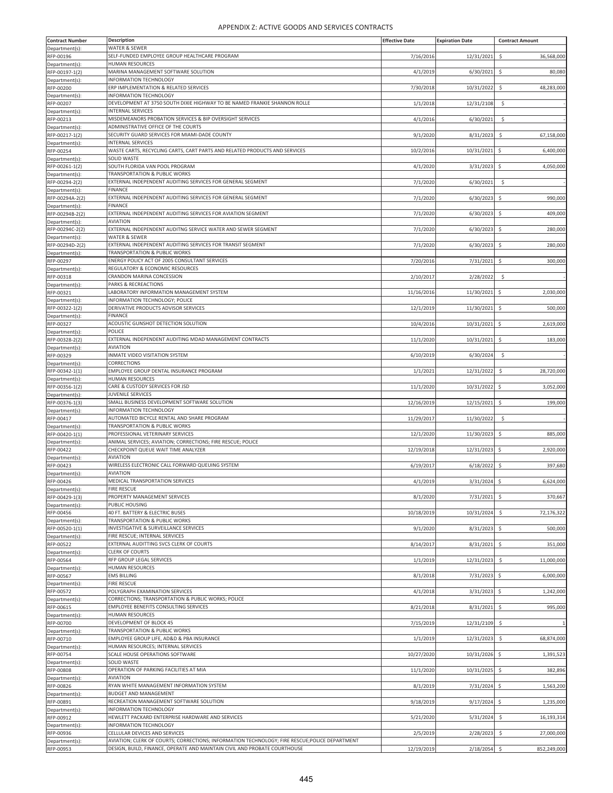| <b>Contract Number</b>            | Description                                                                                      | <b>Effective Date</b> | <b>Expiration Date</b> | <b>Contract Amount</b>           |
|-----------------------------------|--------------------------------------------------------------------------------------------------|-----------------------|------------------------|----------------------------------|
| Department(s)                     | WATER & SEWER                                                                                    |                       |                        |                                  |
| RFP-00196                         | SELF-FUNDED EMPLOYEE GROUP HEALTHCARE PROGRAM                                                    | 7/16/2016             | 12/31/2021             | \$<br>36,568,000                 |
| Department(s):                    | <b>HUMAN RESOURCES</b>                                                                           |                       |                        |                                  |
| RFP-00197-1(2)                    | MARINA MANAGEMENT SOFTWARE SOLUTION                                                              | 4/1/2019              | 6/30/2021              | \$<br>80,080                     |
| Department(s):<br>RFP-00200       | INFORMATION TECHNOLOGY<br>ERP IMPLEMENTATION & RELATED SERVICES                                  | 7/30/2018             |                        |                                  |
| Department(s)                     | INFORMATION TECHNOLOGY                                                                           |                       | 10/31/2022             | \$<br>48,283,000                 |
| RFP-00207                         | DEVELOPMENT AT 3750 SOUTH DIXIE HIGHWAY TO BE NAMED FRANKIE SHANNON ROLLE                        | 1/1/2018              | 12/31/2108             | Ŝ.                               |
| Department(s)                     | <b>INTERNAL SERVICES</b>                                                                         |                       |                        |                                  |
| RFP-00213                         | MISDEMEANORS PROBATION SERVICES & BIP OVERSIGHT SERVICES                                         | 4/1/2016              | 6/30/2021              | Ŝ.                               |
| Department(s):                    | ADMINISTRATIVE OFFICE OF THE COURTS                                                              |                       |                        |                                  |
| RFP-00217-1(2)                    | SECURITY GUARD SERVICES FOR MIAMI-DADE COUNTY                                                    | 9/1/2020              | 8/31/2023              | \$<br>67,158,000                 |
| Department(s):                    | <b>INTERNAL SERVICES</b>                                                                         |                       |                        |                                  |
| RFP-00254                         | WASTE CARTS, RECYCLING CARTS, CART PARTS AND RELATED PRODUCTS AND SERVICES<br><b>SOLID WASTE</b> | 10/2/2016             | 10/31/2021             | -\$<br>6,400,000                 |
| Department(s)<br>RFP-00261-1(2)   | SOUTH FLORIDA VAN POOL PROGRAM                                                                   | 4/1/2020              | $3/31/2023$ \$         | 4,050,000                        |
| Department(s)                     | TRANSPORTATION & PUBLIC WORKS                                                                    |                       |                        |                                  |
| RFP-00294-2(2)                    | EXTERNAL INDEPENDENT AUDITING SERVICES FOR GENERAL SEGMENT                                       | 7/1/2020              | 6/30/2021              | $\ddot{\mathsf{S}}$              |
| Department(s):                    | <b>FINANCE</b>                                                                                   |                       |                        |                                  |
| RFP-00294A-2(2)                   | EXTERNAL INDEPENDENT AUDITING SERVICES FOR GENERAL SEGMENT                                       | 7/1/2020              | 6/30/2023              | Ś<br>990,000                     |
| Department(s):                    | <b>FINANCE</b>                                                                                   |                       |                        |                                  |
| RFP-00294B-2(2)                   | EXTERNAL INDEPENDENT AUDITING SERVICES FOR AVIATION SEGMENT                                      | 7/1/2020              | 6/30/2023              | \$<br>409,000                    |
| Department(s):<br>RFP-00294C-2(2) | <b>AVIATION</b><br>EXTERNAL INDEPENDENT AUDITNG SERVICE WATER AND SEWER SEGMENT                  | 7/1/2020              | 6/30/2023              | \$<br>280,000                    |
| Department(s):                    | <b>WATER &amp; SEWER</b>                                                                         |                       |                        |                                  |
| RFP-00294D-2(2)                   | EXTERNAL INDEPENDENT AUDITING SERVICES FOR TRANSIT SEGMENT                                       | 7/1/2020              | 6/30/2023              | \$<br>280,000                    |
| Department(s):                    | <b>TRANSPORTATION &amp; PUBLIC WORKS</b>                                                         |                       |                        |                                  |
| RFP-00297                         | ENERGY POLICY ACT OF 2005 CONSULTANT SERVICES                                                    | 7/20/2016             | 7/31/2021 \$           | 300,000                          |
| Department(s):                    | REGULATORY & ECONOMIC RESOURCES                                                                  |                       |                        |                                  |
| RFP-00318                         | CRANDON MARINA CONCESSION                                                                        | 2/10/2017             | 2/28/2022              | \$                               |
| Department(s):                    | PARKS & RECREACTIONS<br>LABORATORY INFORMATION MANAGEMENT SYSTEM                                 |                       |                        |                                  |
| RFP-00321                         | INFORMATION TECHNOLOGY; POLICE                                                                   | 11/16/2016            | 11/30/2021 \$          | 2,030,000                        |
| Department(s)<br>RFP-00322-1(2)   | DERIVATIVE PRODUCTS ADVISOR SERVICES                                                             | 12/1/2019             | 11/30/2021 \$          | 500,000                          |
| Department(s):                    | <b>FINANCE</b>                                                                                   |                       |                        |                                  |
| RFP-00327                         | ACOUSTIC GUNSHOT DETECTION SOLUTION                                                              | 10/4/2016             | 10/31/2021 \$          | 2,619,000                        |
| Department(s):                    | POLICE                                                                                           |                       |                        |                                  |
| RFP-00328-2(2)                    | EXTERNAL INDEPENDENT AUDITING MDAD MANAGEMENT CONTRACTS                                          | 11/1/2020             | 10/31/2021             | \$<br>183,000                    |
| Department(s):                    | <b>AVIATION</b>                                                                                  |                       |                        |                                  |
| RFP-00329                         | INMATE VIDEO VISITATION SYSTEM                                                                   | 6/10/2019             | 6/30/2024              | \$                               |
| Department(s)<br>RFP-00342-1(1)   | CORRECTIONS<br>EMPLOYEE GROUP DENTAL INSURANCE PROGRAM                                           | 1/1/2021              | 12/31/2022             | \$<br>28,720,000                 |
| Department(s):                    | <b>HUMAN RESOURCES</b>                                                                           |                       |                        |                                  |
| RFP-00356-1(2)                    | CARE & CUSTODY SERVICES FOR JSD                                                                  | 11/1/2020             | 10/31/2022             | $\ddot{\mathsf{S}}$<br>3,052,000 |
| Department(s):                    | JUVENILE SERVICES                                                                                |                       |                        |                                  |
| RFP-00376-1(3)                    | SMALL BUSINESS DEVELOPMENT SOFTWARE SOLUTION                                                     | 12/16/2019            | 12/15/2021             | \$<br>199,000                    |
| Department(s):                    | INFORMATION TECHNOLOGY                                                                           |                       |                        |                                  |
| RFP-00417                         | AUTOMATED BICYCLE RENTAL AND SHARE PROGRAM                                                       | 11/29/2017            | 11/30/2022             | \$                               |
| Department(s)<br>RFP-00420-1(1)   | TRANSPORTATION & PUBLIC WORKS                                                                    | 12/1/2020             | 11/30/2023             |                                  |
| Department(s):                    | PROFESSIONAL VETERINARY SERVICES<br>ANIMAL SERVICES; AVIATION; CORRECTIONS; FIRE RESCUE; POLICE  |                       |                        | \$<br>885,000                    |
| RFP-00422                         | CHECKPOINT QUEUE WAIT TIME ANALYZER                                                              | 12/19/2018            | 12/31/2023             | 2,920,000<br>-\$                 |
| Department(s):                    | <b>AVIATION</b>                                                                                  |                       |                        |                                  |
| RFP-00423                         | WIRELESS ELECTRONIC CALL FORWARD QUEUING SYSTEM                                                  | 6/19/2017             | 6/18/2022              | \$<br>397,680                    |
| Department(s)                     | <b>AVIATION</b>                                                                                  |                       |                        |                                  |
| RFP-00426                         | MEDICAL TRANSPORTATION SERVICES                                                                  | 4/1/2019              | 3/31/2024 \$           | 6,624,000                        |
| Department(s)                     | <b>FIRE RESCUE</b>                                                                               |                       |                        |                                  |
| RFP-00429-1(3)<br>Department(s):  | PROPERTY MANAGEMENT SERVICES<br>PUBLIC HOUSING                                                   | 8/1/2020              | 7/31/2021              | \$<br>370,667                    |
| RFP-00456                         | 40 FT. BATTERY & ELECTRIC BUSES                                                                  | 10/18/2019            | 10/31/2024             | \$<br>72,176,322                 |
| Department(s):                    | TRANSPORTATION & PUBLIC WORKS                                                                    |                       |                        |                                  |
| RFP-00520-1(1)                    | INVESTIGATIVE & SURVEILLANCE SERVICES                                                            | 9/1/2020              | 8/31/2023              | Ś<br>500,000                     |
| Department(s):                    | FIRE RESCUE; INTERNAL SERVICES                                                                   |                       |                        |                                  |
| RFP-00522                         | EXTERNAL AUDITTING SVCS CLERK OF COURTS                                                          | 8/14/2017             | 8/31/2021              | $\ddot{\mathsf{S}}$<br>351,000   |
| Department(s):<br>RFP-00564       | <b>CLERK OF COURTS</b><br>RFP GROUP LEGAL SERVICES                                               |                       |                        |                                  |
| Department(s):                    | <b>HUMAN RESOURCES</b>                                                                           | 1/1/2019              | 12/31/2023             | \$<br>11,000,000                 |
| RFP-00567                         | <b>EMS BILLING</b>                                                                               | 8/1/2018              | 7/31/2023              | S.<br>6,000,000                  |
| Department(s):                    | <b>FIRE RESCUE</b>                                                                               |                       |                        |                                  |
| RFP-00572                         | POLYGRAPH EXAMINATION SERVICES                                                                   | 4/1/2018              | 3/31/2023              | Ś<br>1,242,000                   |
| Department(s):                    | CORRECTIONS; TRANSPORTATION & PUBLIC WORKS; POLICE                                               |                       |                        |                                  |
| RFP-00615                         | <b>EMPLOYEE BENEFITS CONSULTING SERVICES</b>                                                     | 8/21/2018             | 8/31/2021              | $\ddot{\phi}$<br>995,000         |
| Department(s):                    | <b>HUMAN RESOURCES</b>                                                                           |                       |                        |                                  |
| RFP-00700                         | DEVELOPMENT OF BLOCK 45                                                                          | 7/15/2019             | 12/31/2109             | \$                               |
| Department(s):<br>RFP-00710       | TRANSPORTATION & PUBLIC WORKS<br>EMPLOYEE GROUP LIFE, AD&D & PBA INSURANCE                       | 1/1/2019              | 12/31/2023             | \$<br>68,874,000                 |
| Department(s):                    | HUMAN RESOURCES; INTERNAL SERVICES                                                               |                       |                        |                                  |
| RFP-00754                         | SCALE HOUSE OPERATIONS SOFTWARE                                                                  | 10/27/2020            | 10/31/2026 \$          | 1,391,523                        |
| Department(s):                    | SOLID WASTE                                                                                      |                       |                        |                                  |
| RFP-00808                         | OPERATION OF PARKING FACILITIES AT MIA                                                           | 11/1/2020             | 10/31/2025             | \$<br>382,896                    |
| Department(s):                    | <b>AVIATION</b>                                                                                  |                       |                        |                                  |
| RFP-00826                         | RYAN WHITE MANAGEMENT INFORMATION SYSTEM                                                         | 8/1/2019              | 7/31/2024 \$           | 1,563,200                        |
| Department(s):<br>RFP-00891       | <b>BUDGET AND MANAGEMENT</b><br>RECREATION MANAGEMENT SOFTWARE SOLUTION                          | 9/18/2019             | $9/17/2024$ \$         | 1,235,000                        |
| Department(s):                    | INFORMATION TECHNOLOGY                                                                           |                       |                        |                                  |
| RFP-00912                         | HEWLETT PACKARD ENTERPRISE HARDWARE AND SERVICES                                                 | 5/21/2020             | 5/31/2024              | 16,193,314<br>\$                 |
| Department(s):                    | INFORMATION TECHNOLOGY                                                                           |                       |                        |                                  |
| RFP-00936                         | CELLULAR DEVICES AND SERVICES                                                                    | 2/5/2019              | 2/28/2023              | \$<br>27,000,000                 |
| Department(s):                    | AVIATION; CLERK OF COURTS; CORRECTIONS; INFORMATION TECHNOLOGY; FIRE RESCUE;POLICE DEPARTMENT    |                       |                        |                                  |
| RFP-00953                         | DESIGN, BUILD, FINANCE, OPERATE AND MAINTAIN CIVIL AND PROBATE COURTHOUSE                        | 12/19/2019            | 2/18/2054 \$           | 852,249,000                      |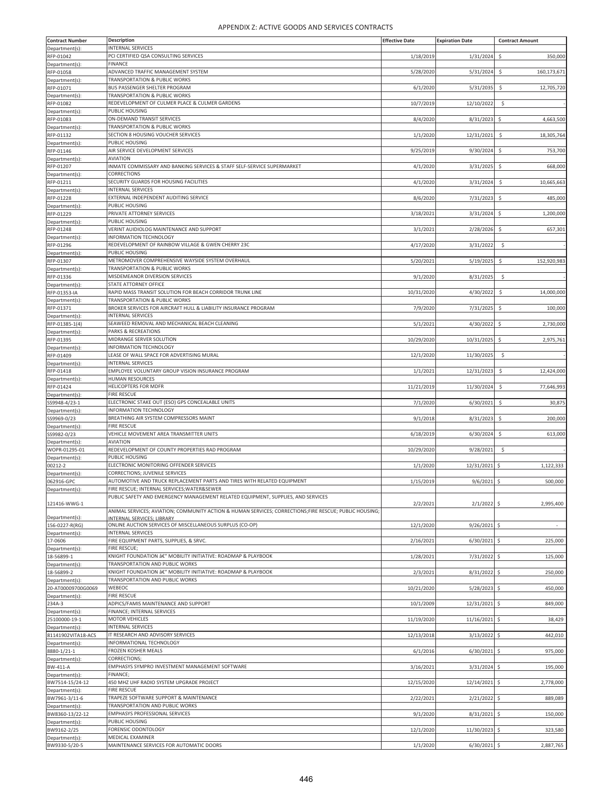| <b>Contract Number</b>               | Description                                                                                            | <b>Effective Date</b> | <b>Expiration Date</b> | <b>Contract Amount</b>            |
|--------------------------------------|--------------------------------------------------------------------------------------------------------|-----------------------|------------------------|-----------------------------------|
| Department(s)                        | INTERNAL SERVICES                                                                                      |                       |                        |                                   |
| RFP-01042                            | PCI CERTIFIED QSA CONSULTING SERVICES                                                                  | 1/18/2019             | 1/31/2024              | \$<br>350,000                     |
| Department(s):                       | <b>FINANCE</b>                                                                                         |                       |                        |                                   |
| RFP-01058                            | ADVANCED TRAFFIC MANAGEMENT SYSTEM                                                                     | 5/28/2020             | 5/31/2024              | Ś<br>160,173,671                  |
| Department(s):                       | TRANSPORTATION & PUBLIC WORKS                                                                          |                       |                        |                                   |
| RFP-01071                            | BUS PASSENGER SHELTER PROGRAM                                                                          | 6/1/2020              | 5/31/2035              | \$<br>12,705,720                  |
| Department(s)                        | TRANSPORTATION & PUBLIC WORKS                                                                          |                       |                        |                                   |
| RFP-01082                            | REDEVELOPMENT OF CULMER PLACE & CULMER GARDENS                                                         | 10/7/2019             | 12/10/2022             | \$                                |
| Department(s)                        | PUBLIC HOUSING                                                                                         |                       |                        |                                   |
| RFP-01083                            | ON-DEMAND TRANSIT SERVICES<br>TRANSPORTATION & PUBLIC WORKS                                            | 8/4/2020              | 8/31/2023              | S.<br>4,663,500                   |
| Department(s):                       | SECTION 8 HOUSING VOUCHER SERVICES                                                                     |                       |                        |                                   |
| RFP-01132<br>Department(s):          | PUBLIC HOUSING                                                                                         | 1/1/2020              | 12/31/2021             | \$<br>18,305,764                  |
| RFP-01146                            | AIR SERVICE DEVELOPMENT SERVICES                                                                       | 9/25/2019             | 9/30/2024              | \$<br>753,700                     |
| Department(s)                        | <b>AVIATION</b>                                                                                        |                       |                        |                                   |
| RFP-01207                            | INMATE COMMISSARY AND BANKING SERVICES & STAFF SELF-SERVICE SUPERMARKET                                | 4/1/2020              | 3/31/2025              | \$<br>668,000                     |
| Department(s)                        | CORRECTIONS                                                                                            |                       |                        |                                   |
| RFP-01211                            | SECURITY GUARDS FOR HOUSING FACILITIES                                                                 | 4/1/2020              | 3/31/2024              | \$<br>10,665,663                  |
| Department(s):                       | <b>INTERNAL SERVICES</b>                                                                               |                       |                        |                                   |
| RFP-01228                            | EXTERNAL INDEPENDENT AUDITING SERVICE                                                                  | 8/6/2020              | 7/31/2023              | Ś<br>485,000                      |
| Department(s):                       | PUBLIC HOUSING                                                                                         |                       |                        |                                   |
| RFP-01229                            | PRIVATE ATTORNEY SERVICES                                                                              | 3/18/2021             | 3/31/2024              | $\ddot{\mathsf{S}}$<br>1,200,000  |
| Department(s)                        | PUBLIC HOUSING                                                                                         |                       |                        |                                   |
| RFP-01248                            | VERINT AUIDIOLOG MAINTENANCE AND SUPPORT                                                               | 3/1/2021              | 2/28/2026              | \$<br>657,301                     |
| Department(s)                        | INFORMATION TECHNOLOGY                                                                                 |                       |                        |                                   |
| RFP-01296                            | REDEVELOPMENT OF RAINBOW VILLAGE & GWEN CHERRY 23C                                                     | 4/17/2020             | 3/31/2022              | Ŝ.                                |
| Department(s):                       | PUBLIC HOUSING                                                                                         |                       |                        |                                   |
| RFP-01307<br>Department(s):          | METROMOVER COMPREHENSIVE WAYSIDE SYSTEM OVERHAUL<br>TRANSPORTATION & PUBLIC WORKS                      | 5/20/2021             | 5/19/2025              | \$<br>152,920,983                 |
| RFP-01336                            | MISDEMEANOR DIVERSION SERVICES                                                                         | 9/1/2020              | 8/31/2025              | \$                                |
| Department(s):                       | STATE ATTORNEY OFFICE                                                                                  |                       |                        |                                   |
| RFP-01353-IA                         | RAPID MASS TRANSIT SOLUTION FOR BEACH CORRIDOR TRUNK LINE                                              | 10/31/2020            | 4/30/2022              | \$<br>14,000,000                  |
| Department(s)                        | TRANSPORTATION & PUBLIC WORKS                                                                          |                       |                        |                                   |
| RFP-01371                            | BROKER SERVICES FOR AIRCRAFT HULL & LIABILITY INSURANCE PROGRAM                                        | 7/9/2020              | 7/31/2025              | \$<br>100,000                     |
| Department(s):                       | <b>INTERNAL SERVICES</b>                                                                               |                       |                        |                                   |
| RFP-01385-1(4)                       | SEAWEED REMOVAL AND MECHANICAL BEACH CLEANING                                                          | 5/1/2021              | 4/30/2022              | $\ddot{\mathsf{S}}$<br>2,730,000  |
| Department(s):                       | PARKS & RECREATIONS                                                                                    |                       |                        |                                   |
| RFP-01395                            | MIDRANGE SERVER SOLUTION                                                                               | 10/29/2020            | 10/31/2025             | \$<br>2,975,761                   |
| Department(s):                       | INFORMATION TECHNOLOGY                                                                                 |                       |                        |                                   |
| RFP-01409                            | LEASE OF WALL SPACE FOR ADVERTISING MURAL                                                              | 12/1/2020             | 11/30/2025             | \$                                |
| Department(s):                       | <b>INTERNAL SERVICES</b>                                                                               |                       |                        |                                   |
| RFP-01418                            | EMPLOYEE VOLUNTARY GROUP VISION INSURANCE PROGRAM                                                      | 1/1/2021              | 12/31/2023             | $\ddot{\mathsf{S}}$<br>12,424,000 |
| Department(s):                       | <b>HUMAN RESOURCES</b><br><b>HELICOPTERS FOR MDFR</b>                                                  |                       | 11/30/2024             | \$<br>77,646,993                  |
| RFP-01424                            | <b>FIRE RESCUE</b>                                                                                     | 11/21/2019            |                        |                                   |
| Department(s):<br>SS9948-4/23-1      | ELECTRONIC STAKE OUT (ESO) GPS CONCEALABLE UNITS                                                       | 7/1/2020              | 6/30/2021              | \$<br>30,875                      |
| Department(s)                        | INFORMATION TECHNOLOGY                                                                                 |                       |                        |                                   |
| SS9969-0/23                          | BREATHING AIR SYSTEM COMPRESSORS MAINT                                                                 | 9/1/2018              | 8/31/2023              | \$<br>200,000                     |
| Department(s)                        | <b>FIRE RESCUE</b>                                                                                     |                       |                        |                                   |
| SS9982-0/23                          | VEHICLE MOVEMENT AREA TRANSMITTER UNITS                                                                | 6/18/2019             | 6/30/2024              | 613,000<br>\$                     |
| Department(s):                       | AVIATION                                                                                               |                       |                        |                                   |
| WOPR-01295-01                        | REDEVELOPMENT OF COUNTY PROPERTIES RAD PROGRAM                                                         | 10/29/2020            | 9/28/2021              | Ŝ.                                |
| Department(s):                       | PUBLIC HOUSING                                                                                         |                       |                        |                                   |
| 00212-2                              | ELECTRONIC MONITORING OFFENDER SERVICES                                                                | 1/1/2020              | 12/31/2021             | 1,122,333                         |
| Department(s)                        | CORRECTIONS; JUVENILE SERVICES                                                                         |                       |                        |                                   |
| 062916-GPC                           | AUTOMOTIVE AND TRUCK REPLACEMENT PARTS AND TIRES WITH RELATED EQUIPMENT                                | 1/15/2019             | $9/6/2021$ \$          | 500,000                           |
| Department(s):                       | FIRE RESCUE; INTERNAL SERVICES; WATER&SEWER                                                            |                       |                        |                                   |
|                                      | PUBLIC SAFETY AND EMERGENCY MANAGEMENT RELATED EQUIPMENT, SUPPLIES, AND SERVICES                       |                       |                        |                                   |
| 121416-WWG-1                         | ANIMAL SERVICES; AVIATION; COMMUNITY ACTION & HUMAN SERVICES; CORRECTIONS;FIRE RESCUE; PUBLIC HOUSING; | 2/2/2021              | $2/1/2022$ \$          | 2,995,400                         |
| Department(s):                       | INTERNAL SERVICES: LIBRARY                                                                             |                       |                        |                                   |
| 156-0227-R(RG)                       | ONLINE AUCTION SERVICES OF MISCELLANEOUS SURPLUS (CO-OP)                                               | 12/1/2020             | $9/26/2021$ \$         | $\overline{\phantom{a}}$          |
| Department(s):                       | <b>INTERNAL SERVICES</b>                                                                               |                       |                        |                                   |
| 17-0606                              | FIRE EQUIPMENT PARTS, SUPPLIES, & SRVC.                                                                | 2/16/2021             | $6/30/2021$ \$         | 225,000                           |
| Department(s):                       | FIRE RESCUE;                                                                                           |                       |                        |                                   |
| 18-56899-1                           | KNIGHT FOUNDATION â€" MOBILITY INITIATIVE: ROADMAP & PLAYBOOK                                          | 1/28/2021             | 7/31/2022 \$           | 125,000                           |
| Department(s)                        | TRANSPORTATION AND PUBLIC WORKS                                                                        |                       |                        |                                   |
| 18-56899-2                           | KNIGHT FOUNDATION â€" MOBILITY INITIATIVE: ROADMAP & PLAYBOOK                                          | 2/3/2021              | 8/31/2022 \$           | 250,000                           |
| Department(s):                       | TRANSPORTATION AND PUBLIC WORKS<br>WEBEOC                                                              |                       | $5/28/2023$ \$         |                                   |
| 20-AT00009700G0069<br>Department(s): | <b>FIRE RESCUE</b>                                                                                     | 10/21/2020            |                        | 450,000                           |
| 234A-3                               | ADPICS/FAMIS MAINTENANCE AND SUPPORT                                                                   | 10/1/2009             | 12/31/2021 \$          | 849,000                           |
| Department(s):                       | FINANCE; INTERNAL SERVICES                                                                             |                       |                        |                                   |
| 25100000-19-1                        | <b>MOTOR VEHICLES</b>                                                                                  | 11/19/2020            | 11/16/2021 \$          | 38,429                            |
| Department(s):                       | <b>INTERNAL SERVICES</b>                                                                               |                       |                        |                                   |
| 81141902VITA18-ACS                   | IT RESEARCH AND ADVISORY SERVICES                                                                      | 12/13/2018            | $3/13/2022$ \$         | 442,010                           |
| Department(s)                        | INFORMATIONAL TECHNOLOGY                                                                               |                       |                        |                                   |
| 8880-1/21-1                          | FROZEN KOSHER MEALS                                                                                    | 6/1/2016              | $6/30/2021$ \$         | 975,000                           |
| Department(s):                       | CORRECTIONS;                                                                                           |                       |                        |                                   |
| BW-411-A                             | EMPHASYS SYMPRO INVESTMENT MANAGEMENT SOFTWARE                                                         | 3/16/2021             | $3/31/2024$ \$         | 195,000                           |
| Department(s):                       | FINANCE;                                                                                               |                       |                        |                                   |
| BW7514-15/24-12                      | 450 MHZ UHF RADIO SYSTEM UPGRADE PROJECT                                                               | 12/15/2020            | 12/14/2021 \$          | 2,778,000                         |
| Department(s):                       | <b>FIRE RESCUE</b>                                                                                     |                       |                        |                                   |
| BW7961-3/11-6<br>Department(s):      | TRAPEZE SOFTWARE SUPPORT & MAINTENANCE<br>TRANSPORTATION AND PUBLIC WORKS                              | 2/22/2021             | $2/21/2022$ \$         | 889,089                           |
| BW8360-13/22-12                      | <b>EMPHASYS PROFESSIONAL SERVICES</b>                                                                  | 9/1/2020              | 8/31/2021 \$           | 150,000                           |
| Department(s):                       | PUBLIC HOUSING                                                                                         |                       |                        |                                   |
| BW9162-2/25                          | FORENSIC ODONTOLOGY                                                                                    | 12/1/2020             | 11/30/2023             | 323,580                           |
| Department(s):                       | MEDICAL EXAMINER                                                                                       |                       |                        |                                   |
| BW9330-5/20-5                        | MAINTENANCE SERVICES FOR AUTOMATIC DOORS                                                               | 1/1/2020              | $6/30/2021$ \$         | 2,887,765                         |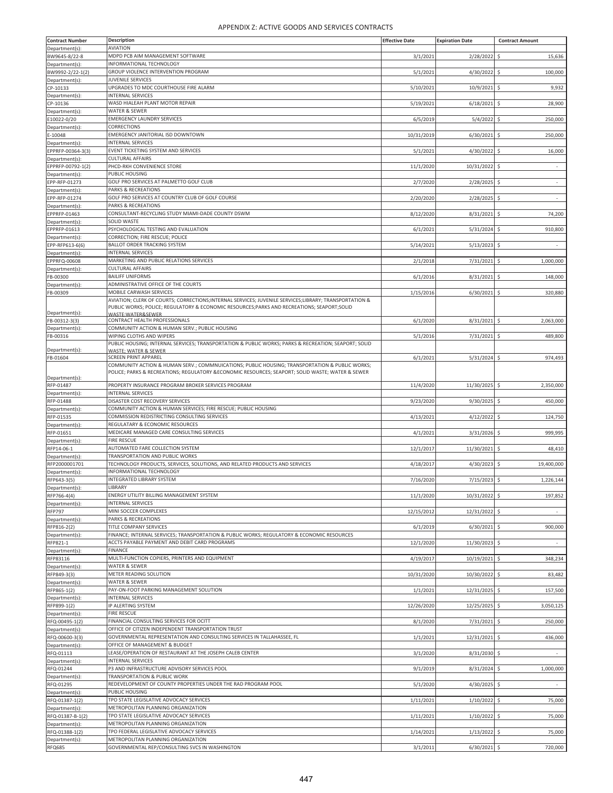| <b>Contract Number</b>              | Description                                                                                                                                                                                           | <b>Effective Date</b> | <b>Expiration Date</b> | <b>Contract Amount</b>                          |
|-------------------------------------|-------------------------------------------------------------------------------------------------------------------------------------------------------------------------------------------------------|-----------------------|------------------------|-------------------------------------------------|
| Department(s):                      | <b>AVIATION</b><br>MDPD PCB AIM MANAGEMENT SOFTWARE                                                                                                                                                   |                       |                        |                                                 |
| BW9645-8/22-8<br>Department(s):     | <b>INFORMATIONAL TECHNOLOGY</b>                                                                                                                                                                       | 3/1/202               | 2/28/2022              | S.<br>15,636                                    |
| BW9992-2/22-1(2)                    | GROUP VIOLENCE INTERVENTION PROGRAM                                                                                                                                                                   | 5/1/2021              | 4/30/2022              | 100,000<br>$\ddot{\mathsf{S}}$                  |
| Department(s):                      | JUVENILE SERVICES                                                                                                                                                                                     |                       |                        |                                                 |
| CP-10133<br>Department(s):          | UPGRADES TO MDC COURTHOUSE FIRE ALARM<br><b>INTERNAL SERVICES</b>                                                                                                                                     | 5/10/2021             | 10/9/2021              | \$<br>9,932                                     |
| CP-10136                            | WASD HIALEAH PLANT MOTOR REPAIR                                                                                                                                                                       | 5/19/202              | 6/18/2021              | 28,900<br>S.                                    |
| Department(s):                      | WATER & SEWER                                                                                                                                                                                         |                       |                        |                                                 |
| E10022-0/20                         | <b>EMERGENCY LAUNDRY SERVICES</b><br>CORRECTIONS                                                                                                                                                      | 6/5/2019              | 5/4/2022               | $\ddot{\mathsf{S}}$<br>250,000                  |
| Department(s):<br>E-10048           | EMERGENCY JANITORIAL ISD DOWNTOWN                                                                                                                                                                     | 10/31/2019            | 6/30/2021              | 250,000<br>-S                                   |
| Department(s)                       | INTERNAL SERVICES                                                                                                                                                                                     |                       |                        |                                                 |
| EPPRFP-00364-3(3)                   | EVENT TICKETING SYSTEM AND SERVICES                                                                                                                                                                   | 5/1/2021              | 4/30/2022              | \$<br>16,000                                    |
| Department(s):<br>EPPRFP-00792-1(2) | <b>CULTURAL AFFAIRS</b><br>PHCD-RKH CONVENIENCE STORE                                                                                                                                                 | 11/1/2020             | 10/31/2022             | $\ddot{\mathsf{S}}$<br>$\overline{\phantom{a}}$ |
| Department(s):                      | PUBLIC HOUSING                                                                                                                                                                                        |                       |                        |                                                 |
| EPP-RFP-01273                       | GOLF PRO SERVICES AT PALMETTO GOLF CLUB                                                                                                                                                               | 2/7/2020              | 2/28/2025              | -S<br>$\overline{\phantom{a}}$                  |
| Department(s):<br>EPP-RFP-01274     | PARKS & RECREATIONS<br>GOLF PRO SERVICES AT COUNTRY CLUB OF GOLF COURSE                                                                                                                               | 2/20/2020             | $2/28/2025$ \$         | $\sim$                                          |
| Department(s):                      | PARKS & RECREATIONS                                                                                                                                                                                   |                       |                        |                                                 |
| EPPRFP-01463                        | CONSULTANT-RECYCLING STUDY MIAMI-DADE COUNTY DSWM                                                                                                                                                     | 8/12/2020             | 8/31/2021              | \$<br>74,200                                    |
| Department(s):                      | SOLID WASTE                                                                                                                                                                                           |                       |                        |                                                 |
| EPPRFP-01613<br>Department(s):      | PSYCHOLOGICAL TESTING AND EVALUATION<br>CORRECTION; FIRE RESCUE; POLICE                                                                                                                               | 6/1/202               | 5/31/2024              | 910,800<br>-Ś                                   |
| EPP-RFP613-6(6)                     | <b>BALLOT ORDER TRACKING SYSTEM</b>                                                                                                                                                                   | 5/14/202              | 5/13/2023              | S.                                              |
| Department(s):                      | <b>INTERNAL SERVICES</b>                                                                                                                                                                              |                       |                        |                                                 |
| EPPRFQ-00608                        | MARKETING AND PUBLIC RELATIONS SERVICES<br><b>CULTURAL AFFAIRS</b>                                                                                                                                    | 2/1/2018              | 7/31/2021              | 1,000,000<br>-\$                                |
| Department(s):<br>FB-00300          | <b>BAILIFF UNIFORMS</b>                                                                                                                                                                               | 6/1/2016              | 8/31/2021              | -S<br>148,000                                   |
| Department(s)                       | ADMINISTRATIVE OFFICE OF THE COURTS                                                                                                                                                                   |                       |                        |                                                 |
| FB-00309                            | MOBILE CARWASH SERVICES                                                                                                                                                                               | 1/15/2016             | 6/30/2021              | 320,880<br>-\$                                  |
|                                     | AVIATION; CLERK OF COURTS; CORRECTIONS;INTERNAL SERVICES; JUVENILE SERVICES;LIBRARY; TRANSPORTATION &<br>PUBLIC WORKS; POLICE; REGULATORY & ECONOMIC RESOURCES; PARKS AND RECREATIONS; SEAPORT; SOLID |                       |                        |                                                 |
| Department(s):                      | WASTF:WATFR&SFWFR                                                                                                                                                                                     |                       |                        |                                                 |
| FB-00312-3(3)<br>Department(s)      | CONTRACT HEALTH PROFESSIONALS<br>COMMUNITY ACTION & HUMAN SERV.; PUBLIC HOUSING                                                                                                                       | 6/1/2020              | 8/31/2021              | -\$<br>2,063,000                                |
| FB-00316                            | WIPING CLOTHS AND WIPERS                                                                                                                                                                              | 5/1/2016              | 7/31/2021              | $\ddot{\mathsf{S}}$<br>489,800                  |
|                                     | PUBLIC HOUSING; INTERNAL SERVICES; TRANSPORTATION & PUBLIC WORKS; PARKS & RECREATION; SEAPORT; SOLID                                                                                                  |                       |                        |                                                 |
| Department(s):<br>FB-01604          | WASTE: WATER & SEWER<br><b>SCREEN PRINT APPAREL</b>                                                                                                                                                   | 6/1/2021              | $5/31/2024$ \$         | 974,493                                         |
|                                     | COMMUNITY ACTION & HUMAN SERV.; COMMNUICATIONS; PUBLIC HOUSING; TRANSPORTATION & PUBLIC WORKS;                                                                                                        |                       |                        |                                                 |
| Department(s):                      | POLICE; PARKS & RECREATIONS; REGULATORY &ECONOMIC RESOURCES; SEAPORT; SOLID WASTE; WATER & SEWER                                                                                                      |                       |                        |                                                 |
| RFP-01487                           | PROPERTY INSURANCE PROGRAM BROKER SERVICES PROGRAM                                                                                                                                                    | 11/4/2020             | 11/30/2025 \$          | 2,350,000                                       |
| Department(s):                      | <b>INTERNAL SERVICES</b>                                                                                                                                                                              |                       |                        |                                                 |
| RFP-01488<br>Department(s):         | DISASTER COST RECOVERY SERVICES<br>COMMUNITY ACTION & HUMAN SERVICES; FIRE RESCUE; PUBLIC HOUSING                                                                                                     | 9/23/2020             | 9/30/2025              | S.<br>450,000                                   |
| RFP-01535                           | COMMISSION REDISTRICTING CONSULTING SERVICES                                                                                                                                                          | 4/13/2021             | 4/12/2022              | 124,750<br>-\$                                  |
| Department(s):                      | REGULATARY & ECONOMIC RESOURCES                                                                                                                                                                       |                       |                        |                                                 |
| RFP-01651                           | MEDICARE MANAGED CARE CONSULTING SERVICES<br><b>FIRE RESCUE</b>                                                                                                                                       | 4/1/202               | $3/31/2026$ \$         | 999,995                                         |
| Department(s)<br>RFP14-06-1         | AUTOMATED FARE COLLECTION SYSTEM                                                                                                                                                                      | 12/1/2017             | 11/30/2021             | 48,410<br>-\$                                   |
| Department(s):                      | TRANSPORTATION AND PUBLIC WORKS                                                                                                                                                                       |                       |                        |                                                 |
| RFP2000001701                       | TECHNOLOGY PRODUCTS, SERVICES, SOLUTIONS, AND RELATED PRODUCTS AND SERVICES                                                                                                                           | 4/18/2017             | 4/30/2023              | 19,400,000                                      |
| Department(s):<br>RFP643-3(5)       | INFORMATIONAL TECHNOLOGY<br>INTEGRATED LIBRARY SYSTEM                                                                                                                                                 | 7/16/2020             | 7/15/2023 \$           | 1,226,144                                       |
| Department(s):                      | LIBRARY                                                                                                                                                                                               |                       |                        |                                                 |
| RFP766-4(4)                         | ENERGY UTILITY BILLING MANAGEMENT SYSTEM                                                                                                                                                              | 11/1/2020             | 10/31/2022             | 197,852<br>\$                                   |
| Department(s)<br><b>RFP797</b>      | <b>INTERNAL SERVICES</b><br>MINI SOCCER COMPLEXES                                                                                                                                                     | 12/15/2012            | 12/31/2022             | S.<br>$\sim$                                    |
| Department(s):                      | PARKS & RECREATIONS                                                                                                                                                                                   |                       |                        |                                                 |
| RFP816-2(2)                         | TITLE COMPANY SERVICES                                                                                                                                                                                | 6/1/2019              | 6/30/2021              | 900,000<br>$\ddot{\mathsf{S}}$                  |
| Department(s):                      | FINANCE; INTERNAL SERVICES; TRANSPORTATION & PUBLIC WORKS; REGULATORY & ECONOMIC RESOURCES                                                                                                            |                       |                        |                                                 |
| RFP821-1<br>Department(s):          | ACCTS PAYABLE PAYMENT AND DEBIT CARD PROGRAMS<br><b>FINANCE</b>                                                                                                                                       | 12/1/2020             | 11/30/2023             | S.                                              |
| RFP83116                            | MULTI-FUNCTION COPIERS, PRINTERS AND EQUIPMENT                                                                                                                                                        | 4/19/2017             | 10/19/2021 \$          | 348,234                                         |
| Department(s)                       | WATER & SEWER                                                                                                                                                                                         |                       |                        |                                                 |
| RFP849-3(3)<br>Department(s):       | METER READING SOLUTION<br>WATER & SEWER                                                                                                                                                               | 10/31/2020            | 10/30/2022             | \$<br>83,482                                    |
| RFP865-1(2)                         | PAY-ON-FOOT PARKING MANAGEMENT SOLUTION                                                                                                                                                               | 1/1/2021              | 12/31/2025             | -\$<br>157,500                                  |
| Department(s):                      | <b>INTERNAL SERVICES</b>                                                                                                                                                                              |                       |                        |                                                 |
| RFP899-1(2)                         | IP ALERTING SYSTEM<br><b>FIRE RESCUE</b>                                                                                                                                                              | 12/26/2020            | 12/25/2025             | $\ddot{\mathsf{S}}$<br>3,050,125                |
| Department(s):<br>RFQ-00495-1(2)    | FINANCIAL CONSULTING SERVICES FOR OCITT                                                                                                                                                               | 8/1/2020              | 7/31/2021 \$           | 250,000                                         |
| Department(s):                      | OFFICE OF CITIZEN INDEPENDENT TRANSPORTATION TRUST                                                                                                                                                    |                       |                        |                                                 |
| RFQ-00600-3(3)                      | GOVERNMENTAL REPRESENTATION AND CONSULTING SERVICES IN TALLAHASSEE, FL                                                                                                                                | 1/1/2021              | 12/31/2021             | S.<br>436,000                                   |
| Department(s):<br>RFQ-01113         | OFFICE OF MANAGEMENT & BUDGET<br>LEASE/OPERATION OF RESTAURANT AT THE JOSEPH CALEB CENTER                                                                                                             | 3/1/2020              | 8/31/2030 \$           | $\overline{\phantom{a}}$                        |
| Department(s):                      | <b>INTERNAL SERVICES</b>                                                                                                                                                                              |                       |                        |                                                 |
| RFQ-01244                           | P3 AND INFRASTRUCTURE ADVISORY SERVICES POOL                                                                                                                                                          | 9/1/2019              | 8/31/2024              | 1,000,000                                       |
| Department(s):                      | TRANSPORTATION & PUBLIC WORK                                                                                                                                                                          |                       |                        |                                                 |
| RFQ-01295<br>Department(s):         | REDEVELOPMENT OF COUNTY PROPERTIES UNDER THE RAD PROGRAM POOL<br>PUBLIC HOUSING                                                                                                                       | 5/1/2020              | $4/30/2025$ \$         | $\sim$                                          |
| RFQ-01387-1(2)                      | TPO STATE LEGISLATIVE ADVOCACY SERVICES                                                                                                                                                               | 1/11/2021             | 1/10/2022              | S.<br>75,000                                    |
| Department(s):                      | METROPOLITAN PLANNING ORGANIZATION                                                                                                                                                                    |                       |                        |                                                 |
| RFQ-01387-B-1(2)<br>Department(s):  | TPO STATE LEGISLATIVE ADVOCACY SERVICES<br>METROPOLITAN PLANNING ORGANIZATION                                                                                                                         | 1/11/2021             | 1/10/2022              | 75,000<br>-\$                                   |
| RFQ-01388-1(2)                      | TPO FEDERAL LEGISLATIVE ADVOCACY SERVICES                                                                                                                                                             | 1/14/2021             | 1/13/2022              | 75,000                                          |
| Department(s):                      | METROPOLITAN PLANNING ORGANIZATION                                                                                                                                                                    |                       |                        |                                                 |
| <b>RFQ685</b>                       | GOVERNMENTAL REP/CONSULTING SVCS IN WASHINGTON                                                                                                                                                        | 3/1/2011              | $6/30/2021$ \$         | 720,000                                         |